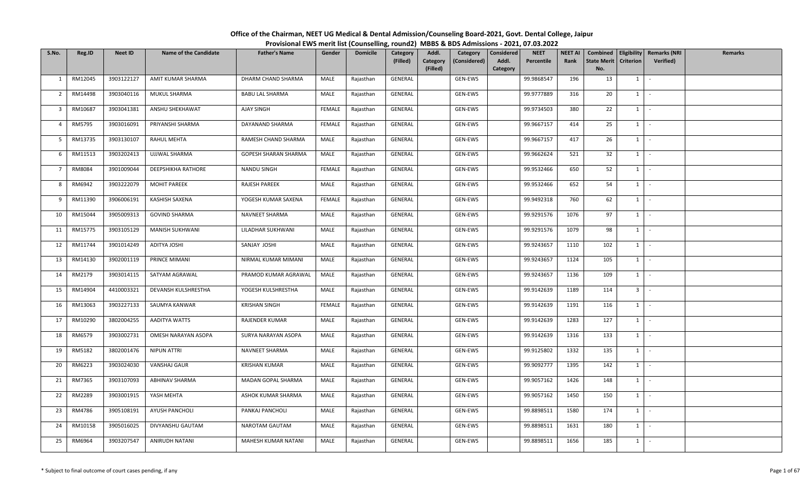| S.No.          | Reg.ID  | <b>Neet ID</b> | <b>Name of the Candidate</b> | <b>Father's Name</b>   | Gender        | <b>Domicile</b> | Category<br>(Filled) | Addl.<br>Category<br>(Filled) | Category<br>(Considered) | Considered<br>Addl.<br>Category | <b>NEET</b><br>Percentile | <b>NEET AI</b><br>Rank | Combined<br>State Merit   Criterion  <br>No. |                | Eligibility   Remarks (NRI<br>Verified) | Remarks |
|----------------|---------|----------------|------------------------------|------------------------|---------------|-----------------|----------------------|-------------------------------|--------------------------|---------------------------------|---------------------------|------------------------|----------------------------------------------|----------------|-----------------------------------------|---------|
| 1              | RM12045 | 3903122127     | AMIT KUMAR SHARMA            | DHARM CHAND SHARMA     | MALE          | Rajasthan       | GENERAL              |                               | GEN-EWS                  |                                 | 99.9868547                | 196                    | 13                                           | 1              | $\sim$                                  |         |
| $\overline{2}$ | RM14498 | 3903040116     | MUKUL SHARMA                 | <b>BABU LAL SHARMA</b> | MALE          | Rajasthan       | GENERAL              |                               | GEN-EWS                  |                                 | 99.9777889                | 316                    | 20                                           | 1              | $\sim$                                  |         |
| 3              | RM10687 | 3903041381     | ANSHU SHEKHAWAT              | AJAY SINGH             | <b>FEMALE</b> | Rajasthan       | GENERAL              |                               | GEN-EWS                  |                                 | 99.9734503                | 380                    | 22                                           | 1              | $\sim$                                  |         |
|                |         |                |                              |                        |               |                 |                      |                               |                          |                                 |                           |                        |                                              |                |                                         |         |
| $\overline{4}$ | RM5795  | 3903016091     | PRIYANSHI SHARMA             | DAYANAND SHARMA        | FEMALE        | Rajasthan       | GENERAL              |                               | GEN-EWS                  |                                 | 99.9667157                | 414                    | 25                                           | $1 \mid$       | $\sim$                                  |         |
| 5              | RM13735 | 3903130107     | RAHUL MEHTA                  | RAMESH CHAND SHARMA    | MALE          | Rajasthan       | GENERAL              |                               | GEN-EWS                  |                                 | 99.9667157                | 417                    | 26                                           | $1 \quad$      | $\sim$                                  |         |
| 6              | RM11513 | 3903202413     | UJJWAL SHARMA                | GOPESH SHARAN SHARMA   | MALE          | Rajasthan       | GENERAL              |                               | GEN-EWS                  |                                 | 99.9662624                | 521                    | 32                                           | $1 \mid$       | $\sim$                                  |         |
| $\overline{7}$ | RM8084  | 3901009044     | DEEPSHIKHA RATHORE           | NANDU SINGH            | FEMALE        | Rajasthan       | GENERAL              |                               | GEN-EWS                  |                                 | 99.9532466                | 650                    | 52                                           | $1 \mid$       | $\sim$                                  |         |
| 8              | RM6942  | 3903222079     | <b>MOHIT PAREEK</b>          | RAJESH PAREEK          | MALE          | Rajasthan       | GENERAL              |                               | GEN-EWS                  |                                 | 99.9532466                | 652                    | 54                                           | 1              | $\sim$                                  |         |
| 9              | RM11390 | 3906006191     | KASHISH SAXENA               | YOGESH KUMAR SAXENA    | FEMALE        | Rajasthan       | GENERAL              |                               | GEN-EWS                  |                                 | 99.9492318                | 760                    | 62                                           | $1 \quad$      | $\sim$                                  |         |
| 10             | RM15044 | 3905009313     | <b>GOVIND SHARMA</b>         | NAVNEET SHARMA         | MALE          | Rajasthan       | GENERAL              |                               | GEN-EWS                  |                                 | 99.9291576                | 1076                   | 97                                           | 1              | $\sim$                                  |         |
| 11             | RM15775 | 3903105129     | MANISH SUKHWANI              | LILADHAR SUKHWANI      | MALE          | Rajasthan       | GENERAL              |                               | GEN-EWS                  |                                 | 99.9291576                | 1079                   | 98                                           | $1 \mid$       | $\sim$ $-$                              |         |
| 12             | RM11744 | 3901014249     | ADITYA JOSHI                 | SANJAY JOSHI           | MALE          | Rajasthan       | GENERAL              |                               | GEN-EWS                  |                                 | 99.9243657                | 1110                   | 102                                          | 1              | $\sim$                                  |         |
| 13             | RM14130 | 3902001119     | PRINCE MIMANI                | NIRMAL KUMAR MIMANI    | MALE          | Rajasthan       | GENERAL              |                               | GEN-EWS                  |                                 | 99.9243657                | 1124                   | 105                                          | $1 \vert -$    |                                         |         |
| 14             | RM2179  | 3903014115     | SATYAM AGRAWAL               | PRAMOD KUMAR AGRAWAL   | MALE          | Rajasthan       | GENERAL              |                               | GEN-EWS                  |                                 | 99.9243657                | 1136                   | 109                                          | $1 \mid -$     |                                         |         |
| 15             | RM14904 | 4410003321     | DEVANSH KULSHRESTHA          | YOGESH KULSHRESTHA     | MALE          | Rajasthan       | GENERAL              |                               | GEN-EWS                  |                                 | 99.9142639                | 1189                   | 114                                          | 3 <sup>1</sup> | $\sim$                                  |         |
| 16             | RM13063 | 3903227133     | SAUMYA KANWAR                | <b>KRISHAN SINGH</b>   | FEMALE        | Rajasthan       | GENERAL              |                               | GEN-EWS                  |                                 | 99.9142639                | 1191                   | 116                                          | $1$ $-$        |                                         |         |
| 17             | RM10290 | 3802004255     | AADITYA WATTS                | RAJENDER KUMAR         | MALE          | Rajasthan       | GENERAL              |                               | GEN-EWS                  |                                 | 99.9142639                | 1283                   | 127                                          | $1 \quad$      | $\sim$                                  |         |
| 18             | RM6579  | 3903002731     | OMESH NARAYAN ASOPA          | SURYA NARAYAN ASOPA    | MALE          | Rajasthan       | GENERAL              |                               | GEN-EWS                  |                                 | 99.9142639                | 1316                   | 133                                          | 1              | $\sim$                                  |         |
| 19             | RM5182  | 3802001476     | NIPUN ATTRI                  | NAVNEET SHARMA         | MALE          | Rajasthan       | GENERAL              |                               | GEN-EWS                  |                                 | 99.9125802                | 1332                   | 135                                          | $1 \mid$       | $\sim$ $-$                              |         |
| 20             | RM6223  | 3903024030     | VANSHAJ GAUR                 | <b>KRISHAN KUMAR</b>   | MALE          | Rajasthan       | GENERAL              |                               | GEN-EWS                  |                                 | 99.9092777                | 1395                   | 142                                          | $1 \quad$      | $\sim$                                  |         |
| 21             | RM7365  | 3903107093     | ABHINAV SHARMA               | MADAN GOPAL SHARMA     | MALE          | Rajasthan       | GENERAL              |                               | GEN-EWS                  |                                 | 99.9057162                | 1426                   | 148                                          | $1 \mid -$     |                                         |         |
| 22             | RM2289  | 3903001915     | YASH MEHTA                   | ASHOK KUMAR SHARMA     | MALE          | Rajasthan       | GENERAL              |                               | GEN-EWS                  |                                 | 99.9057162                | 1450                   | 150                                          | $1 \cdot$      |                                         |         |
| 23             | RM4786  | 3905108191     | AYUSH PANCHOLI               | PANKAJ PANCHOLI        | MALE          | Rajasthan       | GENERAL              |                               | GEN-EWS                  |                                 | 99.8898511                | 1580                   | 174                                          | $1 \quad$      | $\sim$                                  |         |
| 24             | RM10158 | 3905016025     | DIVYANSHU GAUTAM             | NAROTAM GAUTAM         | MALE          | Rajasthan       | GENERAL              |                               | GEN-EWS                  |                                 | 99.8898511                | 1631                   | 180                                          | 1              | $\sim$                                  |         |
| 25             | RM6964  | 3903207547     | ANIRUDH NATANI               | MAHESH KUMAR NATANI    | MALE          | Rajasthan       | GENERAL              |                               | GEN-EWS                  |                                 | 99.8898511                | 1656                   | 185                                          | 1              | $\sim$                                  |         |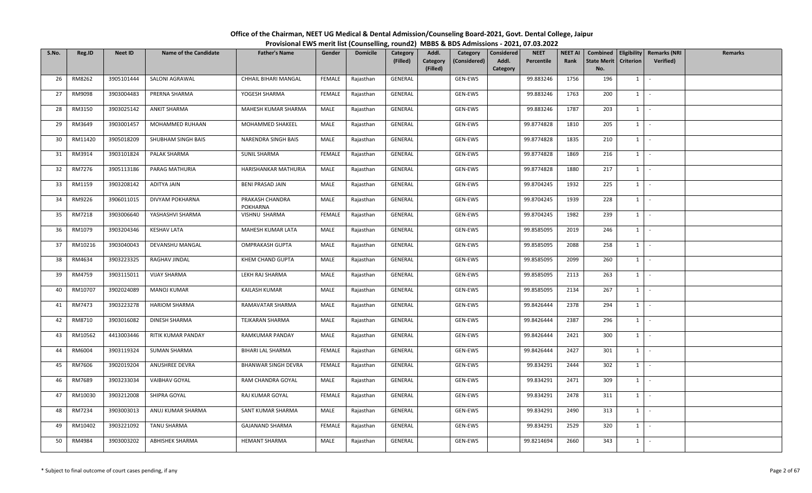| S.No. | Reg.ID  | <b>Neet ID</b> | <b>Name of the Candidate</b> | <b>Father's Name</b>        | Gender | <b>Domicile</b> | Category<br>(Filled) | Addl.<br>Category<br>(Filled) | Category<br>(Considered) | Considered<br>Addl.<br>Category | <b>NEET</b><br>Percentile | <b>NEET AI</b><br>Rank | Combined<br>State Merit   Criterion  <br>No. |            | Eligibility   Remarks (NRI<br>Verified) | Remarks |
|-------|---------|----------------|------------------------------|-----------------------------|--------|-----------------|----------------------|-------------------------------|--------------------------|---------------------------------|---------------------------|------------------------|----------------------------------------------|------------|-----------------------------------------|---------|
| 26    | RM8262  | 3905101444     | SALONI AGRAWAL               | CHHAIL BIHARI MANGAL        | FEMALE | Rajasthan       | GENERAL              |                               | GEN-EWS                  |                                 | 99.883246                 | 1756                   | 196                                          | $1 \quad$  | $\sim$                                  |         |
| 27    | RM9098  | 3903004483     | PRERNA SHARMA                | YOGESH SHARMA               | FEMALE | Rajasthan       | GENERAL              |                               | GEN-EWS                  |                                 | 99.883246                 | 1763                   | 200                                          | $1 \vert$  | $\sim$                                  |         |
| 28    | RM3150  | 3903025142     | <b>ANKIT SHARMA</b>          | MAHESH KUMAR SHARMA         | MALE   | Rajasthan       | GENERAL              |                               | GEN-EWS                  |                                 | 99.883246                 | 1787                   | 203                                          | 1          | $\sim$                                  |         |
| 29    | RM3649  | 3903001457     | MOHAMMED RUHAAN              | MOHAMMED SHAKEEL            | MALE   | Rajasthan       | GENERAL              |                               | GEN-EWS                  |                                 | 99.8774828                | 1810                   | 205                                          | $1 \quad$  | $\sim$                                  |         |
| 30    | RM11420 | 3905018209     | SHUBHAM SINGH BAIS           | NARENDRA SINGH BAIS         | MALE   | Rajasthan       | GENERAL              |                               | GEN-EWS                  |                                 | 99.8774828                | 1835                   | 210                                          | $1 \quad$  | $\sim$                                  |         |
| 31    | RM3914  | 3903101824     | PALAK SHARMA                 | <b>SUNIL SHARMA</b>         | FEMALE | Rajasthan       | GENERAL              |                               | GEN-EWS                  |                                 | 99.8774828                | 1869                   | 216                                          | 1          | $\sim$                                  |         |
| 32    | RM7276  | 3905113186     | PARAG MATHURIA               | HARISHANKAR MATHURIA        | MALE   | Rajasthan       | GENERAL              |                               | GEN-EWS                  |                                 | 99.8774828                | 1880                   | 217                                          | 1          | $\sim$                                  |         |
| 33    | RM1159  | 3903208142     | ADITYA JAIN                  | <b>BENI PRASAD JAIN</b>     | MALE   | Rajasthan       | GENERAL              |                               | GEN-EWS                  |                                 | 99.8704245                | 1932                   | 225                                          | 1          | $\sim$                                  |         |
| 34    | RM9226  | 3906011015     | DIVYAM POKHARNA              | PRAKASH CHANDRA<br>POKHARNA | MALE   | Rajasthan       | GENERAL              |                               | GEN-EWS                  |                                 | 99.8704245                | 1939                   | 228                                          | $1 \quad$  | $\sim$                                  |         |
| 35    | RM7218  | 3903006640     | YASHASHVI SHARMA             | VISHNU SHARMA               | FEMALE | Rajasthan       | GENERAL              |                               | GEN-EWS                  |                                 | 99.8704245                | 1982                   | 239                                          | 1          | $\sim$                                  |         |
| 36    | RM1079  | 3903204346     | <b>KESHAV LATA</b>           | MAHESH KUMAR LATA           | MALE   | Rajasthan       | GENERAL              |                               | GEN-EWS                  |                                 | 99.8585095                | 2019                   | 246                                          | $1 \mid$   | $\sim$ $-$                              |         |
| 37    | RM10216 | 3903040043     | DEVANSHU MANGAL              | OMPRAKASH GUPTA             | MALE   | Rajasthan       | GENERAL              |                               | GEN-EWS                  |                                 | 99.8585095                | 2088                   | 258                                          | 1          | $\sim$                                  |         |
| 38    | RM4634  | 3903223325     | RAGHAV JINDAL                | KHEM CHAND GUPTA            | MALE   | Rajasthan       | GENERAL              |                               | GEN-EWS                  |                                 | 99.8585095                | 2099                   | 260                                          | $1 \mid$   | $\sim$ $\sim$                           |         |
| 39    | RM4759  | 3903115011     | <b>VIJAY SHARMA</b>          | LEKH RAJ SHARMA             | MALE   | Rajasthan       | GENERAL              |                               | GEN-EWS                  |                                 | 99.8585095                | 2113                   | 263                                          | $1 \mid -$ |                                         |         |
| 40    | RM10707 | 3902024089     | <b>MANOJ KUMAR</b>           | KAILASH KUMAR               | MALE   | Rajasthan       | GENERAL              |                               | GEN-EWS                  |                                 | 99.8585095                | 2134                   | 267                                          | $1 \quad$  | $\sim$                                  |         |
| 41    | RM7473  | 3903223278     | <b>HARIOM SHARMA</b>         | RAMAVATAR SHARMA            | MALE   | Rajasthan       | GENERAL              |                               | GEN-EWS                  |                                 | 99.8426444                | 2378                   | 294                                          | $1$ $-$    |                                         |         |
| 42    | RM8710  | 3903016082     | DINESH SHARMA                | TEJKARAN SHARMA             | MALE   | Rajasthan       | GENERAL              |                               | GEN-EWS                  |                                 | 99.8426444                | 2387                   | 296                                          | $1 \quad$  | $\sim$                                  |         |
| 43    | RM10562 | 4413003446     | RITIK KUMAR PANDAY           | RAMKUMAR PANDAY             | MALE   | Rajasthan       | GENERAL              |                               | GEN-EWS                  |                                 | 99.8426444                | 2421                   | 300                                          | 1          | $\sim$                                  |         |
| 44    | RM6004  | 3903119324     | <b>SUMAN SHARMA</b>          | BIHARI LAL SHARMA           | FEMALE | Rajasthan       | GENERAL              |                               | GEN-EWS                  |                                 | 99.8426444                | 2427                   | 301                                          | 1          | $\sim$ $-$                              |         |
| 45    | RM7606  | 3902019204     | ANUSHREE DEVRA               | <b>BHANWAR SINGH DEVRA</b>  | FEMALE | Rajasthan       | GENERAL              |                               | GEN-EWS                  |                                 | 99.834291                 | 2444                   | 302                                          | $1 \quad$  | $\sim$                                  |         |
| 46    | RM7689  | 3903233034     | <b>VAIBHAV GOYAL</b>         | RAM CHANDRA GOYAL           | MALE   | Rajasthan       | GENERAL              |                               | GEN-EWS                  |                                 | 99.834291                 | 2471                   | 309                                          | $1 \mid -$ |                                         |         |
| 47    | RM10030 | 3903212008     | SHIPRA GOYAL                 | RAJ KUMAR GOYAL             | FEMALE | Rajasthan       | GENERAL              |                               | GEN-EWS                  |                                 | 99.834291                 | 2478                   | 311                                          | $1 \cdot$  |                                         |         |
| 48    | RM7234  | 3903003013     | ANUJ KUMAR SHARMA            | SANT KUMAR SHARMA           | MALE   | Rajasthan       | GENERAL              |                               | GEN-EWS                  |                                 | 99.834291                 | 2490                   | 313                                          | $1 \quad$  | $\sim$                                  |         |
| 49    | RM10402 | 3903221092     | TANU SHARMA                  | <b>GAJANAND SHARMA</b>      | FEMALE | Rajasthan       | GENERAL              |                               | GEN-EWS                  |                                 | 99.834291                 | 2529                   | 320                                          | 1          | $\sim$                                  |         |
| 50    | RM4984  | 3903003202     | <b>ABHISHEK SHARMA</b>       | <b>HEMANT SHARMA</b>        | MALE   | Rajasthan       | GENERAL              |                               | GEN-EWS                  |                                 | 99.8214694                | 2660                   | 343                                          | 1          | $\sim$                                  |         |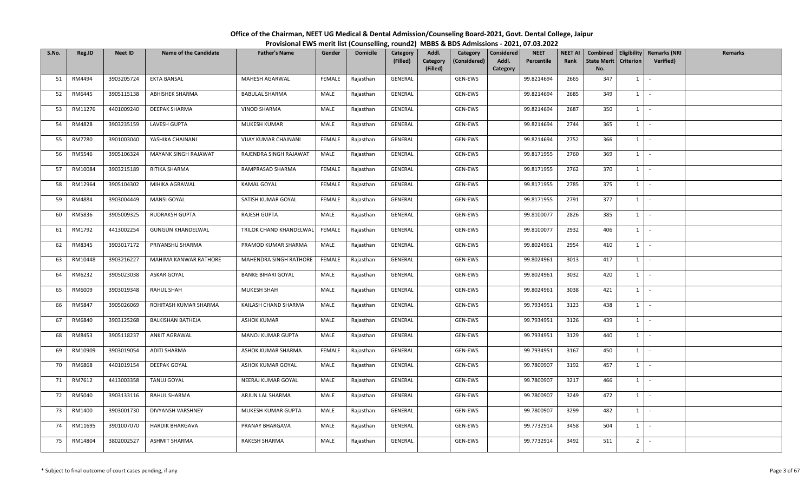| S.No. | Reg.ID  | <b>Neet ID</b> | <b>Name of the Candidate</b> | <b>Father's Name</b>      | Gender        | <b>Domicile</b> | Category<br>(Filled) | Addl.<br>Category<br>(Filled) | Category<br>(Considered) | <b>Considered</b><br>Addl.<br>Category | <b>NEET</b><br>Percentile | <b>NEET AI</b><br>Rank | <b>State Merit</b><br>No. | <b>Criterion</b> | Combined   Eligibility   Remarks (NRI<br>Verified) | Remarks |
|-------|---------|----------------|------------------------------|---------------------------|---------------|-----------------|----------------------|-------------------------------|--------------------------|----------------------------------------|---------------------------|------------------------|---------------------------|------------------|----------------------------------------------------|---------|
| 51    | RM4494  | 3903205724     | <b>EKTA BANSAL</b>           | MAHESH AGARWAL            | FEMALE        | Rajasthan       | GENERAL              |                               | GEN-EWS                  |                                        | 99.8214694                | 2665                   | 347                       | 1                | $\sim$                                             |         |
| 52    | RM6445  | 3905115138     | <b>ABHISHEK SHARMA</b>       | <b>BABULAL SHARMA</b>     | MALE          | Rajasthan       | GENERAL              |                               | GEN-EWS                  |                                        | 99.8214694                | 2685                   | 349                       | 1                | $\sim$                                             |         |
| 53    | RM11276 | 4401009240     | DEEPAK SHARMA                | <b>VINOD SHARMA</b>       | MALE          | Rajasthan       | GENERAL              |                               | GEN-EWS                  |                                        | 99.8214694                | 2687                   | 350                       | $1 \quad$        | $\sim$                                             |         |
| 54    | RM4828  | 3903235159     | LAVESH GUPTA                 | MUKESH KUMAR              | MALE          | Rajasthan       | GENERAL              |                               | GEN-EWS                  |                                        | 99.8214694                | 2744                   | 365                       | $1 \quad$        | $\sim$                                             |         |
| 55    | RM7780  | 3901003040     | YASHIKA CHAINANI             | VIJAY KUMAR CHAINANI      | FEMALE        | Rajasthan       | GENERAL              |                               | GEN-EWS                  |                                        | 99.8214694                | 2752                   | 366                       | $1 \quad$        | $\sim$                                             |         |
| 56    | RM5546  | 3905106324     | MAYANK SINGH RAJAWAT         | RAJENDRA SINGH RAJAWAT    | MALE          | Rajasthan       | GENERAL              |                               | GEN-EWS                  |                                        | 99.8171955                | 2760                   | 369                       | $1 \quad$        | $\sim$                                             |         |
| 57    | RM10084 | 3903215189     | RITIKA SHARMA                | RAMPRASAD SHARMA          | <b>FEMALE</b> | Rajasthan       | GENERAL              |                               | GEN-EWS                  |                                        | 99.8171955                | 2762                   | 370                       | 1                | $\sim$                                             |         |
| 58    | RM12964 | 3905104302     | MIHIKA AGRAWAL               | <b>KAMAL GOYAL</b>        | FEMALE        | Rajasthan       | GENERAL              |                               | GEN-EWS                  |                                        | 99.8171955                | 2785                   | 375                       | $1$ $-$          |                                                    |         |
| 59    | RM4884  | 3903004449     | <b>MANSI GOYAL</b>           | SATISH KUMAR GOYAL        | FEMALE        | Rajasthan       | GENERAL              |                               | GEN-EWS                  |                                        | 99.8171955                | 2791                   | 377                       | $1 \quad$        | $\sim$                                             |         |
| 60    | RM5836  | 3905009325     | <b>RUDRAKSH GUPTA</b>        | RAJESH GUPTA              | MALE          | Rajasthan       | GENERAL              |                               | GEN-EWS                  |                                        | 99.8100077                | 2826                   | 385                       | $1 \quad$        | $\sim$                                             |         |
| 61    | RM1792  | 4413002254     | <b>GUNGUN KHANDELWAL</b>     | TRILOK CHAND KHANDELWAL   | FEMALE        | Rajasthan       | GENERAL              |                               | GEN-EWS                  |                                        | 99.8100077                | 2932                   | 406                       | $1 \mid -$       |                                                    |         |
| 62    | RM8345  | 3903017172     | PRIYANSHU SHARMA             | PRAMOD KUMAR SHARMA       | MALE          | Rajasthan       | GENERAL              |                               | GEN-EWS                  |                                        | 99.8024961                | 2954                   | 410                       | $1 \quad$        | $\sim$                                             |         |
| 63    | RM10448 | 3903216227     | MAHIMA KANWAR RATHORE        | MAHENDRA SINGH RATHORE    | FEMALE        | Rajasthan       | GENERAL              |                               | GEN-EWS                  |                                        | 99.8024961                | 3013                   | 417                       | $1 \quad$        | $\sim$                                             |         |
| 64    | RM6232  | 3905023038     | ASKAR GOYAL                  | <b>BANKE BIHARI GOYAL</b> | MALE          | Rajasthan       | GENERAL              |                               | GEN-EWS                  |                                        | 99.8024961                | 3032                   | 420                       | $1 \quad$        | $\sim$ $-$                                         |         |
| 65    | RM6009  | 3903019348     | RAHUL SHAH                   | <b>MUKESH SHAH</b>        | MALE          | Rajasthan       | GENERAL              |                               | GEN-EWS                  |                                        | 99.8024961                | 3038                   | 421                       | 1                | $\sim$                                             |         |
| 66    | RM5847  | 3905026069     | ROHITASH KUMAR SHARMA        | KAILASH CHAND SHARMA      | MALE          | Rajasthan       | GENERAL              |                               | GEN-EWS                  |                                        | 99.7934951                | 3123                   | 438                       | $1$ $-$          |                                                    |         |
| 67    | RM6840  | 3903125268     | <b>BALKISHAN BATHEJA</b>     | <b>ASHOK KUMAR</b>        | MALE          | Rajasthan       | GENERAL              |                               | GEN-EWS                  |                                        | 99.7934951                | 3126                   | 439                       | 1                | $\sim$                                             |         |
| 68    | RM8453  | 3905118237     | <b>ANKIT AGRAWAL</b>         | MANOJ KUMAR GUPTA         | MALE          | Rajasthan       | GENERAL              |                               | GEN-EWS                  |                                        | 99.7934951                | 3129                   | 440                       | $1 \quad$        | $\sim$                                             |         |
| 69    | RM10909 | 3903019054     | ADITI SHARMA                 | ASHOK KUMAR SHARMA        | FEMALE        | Rajasthan       | GENERAL              |                               | GEN-EWS                  |                                        | 99.7934951                | 3167                   | 450                       | 1                | $\mathcal{L}_{\text{max}}$                         |         |
| 70    | RM6868  | 4401019154     | DEEPAK GOYAL                 | ASHOK KUMAR GOYAL         | MALE          | Rajasthan       | GENERAL              |                               | GEN-EWS                  |                                        | 99.7800907                | 3192                   | 457                       | $1 \quad$        | $\sim$                                             |         |
| 71    | RM7612  | 4413003358     | <b>TANUJ GOYAL</b>           | NEERAJ KUMAR GOYAL        | MALE          | Rajasthan       | GENERAL              |                               | GEN-EWS                  |                                        | 99.7800907                | 3217                   | 466                       | 1                | $\sim$ $-$                                         |         |
| 72    | RM5040  | 3903133116     | RAHUL SHARMA                 | ARJUN LAL SHARMA          | MALE          | Rajasthan       | GENERAL              |                               | GEN-EWS                  |                                        | 99.7800907                | 3249                   | 472                       | $1 \mid$         | $\sim$                                             |         |
| 73    | RM1400  | 3903001730     | DIVYANSH VARSHNEY            | MUKESH KUMAR GUPTA        | MALE          | Rajasthan       | GENERAL              |                               | GEN-EWS                  |                                        | 99.7800907                | 3299                   | 482                       | $1 \quad$        | $\sim$                                             |         |
| 74    | RM11695 | 3901007070     | <b>HARDIK BHARGAVA</b>       | PRANAY BHARGAVA           | MALE          | Rajasthan       | GENERAL              |                               | GEN-EWS                  |                                        | 99.7732914                | 3458                   | 504                       | $1 \quad$        | $\sim$                                             |         |
| 75    | RM14804 | 3802002527     | <b>ASHMIT SHARMA</b>         | RAKESH SHARMA             | MALE          | Rajasthan       | GENERAL              |                               | GEN-EWS                  |                                        | 99.7732914                | 3492                   | 511                       | 2 <sup>1</sup>   | $\sim$                                             |         |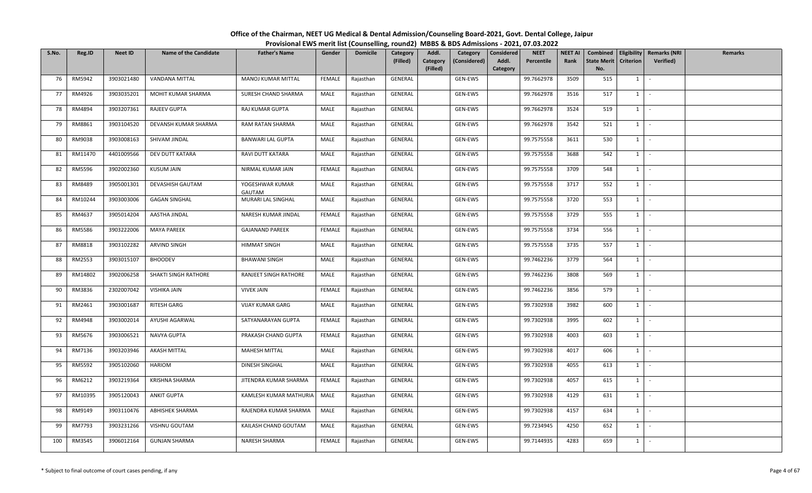| S.No. | Reg.ID  | <b>Neet ID</b> | <b>Name of the Candidate</b> | <b>Father's Name</b>      | Gender        | <b>Domicile</b> | Category<br>(Filled) | Addl.<br>Category<br>(Considered)<br>Category<br>(Filled) | <b>NEET</b><br>Considered<br>Addl.<br>Percentile<br>Category | <b>NEET AI</b><br>Rank | Combined<br><b>State Merit</b><br>No. | <b>Criterion</b> | <b>Eligibility Remarks (NRI</b><br><b>Verified)</b> | Remarks |
|-------|---------|----------------|------------------------------|---------------------------|---------------|-----------------|----------------------|-----------------------------------------------------------|--------------------------------------------------------------|------------------------|---------------------------------------|------------------|-----------------------------------------------------|---------|
| 76    | RM5942  | 3903021480     | VANDANA MITTAL               | MANOJ KUMAR MITTAL        | FEMALE        | Rajasthan       | GENERAL              | GEN-EWS                                                   | 99.7662978                                                   | 3509                   | 515                                   | $1 \vert$        | $\overline{\phantom{a}}$                            |         |
| 77    | RM4926  | 3903035201     | MOHIT KUMAR SHARMA           | SURESH CHAND SHARMA       | MALE          | Rajasthan       | GENERAL              | GEN-EWS                                                   | 99.7662978                                                   | 3516                   | 517                                   | $1 \vert$        | $\sim$                                              |         |
| 78    | RM4894  | 3903207361     | RAJEEV GUPTA                 | RAJ KUMAR GUPTA           | MALE          | Rajasthan       | GENERAL              | GEN-EWS                                                   | 99.7662978                                                   | 3524                   | 519                                   | 1                | $\sim$                                              |         |
| 79    | RM8861  | 3903104520     | DEVANSH KUMAR SHARMA         | RAM RATAN SHARMA          | MALE          | Rajasthan       | GENERAL              | GEN-EWS                                                   | 99.7662978                                                   | 3542                   | 521                                   | $1 \vert$        | $\overline{\phantom{a}}$                            |         |
| 80    | RM9038  | 3903008163     | SHIVAM JINDAL                | <b>BANWARI LAL GUPTA</b>  | MALE          | Rajasthan       | GENERAL              | GEN-EWS                                                   | 99.7575558                                                   | 3611                   | 530                                   | 1 I              | $\sim$                                              |         |
| 81    | RM11470 | 4401009566     | DEV DUTT KATARA              | RAVI DUTT KATARA          | MALE          | Rajasthan       | GENERAL              | GEN-EWS                                                   | 99.7575558                                                   | 3688                   | 542                                   | $1 \mid$         | $\sim$                                              |         |
| 82    | RM5596  | 3902002360     | <b>KUSUM JAIN</b>            | NIRMAL KUMAR JAIN         | FEMALE        | Rajasthan       | GENERAL              | GEN-EWS                                                   | 99.7575558                                                   | 3709                   | 548                                   | $1 \cdot$        |                                                     |         |
| 83    | RM8489  | 3905001301     | DEVASHISH GAUTAM             | YOGESHWAR KUMAR<br>GAUTAM | MALE          | Rajasthan       | GENERAL              | GEN-EWS                                                   | 99.7575558                                                   | 3717                   | 552                                   | $1 \vert$        |                                                     |         |
| 84    | RM10244 | 3903003006     | <b>GAGAN SINGHAL</b>         | MURARI LAL SINGHAL        | MALE          | Rajasthan       | GENERAL              | GEN-EWS                                                   | 99.7575558                                                   | 3720                   | 553                                   | $1 \vert$        | $\sim$                                              |         |
| 85    | RM4637  | 3905014204     | AASTHA JINDAL                | NARESH KUMAR JINDAL       | FEMALE        | Rajasthan       | GENERAL              | GEN-EWS                                                   | 99.7575558                                                   | 3729                   | 555                                   | $1 \vert$        | $\sim$                                              |         |
| 86    | RM5586  | 3903222006     | <b>MAYA PAREEK</b>           | <b>GAJANAND PAREEK</b>    | FEMALE        | Rajasthan       | GENERAL              | GEN-EWS                                                   | 99.7575558                                                   | 3734                   | 556                                   | 1                | $\sim$                                              |         |
| 87    | RM8818  | 3903102282     | ARVIND SINGH                 | HIMMAT SINGH              | MALE          | Rajasthan       | GENERAL              | GEN-EWS                                                   | 99.7575558                                                   | 3735                   | 557                                   | $1 \vert$        | $\sim$                                              |         |
| 88    | RM2553  | 3903015107     | <b>BHOODEV</b>               | <b>BHAWANI SINGH</b>      | MALE          | Rajasthan       | GENERAL              | GEN-EWS                                                   | 99.7462236                                                   | 3779                   | 564                                   | $1 \mid$         | $\sim$                                              |         |
| 89    | RM14802 | 3902006258     | SHAKTI SINGH RATHORE         | RANJEET SINGH RATHORE     | MALE          | Rajasthan       | GENERAL              | GEN-EWS                                                   | 99.7462236                                                   | 3808                   | 569                                   | $1 \vert -$      |                                                     |         |
| 90    | RM3836  | 2302007042     | VISHIKA JAIN                 | <b>VIVEK JAIN</b>         | <b>FEMALE</b> | Rajasthan       | GENERAL              | GEN-EWS                                                   | 99.7462236                                                   | 3856                   | 579                                   | $1 \vert$        |                                                     |         |
| 91    | RM2461  | 3903001687     | RITESH GARG                  | VIJAY KUMAR GARG          | MALE          | Rajasthan       | GENERAL              | GEN-EWS                                                   | 99.7302938                                                   | 3982                   | 600                                   | $1 \mid$         | $\sim$                                              |         |
| 92    | RM4948  | 3903002014     | AYUSHI AGARWAL               | SATYANARAYAN GUPTA        | FEMALE        | Rajasthan       | GENERAL              | GEN-EWS                                                   | 99.7302938                                                   | 3995                   | 602                                   | $1 \vert$        | $\sim$                                              |         |
| 93    | RM5676  | 3903006521     | NAVYA GUPTA                  | PRAKASH CHAND GUPTA       | FEMALE        | Rajasthan       | GENERAL              | GEN-EWS                                                   | 99.7302938                                                   | 4003                   | 603                                   | $1 \mid$         | $\sim$                                              |         |
| 94    | RM7136  | 3903203946     | <b>AKASH MITTAL</b>          | MAHESH MITTAL             | MALE          | Rajasthan       | GENERAL              | GEN-EWS                                                   | 99.7302938                                                   | 4017                   | 606                                   | $1 \vert$        | $\sim$                                              |         |
| 95    | RM5592  | 3905102060     | HARIOM                       | DINESH SINGHAL            | MALE          | Rajasthan       | GENERAL              | GEN-EWS                                                   | 99.7302938                                                   | 4055                   | 613                                   | $1 \vert$        |                                                     |         |
| 96    | RM6212  | 3903219364     | KRISHNA SHARMA               | JITENDRA KUMAR SHARMA     | FEMALE        | Rajasthan       | GENERAL              | GEN-EWS                                                   | 99.7302938                                                   | 4057                   | 615                                   | $1$ $\cdot$      |                                                     |         |
| 97    | RM10395 | 3905120043     | <b>ANKIT GUPTA</b>           | KAMLESH KUMAR MATHURIA    | MALE          | Rajasthan       | GENERAL              | GEN-EWS                                                   | 99.7302938                                                   | 4129                   | 631                                   | $1 \vert$        | $\sim$                                              |         |
| 98    | RM9149  | 3903110476     | <b>ABHISHEK SHARMA</b>       | RAJENDRA KUMAR SHARMA     | MALE          | Rajasthan       | GENERAL              | GEN-EWS                                                   | 99.7302938                                                   | 4157                   | 634                                   | $1 \vert$        |                                                     |         |
| 99    | RM7793  | 3903231266     | VISHNU GOUTAM                | KAILASH CHAND GOUTAM      | MALE          | Rajasthan       | GENERAL              | GEN-EWS                                                   | 99.7234945                                                   | 4250                   | 652                                   | $1 \mid$         | $\sim$                                              |         |
| 100   | RM3545  | 3906012164     | <b>GUNJAN SHARMA</b>         | NARESH SHARMA             | FEMALE        | Rajasthan       | GENERAL              | GEN-EWS                                                   | 99.7144935                                                   | 4283                   | 659                                   | $1 \vert$        |                                                     |         |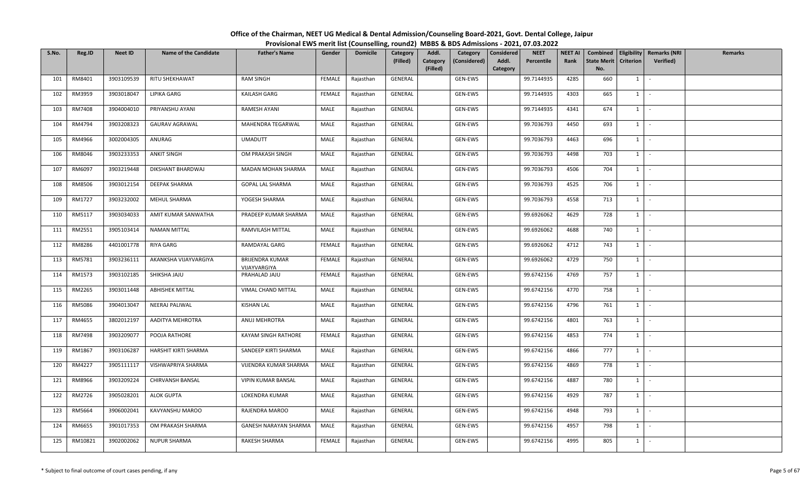| S.No. | Reg.ID  | <b>Neet ID</b> | <b>Name of the Candidate</b> | <b>Father's Name</b>                   | Gender        | <b>Domicile</b> | Category<br>(Filled) | Addl.<br>Category<br>(Filled) | Category<br>(Considered) | <b>Considered</b><br>Addl.<br>Category | <b>NEET</b><br>Percentile | <b>NEET AI</b><br>Rank | <b>State Merit</b><br>No. | <b>Criterion</b> | Combined   Eligibility   Remarks (NRI<br>Verified) | Remarks |
|-------|---------|----------------|------------------------------|----------------------------------------|---------------|-----------------|----------------------|-------------------------------|--------------------------|----------------------------------------|---------------------------|------------------------|---------------------------|------------------|----------------------------------------------------|---------|
| 101   | RM8401  | 3903109539     | RITU SHEKHAWAT               | <b>RAM SINGH</b>                       | FEMALE        | Rajasthan       | GENERAL              |                               | GEN-EWS                  |                                        | 99.7144935                | 4285                   | 660                       | $1 \quad$        | $\sim$                                             |         |
| 102   | RM3959  | 3903018047     | LIPIKA GARG                  | KAILASH GARG                           | <b>FEMALE</b> | Rajasthan       | GENERAL              |                               | GEN-EWS                  |                                        | 99.7144935                | 4303                   | 665                       | 1                | $\sim$                                             |         |
| 103   | RM7408  | 3904004010     | PRIYANSHU AYANI              | RAMESH AYANI                           | MALE          | Rajasthan       | GENERAL              |                               | GEN-EWS                  |                                        | 99.7144935                | 4341                   | 674                       | $1 \quad$        | $\sim$                                             |         |
| 104   | RM4794  | 3903208323     | <b>GAURAV AGRAWAL</b>        | MAHENDRA TEGARWAL                      | MALE          | Rajasthan       | GENERAL              |                               | GEN-EWS                  |                                        | 99.7036793                | 4450                   | 693                       | $1 \quad$        | $\sim$                                             |         |
| 105   | RM4966  | 3002004305     | ANURAG                       | <b>UMADUTT</b>                         | MALE          | Rajasthan       | GENERAL              |                               | GEN-EWS                  |                                        | 99.7036793                | 4463                   | 696                       | $1 \quad$        | $\sim$                                             |         |
| 106   | RM8046  | 3903233353     | <b>ANKIT SINGH</b>           | OM PRAKASH SINGH                       | MALE          | Rajasthan       | GENERAL              |                               | GEN-EWS                  |                                        | 99.7036793                | 4498                   | 703                       | $1 \quad$        | $\sim$                                             |         |
| 107   | RM6097  | 3903219448     | DIKSHANT BHARDWAJ            | MADAN MOHAN SHARMA                     | MALE          | Rajasthan       | GENERAL              |                               | GEN-EWS                  |                                        | 99.7036793                | 4506                   | 704                       | 1                | $\sim$                                             |         |
| 108   | RM8506  | 3903012154     | DEEPAK SHARMA                | GOPAL LAL SHARMA                       | MALE          | Rajasthan       | GENERAL              |                               | GEN-EWS                  |                                        | 99.7036793                | 4525                   | 706                       | $1$ $\cdot$      |                                                    |         |
| 109   | RM1727  | 3903232002     | MEHUL SHARMA                 | YOGESH SHARMA                          | MALE          | Rajasthan       | GENERAL              |                               | GEN-EWS                  |                                        | 99.7036793                | 4558                   | 713                       | $1 \quad$        | $\sim$                                             |         |
| 110   | RM5117  | 3903034033     | AMIT KUMAR SANWATHA          | PRADEEP KUMAR SHARMA                   | MALE          | Rajasthan       | GENERAL              |                               | GEN-EWS                  |                                        | 99.6926062                | 4629                   | 728                       | $1 \quad$        | $\sim$                                             |         |
| 111   | RM2551  | 3905103414     | <b>NAMAN MITTAL</b>          | RAMVILASH MITTAL                       | MALE          | Rajasthan       | GENERAL              |                               | GEN-EWS                  |                                        | 99.6926062                | 4688                   | $\overline{740}$          | $1 \mid -$       |                                                    |         |
| 112   | RM8286  | 4401001778     | RIYA GARG                    | RAMDAYAL GARG                          | <b>FEMALE</b> | Rajasthan       | GENERAL              |                               | GEN-EWS                  |                                        | 99.6926062                | 4712                   | 743                       | $1 \quad$        | $\sim$                                             |         |
| 113   | RM5781  | 3903236111     | AKANKSHA VIJAYVARGIYA        | <b>BRIJENDRA KUMAR</b><br>VIJAYVARGIYA | FEMALE        | Rajasthan       | GENERAL              |                               | GEN-EWS                  |                                        | 99.6926062                | 4729                   | 750                       | $1 \quad$        | $\sim$                                             |         |
| 114   | RM1573  | 3903102185     | SHIKSHA JAJU                 | PRAHALAD JAJU                          | FEMALE        | Rajasthan       | GENERAL              |                               | GEN-EWS                  |                                        | 99.6742156                | 4769                   | 757                       | $1 \quad$        | $\sim$                                             |         |
| 115   | RM2265  | 3903011448     | <b>ABHISHEK MITTAL</b>       | VIMAL CHAND MITTAL                     | MALE          | Rajasthan       | GENERAL              |                               | GEN-EWS                  |                                        | 99.6742156                | 4770                   | 758                       | 1                | $\sim$                                             |         |
| 116   | RM5086  | 3904013047     | NEERAJ PALIWAL               | <b>KISHAN LAL</b>                      | MALE          | Rajasthan       | GENERAL              |                               | GEN-EWS                  |                                        | 99.6742156                | 4796                   | 761                       | $1$ $-$          |                                                    |         |
| 117   | RM4655  | 3802012197     | AADITYA MEHROTRA             | ANUJ MEHROTRA                          | MALE          | Rajasthan       | GENERAL              |                               | GEN-EWS                  |                                        | 99.6742156                | 4801                   | 763                       | 1                | $\sim$                                             |         |
| 118   | RM7498  | 3903209077     | POOJA RATHORE                | KAYAM SINGH RATHORE                    | FEMALE        | Rajasthan       | GENERAL              |                               | GEN-EWS                  |                                        | 99.6742156                | 4853                   | 774                       | $1 \quad$        | $\sim$                                             |         |
| 119   | RM1867  | 3903106287     | HARSHIT KIRTI SHARMA         | SANDEEP KIRTI SHARMA                   | MALE          | Rajasthan       | GENERAL              |                               | GEN-EWS                  |                                        | 99.6742156                | 4866                   | 777                       | $1 \quad$        | $\sim$                                             |         |
| 120   | RM4227  | 3905111117     | VISHWAPRIYA SHARMA           | VIJENDRA KUMAR SHARMA                  | MALE          | Rajasthan       | GENERAL              |                               | GEN-EWS                  |                                        | 99.6742156                | 4869                   | 778                       | $1 \quad$        | $\sim$                                             |         |
| 121   | RM8966  | 3903209224     | CHIRVANSH BANSAL             | <b>VIPIN KUMAR BANSAL</b>              | MALE          | Rajasthan       | GENERAL              |                               | GEN-EWS                  |                                        | 99.6742156                | 4887                   | 780                       | 1                | $\sim$ $-$                                         |         |
| 122   | RM2726  | 3905028201     | <b>ALOK GUPTA</b>            | LOKENDRA KUMAR                         | MALE          | Rajasthan       | GENERAL              |                               | GEN-EWS                  |                                        | 99.6742156                | 4929                   | 787                       | $1 \quad$        | $\sim$                                             |         |
| 123   | RM5664  | 3906002041     | KAVYANSHU MAROO              | RAJENDRA MAROO                         | MALE          | Rajasthan       | GENERAL              |                               | GEN-EWS                  |                                        | 99.6742156                | 4948                   | 793                       | $1 \quad$        | $\sim$                                             |         |
| 124   | RM6655  | 3901017353     | OM PRAKASH SHARMA            | GANESH NARAYAN SHARMA                  | MALE          | Rajasthan       | GENERAL              |                               | GEN-EWS                  |                                        | 99.6742156                | 4957                   | 798                       | $1 \quad$        | $\sim$                                             |         |
| 125   | RM10821 | 3902002062     | <b>NUPUR SHARMA</b>          | RAKESH SHARMA                          | FEMALE        | Rajasthan       | GENERAL              |                               | GEN-EWS                  |                                        | 99.6742156                | 4995                   | 805                       | $1\phantom{0}$   | $\sim$                                             |         |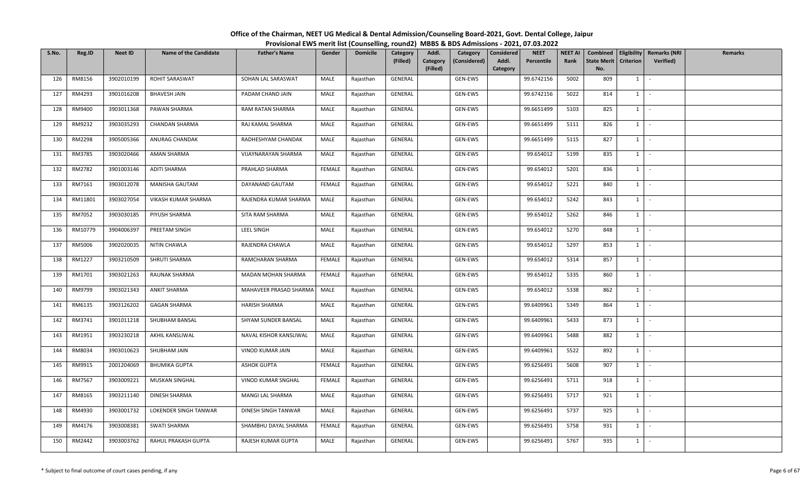| S.No. | Reg.ID  | <b>Neet ID</b> | <b>Name of the Candidate</b> | <b>Father's Name</b>   | Gender | <b>Domicile</b> | Category<br>(Filled) | Addl.<br>Category<br>(Considered)<br>Category<br>(Filled) | <b>NEET</b><br>Considered<br>Addl.<br>Percentile<br>Category | <b>NEET AI</b><br>Rank | <b>State Merit</b><br>No. | <b>Criterion</b> | Combined   Eligibility   Remarks (NRI<br><b>Verified)</b> | Remarks |
|-------|---------|----------------|------------------------------|------------------------|--------|-----------------|----------------------|-----------------------------------------------------------|--------------------------------------------------------------|------------------------|---------------------------|------------------|-----------------------------------------------------------|---------|
| 126   | RM8156  | 3902010199     | ROHIT SARASWAT               | SOHAN LAL SARASWAT     | MALE   | Rajasthan       | GENERAL              | GEN-EWS                                                   | 99.6742156                                                   | 5002                   | 809                       | $1 \vert$        |                                                           |         |
| 127   | RM4293  | 3901016208     | BHAVESH JAIN                 | PADAM CHAND JAIN       | MALE   | Rajasthan       | GENERAL              | GEN-EWS                                                   | 99.6742156                                                   | 5022                   | 814                       | $1 \mid$         | $\sim$                                                    |         |
| 128   | RM9400  | 3903011368     | PAWAN SHARMA                 | RAM RATAN SHARMA       | MALE   | Rajasthan       | GENERAL              | GEN-EWS                                                   | 99.6651499                                                   | 5103                   | 825                       | $1 \vert$        |                                                           |         |
| 129   | RM9232  | 3903035293     | CHANDAN SHARMA               | RAJ KAMAL SHARMA       | MALE   | Rajasthan       | GENERAL              | GEN-EWS                                                   | 99.6651499                                                   | 5111                   | 826                       | $1 \vert$        | $\mathcal{L}$                                             |         |
| 130   | RM2298  | 3905005366     | ANURAG CHANDAK               | RADHESHYAM CHANDAK     | MALE   | Rajasthan       | GENERAL              | GEN-EWS                                                   | 99.6651499                                                   | 5115                   | 827                       | $1 \vert$        | $\sim$                                                    |         |
| 131   | RM3785  | 3903020466     | AMAN SHARMA                  | VIJAYNARAYAN SHARMA    | MALE   | Rajasthan       | GENERAL              | GEN-EWS                                                   | 99.654012                                                    | 5199                   | 835                       | $1 \mid$         | $\sim$                                                    |         |
| 132   | RM2782  | 3901003146     | <b>ADITI SHARMA</b>          | PRAHLAD SHARMA         | FEMALE | Rajasthan       | GENERAL              | GEN-EWS                                                   | 99.654012                                                    | 5201                   | 836                       | $1 \mid$         | $\sim$                                                    |         |
| 133   | RM7161  | 3903012078     | MANISHA GAUTAM               | DAYANAND GAUTAM        | FEMALE | Rajasthan       | GENERAL              | GEN-EWS                                                   | 99.654012                                                    | 5221                   | 840                       | $1 \vert$        | $\sim$                                                    |         |
| 134   | RM11801 | 3903027054     | VIKASH KUMAR SHARMA          | RAJENDRA KUMAR SHARMA  | MALE   | Rajasthan       | GENERAL              | GEN-EWS                                                   | 99.654012                                                    | 5242                   | 843                       | $1 \mid$         | $\sim$                                                    |         |
| 135   | RM7052  | 3903030185     | PIYUSH SHARMA                | SITA RAM SHARMA        | MALE   | Rajasthan       | GENERAL              | GEN-EWS                                                   | 99.654012                                                    | 5262                   | 846                       | $1 \vert$        | $\sim$                                                    |         |
| 136   | RM10779 | 3904006397     | PREETAM SINGH                | <b>LEEL SINGH</b>      | MALE   | Rajasthan       | GENERAL              | GEN-EWS                                                   | 99.654012                                                    | 5270                   | 848                       | $1 \cdot$        |                                                           |         |
| 137   | RM5006  | 3902020035     | NITIN CHAWLA                 | RAJENDRA CHAWLA        | MALE   | Rajasthan       | GENERAL              | GEN-EWS                                                   | 99.654012                                                    | 5297                   | 853                       | $1 \vert$        | $\sim$                                                    |         |
| 138   | RM1227  | 3903210509     | SHRUTI SHARMA                | RAMCHARAN SHARMA       | FEMALE | Rajasthan       | GENERAL              | GEN-EWS                                                   | 99.654012                                                    | 5314                   | 857                       | 1                |                                                           |         |
| 139   | RM1701  | 3903021263     | RAUNAK SHARMA                | MADAN MOHAN SHARMA     | FEMALE | Rajasthan       | GENERAL              | GEN-EWS                                                   | 99.654012                                                    | 5335                   | 860                       | $1 \vert$        | $\sim$                                                    |         |
| 140   | RM9799  | 3903021343     | ANKIT SHARMA                 | MAHAVEER PRASAD SHARMA | MALE   | Rajasthan       | GENERAL              | GEN-EWS                                                   | 99.654012                                                    | 5338                   | 862                       | $1 \vert$        | $\sim$                                                    |         |
| 141   | RM6135  | 3903126202     | <b>GAGAN SHARMA</b>          | HARISH SHARMA          | MALE   | Rajasthan       | GENERAL              | GEN-EWS                                                   | 99.6409961                                                   | 5349                   | 864                       | $1$ $\cdot$      |                                                           |         |
| 142   | RM3741  | 3901011218     | SHUBHAM BANSAL               | SHYAM SUNDER BANSAL    | MALE   | Rajasthan       | GENERAL              | GEN-EWS                                                   | 99.6409961                                                   | 5433                   | 873                       | 1                |                                                           |         |
| 143   | RM1951  | 3903230218     | AKHIL KANSLIWAL              | NAVAL KISHOR KANSLIWAL | MALE   | Rajasthan       | GENERAL              | GEN-EWS                                                   | 99.6409961                                                   | 5488                   | 882                       | $1 \vert$        | $\sim$                                                    |         |
| 144   | RM8034  | 3903010623     | SHUBHAM JAIN                 | VINOD KUMAR JAIN       | MALE   | Rajasthan       | GENERAL              | GEN-EWS                                                   | 99.6409961                                                   | 5522                   | 892                       | $1 \mid$         | $\sim$                                                    |         |
| 145   | RM9915  | 2001204069     | <b>BHUMIKA GUPTA</b>         | <b>ASHOK GUPTA</b>     | FEMALE | Rajasthan       | GENERAL              | GEN-EWS                                                   | 99.6256491                                                   | 5608                   | 907                       | $1 \vert$        | $\sim$                                                    |         |
| 146   | RM7567  | 3903009221     | MUSKAN SINGHAL               | VINOD KUMAR SNGHAL     | FEMALE | Rajasthan       | GENERAL              | GEN-EWS                                                   | 99.6256491                                                   | 5711                   | 918                       | $1$ $-$          |                                                           |         |
| 147   | RM8165  | 3903211140     | DINESH SHARMA                | MANGI LAL SHARMA       | MALE   | Rajasthan       | GENERAL              | GEN-EWS                                                   | 99.6256491                                                   | 5717                   | 921                       | $1 \mid$         | $\sim$                                                    |         |
| 148   | RM4930  | 3903001732     | LOKENDER SINGH TANWAR        | DINESH SINGH TANWAR    | MALE   | Rajasthan       | GENERAL              | GEN-EWS                                                   | 99.6256491                                                   | 5737                   | 925                       | $1 \mid$         | $\sim$                                                    |         |
| 149   | RM4176  | 3903008381     | SWATI SHARMA                 | SHAMBHU DAYAL SHARMA   | FEMALE | Rajasthan       | GENERAL              | GEN-EWS                                                   | 99.6256491                                                   | 5758                   | 931                       | $1 \vert$        | $\sim$                                                    |         |
| 150   | RM2442  | 3903003762     | RAHUL PRAKASH GUPTA          | RAJESH KUMAR GUPTA     | MALE   | Rajasthan       | GENERAL              | GEN-EWS                                                   | 99.6256491                                                   | 5767                   | 935                       | $1 \mid$         | $\mathcal{L}_{\mathcal{A}}$                               |         |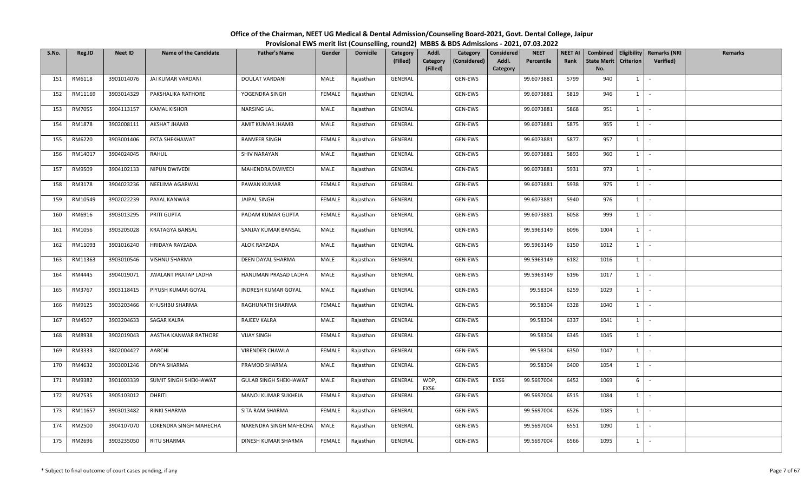| S.No. | Reg.ID  | <b>Neet ID</b> | <b>Name of the Candidate</b> | <b>Father's Name</b>         | Gender        | <b>Domicile</b> | Category<br>(Filled) | Addl.<br>Category<br>(Considered)<br>Category | <b>NEET</b><br>Considered<br>Addl.<br>Percentile | <b>NEET AI</b><br>Rank | Combined<br><b>State Merit</b> | <b>Criterion</b> | <b>Eligibility Remarks (NRI</b><br><b>Verified)</b> | <b>Remarks</b> |
|-------|---------|----------------|------------------------------|------------------------------|---------------|-----------------|----------------------|-----------------------------------------------|--------------------------------------------------|------------------------|--------------------------------|------------------|-----------------------------------------------------|----------------|
|       |         |                |                              |                              |               |                 |                      | (Filled)                                      | Category                                         |                        | No.                            |                  |                                                     |                |
| 151   | RM6118  | 3901014076     | JAI KUMAR VARDANI            | DOULAT VARDANI               | MALE          | Rajasthan       | GENERAL              | GEN-EWS                                       | 99.6073881                                       | 5799                   | 940                            | $1 \vert$        | $\overline{\phantom{a}}$                            |                |
| 152   | RM11169 | 3903014329     | PAKSHALIKA RATHORE           | YOGENDRA SINGH               | FEMALE        | Rajasthan       | GENERAL              | GEN-EWS                                       | 99.6073881                                       | 5819                   | 946                            | $1 \mid$         | $\sim$                                              |                |
| 153   | RM7055  | 3904113157     | <b>KAMAL KISHOR</b>          | NARSING LAL                  | MALE          | Rajasthan       | GENERAL              | GEN-EWS                                       | 99.6073881                                       | 5868                   | 951                            | $1 \vert$        | $\sim$                                              |                |
| 154   | RM1878  | 3902008111     | AKSHAT JHAMB                 | AMIT KUMAR JHAMB             | MALE          | Rajasthan       | GENERAL              | GEN-EWS                                       | 99.6073881                                       | 5875                   | 955                            | $1 \vert$        | $\sim$                                              |                |
| 155   | RM6220  | 3903001406     | EKTA SHEKHAWAT               | RANVEER SINGH                | FEMALE        | Rajasthan       | GENERAL              | GEN-EWS                                       | 99.6073881                                       | 5877                   | 957                            | $1 \vert$        | $\sim$                                              |                |
| 156   | RM14017 | 3904024045     | RAHUL                        | SHIV NARAYAN                 | MALE          | Rajasthan       | GENERAL              | GEN-EWS                                       | 99.6073881                                       | 5893                   | 960                            | $1 \vert$        | $\sim$                                              |                |
| 157   | RM9509  | 3904102133     | NIPUN DWIVEDI                | MAHENDRA DWIVEDI             | MALE          | Rajasthan       | GENERAL              | GEN-EWS                                       | 99.6073881                                       | 5931                   | 973                            | $1 \mid$         | $\sim$                                              |                |
| 158   | RM3178  | 3904023236     | NEELIMA AGARWAL              | PAWAN KUMAR                  | FEMALE        | Rajasthan       | GENERAL              | GEN-EWS                                       | 99.6073881                                       | 5938                   | 975                            | $1 \vert$        |                                                     |                |
| 159   | RM10549 | 3902022239     | PAYAL KANWAR                 | JAIPAL SINGH                 | FEMALE        | Rajasthan       | GENERAL              | GEN-EWS                                       | 99.6073881                                       | 5940                   | 976                            | $1 \vert$        | $\sim$                                              |                |
| 160   | RM6916  | 3903013295     | PRITI GUPTA                  | PADAM KUMAR GUPTA            | FEMALE        | Rajasthan       | GENERAL              | GEN-EWS                                       | 99.6073881                                       | 6058                   | 999                            | $1 \mid$         | $\overline{\phantom{a}}$                            |                |
| 161   | RM1056  | 3903205028     | <b>KRATAGYA BANSAL</b>       | SANJAY KUMAR BANSAL          | MALE          | Rajasthan       | GENERAL              | GEN-EWS                                       | 99.5963149                                       | 6096                   | 1004                           | $1 \mid$         | $\sim$                                              |                |
| 162   | RM11093 | 3901016240     | HRIDAYA RAYZADA              | ALOK RAYZADA                 | MALE          | Rajasthan       | GENERAL              | GEN-EWS                                       | 99.5963149                                       | 6150                   | 1012                           | $1 \vert$        | $\sim$                                              |                |
| 163   | RM11363 | 3903010546     | VISHNU SHARMA                | DEEN DAYAL SHARMA            | MALE          | Rajasthan       | GENERAL              | GEN-EWS                                       | 99.5963149                                       | 6182                   | 1016                           | $1 \vert$        |                                                     |                |
| 164   | RM4445  | 3904019071     | <b>JWALANT PRATAP LADHA</b>  | HANUMAN PRASAD LADHA         | MALE          | Rajasthan       | GENERAL              | GEN-EWS                                       | 99.5963149                                       | 6196                   | 1017                           | $1 \mid$         | $\sim$                                              |                |
| 165   | RM3767  | 3903118415     | PIYUSH KUMAR GOYAL           | INDRESH KUMAR GOYAL          | MALE          | Rajasthan       | GENERAL              | GEN-EWS                                       | 99.58304                                         | 6259                   | 1029                           | $1 \vert$        | $\sim$                                              |                |
| 166   | RM9125  | 3903203466     | KHUSHBU SHARMA               | RAGHUNATH SHARMA             | FEMALE        | Rajasthan       | GENERAL              | GEN-EWS                                       | 99.58304                                         | 6328                   | 1040                           | $1$ $\sim$       |                                                     |                |
| 167   | RM4507  | 3903204633     | <b>SAGAR KALRA</b>           | RAJEEV KALRA                 | MALE          | Rajasthan       | GENERAL              | GEN-EWS                                       | 99.58304                                         | 6337                   | 1041                           | $1 \vert$        |                                                     |                |
| 168   | RM8938  | 3902019043     | AASTHA KANWAR RATHORE        | <b>VIJAY SINGH</b>           | <b>FEMALE</b> | Rajasthan       | GENERAL              | GEN-EWS                                       | 99.58304                                         | 6345                   | 1045                           | $1 \mid$         | $\sim$                                              |                |
| 169   | RM3333  | 3802004427     | AARCHI                       | VIRENDER CHAWLA              | FEMALE        | Rajasthan       | GENERAL              | GEN-EWS                                       | 99.58304                                         | 6350                   | 1047                           | $1 \vert$        | $\sim$                                              |                |
| 170   | RM4632  | 3903001246     | DIVYA SHARMA                 | PRAMOD SHARMA                | MALE          | Rajasthan       | GENERAL              | GEN-EWS                                       | 99.58304                                         | 6400                   | 1054                           | $1 \vert$        | $\overline{\phantom{a}}$                            |                |
| 171   | RM9382  | 3901003339     | SUMIT SINGH SHEKHAWAT        | <b>GULAB SINGH SHEKHAWAT</b> | MALE          | Rajasthan       | GENERAL              | WDP,<br>GEN-EWS<br>EXS6                       | EXS6<br>99.5697004                               | 6452                   | 1069                           | 6                | $\sim$                                              |                |
| 172   | RM7535  | 3905103012     | DHRITI                       | MANOJ KUMAR SUKHEJA          | FEMALE        | Rajasthan       | GENERAL              | GEN-EWS                                       | 99.5697004                                       | 6515                   | 1084                           | $1 \mid$         | $\sim$                                              |                |
| 173   | RM11657 | 3903013482     | RINKI SHARMA                 | SITA RAM SHARMA              | <b>FEMALE</b> | Rajasthan       | GENERAL              | GEN-EWS                                       | 99.5697004                                       | 6526                   | 1085                           | 1                | $\sim$                                              |                |
| 174   | RM2500  | 3904107070     | LOKENDRA SINGH MAHECHA       | NARENDRA SINGH MAHECHA       | MALE          | Rajasthan       | GENERAL              | GEN-EWS                                       | 99.5697004                                       | 6551                   | 1090                           | <sup>1</sup>     | $\sim$                                              |                |
| 175   | RM2696  | 3903235050     | RITU SHARMA                  | DINESH KUMAR SHARMA          | FEMALE        | Rajasthan       | GENERAL              | GEN-EWS                                       | 99.5697004                                       | 6566                   | 1095                           | $1 \mid$         | $\mathcal{L}_{\mathcal{A}}$                         |                |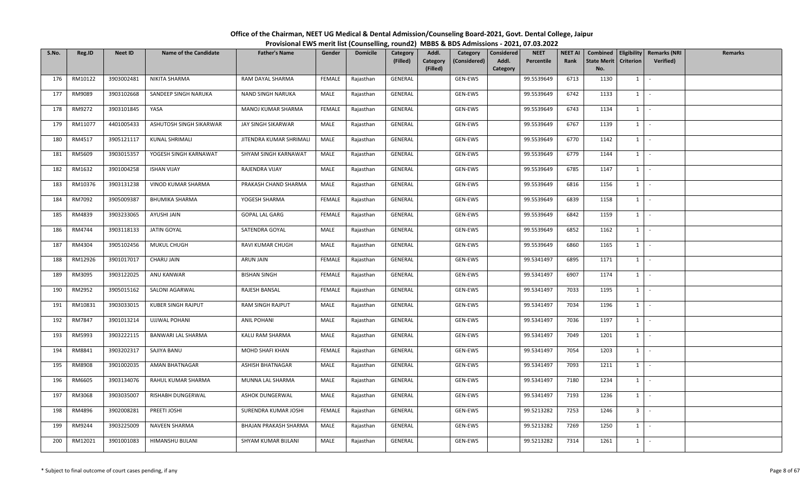| S.No. | Reg.ID  | <b>Neet ID</b> | <b>Name of the Candidate</b> | <b>Father's Name</b>    | Gender | <b>Domicile</b> | Category<br>(Filled) | Addl.<br>Category<br>(Considered)<br>Category | <b>NEET</b><br>Considered<br>Addl.<br>Percentile | <b>NEET AI</b><br>Rank | Combined<br><b>State Merit</b> | <b>Criterion</b> | <b>Eligibility Remarks (NRI</b><br><b>Verified)</b> | <b>Remarks</b> |
|-------|---------|----------------|------------------------------|-------------------------|--------|-----------------|----------------------|-----------------------------------------------|--------------------------------------------------|------------------------|--------------------------------|------------------|-----------------------------------------------------|----------------|
|       |         |                |                              |                         |        |                 |                      | (Filled)                                      | Category                                         |                        | No.                            |                  |                                                     |                |
| 176   | RM10122 | 3903002481     | NIKITA SHARMA                | RAM DAYAL SHARMA        | FEMALE | Rajasthan       | GENERAL              | GEN-EWS                                       | 99.5539649                                       | 6713                   | 1130                           | $1 \vert$        | $\overline{\phantom{a}}$                            |                |
| 177   | RM9089  | 3903102668     | SANDEEP SINGH NARUKA         | NAND SINGH NARUKA       | MALE   | Rajasthan       | GENERAL              | GEN-EWS                                       | 99.5539649                                       | 6742                   | 1133                           | $1 \mid$         | $\sim$                                              |                |
| 178   | RM9272  | 3903101845     | YASA                         | MANOJ KUMAR SHARMA      | FEMALE | Rajasthan       | GENERAL              | GEN-EWS                                       | 99.5539649                                       | 6743                   | 1134                           | $1 \vert$        | $\sim$                                              |                |
| 179   | RM11077 | 4401005433     | ASHUTOSH SINGH SIKARWAR      | JAY SINGH SIKARWAR      | MALE   | Rajasthan       | GENERAL              | GEN-EWS                                       | 99.5539649                                       | 6767                   | 1139                           | $1 \vert$        | $\overline{\phantom{a}}$                            |                |
| 180   | RM4517  | 3905121117     | KUNAL SHRIMALI               | JITENDRA KUMAR SHRIMALI | MALE   | Rajasthan       | GENERAL              | GEN-EWS                                       | 99.5539649                                       | 6770                   | 1142                           | $1 \vert$        | $\sim$                                              |                |
| 181   | RM5609  | 3903015357     | YOGESH SINGH KARNAWAT        | SHYAM SINGH KARNAWAT    | MALE   | Rajasthan       | GENERAL              | GEN-EWS                                       | 99.5539649                                       | 6779                   | 1144                           | $1 \vert$        | $\sim$                                              |                |
| 182   | RM1632  | 3901004258     | <b>ISHAN VIJAY</b>           | RAJENDRA VIJAY          | MALE   | Rajasthan       | GENERAL              | GEN-EWS                                       | 99.5539649                                       | 6785                   | 1147                           | $1 \mid$         | $\sim$                                              |                |
| 183   | RM10376 | 3903131238     | VINOD KUMAR SHARMA           | PRAKASH CHAND SHARMA    | MALE   | Rajasthan       | GENERAL              | GEN-EWS                                       | 99.5539649                                       | 6816                   | 1156                           | $1 \vert$        |                                                     |                |
| 184   | RM7092  | 3905009387     | <b>BHUMIKA SHARMA</b>        | YOGESH SHARMA           | FEMALE | Rajasthan       | GENERAL              | GEN-EWS                                       | 99.5539649                                       | 6839                   | 1158                           | $1 \vert$        | $\sim$                                              |                |
| 185   | RM4839  | 3903233065     | AYUSHI JAIN                  | <b>GOPAL LAL GARG</b>   | FEMALE | Rajasthan       | GENERAL              | GEN-EWS                                       | 99.5539649                                       | 6842                   | 1159                           | $1 \mid$         | $\sim$                                              |                |
| 186   | RM4744  | 3903118133     | JATIN GOYAL                  | SATENDRA GOYAL          | MALE   | Rajasthan       | GENERAL              | GEN-EWS                                       | 99.5539649                                       | 6852                   | 1162                           | 1                | $\sim$                                              |                |
| 187   | RM4304  | 3905102456     | MUKUL CHUGH                  | RAVI KUMAR CHUGH        | MALE   | Rajasthan       | GENERAL              | GEN-EWS                                       | 99.5539649                                       | 6860                   | 1165                           | $1 \vert$        | $\sim$                                              |                |
| 188   | RM12926 | 3901017017     | CHARU JAIN                   | ARUN JAIN               | FEMALE | Rajasthan       | GENERAL              | GEN-EWS                                       | 99.5341497                                       | 6895                   | 1171                           | $1 \mid$         |                                                     |                |
| 189   | RM3095  | 3903122025     | ANU KANWAR                   | <b>BISHAN SINGH</b>     | FEMALE | Rajasthan       | GENERAL              | GEN-EWS                                       | 99.5341497                                       | 6907                   | 1174                           | $1 \cdot$        |                                                     |                |
| 190   | RM2952  | 3905015162     | SALONI AGARWAL               | RAJESH BANSAL           | FEMALE | Rajasthan       | GENERAL              | GEN-EWS                                       | 99.5341497                                       | 7033                   | 1195                           | $1 \vert$        | $\sim$                                              |                |
| 191   | RM10831 | 3903033015     | KUBER SINGH RAJPUT           | RAM SINGH RAJPUT        | MALE   | Rajasthan       | GENERAL              | GEN-EWS                                       | 99.5341497                                       | 7034                   | 1196                           | $1$ $\sim$       |                                                     |                |
| 192   | RM7847  | 3901013214     | <b>UJJWAL POHANI</b>         | <b>ANIL POHANI</b>      | MALE   | Rajasthan       | GENERAL              | GEN-EWS                                       | 99.5341497                                       | 7036                   | 1197                           | $1 \vert$        |                                                     |                |
| 193   | RM5993  | 3903222115     | BANWARI LAL SHARMA           | KALU RAM SHARMA         | MALE   | Rajasthan       | GENERAL              | GEN-EWS                                       | 99.5341497                                       | 7049                   | 1201                           | $1 \mid$         | $\sim$                                              |                |
| 194   | RM8841  | 3903202317     | SAJIYA BANU                  | MOHD SHAFI KHAN         | FEMALE | Rajasthan       | GENERAL              | GEN-EWS                                       | 99.5341497                                       | 7054                   | 1203                           | 1 I              | $\sim$                                              |                |
| 195   | RM8908  | 3901002035     | AMAN BHATNAGAR               | ASHISH BHATNAGAR        | MALE   | Rajasthan       | GENERAL              | GEN-EWS                                       | 99.5341497                                       | 7093                   | 1211                           | $1 \vert$        | $\overline{\phantom{a}}$                            |                |
| 196   | RM6605  | 3903134076     | RAHUL KUMAR SHARMA           | MUNNA LAL SHARMA        | MALE   | Rajasthan       | GENERAL              | GEN-EWS                                       | 99.5341497                                       | 7180                   | 1234                           | $1 \vert -$      |                                                     |                |
| 197   | RM3068  | 3903035007     | RISHABH DUNGERWAL            | ASHOK DUNGERWAL         | MALE   | Rajasthan       | GENERAL              | GEN-EWS                                       | 99.5341497                                       | 7193                   | 1236                           | $1 \mid$         | $\sim$                                              |                |
| 198   | RM4896  | 3902008281     | PREETI JOSHI                 | SURENDRA KUMAR JOSHI    | FEMALE | Rajasthan       | GENERAL              | GEN-EWS                                       | 99.5213282                                       | 7253                   | 1246                           | 3 <sup>1</sup>   | $\sim$                                              |                |
| 199   | RM9244  | 3903225009     | NAVEEN SHARMA                | BHAJAN PRAKASH SHARMA   | MALE   | Rajasthan       | GENERAL              | GEN-EWS                                       | 99.5213282                                       | 7269                   | 1250                           | <sup>1</sup>     | $\sim$                                              |                |
| 200   | RM12021 | 3901001083     | HIMANSHU BIJLANI             | SHYAM KUMAR BIJLANI     | MALE   | Rajasthan       | GENERAL              | GEN-EWS                                       | 99.5213282                                       | 7314                   | 1261                           | 1                | $\sim$                                              |                |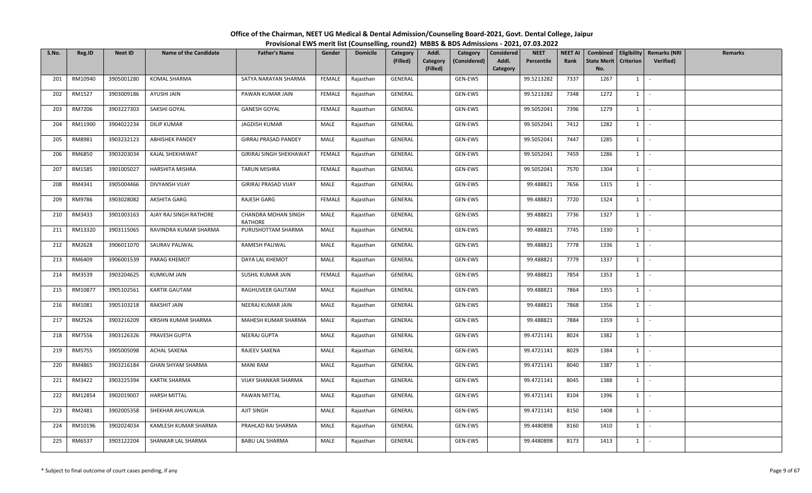| S.No. | Reg.ID  | <b>Neet ID</b> | <b>Name of the Candidate</b> | <b>Father's Name</b>           | Gender        | <b>Domicile</b> | Category<br>(Filled) | Addl.<br>Category<br>(Considered)<br>Category<br>(Filled) | <b>NEET</b><br>Considered<br>Percentile<br>Addl.<br>Category | <b>NEET AI</b><br>Rank | <b>State Merit</b><br>No. | <b>Criterion</b> | Combined   Eligibility   Remarks (NRI<br><b>Verified</b> ) | Remarks |
|-------|---------|----------------|------------------------------|--------------------------------|---------------|-----------------|----------------------|-----------------------------------------------------------|--------------------------------------------------------------|------------------------|---------------------------|------------------|------------------------------------------------------------|---------|
| 201   | RM10940 | 3905001280     | <b>KOMAL SHARMA</b>          | SATYA NARAYAN SHARMA           | FEMALE        | Rajasthan       | GENERAL              | GEN-EWS                                                   | 99.5213282                                                   | 7337                   | 1267                      | $1 \vert$        |                                                            |         |
| 202   | RM1527  | 3903009186     | AYUSHI JAIN                  | PAWAN KUMAR JAIN               | <b>FEMALE</b> | Rajasthan       | GENERAL              | GEN-EWS                                                   | 99.5213282                                                   | 7348                   | 1272                      | $1 \mid$         | $\sim$                                                     |         |
| 203   | RM7206  | 3903227303     | SAKSHI GOYAL                 | <b>GANESH GOYAL</b>            | FEMALE        | Rajasthan       | GENERAL              | GEN-EWS                                                   | 99.5052041                                                   | 7396                   | 1279                      | $1 \mid$         |                                                            |         |
| 204   | RM11900 | 3904022234     | <b>DILIP KUMAR</b>           | <b>JAGDISH KUMAR</b>           | MALE          | Rajasthan       | GENERAL              | GEN-EWS                                                   | 99.5052041                                                   | 7412                   | 1282                      | $1 \vert$        | $\sim$                                                     |         |
| 205   | RM8981  | 3903232123     | <b>ABHISHEK PANDEY</b>       | GIRRAJ PRASAD PANDEY           | MALE          | Rajasthan       | GENERAL              | GEN-EWS                                                   | 99.5052041                                                   | 7447                   | 1285                      | $1 \vert$        | $\sim$                                                     |         |
| 206   | RM6850  | 3903203034     | KAJAL SHEKHAWAT              | <b>GIRIRAJ SINGH SHEKHAWAT</b> | FEMALE        | Rajasthan       | GENERAL              | GEN-EWS                                                   | 99.5052041                                                   | 7459                   | 1286                      | $1 \vert$        | $\sim$                                                     |         |
| 207   | RM1585  | 3901005027     | HARSHITA MISHRA              | <b>TARUN MISHRA</b>            | <b>FEMALE</b> | Rajasthan       | GENERAL              | GEN-EWS                                                   | 99.5052041                                                   | 7570                   | 1304                      | $1 \vert$        | $\sim$                                                     |         |
| 208   | RM4341  | 3905004466     | DIVYANSH VIJAY               | GIRIRAJ PRASAD VIJAY           | MALE          | Rajasthan       | GENERAL              | GEN-EWS                                                   | 99.488821                                                    | 7656                   | 1315                      | $1 \vert$        | $\sim$                                                     |         |
| 209   | RM9786  | 3903028082     | AKSHITA GARG                 | RAJESH GARG                    | <b>FEMALE</b> | Rajasthan       | GENERAL              | GEN-EWS                                                   | 99.488821                                                    | 7720                   | 1324                      | $1 \mid$         | $\sim$                                                     |         |
| 210   | RM3433  | 3901003163     | AJAY RAJ SINGH RATHORE       | CHANDRA MOHAN SINGH<br>RATHORE | MALE          | Rajasthan       | GENERAL              | GEN-EWS                                                   | 99.488821                                                    | 7736                   | 1327                      | $\mathbf{1}$     |                                                            |         |
| 211   | RM13320 | 3903115065     | RAVINDRA KUMAR SHARMA        | PURUSHOTTAM SHARMA             | MALE          | Rajasthan       | GENERAL              | GEN-EWS                                                   | 99.488821                                                    | 7745                   | 1330                      | 1                | $\sim$                                                     |         |
| 212   | RM2628  | 3906011070     | SAURAV PALIWAL               | RAMESH PALIWAL                 | MALE          | Rajasthan       | GENERAL              | GEN-EWS                                                   | 99.488821                                                    | 7778                   | 1336                      | $1 \vert$        | $\sim$                                                     |         |
| 213   | RM6409  | 3906001539     | PARAG KHEMOT                 | DAYA LAL KHEMOT                | MALE          | Rajasthan       | GENERAL              | GEN-EWS                                                   | 99.488821                                                    | 7779                   | 1337                      | 1                |                                                            |         |
| 214   | RM3539  | 3903204625     | KUMKUM JAIN                  | SUSHIL KUMAR JAIN              | FEMALE        | Rajasthan       | GENERAL              | GEN-EWS                                                   | 99.488821                                                    | 7854                   | 1353                      | $1 \vert$        | $\sim$                                                     |         |
| 215   | RM10877 | 3905102561     | KARTIK GAUTAM                | RAGHUVEER GAUTAM               | MALE          | Rajasthan       | GENERAL              | GEN-EWS                                                   | 99.488821                                                    | 7864                   | 1355                      | $1 \vert$        |                                                            |         |
| 216   | RM1081  | 3905103218     | RAKSHIT JAIN                 | NEERAJ KUMAR JAIN              | MALE          | Rajasthan       | GENERAL              | GEN-EWS                                                   | 99.488821                                                    | 7868                   | 1356                      | $1$ $\cdot$      |                                                            |         |
| 217   | RM2526  | 3903216209     | KRISHN KUMAR SHARMA          | MAHESH KUMAR SHARMA            | MALE          | Rajasthan       | GENERAL              | GEN-EWS                                                   | 99.488821                                                    | 7884                   | 1359                      | 1                |                                                            |         |
| 218   | RM7556  | 3903126326     | PRAVESH GUPTA                | NEERAJ GUPTA                   | MALE          | Rajasthan       | GENERAL              | GEN-EWS                                                   | 99.4721141                                                   | 8024                   | 1382                      | $1 \vert$        | $\sim$                                                     |         |
| 219   | RM5755  | 3905005098     | ACHAL SAXENA                 | RAJEEV SAXENA                  | MALE          | Rajasthan       | GENERAL              | GEN-EWS                                                   | 99.4721141                                                   | 8029                   | 1384                      | $1 \vert$        | $\sim$                                                     |         |
| 220   | RM4865  | 3903216184     | GHAN SHYAM SHARMA            | <b>MANI RAM</b>                | MALE          | Rajasthan       | GENERAL              | GEN-EWS                                                   | 99.4721141                                                   | 8040                   | 1387                      | $1 \vert$        | $\sim$                                                     |         |
| 221   | RM3422  | 3903225394     | KARTIK SHARMA                | VIJAY SHANKAR SHARMA           | MALE          | Rajasthan       | GENERAL              | GEN-EWS                                                   | 99.4721141                                                   | 8045                   | 1388                      | $1$ $-$          |                                                            |         |
| 222   | RM12854 | 3902019007     | <b>HARSH MITTAL</b>          | PAWAN MITTAL                   | MALE          | Rajasthan       | GENERAL              | GEN-EWS                                                   | 99.4721141                                                   | 8104                   | 1396                      | $1 \mid$         | $\sim$                                                     |         |
| 223   | RM2481  | 3902005358     | SHEKHAR AHLUWALIA            | AJIT SINGH                     | MALE          | Rajasthan       | GENERAL              | GEN-EWS                                                   | 99.4721141                                                   | 8150                   | 1408                      | $1 \vert$        | $\sim$                                                     |         |
| 224   | RM10196 | 3902024034     | KAMLESH KUMAR SHARMA         | PRAHLAD RAI SHARMA             | MALE          | Rajasthan       | GENERAL              | GEN-EWS                                                   | 99.4480898                                                   | 8160                   | 1410                      | $1 \mid$         | $\sim$                                                     |         |
| 225   | RM6537  | 3903122204     | SHANKAR LAL SHARMA           | <b>BABU LAL SHARMA</b>         | MALE          | Rajasthan       | GENERAL              | GEN-EWS                                                   | 99.4480898                                                   | 8173                   | 1413                      | $1 \mid$         | $\mathcal{L}$                                              |         |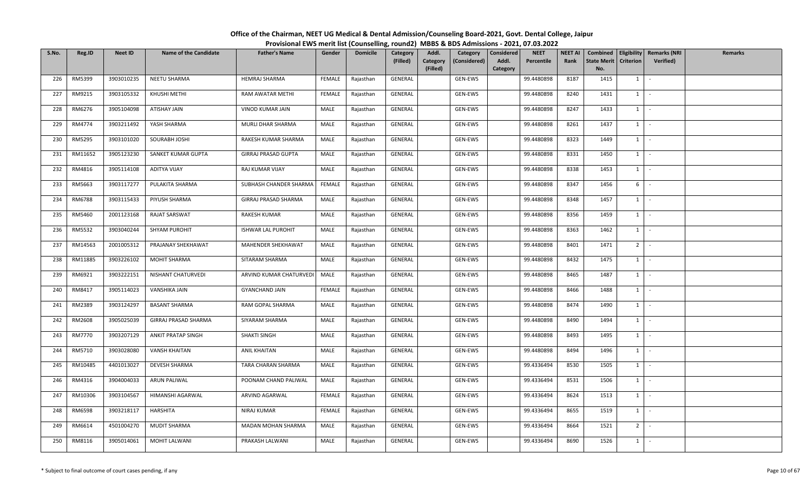| S.No. | Reg.ID  | <b>Neet ID</b> | <b>Name of the Candidate</b> | <b>Father's Name</b>      | Gender        | <b>Domicile</b> | Category<br>(Filled) | Addl.<br>Category<br>(Filled) | Category<br>(Considered) | Considered<br>Addl.<br>Category | <b>NEET</b><br>Percentile | NEET AI<br>Rank | State Merit   Criterion<br>No. |              | Combined   Eligibility   Remarks (NRI<br><b>Verified</b> ) | Remarks |
|-------|---------|----------------|------------------------------|---------------------------|---------------|-----------------|----------------------|-------------------------------|--------------------------|---------------------------------|---------------------------|-----------------|--------------------------------|--------------|------------------------------------------------------------|---------|
| 226   | RM5399  | 3903010235     | NEETU SHARMA                 | <b>HEMRAJ SHARMA</b>      | FEMALE        | Rajasthan       | GENERAL              |                               | GEN-EWS                  |                                 | 99.4480898                | 8187            | 1415                           | 1            |                                                            |         |
| 227   | RM9215  | 3903105332     | KHUSHI METHI                 | RAM AWATAR METHI          | <b>FEMALE</b> | Rajasthan       | GENERAL              |                               | GEN-EWS                  |                                 | 99.4480898                | 8240            | 1431                           | 1            | $\mathcal{L}_{\mathcal{A}}$                                |         |
| 228   | RM6276  | 3905104098     | ATISHAY JAIN                 | VINOD KUMAR JAIN          | MALE          | Rajasthan       | GENERAL              |                               | GEN-EWS                  |                                 | 99.4480898                | 8247            | 1433                           | 1            |                                                            |         |
| 229   | RM4774  | 3903211492     | YASH SHARMA                  | MURLI DHAR SHARMA         | MALE          | Rajasthan       | GENERAL              |                               | GEN-EWS                  |                                 | 99.4480898                | 8261            | 1437                           | 1            | $\mathcal{L}_{\mathcal{A}}$                                |         |
| 230   | RM5295  | 3903101020     | SOURABH JOSHI                | RAKESH KUMAR SHARMA       | MALE          | Rajasthan       | GENERAL              |                               | GEN-EWS                  |                                 | 99.4480898                | 8323            | 1449                           | 1            | $\sim$                                                     |         |
| 231   | RM11652 | 3905123230     | SANKET KUMAR GUPTA           | GIRRAJ PRASAD GUPTA       | MALE          | Rajasthan       | GENERAL              |                               | GEN-EWS                  |                                 | 99.4480898                | 8331            | 1450                           | 1            | $\mathcal{L}_{\mathcal{A}}$                                |         |
| 232   | RM4816  | 3905114108     | <b>ADITYA VIJAY</b>          | RAJ KUMAR VIJAY           | MALE          | Rajasthan       | GENERAL              |                               | GEN-EWS                  |                                 | 99.4480898                | 8338            | 1453                           | 1            | $\sim$                                                     |         |
| 233   | RM5663  | 3903117277     | PULAKITA SHARMA              | SUBHASH CHANDER SHARMA    | FEMALE        | Rajasthan       | GENERAL              |                               | GEN-EWS                  |                                 | 99.4480898                | 8347            | 1456                           | 6            | $\mathcal{L}$                                              |         |
| 234   | RM6788  | 3903115433     | PIYUSH SHARMA                | GIRRAJ PRASAD SHARMA      | MALE          | Rajasthan       | GENERAL              |                               | GEN-EWS                  |                                 | 99.4480898                | 8348            | 1457                           | 1            | $\mathcal{L}_{\mathcal{A}}$                                |         |
| 235   | RM5460  | 2001123168     | RAJAT SARSWAT                | RAKESH KUMAR              | MALE          | Rajasthan       | GENERAL              |                               | GEN-EWS                  |                                 | 99.4480898                | 8356            | 1459                           | 1            | $\sim$                                                     |         |
| 236   | RM5532  | 3903040244     | SHYAM PUROHIT                | <b>ISHWAR LAL PUROHIT</b> | MALE          | Rajasthan       | GENERAL              |                               | GEN-EWS                  |                                 | 99.4480898                | 8363            | 1462                           | 1            | $\sim$                                                     |         |
| 237   | RM14563 | 2001005312     | PRAJANAY SHEKHAWAT           | MAHENDER SHEKHAWAT        | MALE          | Rajasthan       | GENERAL              |                               | GEN-EWS                  |                                 | 99.4480898                | 8401            | 1471                           | $2^{\circ}$  | $\mathcal{L}_{\mathcal{A}}$                                |         |
| 238   | RM11885 | 3903226102     | MOHIT SHARMA                 | SITARAM SHARMA            | MALE          | Rajasthan       | GENERAL              |                               | GEN-EWS                  |                                 | 99.4480898                | 8432            | 1475                           | 1            |                                                            |         |
| 239   | RM6921  | 3903222151     | NISHANT CHATURVEDI           | ARVIND KUMAR CHATURVEDI   | MALE          | Rajasthan       | GENERAL              |                               | GEN-EWS                  |                                 | 99.4480898                | 8465            | 1487                           | $\mathbf{1}$ | $\sim$                                                     |         |
| 240   | RM8417  | 3905114023     | VANSHIKA JAIN                | <b>GYANCHAND JAIN</b>     | FEMALE        | Rajasthan       | GENERAL              |                               | GEN-EWS                  |                                 | 99.4480898                | 8466            | 1488                           | 1            | $\overline{\phantom{a}}$                                   |         |
| 241   | RM2389  | 3903124297     | <b>BASANT SHARMA</b>         | RAM GOPAL SHARMA          | MALE          | Rajasthan       | GENERAL              |                               | GEN-EWS                  |                                 | 99.4480898                | 8474            | 1490                           | $1 \vert$    | $\sim$                                                     |         |
| 242   | RM2608  | 3905025039     | GIRRAJ PRASAD SHARMA         | SIYARAM SHARMA            | MALE          | Rajasthan       | GENERAL              |                               | GEN-EWS                  |                                 | 99.4480898                | 8490            | 1494                           | 1            |                                                            |         |
| 243   | RM7770  | 3903207129     | ANKIT PRATAP SINGH           | SHAKTI SINGH              | MALE          | Rajasthan       | GENERAL              |                               | GEN-EWS                  |                                 | 99.4480898                | 8493            | 1495                           | 1            | $\sim$                                                     |         |
| 244   | RM5710  | 3903028080     | VANSH KHAITAN                | ANIL KHAITAN              | MALE          | Rajasthan       | GENERAL              |                               | GEN-EWS                  |                                 | 99.4480898                | 8494            | 1496                           | 1            | $\sim$                                                     |         |
| 245   | RM10485 | 4401013027     | <b>DEVESH SHARMA</b>         | TARA CHARAN SHARMA        | MALE          | Rajasthan       | GENERAL              |                               | GEN-EWS                  |                                 | 99.4336494                | 8530            | 1505                           | 1            | $\sim$                                                     |         |
| 246   | RM4316  | 3904004033     | ARUN PALIWAL                 | POONAM CHAND PALIWAL      | MALE          | Rajasthan       | GENERAL              |                               | GEN-EWS                  |                                 | 99.4336494                | 8531            | 1506                           | 1            | $\mathcal{L}_{\mathcal{A}}$                                |         |
| 247   | RM10306 | 3903104567     | HIMANSHI AGARWAL             | ARVIND AGARWAL            | FEMALE        | Rajasthan       | GENERAL              |                               | GEN-EWS                  |                                 | 99.4336494                | 8624            | 1513                           | 1            | $\overline{\phantom{a}}$                                   |         |
| 248   | RM6598  | 3903218117     | HARSHITA                     | NIRAJ KUMAR               | <b>FEMALE</b> | Rajasthan       | GENERAL              |                               | GEN-EWS                  |                                 | 99.4336494                | 8655            | 1519                           | 1            | $\sim$                                                     |         |
| 249   | RM6614  | 4501004270     | <b>MUDIT SHARMA</b>          | MADAN MOHAN SHARMA        | MALE          | Rajasthan       | GENERAL              |                               | GEN-EWS                  |                                 | 99.4336494                | 8664            | 1521                           | 2            | $\sim$                                                     |         |
| 250   | RM8116  | 3905014061     | <b>MOHIT LALWANI</b>         | PRAKASH LALWANI           | MALE          | Rajasthan       | GENERAL              |                               | GEN-EWS                  |                                 | 99.4336494                | 8690            | 1526                           | 1            | $\mathcal{L}_{\mathcal{A}}$                                |         |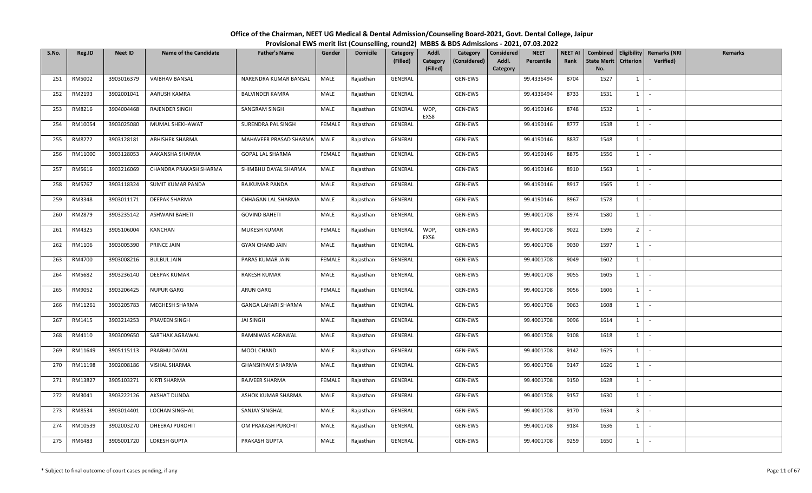| S.No. | Reg.ID  | <b>Neet ID</b> | <b>Name of the Candidate</b> | <b>Father's Name</b>       | Gender        | <b>Domicile</b> | Category<br>(Filled) | Addl.<br>Category | Category<br>(Considered) | <b>NEET</b><br>Considered<br>Addl.<br>Percentile | <b>NEET AI</b><br>Rank | Combined<br><b>State Merit</b> | <b>Criterion</b> | <b>Eligibility Remarks (NRI</b><br><b>Verified</b> ) | <b>Remarks</b> |
|-------|---------|----------------|------------------------------|----------------------------|---------------|-----------------|----------------------|-------------------|--------------------------|--------------------------------------------------|------------------------|--------------------------------|------------------|------------------------------------------------------|----------------|
|       |         |                |                              |                            |               |                 |                      | (Filled)          |                          | Category                                         |                        | No.                            |                  |                                                      |                |
| 251   | RM5002  | 3903016379     | <b>VAIBHAV BANSAL</b>        | NARENDRA KUMAR BANSAL      | MALE          | Rajasthan       | GENERAL              |                   | GEN-EWS                  | 99.4336494                                       | 8704                   | 1527                           | $1 \vert$        | $\overline{\phantom{a}}$                             |                |
| 252   | RM2193  | 3902001041     | AARUSH KAMRA                 | <b>BALVINDER KAMRA</b>     | MALE          | Rajasthan       | GENERAL              |                   | GEN-EWS                  | 99.4336494                                       | 8733                   | 1531                           | $1 \mid$         | $\sim$                                               |                |
| 253   | RM8216  | 3904004468     | RAJENDER SINGH               | SANGRAM SINGH              | MALE          | Rajasthan       | GENERAL              | WDP,<br>EXS8      | GEN-EWS                  | 99.4190146                                       | 8748                   | 1532                           | $1 \mid$         | $\sim$                                               |                |
| 254   | RM10054 | 3903025080     | MUMAL SHEKHAWAT              | SURENDRA PAL SINGH         | <b>FEMALE</b> | Rajasthan       | GENERAL              |                   | GEN-EWS                  | 99.4190146                                       | 8777                   | 1538                           | $1 \vert$        | $\sim$                                               |                |
| 255   | RM8272  | 3903128181     | ABHISHEK SHARMA              | MAHAVEER PRASAD SHARMA     | MALE          | Rajasthan       | GENERAL              |                   | GEN-EWS                  | 99.4190146                                       | 8837                   | 1548                           | $1 \vert$        | $\sim$                                               |                |
| 256   | RM11000 | 3903128053     | AAKANSHA SHARMA              | GOPAL LAL SHARMA           | FEMALE        | Rajasthan       | GENERAL              |                   | GEN-EWS                  | 99.4190146                                       | 8875                   | 1556                           | $1 \vert$        | $\sim$                                               |                |
| 257   | RM5616  | 3903216069     | CHANDRA PRAKASH SHARMA       | SHIMBHU DAYAL SHARMA       | MALE          | Rajasthan       | GENERAL              |                   | GEN-EWS                  | 99.4190146                                       | 8910                   | 1563                           | $1 \mid$         | $\sim$                                               |                |
| 258   | RM5767  | 3903118324     | SUMIT KUMAR PANDA            | RAJKUMAR PANDA             | MALE          | Rajasthan       | GENERAL              |                   | GEN-EWS                  | 99.4190146                                       | 8917                   | 1565                           | $1 \vert$        |                                                      |                |
| 259   | RM3348  | 3903011171     | DEEPAK SHARMA                | CHHAGAN LAL SHARMA         | MALE          | Rajasthan       | GENERAL              |                   | GEN-EWS                  | 99.4190146                                       | 8967                   | 1578                           | $1 \vert$        | $\sim$                                               |                |
| 260   | RM2879  | 3903235142     | ASHWANI BAHETI               | <b>GOVIND BAHETI</b>       | MALE          | Rajasthan       | GENERAL              |                   | GEN-EWS                  | 99.4001708                                       | 8974                   | 1580                           | $1 \mid$         | $\overline{\phantom{a}}$                             |                |
| 261   | RM4325  | 3905106004     | KANCHAN                      | MUKESH KUMAR               | FEMALE        | Rajasthan       | GENERAL              | WDP,<br>EXS6      | GEN-EWS                  | 99.4001708                                       | 9022                   | 1596                           | 2 <sup>1</sup>   | $\sim$                                               |                |
| 262   | RM1106  | 3903005390     | PRINCE JAIN                  | <b>GYAN CHAND JAIN</b>     | MALE          | Rajasthan       | GENERAL              |                   | GEN-EWS                  | 99.4001708                                       | 9030                   | 1597                           | $1 \mid$         | $\sim$                                               |                |
| 263   | RM4700  | 3903008216     | <b>BULBUL JAIN</b>           | PARAS KUMAR JAIN           | FEMALE        | Rajasthan       | GENERAL              |                   | GEN-EWS                  | 99.4001708                                       | 9049                   | 1602                           | $1 \vert$        |                                                      |                |
| 264   | RM5682  | 3903236140     | DEEPAK KUMAR                 | RAKESH KUMAR               | MALE          | Rajasthan       | GENERAL              |                   | GEN-EWS                  | 99.4001708                                       | 9055                   | 1605                           | $1 \vert$        | $\sim$                                               |                |
| 265   | RM9052  | 3903206425     | <b>NUPUR GARG</b>            | ARUN GARG                  | FEMALE        | Rajasthan       | GENERAL              |                   | GEN-EWS                  | 99.4001708                                       | 9056                   | 1606                           | $1 \vert$        | $\sim$                                               |                |
| 266   | RM11261 | 3903205783     | MEGHESH SHARMA               | <b>GANGA LAHARI SHARMA</b> | MALE          | Rajasthan       | GENERAL              |                   | GEN-EWS                  | 99.4001708                                       | 9063                   | 1608                           | $1$ $\sim$       |                                                      |                |
| 267   | RM1415  | 3903214253     | PRAVEEN SINGH                | JAI SINGH                  | MALE          | Rajasthan       | GENERAL              |                   | GEN-EWS                  | 99.4001708                                       | 9096                   | 1614                           | $1 \vert$        |                                                      |                |
| 268   | RM4110  | 3903009650     | SARTHAK AGRAWAL              | RAMNIWAS AGRAWAL           | MALE          | Rajasthan       | GENERAL              |                   | GEN-EWS                  | 99.4001708                                       | 9108                   | 1618                           | $1 \mid$         | $\sim$                                               |                |
| 269   | RM11649 | 3905115113     | PRABHU DAYAL                 | MOOL CHAND                 | MALE          | Rajasthan       | GENERAL              |                   | GEN-EWS                  | 99.4001708                                       | 9142                   | 1625                           | $1 \vert$        | $\sim$                                               |                |
| 270   | RM11198 | 3902008186     | VISHAL SHARMA                | GHANSHYAM SHARMA           | MALE          | Rajasthan       | GENERAL              |                   | GEN-EWS                  | 99.4001708                                       | 9147                   | 1626                           | $1 \vert$        | $\overline{\phantom{a}}$                             |                |
| 271   | RM13827 | 3905103271     | KIRTI SHARMA                 | RAJVEER SHARMA             | FEMALE        | Rajasthan       | GENERAL              |                   | GEN-EWS                  | 99.4001708                                       | 9150                   | 1628                           | $1 \vert -$      |                                                      |                |
| 272   | RM3041  | 3903222126     | AKSHAT DUNDA                 | ASHOK KUMAR SHARMA         | MALE          | Rajasthan       | GENERAL              |                   | GEN-EWS                  | 99.4001708                                       | 9157                   | 1630                           | $1 \mid$         | $\sim$                                               |                |
| 273   | RM8534  | 3903014401     | LOCHAN SINGHAL               | SANJAY SINGHAL             | MALE          | Rajasthan       | GENERAL              |                   | GEN-EWS                  | 99.4001708                                       | 9170                   | 1634                           | 3 <sup>1</sup>   | $\sim$                                               |                |
| 274   | RM10539 | 3902003270     | DHEERAJ PUROHIT              | OM PRAKASH PUROHIT         | MALE          | Rajasthan       | GENERAL              |                   | GEN-EWS                  | 99.4001708                                       | 9184                   | 1636                           | $1 \vert$        | $\sim$                                               |                |
| 275   | RM6483  | 3905001720     | LOKESH GUPTA                 | PRAKASH GUPTA              | MALE          | Rajasthan       | GENERAL              |                   | GEN-EWS                  | 99.4001708                                       | 9259                   | 1650                           | $1 \mid$         | $\mathcal{L}_{\mathcal{A}}$                          |                |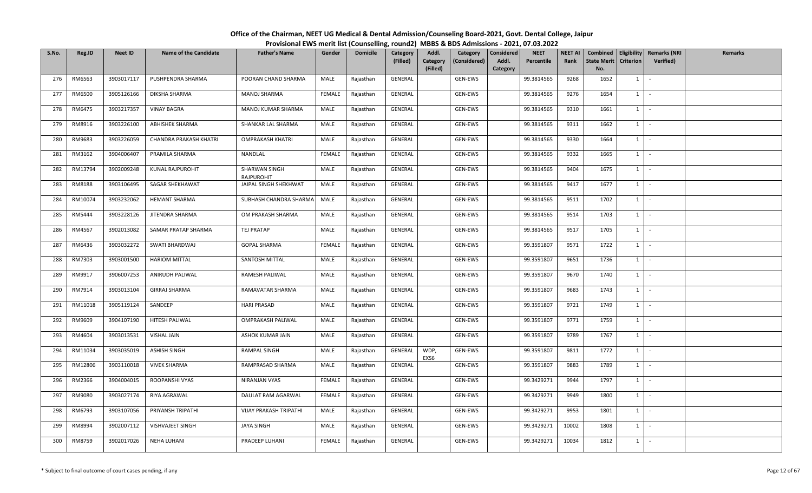| S.No. | Reg.ID  | <b>Neet ID</b> | <b>Name of the Candidate</b> | <b>Father's Name</b>        | Gender        | <b>Domicile</b> | Category<br>(Filled) | Addl.<br>Category<br>(Considered)<br>Category<br>(Filled) | <b>NEET</b><br>Considered<br>Percentile<br>Addl.<br>Category | <b>NEET AI</b><br>Rank | <b>State Merit</b><br>No. | <b>Criterion</b> | Combined   Eligibility   Remarks (NRI<br><b>Verified</b> ) | Remarks |
|-------|---------|----------------|------------------------------|-----------------------------|---------------|-----------------|----------------------|-----------------------------------------------------------|--------------------------------------------------------------|------------------------|---------------------------|------------------|------------------------------------------------------------|---------|
| 276   | RM6563  | 3903017117     | PUSHPENDRA SHARMA            | POORAN CHAND SHARMA         | MALE          | Rajasthan       | GENERAL              | GEN-EWS                                                   | 99.3814565                                                   | 9268                   | 1652                      | $1 \vert$        |                                                            |         |
| 277   | RM6500  | 3905126166     | DIKSHA SHARMA                | <b>MANOJ SHARMA</b>         | <b>FEMALE</b> | Rajasthan       | GENERAL              | GEN-EWS                                                   | 99.3814565                                                   | 9276                   | 1654                      | $1 \vert$        | $\sim$                                                     |         |
| 278   | RM6475  | 3903217357     | <b>VINAY BAGRA</b>           | MANOJ KUMAR SHARMA          | MALE          | Rajasthan       | GENERAL              | GEN-EWS                                                   | 99.3814565                                                   | 9310                   | 1661                      | $1 \mid$         |                                                            |         |
| 279   | RM8916  | 3903226100     | ABHISHEK SHARMA              | SHANKAR LAL SHARMA          | MALE          | Rajasthan       | GENERAL              | GEN-EWS                                                   | 99.3814565                                                   | 9311                   | 1662                      | $1 \vert$        | $\sim$                                                     |         |
| 280   | RM9683  | 3903226059     | CHANDRA PRAKASH KHATRI       | <b>OMPRAKASH KHATRI</b>     | MALE          | Rajasthan       | GENERAL              | GEN-EWS                                                   | 99.3814565                                                   | 9330                   | 1664                      | $1 \vert$        | $\sim$                                                     |         |
| 281   | RM3162  | 3904006407     | PRAMILA SHARMA               | NANDLAL                     | FEMALE        | Rajasthan       | GENERAL              | GEN-EWS                                                   | 99.3814565                                                   | 9332                   | 1665                      | $1 \vert$        | $\sim$                                                     |         |
| 282   | RM13794 | 3902009248     | KUNAL RAJPUROHIT             | SHARWAN SINGH<br>RAJPUROHIT | MALE          | Rajasthan       | GENERAL              | GEN-EWS                                                   | 99.3814565                                                   | 9404                   | 1675                      | $1 \vert$        | $\sim$                                                     |         |
| 283   | RM8188  | 3903106495     | SAGAR SHEKHAWAT              | JAIPAL SINGH SHEKHWAT       | MALE          | Rajasthan       | GENERAL              | GEN-EWS                                                   | 99.3814565                                                   | 9417                   | 1677                      | $1 \mid$         | $\sim$                                                     |         |
| 284   | RM10074 | 3903232062     | <b>HEMANT SHARMA</b>         | SUBHASH CHANDRA SHARMA      | MALE          | Rajasthan       | GENERAL              | GEN-EWS                                                   | 99.3814565                                                   | 9511                   | 1702                      | $1 \mid$         | $\sim$                                                     |         |
| 285   | RM5444  | 3903228126     | JITENDRA SHARMA              | OM PRAKASH SHARMA           | MALE          | Rajasthan       | GENERAL              | GEN-EWS                                                   | 99.3814565                                                   | 9514                   | 1703                      | 1                |                                                            |         |
| 286   | RM4567  | 3902013082     | SAMAR PRATAP SHARMA          | <b>TEJ PRATAP</b>           | MALE          | Rajasthan       | GENERAL              | GEN-EWS                                                   | 99.3814565                                                   | 9517                   | 1705                      | $1 \mid$         | $\sim$                                                     |         |
| 287   | RM6436  | 3903032272     | SWATI BHARDWAJ               | <b>GOPAL SHARMA</b>         | <b>FEMALE</b> | Rajasthan       | GENERAL              | GEN-EWS                                                   | 99.3591807                                                   | 9571                   | 1722                      | $1 \vert$        | $\sim$                                                     |         |
| 288   | RM7303  | 3903001500     | <b>HARIOM MITTAL</b>         | SANTOSH MITTAL              | MALE          | Rajasthan       | GENERAL              | GEN-EWS                                                   | 99.3591807                                                   | 9651                   | 1736                      | 1                |                                                            |         |
| 289   | RM9917  | 3906007253     | ANIRUDH PALIWAL              | RAMESH PALIWAL              | MALE          | Rajasthan       | GENERAL              | GEN-EWS                                                   | 99.3591807                                                   | 9670                   | 1740                      | $1 \vert$        | $\sim$                                                     |         |
| 290   | RM7914  | 3903013104     | <b>GIRRAJ SHARMA</b>         | RAMAVATAR SHARMA            | MALE          | Rajasthan       | GENERAL              | GEN-EWS                                                   | 99.3591807                                                   | 9683                   | 1743                      | $1 \vert$        |                                                            |         |
| 291   | RM11018 | 3905119124     | SANDEEP                      | <b>HARI PRASAD</b>          | MALE          | Rajasthan       | GENERAL              | GEN-EWS                                                   | 99.3591807                                                   | 9721                   | 1749                      | $1$ $\cdot$      |                                                            |         |
| 292   | RM9609  | 3904107190     | HITESH PALIWAL               | <b>OMPRAKASH PALIWAL</b>    | MALE          | Rajasthan       | GENERAL              | GEN-EWS                                                   | 99.3591807                                                   | 9771                   | 1759                      | 1                |                                                            |         |
| 293   | RM4604  | 3903013531     | <b>VISHAL JAIN</b>           | ASHOK KUMAR JAIN            | MALE          | Rajasthan       | GENERAL              | GEN-EWS                                                   | 99.3591807                                                   | 9789                   | 1767                      | $1 \vert$        | $\sim$                                                     |         |
| 294   | RM11034 | 3903035019     | <b>ASHISH SINGH</b>          | RAMPAL SINGH                | MALE          | Rajasthan       | GENERAL              | WDP,<br>GEN-EWS<br>EXS6                                   | 99.3591807                                                   | 9811                   | 1772                      | $1 \vert$        | $\sim$                                                     |         |
| 295   | RM12806 | 3903110018     | <b>VIVEK SHARMA</b>          | RAMPRASAD SHARMA            | MALE          | Rajasthan       | GENERAL              | GEN-EWS                                                   | 99.3591807                                                   | 9883                   | 1789                      | $1 \vert$        | $\overline{\phantom{a}}$                                   |         |
| 296   | RM2366  | 3904004015     | ROOPANSHI VYAS               | NIRANJAN VYAS               | FEMALE        | Rajasthan       | GENERAL              | GEN-EWS                                                   | 99.3429271                                                   | 9944                   | 1797                      | $1$ $-$          |                                                            |         |
| 297   | RM9080  | 3903027174     | RIYA AGRAWAL                 | DAULAT RAM AGARWAL          | FEMALE        | Rajasthan       | GENERAL              | GEN-EWS                                                   | 99.3429271                                                   | 9949                   | 1800                      | $1 \vert$        | $\sim$                                                     |         |
| 298   | RM6793  | 3903107056     | PRIYANSH TRIPATHI            | VIJAY PRAKASH TRIPATHI      | MALE          | Rajasthan       | GENERAL              | GEN-EWS                                                   | 99.3429271                                                   | 9953                   | 1801                      | $1 \vert$        | $\sim$                                                     |         |
| 299   | RM8994  | 3902007112     | VISHVAJEET SINGH             | JAYA SINGH                  | MALE          | Rajasthan       | GENERAL              | GEN-EWS                                                   | 99.3429271                                                   | 10002                  | 1808                      | $1 \vert$        | $\sim$                                                     |         |
| 300   | RM8759  | 3902017026     | <b>NEHA LUHANI</b>           | PRADEEP LUHANI              | FEMALE        | Rajasthan       | GENERAL              | GEN-EWS                                                   | 99.3429271                                                   | 10034                  | 1812                      | $1 \mid$         | $\sim$                                                     |         |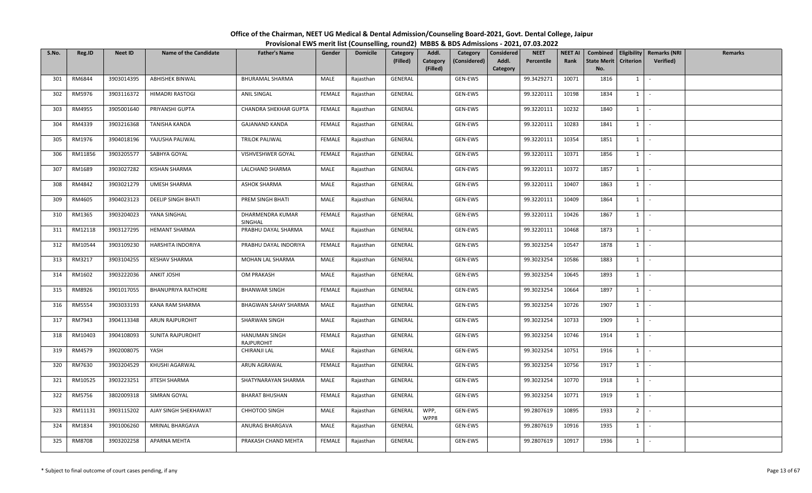| S.No. | Reg.ID  | <b>Neet ID</b> | <b>Name of the Candidate</b> | <b>Father's Name</b>        | Gender        | <b>Domicile</b> | Category<br>(Filled) | Addl.<br>Category<br>(Filled) | Category<br>(Considered) | <b>Considered</b><br>Addl.<br>Category | <b>NEET</b><br>Percentile | <b>NEET AI</b><br>Rank | <b>State Merit</b><br>No. | <b>Criterion</b> | Combined   Eligibility   Remarks (NRI<br>Verified) | Remarks |
|-------|---------|----------------|------------------------------|-----------------------------|---------------|-----------------|----------------------|-------------------------------|--------------------------|----------------------------------------|---------------------------|------------------------|---------------------------|------------------|----------------------------------------------------|---------|
| 301   | RM6844  | 3903014395     | ABHISHEK BINWAL              | BHURAMAL SHARMA             | MALE          | Rajasthan       | GENERAL              |                               | GEN-EWS                  |                                        | 99.3429271                | 10071                  | 1816                      | $1 \quad$        | $\sim$                                             |         |
| 302   | RM5976  | 3903116372     | HIMADRI RASTOGI              | <b>ANIL SINGAL</b>          | <b>FEMALE</b> | Rajasthan       | GENERAL              |                               | GEN-EWS                  |                                        | 99.3220111                | 10198                  | 1834                      | 1                | $\sim$                                             |         |
| 303   | RM4955  | 3905001640     | PRIYANSHI GUPTA              | CHANDRA SHEKHAR GUPTA       | FEMALE        | Rajasthan       | GENERAL              |                               | GEN-EWS                  |                                        | 99.3220111                | 10232                  | 1840                      | $1 \quad$        | $\sim$                                             |         |
| 304   | RM4339  | 3903216368     | TANISHA KANDA                | <b>GAJANAND KANDA</b>       | FEMALE        | Rajasthan       | GENERAL              |                               | GEN-EWS                  |                                        | 99.3220111                | 10283                  | 1841                      | $1 \quad$        | $\sim$                                             |         |
| 305   | RM1976  | 3904018196     | YAJUSHA PALIWAL              | TRILOK PALIWAL              | FEMALE        | Rajasthan       | GENERAL              |                               | GEN-EWS                  |                                        | 99.3220111                | 10354                  | 1851                      | $1 \quad$        | $\sim$                                             |         |
| 306   | RM11856 | 3903205577     | SABHYA GOYAL                 | VISHVESHWER GOYAL           | FEMALE        | Rajasthan       | GENERAL              |                               | GEN-EWS                  |                                        | 99.3220111                | 10371                  | 1856                      | $1 \quad$        | $\sim$                                             |         |
| 307   | RM1689  | 3903027282     | KISHAN SHARMA                | LALCHAND SHARMA             | MALE          | Rajasthan       | GENERAL              |                               | GEN-EWS                  |                                        | 99.3220111                | 10372                  | 1857                      | 1                | $\sim$                                             |         |
| 308   | RM4842  | 3903021279     | UMESH SHARMA                 | <b>ASHOK SHARMA</b>         | MALE          | Rajasthan       | GENERAL              |                               | GEN-EWS                  |                                        | 99.3220111                | 10407                  | 1863                      | $1$ $\cdot$      |                                                    |         |
| 309   | RM4605  | 3904023123     | <b>DEELIP SINGH BHATI</b>    | PREM SINGH BHATI            | MALE          | Rajasthan       | GENERAL              |                               | GEN-EWS                  |                                        | 99.3220111                | 10409                  | 1864                      | $1 \mid$         | $\sim$                                             |         |
| 310   | RM1365  | 3903204023     | YANA SINGHAL                 | DHARMENDRA KUMAR<br>SINGHAL | <b>FEMALE</b> | Rajasthan       | GENERAL              |                               | GEN-EWS                  |                                        | 99.3220111                | 10426                  | 1867                      | $1 \quad$        | $\sim$                                             |         |
| 311   | RM12118 | 3903127295     | <b>HEMANT SHARMA</b>         | PRABHU DAYAL SHARMA         | MALE          | Rajasthan       | GENERAL              |                               | GEN-EWS                  |                                        | 99.3220111                | 10468                  | 1873                      | $1 \mid -$       |                                                    |         |
| 312   | RM10544 | 3903109230     | HARSHITA INDORIYA            | PRABHU DAYAL INDORIYA       | <b>FEMALE</b> | Rajasthan       | GENERAL              |                               | GEN-EWS                  |                                        | 99.3023254                | 10547                  | 1878                      | $1 \quad$        | $\sim$                                             |         |
| 313   | RM3217  | 3903104255     | <b>KESHAV SHARMA</b>         | MOHAN LAL SHARMA            | MALE          | Rajasthan       | GENERAL              |                               | GEN-EWS                  |                                        | 99.3023254                | 10586                  | 1883                      | $1 \quad$        | $\sim$                                             |         |
| 314   | RM1602  | 3903222036     | <b>ANKIT JOSHI</b>           | OM PRAKASH                  | MALE          | Rajasthan       | GENERAL              |                               | GEN-EWS                  |                                        | 99.3023254                | 10645                  | 1893                      | $1 \quad$        | $\sim$                                             |         |
| 315   | RM8926  | 3901017055     | <b>BHANUPRIYA RATHORE</b>    | <b>BHANWAR SINGH</b>        | <b>FEMALE</b> | Rajasthan       | GENERAL              |                               | GEN-EWS                  |                                        | 99.3023254                | 10664                  | 1897                      | 1                | $\sim$                                             |         |
| 316   | RM5554  | 3903033193     | KANA RAM SHARMA              | <b>BHAGWAN SAHAY SHARMA</b> | MALE          | Rajasthan       | GENERAL              |                               | GEN-EWS                  |                                        | 99.3023254                | 10726                  | 1907                      | $1$ $-$          |                                                    |         |
| 317   | RM7943  | 3904113348     | ARUN RAJPUROHIT              | SHARWAN SINGH               | MALE          | Rajasthan       | GENERAL              |                               | GEN-EWS                  |                                        | 99.3023254                | 10733                  | 1909                      | 1                | $\sim$                                             |         |
| 318   | RM10403 | 3904108093     | SUNITA RAJPUROHIT            | HANUMAN SINGH<br>RAJPUROHIT | FEMALE        | Rajasthan       | GENERAL              |                               | GEN-EWS                  |                                        | 99.3023254                | 10746                  | 1914                      | $1 \quad$        | $\sim$                                             |         |
| 319   | RM4579  | 3902008075     | YASH                         | CHIRANJI LAL                | MALE          | Rajasthan       | GENERAL              |                               | GEN-EWS                  |                                        | 99.3023254                | 10751                  | 1916                      | $1 \quad$        | $\sim$                                             |         |
| 320   | RM7630  | 3903204529     | KHUSHI AGARWAL               | ARUN AGRAWAL                | <b>FEMALE</b> | Rajasthan       | GENERAL              |                               | GEN-EWS                  |                                        | 99.3023254                | 10756                  | 1917                      | $1 \quad$        | $\sim$                                             |         |
| 321   | RM10525 | 3903223251     | JITESH SHARMA                | SHATYNARAYAN SHARMA         | MALE          | Rajasthan       | GENERAL              |                               | GEN-EWS                  |                                        | 99.3023254                | 10770                  | 1918                      | 1                | $\sim$                                             |         |
| 322   | RM5756  | 3802009318     | SIMRAN GOYAL                 | <b>BHARAT BHUSHAN</b>       | <b>FEMALE</b> | Rajasthan       | GENERAL              |                               | GEN-EWS                  |                                        | 99.3023254                | 10771                  | 1919                      | $1 \quad$        | $\sim$                                             |         |
| 323   | RM11131 | 3903115202     | AJAY SINGH SHEKHAWAT         | CHHOTOO SINGH               | MALE          | Rajasthan       | GENERAL              | WPP,<br>WPP8                  | GEN-EWS                  |                                        | 99.2807619                | 10895                  | 1933                      | 2 <sup>1</sup>   | $\sim$                                             |         |
| 324   | RM1834  | 3901006260     | MRINAL BHARGAVA              | ANURAG BHARGAVA             | MALE          | Rajasthan       | GENERAL              |                               | GEN-EWS                  |                                        | 99.2807619                | 10916                  | 1935                      | $1 \quad$        | $\sim$                                             |         |
| 325   | RM8708  | 3903202258     | APARNA MEHTA                 | PRAKASH CHAND MEHTA         | FEMALE        | Rajasthan       | GENERAL              |                               | GEN-EWS                  |                                        | 99.2807619                | 10917                  | 1936                      | $1\phantom{0}$   | $\sim$                                             |         |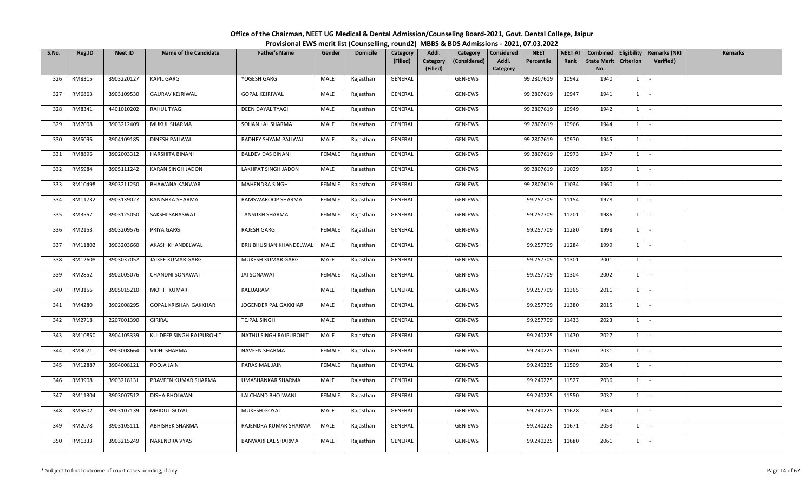| S.No. | Reg.ID        | <b>Neet ID</b> | <b>Name of the Candidate</b> | <b>Father's Name</b>     | Gender | <b>Domicile</b> | Category<br>(Filled) | Addl.<br>Category<br>(Considered)<br>Category<br>(Filled) | <b>NEET</b><br>Considered<br>Percentile<br>Addl.<br>Category | <b>NEET AI</b><br>Rank | <b>State Merit</b><br>No. | <b>Criterion</b> | Combined   Eligibility   Remarks (NRI<br><b>Verified</b> ) | Remarks |
|-------|---------------|----------------|------------------------------|--------------------------|--------|-----------------|----------------------|-----------------------------------------------------------|--------------------------------------------------------------|------------------------|---------------------------|------------------|------------------------------------------------------------|---------|
| 326   | RM8315        | 3903220127     | <b>KAPIL GARG</b>            | YOGESH GARG              | MALE   | Rajasthan       | GENERAL              | GEN-EWS                                                   | 99.2807619                                                   | 10942                  | 1940                      | $1 \vert$        |                                                            |         |
| 327   | RM6863        | 3903109530     | <b>GAURAV KEJRIWAL</b>       | <b>GOPAL KEJRIWAL</b>    | MALE   | Rajasthan       | GENERAL              | GEN-EWS                                                   | 99.2807619                                                   | 10947                  | 1941                      | $1 \mid$         | $\sim$                                                     |         |
| 328   | RM8341        | 4401010202     | RAHUL TYAGI                  | DEEN DAYAL TYAGI         | MALE   | Rajasthan       | GENERAL              | GEN-EWS                                                   | 99.2807619                                                   | 10949                  | 1942                      | $1 \mid$         | $\sim$                                                     |         |
| 329   | <b>RM7008</b> | 3903212409     | MUKUL SHARMA                 | SOHAN LAL SHARMA         | MALE   | Rajasthan       | GENERAL              | GEN-EWS                                                   | 99.2807619                                                   | 10966                  | 1944                      | $1 \vert$        | $\mathcal{L}$                                              |         |
| 330   | RM5096        | 3904109185     | DINESH PALIWAL               | RADHEY SHYAM PALIWAL     | MALE   | Rajasthan       | GENERAL              | GEN-EWS                                                   | 99.2807619                                                   | 10970                  | 1945                      | $1 \vert$        | $\sim$                                                     |         |
| 331   | RM8896        | 3902003312     | HARSHITA BINANI              | <b>BALDEV DAS BINANI</b> | FEMALE | Rajasthan       | GENERAL              | GEN-EWS                                                   | 99.2807619                                                   | 10973                  | 1947                      | $1 \vert$        | $\sim$                                                     |         |
| 332   | RM5984        | 3905111242     | KARAN SINGH JADON            | LAKHPAT SINGH JADON      | MALE   | Rajasthan       | GENERAL              | GEN-EWS                                                   | 99.2807619                                                   | 11029                  | 1959                      | $1 \vert$        | $\sim$                                                     |         |
| 333   | RM10498       | 3903211250     | <b>BHAWANA KANWAR</b>        | MAHENDRA SINGH           | FEMALE | Rajasthan       | GENERAL              | GEN-EWS                                                   | 99.2807619                                                   | 11034                  | 1960                      | $1 \vert$        | $\sim$                                                     |         |
| 334   | RM11732       | 3903139027     | KANISHKA SHARMA              | RAMSWAROOP SHARMA        | FEMALE | Rajasthan       | GENERAL              | GEN-EWS                                                   | 99.257709                                                    | 11154                  | 1978                      | $1 \mid$         | $\sim$                                                     |         |
| 335   | RM3557        | 3903125050     | SAKSHI SARASWAT              | TANSUKH SHARMA           | FEMALE | Rajasthan       | GENERAL              | GEN-EWS                                                   | 99.257709                                                    | 11201                  | 1986                      | 1                | $\sim$                                                     |         |
| 336   | RM2153        | 3903209576     | PRIYA GARG                   | RAJESH GARG              | FEMALE | Rajasthan       | GENERAL              | GEN-EWS                                                   | 99.257709                                                    | 11280                  | 1998                      | $1 \cdot$        |                                                            |         |
| 337   | RM11802       | 3903203660     | AKASH KHANDELWAL             | BRIJ BHUSHAN KHANDELWAL  | MALE   | Rajasthan       | GENERAL              | GEN-EWS                                                   | 99.257709                                                    | 11284                  | 1999                      | $1 \vert$        | $\sim$                                                     |         |
| 338   | RM12608       | 3903037052     | JAIKEE KUMAR GARG            | MUKESH KUMAR GARG        | MALE   | Rajasthan       | GENERAL              | GEN-EWS                                                   | 99.257709                                                    | 11301                  | 2001                      | 1                |                                                            |         |
| 339   | RM2852        | 3902005076     | CHANDNI SONAWAT              | <b>JAI SONAWAT</b>       | FEMALE | Rajasthan       | GENERAL              | GEN-EWS                                                   | 99.257709                                                    | 11304                  | 2002                      | $1 \vert$        | $\sim$                                                     |         |
| 340   | RM3156        | 3905015210     | <b>MOHIT KUMAR</b>           | KALUARAM                 | MALE   | Rajasthan       | GENERAL              | GEN-EWS                                                   | 99.257709                                                    | 11365                  | 2011                      | $1 \vert$        | $\sim$                                                     |         |
| 341   | RM4280        | 3902008295     | <b>GOPAL KRISHAN GAKKHAR</b> | JOGENDER PAL GAKKHAR     | MALE   | Rajasthan       | GENERAL              | GEN-EWS                                                   | 99.257709                                                    | 11380                  | 2015                      | $1$ $\cdot$      |                                                            |         |
| 342   | RM2718        | 2207001390     | <b>GIRIRAJ</b>               | TEJPAL SINGH             | MALE   | Rajasthan       | GENERAL              | GEN-EWS                                                   | 99.257709                                                    | 11433                  | 2023                      | 1                |                                                            |         |
| 343   | RM10850       | 3904105339     | KULDEEP SINGH RAJPUROHIT     | NATHU SINGH RAJPUROHIT   | MALE   | Rajasthan       | GENERAL              | GEN-EWS                                                   | 99.240225                                                    | 11470                  | 2027                      | $1 \vert$        | $\sim$                                                     |         |
| 344   | RM3071        | 3903008664     | <b>VIDHI SHARMA</b>          | NAVEEN SHARMA            | FEMALE | Rajasthan       | GENERAL              | GEN-EWS                                                   | 99.240225                                                    | 11490                  | 2031                      | $1 \mid$         | $\sim$                                                     |         |
| 345   | RM12887       | 3904008121     | POOJA JAIN                   | PARAS MAL JAIN           | FEMALE | Rajasthan       | GENERAL              | GEN-EWS                                                   | 99.240225                                                    | 11509                  | 2034                      | $1 \vert$        | $\sim$                                                     |         |
| 346   | RM3908        | 3903218131     | PRAVEEN KUMAR SHARMA         | UMASHANKAR SHARMA        | MALE   | Rajasthan       | GENERAL              | GEN-EWS                                                   | 99.240225                                                    | 11527                  | 2036                      | $1$ $-$          |                                                            |         |
| 347   | RM11304       | 3903007512     | DISHA BHOJWANI               | LALCHAND BHOJWANI        | FEMALE | Rajasthan       | GENERAL              | GEN-EWS                                                   | 99.240225                                                    | 11550                  | 2037                      | $1 \mid$         | $\sim$                                                     |         |
| 348   | RM5802        | 3903107139     | MRIDUL GOYAL                 | MUKESH GOYAL             | MALE   | Rajasthan       | GENERAL              | GEN-EWS                                                   | 99.240225                                                    | 11628                  | 2049                      | $1 \vert$        | $\sim$                                                     |         |
| 349   | RM2078        | 3903105111     | ABHISHEK SHARMA              | RAJENDRA KUMAR SHARMA    | MALE   | Rajasthan       | GENERAL              | GEN-EWS                                                   | 99.240225                                                    | 11671                  | 2058                      | $1 \vert$        | $\sim$                                                     |         |
| 350   | RM1333        | 3903215249     | NARENDRA VYAS                | BANWARI LAL SHARMA       | MALE   | Rajasthan       | GENERAL              | GEN-EWS                                                   | 99.240225                                                    | 11680                  | 2061                      | $1 \mid$         | $\mathcal{L}_{\mathcal{A}}$                                |         |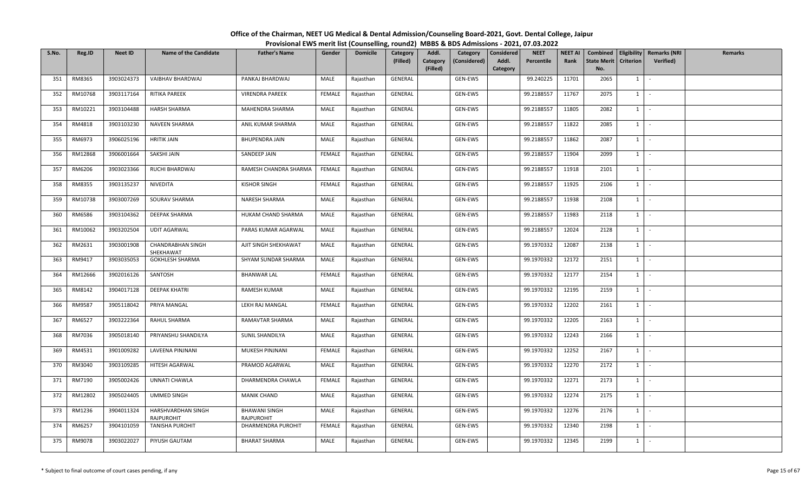| S.No. | Reg.ID  | <b>Neet ID</b> | <b>Name of the Candidate</b>            | <b>Father's Name</b>               | Gender        | <b>Domicile</b> | Category<br>(Filled) | Addl.<br>Category<br>(Filled) | Category<br>(Considered) | <b>Considered</b><br>Addl.<br>Category | <b>NEET</b><br>Percentile | <b>NEET AI</b><br>Rank | <b>State Merit</b><br>No. | <b>Criterion</b> | Combined   Eligibility   Remarks (NRI<br>Verified) | Remarks |
|-------|---------|----------------|-----------------------------------------|------------------------------------|---------------|-----------------|----------------------|-------------------------------|--------------------------|----------------------------------------|---------------------------|------------------------|---------------------------|------------------|----------------------------------------------------|---------|
| 351   | RM8365  | 3903024373     | VAIBHAV BHARDWAJ                        | PANKAJ BHARDWAJ                    | MALE          | Rajasthan       | GENERAL              |                               | GEN-EWS                  |                                        | 99.240225                 | 11701                  | 2065                      | $1 \quad$        | $\sim$                                             |         |
| 352   | RM10768 | 3903117164     | RITIKA PAREEK                           | <b>VIRENDRA PAREEK</b>             | <b>FEMALE</b> | Rajasthan       | GENERAL              |                               | GEN-EWS                  |                                        | 99.2188557                | 11767                  | 2075                      | 1                | $\sim$                                             |         |
| 353   | RM10221 | 3903104488     | <b>HARSH SHARMA</b>                     | MAHENDRA SHARMA                    | MALE          | Rajasthan       | GENERAL              |                               | GEN-EWS                  |                                        | 99.2188557                | 11805                  | 2082                      | $1 \quad$        | $\sim$                                             |         |
| 354   | RM4818  | 3903103230     | NAVEEN SHARMA                           | ANIL KUMAR SHARMA                  | MALE          | Rajasthan       | GENERAL              |                               | GEN-EWS                  |                                        | 99.2188557                | 11822                  | 2085                      | $1 \quad$        | $\sim$                                             |         |
| 355   | RM6973  | 3906025196     | <b>HRITIK JAIN</b>                      | BHUPENDRA JAIN                     | MALE          | Rajasthan       | GENERAL              |                               | GEN-EWS                  |                                        | 99.2188557                | 11862                  | 2087                      | $1 \quad$        | $\sim$                                             |         |
| 356   | RM12868 | 3906001664     | SAKSHI JAIN                             | SANDEEP JAIN                       | FEMALE        | Rajasthan       | GENERAL              |                               | GEN-EWS                  |                                        | 99.2188557                | 11904                  | 2099                      | $1 \quad$        | $\sim$                                             |         |
| 357   | RM6206  | 3903023366     | RUCHI BHARDWAJ                          | RAMESH CHANDRA SHARMA              | <b>FEMALE</b> | Rajasthan       | GENERAL              |                               | GEN-EWS                  |                                        | 99.2188557                | 11918                  | 2101                      | 1                | $\sim$                                             |         |
| 358   | RM8355  | 3903135237     | NIVEDITA                                | <b>KISHOR SINGH</b>                | FEMALE        | Rajasthan       | GENERAL              |                               | GEN-EWS                  |                                        | 99.2188557                | 11925                  | 2106                      | $1 \mid$         | $\sim$                                             |         |
| 359   | RM10738 | 3903007269     | SOURAV SHARMA                           | NARESH SHARMA                      | MALE          | Rajasthan       | GENERAL              |                               | GEN-EWS                  |                                        | 99.2188557                | 11938                  | 2108                      | $1 \mid$         | $\sim$                                             |         |
| 360   | RM6586  | 3903104362     | DEEPAK SHARMA                           | HUKAM CHAND SHARMA                 | MALE          | Rajasthan       | GENERAL              |                               | GEN-EWS                  |                                        | 99.2188557                | 11983                  | 2118                      | $1 \quad$        | $\sim$                                             |         |
| 361   | RM10062 | 3903202504     | <b>UDIT AGARWAL</b>                     | PARAS KUMAR AGARWAL                | MALE          | Rajasthan       | GENERAL              |                               | GEN-EWS                  |                                        | 99.2188557                | 12024                  | 2128                      | $1 \mid$         | $\sim$                                             |         |
| 362   | RM2631  | 3903001908     | CHANDRABHAN SINGH<br>SHEKHAWAT          | AJIT SINGH SHEKHAWAT               | MALE          | Rajasthan       | GENERAL              |                               | GEN-EWS                  |                                        | 99.1970332                | 12087                  | 2138                      | $1 \quad$        | $\sim$                                             |         |
| 363   | RM9417  | 3903035053     | <b>GOKHLESH SHARMA</b>                  | SHYAM SUNDAR SHARMA                | MALE          | Rajasthan       | GENERAL              |                               | GEN-EWS                  |                                        | 99.1970332                | 12172                  | 2151                      | $1 \quad$        | $\sim$                                             |         |
| 364   | RM12666 | 3902016126     | SANTOSH                                 | <b>BHANWAR LAL</b>                 | FEMALE        | Rajasthan       | GENERAL              |                               | GEN-EWS                  |                                        | 99.1970332                | 12177                  | 2154                      | $1 \quad$        | $\sim$                                             |         |
| 365   | RM8142  | 3904017128     | <b>DEEPAK KHATRI</b>                    | RAMESH KUMAR                       | MALE          | Rajasthan       | GENERAL              |                               | GEN-EWS                  |                                        | 99.1970332                | 12195                  | 2159                      | 1                | $\sim$                                             |         |
| 366   | RM9587  | 3905118042     | PRIYA MANGAL                            | LEKH RAJ MANGAL                    | <b>FEMALE</b> | Rajasthan       | GENERAL              |                               | GEN-EWS                  |                                        | 99.1970332                | 12202                  | 2161                      | $1 \mid$         | $\sim$                                             |         |
| 367   | RM6527  | 3903222364     | RAHUL SHARMA                            | RAMAVTAR SHARMA                    | MALE          | Rajasthan       | GENERAL              |                               | GEN-EWS                  |                                        | 99.1970332                | 12205                  | 2163                      | 1                | $\sim$                                             |         |
| 368   | RM7036  | 3905018140     | PRIYANSHU SHANDILYA                     | SUNIL SHANDILYA                    | MALE          | Rajasthan       | GENERAL              |                               | GEN-EWS                  |                                        | 99.1970332                | 12243                  | 2166                      | $1 \quad$        | $\sim$                                             |         |
| 369   | RM4531  | 3901009282     | LAVEENA PINJNANI                        | MUKESH PINJNANI                    | FEMALE        | Rajasthan       | GENERAL              |                               | GEN-EWS                  |                                        | 99.1970332                | 12252                  | 2167                      | $1 \quad$        | $\sim$                                             |         |
| 370   | RM3040  | 3903109285     | HITESH AGARWAL                          | PRAMOD AGARWAL                     | MALE          | Rajasthan       | GENERAL              |                               | GEN-EWS                  |                                        | 99.1970332                | 12270                  | 2172                      | $1 \quad$        | $\sim$                                             |         |
| 371   | RM7190  | 3905002426     | UNNATI CHAWLA                           | DHARMENDRA CHAWLA                  | FEMALE        | Rajasthan       | GENERAL              |                               | GEN-EWS                  |                                        | 99.1970332                | 12271                  | 2173                      | 1                | $\sim$                                             |         |
| 372   | RM12802 | 3905024405     | <b>UMMED SINGH</b>                      | <b>MANIK CHAND</b>                 | MALE          | Rajasthan       | GENERAL              |                               | GEN-EWS                  |                                        | 99.1970332                | 12274                  | 2175                      | $1 \quad$        | $\sim$                                             |         |
| 373   | RM1236  | 3904011324     | HARSHVARDHAN SINGH<br><b>RAJPUROHIT</b> | <b>BHAWANI SINGH</b><br>RAJPUROHIT | MALE          | Rajasthan       | GENERAL              |                               | GEN-EWS                  |                                        | 99.1970332                | 12276                  | 2176                      | $1 \quad$        | $\sim$                                             |         |
| 374   | RM6257  | 3904101059     | TANISHA PUROHIT                         | DHARMENDRA PUROHIT                 | FEMALE        | Rajasthan       | GENERAL              |                               | GEN-EWS                  |                                        | 99.1970332                | 12340                  | 2198                      | $1 \quad$        | $\sim$                                             |         |
| 375   | RM9078  | 3903022027     | PIYUSH GAUTAM                           | <b>BHARAT SHARMA</b>               | MALE          | Rajasthan       | GENERAL              |                               | GEN-EWS                  |                                        | 99.1970332                | 12345                  | 2199                      | $1\phantom{0}$   | $\sim$                                             |         |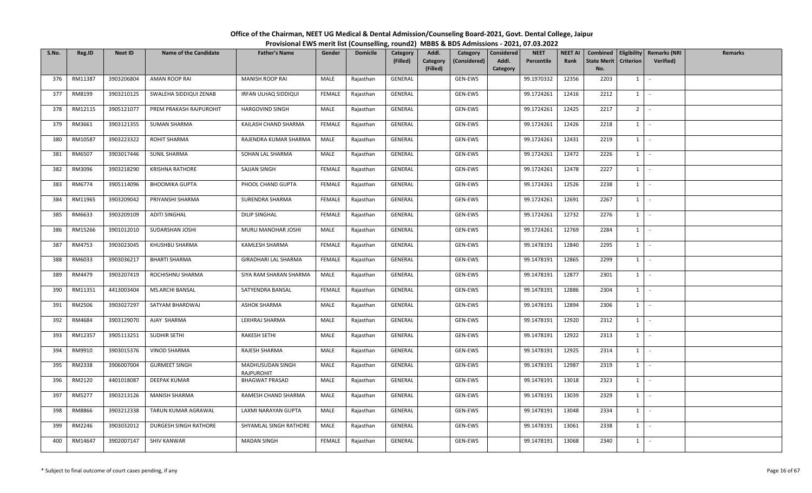| S.No. | Reg.ID  | <b>Neet ID</b> | <b>Name of the Candidate</b> | <b>Father's Name</b>           | Gender        | <b>Domicile</b> | Category<br>(Filled) | Addl.<br>Category<br>(Filled) | Category<br>(Considered) | <b>Considered</b><br>Addl.<br>Category | <b>NEET</b><br>Percentile | <b>NEET AI</b><br>Rank | Combined<br><b>State Merit</b><br>No. | <b>Criterion</b> | Eligibility   Remarks (NRI<br>Verified) | Remarks |
|-------|---------|----------------|------------------------------|--------------------------------|---------------|-----------------|----------------------|-------------------------------|--------------------------|----------------------------------------|---------------------------|------------------------|---------------------------------------|------------------|-----------------------------------------|---------|
| 376   | RM11387 | 3903206804     | AMAN ROOP RAI                | <b>MANISH ROOP RAI</b>         | MALE          | Rajasthan       | GENERAL              |                               | GEN-EWS                  |                                        | 99.1970332                | 12356                  | 2203                                  | 1                | $\sim$                                  |         |
| 377   | RM8199  | 3903210125     | SWALEHA SIDDIQUI ZENAB       | IRFAN ULHAQ SIDDIQUI           | <b>FEMALE</b> | Rajasthan       | GENERAL              |                               | GEN-EWS                  |                                        | 99.1724261                | 12416                  | 2212                                  | 1                | $\sim$                                  |         |
| 378   | RM12115 | 3905121077     | PREM PRAKASH RAJPUROHIT      | <b>HARGOVIND SINGH</b>         | MALE          | Rajasthan       | GENERAL              |                               | GEN-EWS                  |                                        | 99.1724261                | 12425                  | 2217                                  | 2 <sup>1</sup>   | $\sim$                                  |         |
| 379   | RM3661  | 3903121355     | <b>SUMAN SHARMA</b>          | KAILASH CHAND SHARMA           | FEMALE        | Rajasthan       | GENERAL              |                               | GEN-EWS                  |                                        | 99.1724261                | 12426                  | 2218                                  | $1 \quad$        | $\sim$                                  |         |
| 380   | RM10587 | 3903223322     | ROHIT SHARMA                 | RAJENDRA KUMAR SHARMA          | MALE          | Rajasthan       | GENERAL              |                               | GEN-EWS                  |                                        | 99.1724261                | 12431                  | 2219                                  | $1 \quad$        | $\sim$                                  |         |
| 381   | RM6507  | 3903017446     | SUNIL SHARMA                 | SOHAN LAL SHARMA               | MALE          | Rajasthan       | GENERAL              |                               | GEN-EWS                  |                                        | 99.1724261                | 12472                  | 2226                                  | $1 \quad$        | $\sim$                                  |         |
| 382   | RM3096  | 3903218290     | <b>KRISHNA RATHORE</b>       | SAJJAN SINGH                   | <b>FEMALE</b> | Rajasthan       | GENERAL              |                               | GEN-EWS                  |                                        | 99.1724261                | 12478                  | 2227                                  | 1                | $\sim$                                  |         |
| 383   | RM6774  | 3905114096     | <b>BHOOMIKA GUPTA</b>        | PHOOL CHAND GUPTA              | FEMALE        | Rajasthan       | GENERAL              |                               | GEN-EWS                  |                                        | 99.1724261                | 12526                  | 2238                                  | $1 \mid$         | $\sim$                                  |         |
| 384   | RM11965 | 3903209042     | PRIYANSHI SHARMA             | SURENDRA SHARMA                | FEMALE        | Rajasthan       | GENERAL              |                               | GEN-EWS                  |                                        | 99.1724261                | 12691                  | 2267                                  | $1 \mid$         | $\sim$                                  |         |
| 385   | RM6633  | 3903209109     | <b>ADITI SINGHAL</b>         | DILIP SINGHAL                  | <b>FEMALE</b> | Rajasthan       | GENERAL              |                               | GEN-EWS                  |                                        | 99.1724261                | 12732                  | 2276                                  | $1 \quad$        | $\sim$                                  |         |
| 386   | RM15266 | 3901012010     | SUDARSHAN JOSHI              | MURLI MANOHAR JOSHI            | MALE          | Rajasthan       | GENERAL              |                               | GEN-EWS                  |                                        | 99.1724261                | 12769                  | 2284                                  | $1 \mid -$       |                                         |         |
| 387   | RM4753  | 3903023045     | KHUSHBU SHARMA               | KAMLESH SHARMA                 | FEMALE        | Rajasthan       | GENERAL              |                               | GEN-EWS                  |                                        | 99.1478191                | 12840                  | 2295                                  | 1                | $\sim$                                  |         |
| 388   | RM6033  | 3903036217     | <b>BHARTI SHARMA</b>         | GIRADHARI LAL SHARMA           | FEMALE        | Rajasthan       | GENERAL              |                               | GEN-EWS                  |                                        | 99.1478191                | 12865                  | 2299                                  | $1 \quad$        | $\sim$                                  |         |
| 389   | RM4479  | 3903207419     | ROCHISHNU SHARMA             | SIYA RAM SHARAN SHARMA         | MALE          | Rajasthan       | GENERAL              |                               | GEN-EWS                  |                                        | 99.1478191                | 12877                  | 2301                                  | $1 \quad$        | $\sim$                                  |         |
| 390   | RM11351 | 4413003404     | MS.ARCHI BANSAL              | SATYENDRA BANSAL               | <b>FEMALE</b> | Rajasthan       | GENERAL              |                               | GEN-EWS                  |                                        | 99.1478191                | 12886                  | 2304                                  | 1                | $\sim$                                  |         |
| 391   | RM2506  | 3903027297     | SATYAM BHARDWAJ              | <b>ASHOK SHARMA</b>            | MALE          | Rajasthan       | GENERAL              |                               | GEN-EWS                  |                                        | 99.1478191                | 12894                  | 2306                                  | $1$ $-$          |                                         |         |
| 392   | RM4684  | 3903129070     | AJAY SHARMA                  | LEKHRAJ SHARMA                 | MALE          | Rajasthan       | GENERAL              |                               | GEN-EWS                  |                                        | 99.1478191                | 12920                  | 2312                                  | 1                | $\sim$                                  |         |
| 393   | RM12357 | 3905113251     | SUDHIR SETHI                 | RAKESH SETHI                   | MALE          | Rajasthan       | GENERAL              |                               | GEN-EWS                  |                                        | 99.1478191                | 12922                  | 2313                                  | $1 \quad$        | $\sim$                                  |         |
| 394   | RM9910  | 3903015376     | <b>VINOD SHARMA</b>          | RAJESH SHARMA                  | MALE          | Rajasthan       | GENERAL              |                               | GEN-EWS                  |                                        | 99.1478191                | 12925                  | 2314                                  | $1 \quad$        | $\sim$                                  |         |
| 395   | RM2338  | 3906007004     | <b>GURMEET SINGH</b>         | MADHUSUDAN SINGH<br>RAJPUROHIT | MALE          | Rajasthan       | GENERAL              |                               | GEN-EWS                  |                                        | 99.1478191                | 12987                  | 2319                                  | $1 \quad$        | $\sim$                                  |         |
| 396   | RM2120  | 4401018087     | DEEPAK KUMAR                 | <b>BHAGWAT PRASAD</b>          | MALE          | Rajasthan       | GENERAL              |                               | GEN-EWS                  |                                        | 99.1478191                | 13018                  | 2323                                  | 1                | $\sim$ $-$                              |         |
| 397   | RM5277  | 3903213126     | <b>MANISH SHARMA</b>         | RAMESH CHAND SHARMA            | MALE          | Rajasthan       | GENERAL              |                               | GEN-EWS                  |                                        | 99.1478191                | 13039                  | 2329                                  | $1 \quad$        | $\sim$                                  |         |
| 398   | RM8866  | 3903212338     | TARUN KUMAR AGRAWAL          | LAXMI NARAYAN GUPTA            | MALE          | Rajasthan       | GENERAL              |                               | GEN-EWS                  |                                        | 99.1478191                | 13048                  | 2334                                  | $1 \quad$        | $\sim$                                  |         |
| 399   | RM2246  | 3903032012     | DURGESH SINGH RATHORE        | SHYAMLAL SINGH RATHORE         | MALE          | Rajasthan       | GENERAL              |                               | GEN-EWS                  |                                        | 99.1478191                | 13061                  | 2338                                  | $1 \quad$        | $\sim$                                  |         |
| 400   | RM14647 | 3902007147     | <b>SHIV KANWAR</b>           | <b>MADAN SINGH</b>             | FEMALE        | Rajasthan       | GENERAL              |                               | GEN-EWS                  |                                        | 99.1478191                | 13068                  | 2340                                  | $1\phantom{0}$   | $\sim$                                  |         |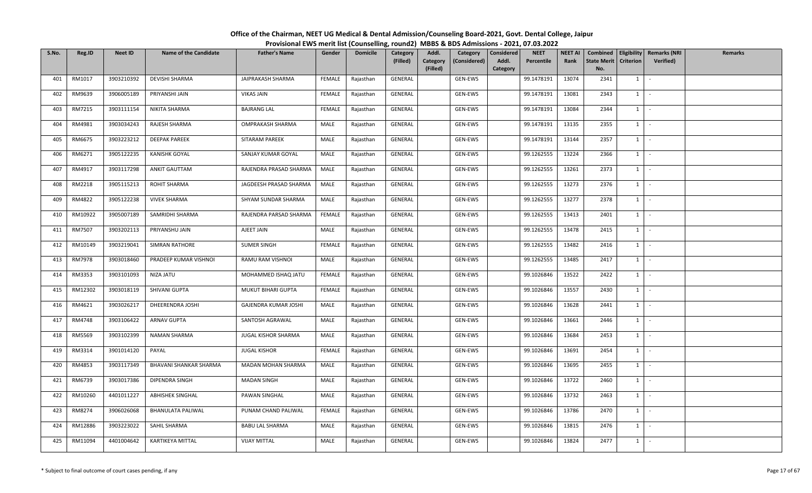| S.No. | Reg.ID  | <b>Neet ID</b> | <b>Name of the Candidate</b> | <b>Father's Name</b>   | Gender        | <b>Domicile</b> | Category<br>(Filled) | Addl.<br>Category<br>(Filled) | Category<br>(Considered) | <b>Considered</b><br>Addl.<br>Category | <b>NEET</b><br>Percentile | <b>NEET AI</b><br>Rank | <b>State Merit</b><br>No. | <b>Criterion</b> | Combined   Eligibility   Remarks (NRI<br>Verified) | Remarks |
|-------|---------|----------------|------------------------------|------------------------|---------------|-----------------|----------------------|-------------------------------|--------------------------|----------------------------------------|---------------------------|------------------------|---------------------------|------------------|----------------------------------------------------|---------|
| 401   | RM1017  | 3903210392     | DEVISHI SHARMA               | JAIPRAKASH SHARMA      | FEMALE        | Rajasthan       | GENERAL              |                               | GEN-EWS                  |                                        | 99.1478191                | 13074                  | 2341                      | $1 \quad$        | $\sim$                                             |         |
| 402   | RM9639  | 3906005189     | PRIYANSHI JAIN               | <b>VIKAS JAIN</b>      | FEMALE        | Rajasthan       | GENERAL              |                               | GEN-EWS                  |                                        | 99.1478191                | 13081                  | 2343                      | 1                | $\sim$                                             |         |
| 403   | RM7215  | 3903111154     | NIKITA SHARMA                | <b>BAJRANG LAL</b>     | FEMALE        | Rajasthan       | GENERAL              |                               | GEN-EWS                  |                                        | 99.1478191                | 13084                  | 2344                      | $1 \quad$        | $\sim$                                             |         |
| 404   | RM4981  | 3903034243     | RAJESH SHARMA                | OMPRAKASH SHARMA       | MALE          | Rajasthan       | GENERAL              |                               | GEN-EWS                  |                                        | 99.1478191                | 13135                  | 2355                      | $1 \quad$        | $\sim$                                             |         |
| 405   | RM6675  | 3903223212     | <b>DEEPAK PAREEK</b>         | SITARAM PAREEK         | MALE          | Rajasthan       | GENERAL              |                               | GEN-EWS                  |                                        | 99.1478191                | 13144                  | 2357                      | $1 \quad$        | $\sim$                                             |         |
| 406   | RM6271  | 3905122235     | <b>KANISHK GOYAL</b>         | SANJAY KUMAR GOYAL     | MALE          | Rajasthan       | GENERAL              |                               | GEN-EWS                  |                                        | 99.1262555                | 13224                  | 2366                      | $1 \quad$        | $\sim$                                             |         |
| 407   | RM4917  | 3903117298     | <b>ANKIT GAUTTAM</b>         | RAJENDRA PRASAD SHARMA | MALE          | Rajasthan       | GENERAL              |                               | GEN-EWS                  |                                        | 99.1262555                | 13261                  | 2373                      | 1                | $\sim$                                             |         |
| 408   | RM2218  | 3905115213     | ROHIT SHARMA                 | JAGDEESH PRASAD SHARMA | MALE          | Rajasthan       | GENERAL              |                               | GEN-EWS                  |                                        | 99.1262555                | 13273                  | 2376                      | $1$ -            |                                                    |         |
| 409   | RM4822  | 3905122238     | <b>VIVEK SHARMA</b>          | SHYAM SUNDAR SHARMA    | MALE          | Rajasthan       | GENERAL              |                               | GEN-EWS                  |                                        | 99.1262555                | 13277                  | 2378                      | $1 \quad$        | $\sim$                                             |         |
| 410   | RM10922 | 3905007189     | SAMRIDHI SHARMA              | RAJENDRA PARSAD SHARMA | FEMALE        | Rajasthan       | GENERAL              |                               | GEN-EWS                  |                                        | 99.1262555                | 13413                  | 2401                      | $1 \quad$        | $\sim$                                             |         |
| 411   | RM7507  | 3903202113     | PRIYANSHU JAIN               | AJEET JAIN             | MALE          | Rajasthan       | GENERAL              |                               | GEN-EWS                  |                                        | 99.1262555                | 13478                  | 2415                      | $1 \mid -$       |                                                    |         |
| 412   | RM10149 | 3903219041     | <b>SIMRAN RATHORE</b>        | <b>SUMER SINGH</b>     | <b>FEMALE</b> | Rajasthan       | GENERAL              |                               | GEN-EWS                  |                                        | 99.1262555                | 13482                  | 2416                      | $1 \quad$        | $\sim$                                             |         |
| 413   | RM7978  | 3903018460     | PRADEEP KUMAR VISHNOI        | RAMU RAM VISHNOI       | MALE          | Rajasthan       | GENERAL              |                               | GEN-EWS                  |                                        | 99.1262555                | 13485                  | 2417                      | $1 \quad$        | $\sim$                                             |         |
| 414   | RM3353  | 3903101093     | NIZA JATU                    | MOHAMMED ISHAQ JATU    | FEMALE        | Rajasthan       | GENERAL              |                               | GEN-EWS                  |                                        | 99.1026846                | 13522                  | 2422                      | $1 \quad$        | $\sim$                                             |         |
| 415   | RM12302 | 3903018119     | SHIVANI GUPTA                | MUKUT BIHARI GUPTA     | <b>FEMALE</b> | Rajasthan       | GENERAL              |                               | GEN-EWS                  |                                        | 99.1026846                | 13557                  | 2430                      | 1                | $\sim$                                             |         |
| 416   | RM4621  | 3903026217     | DHEERENDRA JOSHI             | GAJENDRA KUMAR JOSHI   | MALE          | Rajasthan       | GENERAL              |                               | GEN-EWS                  |                                        | 99.1026846                | 13628                  | 2441                      | $1$ $-$          |                                                    |         |
| 417   | RM4748  | 3903106422     | <b>ARNAV GUPTA</b>           | SANTOSH AGRAWAL        | MALE          | Rajasthan       | GENERAL              |                               | GEN-EWS                  |                                        | 99.1026846                | 13661                  | 2446                      | 1                | $\sim$                                             |         |
| 418   | RM5569  | 3903102399     | NAMAN SHARMA                 | JUGAL KISHOR SHARMA    | MALE          | Rajasthan       | GENERAL              |                               | GEN-EWS                  |                                        | 99.1026846                | 13684                  | 2453                      | $1 \quad$        | $\sim$                                             |         |
| 419   | RM3314  | 3901014120     | PAYAL                        | <b>JUGAL KISHOR</b>    | FEMALE        | Rajasthan       | GENERAL              |                               | GEN-EWS                  |                                        | 99.1026846                | 13691                  | 2454                      | $1 \quad$        | $\sim$                                             |         |
| 420   | RM4853  | 3903117349     | BHAVANI SHANKAR SHARMA       | MADAN MOHAN SHARMA     | MALE          | Rajasthan       | GENERAL              |                               | GEN-EWS                  |                                        | 99.1026846                | 13695                  | 2455                      | $1 \quad$        | $\sim$                                             |         |
| 421   | RM6739  | 3903017386     | DIPENDRA SINGH               | <b>MADAN SINGH</b>     | MALE          | Rajasthan       | GENERAL              |                               | GEN-EWS                  |                                        | 99.1026846                | 13722                  | 2460                      | 1                | $\sim$ $-$                                         |         |
| 422   | RM10260 | 4401011227     | <b>ABHISHEK SINGHAL</b>      | PAWAN SINGHAL          | MALE          | Rajasthan       | GENERAL              |                               | GEN-EWS                  |                                        | 99.1026846                | 13732                  | 2463                      | $1 \quad$        | $\sim$                                             |         |
| 423   | RM8274  | 3906026068     | <b>BHANULATA PALIWAL</b>     | PUNAM CHAND PALIWAL    | <b>FEMALE</b> | Rajasthan       | GENERAL              |                               | GEN-EWS                  |                                        | 99.1026846                | 13786                  | 2470                      | $1 \quad$        | $\sim$                                             |         |
| 424   | RM12886 | 3903223022     | SAHIL SHARMA                 | <b>BABU LAL SHARMA</b> | MALE          | Rajasthan       | GENERAL              |                               | GEN-EWS                  |                                        | 99.1026846                | 13815                  | 2476                      | $1 \quad$        | $\sim$                                             |         |
| 425   | RM11094 | 4401004642     | KARTIKEYA MITTAL             | <b>VIJAY MITTAL</b>    | MALE          | Rajasthan       | GENERAL              |                               | GEN-EWS                  |                                        | 99.1026846                | 13824                  | 2477                      | $1\phantom{0}$   | $\sim$                                             |         |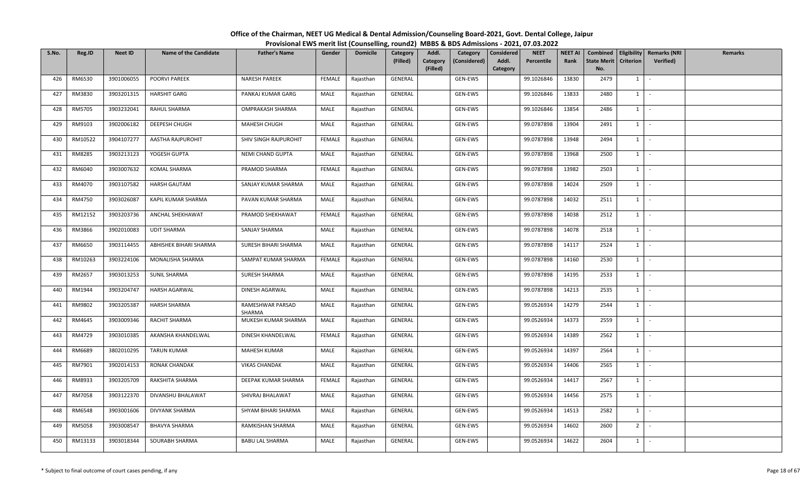| S.No. | Reg.ID  | <b>Neet ID</b> | <b>Name of the Candidate</b> | <b>Father's Name</b>       | Gender        | <b>Domicile</b> | Category<br>(Filled) | Addl.<br>Category<br>(Considered)<br>Category<br>(Filled) | <b>NEET</b><br>Considered<br>Addl.<br>Percentile<br>Category | <b>NEET AI</b><br>Rank | <b>State Merit</b><br>No. | <b>Criterion</b> | Combined   Eligibility   Remarks (NRI<br><b>Verified</b> ) | Remarks |
|-------|---------|----------------|------------------------------|----------------------------|---------------|-----------------|----------------------|-----------------------------------------------------------|--------------------------------------------------------------|------------------------|---------------------------|------------------|------------------------------------------------------------|---------|
| 426   | RM6530  | 3901006055     | <b>POORVI PAREEK</b>         | <b>NARESH PAREEK</b>       | FEMALE        | Rajasthan       | GENERAL              | GEN-EWS                                                   | 99.1026846                                                   | 13830                  | 2479                      | $1 \vert$        |                                                            |         |
| 427   | RM3830  | 3903201315     | <b>HARSHIT GARG</b>          | PANKAJ KUMAR GARG          | MALE          | Rajasthan       | GENERAL              | GEN-EWS                                                   | 99.1026846                                                   | 13833                  | 2480                      | $1 \vert$        | $\sim$                                                     |         |
| 428   | RM5705  | 3903232041     | RAHUL SHARMA                 | OMPRAKASH SHARMA           | MALE          | Rajasthan       | GENERAL              | GEN-EWS                                                   | 99.1026846                                                   | 13854                  | 2486                      | $1 \mid$         |                                                            |         |
| 429   | RM9103  | 3902006182     | DEEPESH CHUGH                | MAHESH CHUGH               | MALE          | Rajasthan       | GENERAL              | GEN-EWS                                                   | 99.0787898                                                   | 13904                  | 2491                      | $1 \vert$        | $\mathcal{L}$                                              |         |
| 430   | RM10522 | 3904107277     | AASTHA RAJPUROHIT            | SHIV SINGH RAJPUROHIT      | FEMALE        | Rajasthan       | GENERAL              | GEN-EWS                                                   | 99.0787898                                                   | 13948                  | 2494                      | $1 \vert$        | $\sim$                                                     |         |
| 431   | RM8285  | 3903213123     | YOGESH GUPTA                 | NEMI CHAND GUPTA           | MALE          | Rajasthan       | GENERAL              | GEN-EWS                                                   | 99.0787898                                                   | 13968                  | 2500                      | $1 \vert$        | $\sim$                                                     |         |
| 432   | RM6040  | 3903007632     | KOMAL SHARMA                 | PRAMOD SHARMA              | <b>FEMALE</b> | Rajasthan       | GENERAL              | GEN-EWS                                                   | 99.0787898                                                   | 13982                  | 2503                      | $1 \vert$        | $\sim$                                                     |         |
| 433   | RM4070  | 3903107582     | HARSH GAUTAM                 | SANJAY KUMAR SHARMA        | MALE          | Rajasthan       | GENERAL              | GEN-EWS                                                   | 99.0787898                                                   | 14024                  | 2509                      | $1 \mid$         | $\sim$                                                     |         |
| 434   | RM4750  | 3903026087     | KAPIL KUMAR SHARMA           | PAVAN KUMAR SHARMA         | MALE          | Rajasthan       | GENERAL              | GEN-EWS                                                   | 99.0787898                                                   | 14032                  | 2511                      | $1 \mid$         | $\sim$                                                     |         |
| 435   | RM12152 | 3903203736     | ANCHAL SHEKHAWAT             | PRAMOD SHEKHAWAT           | FEMALE        | Rajasthan       | GENERAL              | GEN-EWS                                                   | 99.0787898                                                   | 14038                  | 2512                      | $\mathbf{1}$     | $\sim$                                                     |         |
| 436   | RM3866  | 3902010083     | <b>UDIT SHARMA</b>           | SANJAY SHARMA              | MALE          | Rajasthan       | GENERAL              | GEN-EWS                                                   | 99.0787898                                                   | 14078                  | 2518                      | $1 \cdot$        |                                                            |         |
| 437   | RM6650  | 3903114455     | ABHISHEK BIHARI SHARMA       | SURESH BIHARI SHARMA       | MALE          | Rajasthan       | GENERAL              | GEN-EWS                                                   | 99.0787898                                                   | 14117                  | 2524                      | $1 \vert$        | $\sim$                                                     |         |
| 438   | RM10263 | 3903224106     | MONALISHA SHARMA             | SAMPAT KUMAR SHARMA        | FEMALE        | Rajasthan       | GENERAL              | GEN-EWS                                                   | 99.0787898                                                   | 14160                  | 2530                      | 1                |                                                            |         |
| 439   | RM2657  | 3903013253     | <b>SUNIL SHARMA</b>          | SURESH SHARMA              | MALE          | Rajasthan       | GENERAL              | GEN-EWS                                                   | 99.0787898                                                   | 14195                  | 2533                      | $1 \vert$        | $\sim$                                                     |         |
| 440   | RM1944  | 3903204747     | <b>HARSH AGARWAL</b>         | DINESH AGARWAL             | MALE          | Rajasthan       | GENERAL              | GEN-EWS                                                   | 99.0787898                                                   | 14213                  | 2535                      | $1 \vert$        |                                                            |         |
| 441   | RM9802  | 3903205387     | <b>HARSH SHARMA</b>          | RAMESHWAR PARSAD<br>SHARMA | MALE          | Rajasthan       | GENERAL              | GEN-EWS                                                   | 99.0526934                                                   | 14279                  | 2544                      | $1$ $\cdot$      |                                                            |         |
| 442   | RM4645  | 3903009346     | RACHIT SHARMA                | MUKESH KUMAR SHARMA        | MALE          | Rajasthan       | GENERAL              | GEN-EWS                                                   | 99.0526934                                                   | 14373                  | 2559                      | 1                |                                                            |         |
| 443   | RM4729  | 3903010385     | AKANSHA KHANDELWAL           | DINESH KHANDELWAL          | FEMALE        | Rajasthan       | GENERAL              | GEN-EWS                                                   | 99.0526934                                                   | 14389                  | 2562                      | $1 \vert$        | $\sim$                                                     |         |
| 444   | RM6689  | 3802010295     | <b>TARUN KUMAR</b>           | MAHESH KUMAR               | MALE          | Rajasthan       | GENERAL              | GEN-EWS                                                   | 99.0526934                                                   | 14397                  | 2564                      | $1 \vert$        | $\sim$                                                     |         |
| 445   | RM7901  | 3902014153     | <b>RONAK CHANDAK</b>         | <b>VIKAS CHANDAK</b>       | MALE          | Rajasthan       | GENERAL              | GEN-EWS                                                   | 99.0526934                                                   | 14406                  | 2565                      | $1 \vert$        | $\sim$                                                     |         |
| 446   | RM8933  | 3903205709     | RAKSHITA SHARMA              | DEEPAK KUMAR SHARMA        | FEMALE        | Rajasthan       | GENERAL              | GEN-EWS                                                   | 99.0526934                                                   | 14417                  | 2567                      | $1$ $-$          |                                                            |         |
| 447   | RM7058  | 3903122370     | DIVANSHU BHALAWAT            | SHIVRAJ BHALAWAT           | MALE          | Rajasthan       | GENERAL              | GEN-EWS                                                   | 99.0526934                                                   | 14456                  | 2575                      | $1 \mid$         | $\sim$                                                     |         |
| 448   | RM6548  | 3903001606     | <b>DIVYANK SHARMA</b>        | SHYAM BIHARI SHARMA        | MALE          | Rajasthan       | GENERAL              | GEN-EWS                                                   | 99.0526934                                                   | 14513                  | 2582                      | $1 \mid$         | $\sim$                                                     |         |
| 449   | RM5058  | 3903008547     | BHAVYA SHARMA                | RAMKISHAN SHARMA           | MALE          | Rajasthan       | GENERAL              | GEN-EWS                                                   | 99.0526934                                                   | 14602                  | 2600                      | 2 <sup>1</sup>   | $\sim$                                                     |         |
| 450   | RM13133 | 3903018344     | SOURABH SHARMA               | <b>BABU LAL SHARMA</b>     | MALE          | Rajasthan       | GENERAL              | GEN-EWS                                                   | 99.0526934                                                   | 14622                  | 2604                      | $1 \mid$         | $\sim$                                                     |         |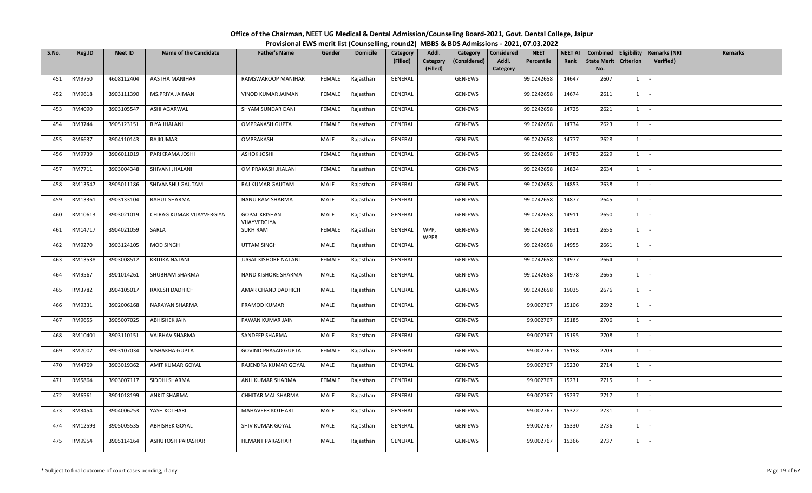| S.No. | Reg.ID  | <b>Neet ID</b> | <b>Name of the Candidate</b> | <b>Father's Name</b>                 | Gender        | <b>Domicile</b> | Category<br>(Filled) | Addl.<br>Category<br>(Filled) | Category<br>(Considered) | <b>Considered</b><br>Addl.<br>Category | <b>NEET</b><br>Percentile | <b>NEET AI</b><br>Rank | <b>State Merit</b><br>No. | <b>Criterion</b> | Combined   Eligibility   Remarks (NRI<br>Verified) | Remarks |
|-------|---------|----------------|------------------------------|--------------------------------------|---------------|-----------------|----------------------|-------------------------------|--------------------------|----------------------------------------|---------------------------|------------------------|---------------------------|------------------|----------------------------------------------------|---------|
| 451   | RM9750  | 4608112404     | AASTHA MANIHAR               | RAMSWAROOP MANIHAR                   | FEMALE        | Rajasthan       | GENERAL              |                               | GEN-EWS                  |                                        | 99.0242658                | 14647                  | 2607                      | $1 \quad$        | $\sim$                                             |         |
| 452   | RM9618  | 3903111390     | MS.PRIYA JAIMAN              | VINOD KUMAR JAIMAN                   | FEMALE        | Rajasthan       | GENERAL              |                               | GEN-EWS                  |                                        | 99.0242658                | 14674                  | 2611                      | 1                | $\sim$                                             |         |
| 453   | RM4090  | 3903105547     | ASHI AGARWAL                 | SHYAM SUNDAR DANI                    | FEMALE        | Rajasthan       | GENERAL              |                               | GEN-EWS                  |                                        | 99.0242658                | 14725                  | 2621                      | $1 \quad$        | $\sim$                                             |         |
| 454   | RM3744  | 3905123151     | RIYA JHALANI                 | OMPRAKASH GUPTA                      | FEMALE        | Rajasthan       | GENERAL              |                               | GEN-EWS                  |                                        | 99.0242658                | 14734                  | 2623                      | $1 \quad$        | $\sim$                                             |         |
| 455   | RM6637  | 3904110143     | RAJKUMAR                     | OMPRAKASH                            | MALE          | Rajasthan       | GENERAL              |                               | GEN-EWS                  |                                        | 99.0242658                | 14777                  | 2628                      | $1 \quad$        | $\sim$                                             |         |
| 456   | RM9739  | 3906011019     | PARIKRAMA JOSHI              | <b>ASHOK JOSHI</b>                   | FEMALE        | Rajasthan       | GENERAL              |                               | GEN-EWS                  |                                        | 99.0242658                | 14783                  | 2629                      | $1 \quad$        | $\sim$                                             |         |
| 457   | RM7711  | 3903004348     | SHIVANI JHALANI              | OM PRAKASH JHALANI                   | <b>FEMALE</b> | Rajasthan       | GENERAL              |                               | GEN-EWS                  |                                        | 99.0242658                | 14824                  | 2634                      | 1                | $\sim$                                             |         |
| 458   | RM13547 | 3905011186     | SHIVANSHU GAUTAM             | RAJ KUMAR GAUTAM                     | MALE          | Rajasthan       | GENERAL              |                               | GEN-EWS                  |                                        | 99.0242658                | 14853                  | 2638                      | $1 \mid$         | $\sim$                                             |         |
| 459   | RM13361 | 3903133104     | RAHUL SHARMA                 | NANU RAM SHARMA                      | MALE          | Rajasthan       | GENERAL              |                               | GEN-EWS                  |                                        | 99.0242658                | 14877                  | 2645                      | $1\vert$         | $\sim$                                             |         |
| 460   | RM10613 | 3903021019     | CHIRAG KUMAR VIJAYVERGIYA    | <b>GOPAL KRISHAN</b><br>VIJAYVERGIYA | MALE          | Rajasthan       | GENERAL              |                               | GEN-EWS                  |                                        | 99.0242658                | 14911                  | 2650                      | $1 \quad$        | $\sim$                                             |         |
| 461   | RM14717 | 3904021059     | SARLA                        | <b>SUKH RAM</b>                      | FEMALE        | Rajasthan       | GENERAL              | WPP,<br>WPP8                  | GEN-EWS                  |                                        | 99.0242658                | 14931                  | 2656                      | $1 \mid$         | $\sim$                                             |         |
| 462   | RM9270  | 3903124105     | MOD SINGH                    | <b>UTTAM SINGH</b>                   | MALE          | Rajasthan       | GENERAL              |                               | GEN-EWS                  |                                        | 99.0242658                | 14955                  | 2661                      | $1 \quad$        | $\sim$                                             |         |
| 463   | RM13538 | 3903008512     | <b>KRITIKA NATANI</b>        | JUGAL KISHORE NATANI                 | FEMALE        | Rajasthan       | GENERAL              |                               | GEN-EWS                  |                                        | 99.0242658                | 14977                  | 2664                      | $1 \quad$        | $\sim$                                             |         |
| 464   | RM9567  | 3901014261     | SHUBHAM SHARMA               | NAND KISHORE SHARMA                  | MALE          | Rajasthan       | GENERAL              |                               | GEN-EWS                  |                                        | 99.0242658                | 14978                  | 2665                      | $1 \quad$        | $\sim$                                             |         |
| 465   | RM3782  | 3904105017     | RAKESH DADHICH               | AMAR CHAND DADHICH                   | MALE          | Rajasthan       | GENERAL              |                               | GEN-EWS                  |                                        | 99.0242658                | 15035                  | 2676                      | 1                | $\sim$                                             |         |
| 466   | RM9331  | 3902006168     | NARAYAN SHARMA               | PRAMOD KUMAR                         | MALE          | Rajasthan       | GENERAL              |                               | GEN-EWS                  |                                        | 99.002767                 | 15106                  | 2692                      | $1$ $-$          |                                                    |         |
| 467   | RM9655  | 3905007025     | <b>ABHISHEK JAIN</b>         | PAWAN KUMAR JAIN                     | MALE          | Rajasthan       | GENERAL              |                               | GEN-EWS                  |                                        | 99.002767                 | 15185                  | 2706                      | 1                | $\sim$                                             |         |
| 468   | RM10401 | 3903110151     | VAIBHAV SHARMA               | SANDEEP SHARMA                       | MALE          | Rajasthan       | GENERAL              |                               | GEN-EWS                  |                                        | 99.002767                 | 15195                  | 2708                      | $1 \quad$        | $\sim$                                             |         |
| 469   | RM7007  | 3903107034     | VISHAKHA GUPTA               | <b>GOVIND PRASAD GUPTA</b>           | FEMALE        | Rajasthan       | GENERAL              |                               | GEN-EWS                  |                                        | 99.002767                 | 15198                  | 2709                      | $1 \quad$        | $\sim$                                             |         |
| 470   | RM4769  | 3903019362     | AMIT KUMAR GOYAL             | RAJENDRA KUMAR GOYAL                 | MALE          | Rajasthan       | GENERAL              |                               | GEN-EWS                  |                                        | 99.002767                 | 15230                  | 2714                      | $1 \quad$        | $\sim$                                             |         |
| 471   | RM5864  | 3903007117     | SIDDHI SHARMA                | ANIL KUMAR SHARMA                    | FEMALE        | Rajasthan       | GENERAL              |                               | GEN-EWS                  |                                        | 99.002767                 | 15231                  | 2715                      | 1                | $\sim$                                             |         |
| 472   | RM6561  | 3901018199     | <b>ANKIT SHARMA</b>          | CHHITAR MAL SHARMA                   | MALE          | Rajasthan       | GENERAL              |                               | GEN-EWS                  |                                        | 99.002767                 | 15237                  | 2717                      | $1 \quad$        | $\sim$                                             |         |
| 473   | RM3454  | 3904006253     | YASH KOTHARI                 | MAHAVEER KOTHARI                     | MALE          | Rajasthan       | GENERAL              |                               | GEN-EWS                  |                                        | 99.002767                 | 15322                  | 2731                      | $1 \quad$        | $\sim$                                             |         |
| 474   | RM12593 | 3905005535     | ABHISHEK GOYAL               | SHIV KUMAR GOYAL                     | MALE          | Rajasthan       | GENERAL              |                               | GEN-EWS                  |                                        | 99.002767                 | 15330                  | 2736                      | $1 \quad$        | $\sim$                                             |         |
| 475   | RM9954  | 3905114164     | ASHUTOSH PARASHAR            | <b>HEMANT PARASHAR</b>               | MALE          | Rajasthan       | GENERAL              |                               | GEN-EWS                  |                                        | 99.002767                 | 15366                  | 2737                      | $1\phantom{0}$   | $\sim$                                             |         |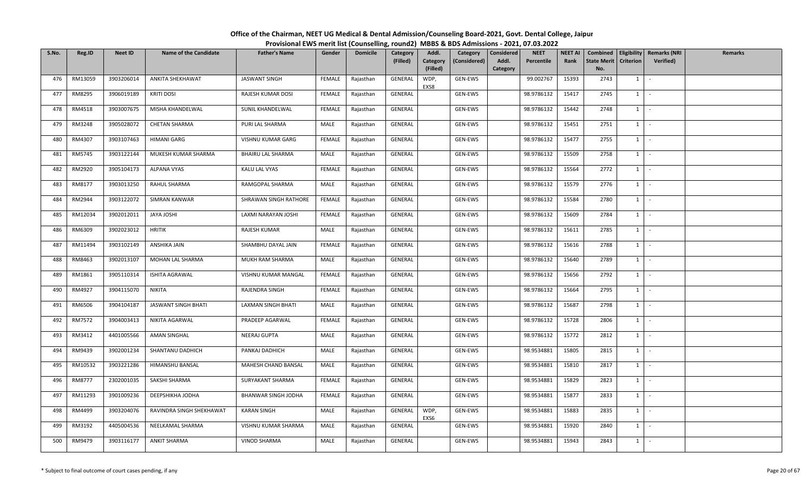| S.No. | Reg.ID  | <b>Neet ID</b> | <b>Name of the Candidate</b> | <b>Father's Name</b>  | Gender        | <b>Domicile</b> | <b>Category</b><br>(Filled) | Addl.<br>Category<br>(Filled) | Category<br>(Considered) | <b>NEET</b><br>Considered<br>Percentile<br>Addl.<br>Category | <b>NEET AI</b><br>Rank | <b>State Merit</b><br>No. | <b>Criterion</b> | Combined   Eligibility   Remarks (NRI<br><b>Verified</b> ) | Remarks |
|-------|---------|----------------|------------------------------|-----------------------|---------------|-----------------|-----------------------------|-------------------------------|--------------------------|--------------------------------------------------------------|------------------------|---------------------------|------------------|------------------------------------------------------------|---------|
| 476   | RM13059 | 3903206014     | ANKITA SHEKHAWAT             | <b>JASWANT SINGH</b>  | FEMALE        | Rajasthan       | GENERAL                     | WDP,<br>EXS8                  | GEN-EWS                  | 99.002767                                                    | 15393                  | 2743                      | $1 \vert$        |                                                            |         |
| 477   | RM8295  | 3906019189     | <b>KRITI DOSI</b>            | RAJESH KUMAR DOSI     | <b>FEMALE</b> | Rajasthan       | GENERAL                     |                               | GEN-EWS                  | 98.9786132                                                   | 15417                  | 2745                      | $1 \mid$         | $\sim$                                                     |         |
| 478   | RM4518  | 3903007675     | MISHA KHANDELWAL             | SUNIL KHANDELWAL      | FEMALE        | Rajasthan       | GENERAL                     |                               | GEN-EWS                  | 98.9786132                                                   | 15442                  | 2748                      | $1 \mid$         |                                                            |         |
| 479   | RM3248  | 3905028072     | <b>CHETAN SHARMA</b>         | PURI LAL SHARMA       | MALE          | Rajasthan       | GENERAL                     |                               | GEN-EWS                  | 98.9786132                                                   | 15451                  | 2751                      | $1 \vert$        | $\sim$                                                     |         |
| 480   | RM4307  | 3903107463     | HIMANI GARG                  | VISHNU KUMAR GARG     | FEMALE        | Rajasthan       | GENERAL                     |                               | GEN-EWS                  | 98.9786132                                                   | 15477                  | 2755                      | $1 \vert$        | $\sim$                                                     |         |
| 481   | RM5745  | 3903122144     | MUKESH KUMAR SHARMA          | BHAIRU LAL SHARMA     | MALE          | Rajasthan       | GENERAL                     |                               | GEN-EWS                  | 98.9786132                                                   | 15509                  | 2758                      | $1 \vert$        | $\sim$                                                     |         |
| 482   | RM2920  | 3905104173     | <b>ALPANA VYAS</b>           | KALU LAL VYAS         | FEMALE        | Rajasthan       | GENERAL                     |                               | GEN-EWS                  | 98.9786132                                                   | 15564                  | 2772                      | $1 \vert$        | $\sim$                                                     |         |
| 483   | RM8177  | 3903013250     | RAHUL SHARMA                 | RAMGOPAL SHARMA       | MALE          | Rajasthan       | GENERAL                     |                               | GEN-EWS                  | 98.9786132                                                   | 15579                  | 2776                      | $1 \mid$         | $\sim$                                                     |         |
| 484   | RM2944  | 3903122072     | SIMRAN KANWAR                | SHRAWAN SINGH RATHORE | FEMALE        | Rajasthan       | GENERAL                     |                               | GEN-EWS                  | 98.9786132                                                   | 15584                  | 2780                      | $1 \mid$         | $\sim$                                                     |         |
| 485   | RM12034 | 3902012011     | <b>JAYA JOSHI</b>            | LAXMI NARAYAN JOSHI   | FEMALE        | Rajasthan       | GENERAL                     |                               | GEN-EWS                  | 98.9786132                                                   | 15609                  | 2784                      | $\mathbf{1}$     |                                                            |         |
| 486   | RM6309  | 3902023012     | <b>HRITIK</b>                | RAJESH KUMAR          | MALE          | Rajasthan       | GENERAL                     |                               | GEN-EWS                  | 98.9786132                                                   | 15611                  | 2785                      | 1                | $\sim$                                                     |         |
| 487   | RM11494 | 3903102149     | ANSHIKA JAIN                 | SHAMBHU DAYAL JAIN    | FEMALE        | Rajasthan       | GENERAL                     |                               | GEN-EWS                  | 98.9786132                                                   | 15616                  | 2788                      | $1 \vert$        | $\sim$                                                     |         |
| 488   | RM8463  | 3902013107     | MOHAN LAL SHARMA             | MUKH RAM SHARMA       | MALE          | Rajasthan       | GENERAL                     |                               | GEN-EWS                  | 98.9786132                                                   | 15640                  | 2789                      | 1                |                                                            |         |
| 489   | RM1861  | 3905110314     | ISHITA AGRAWAL               | VISHNU KUMAR MANGAL   | FEMALE        | Rajasthan       | GENERAL                     |                               | GEN-EWS                  | 98.9786132                                                   | 15656                  | 2792                      | $1 \vert$        | $\sim$                                                     |         |
| 490   | RM4927  | 3904115070     | NIKITA                       | RAJENDRA SINGH        | FEMALE        | Rajasthan       | GENERAL                     |                               | GEN-EWS                  | 98.9786132                                                   | 15664                  | 2795                      | $1 \vert$        |                                                            |         |
| 491   | RM6506  | 3904104187     | JASWANT SINGH BHATI          | LAXMAN SINGH BHATI    | MALE          | Rajasthan       | GENERAL                     |                               | GEN-EWS                  | 98.9786132                                                   | 15687                  | 2798                      | $1$ $\cdot$      |                                                            |         |
| 492   | RM7572  | 3904003413     | NIKITA AGARWAL               | PRADEEP AGARWAL       | FEMALE        | Rajasthan       | GENERAL                     |                               | GEN-EWS                  | 98.9786132                                                   | 15728                  | 2806                      | 1                |                                                            |         |
| 493   | RM3412  | 4401005566     | <b>AMAN SINGHAL</b>          | NEERAJ GUPTA          | MALE          | Rajasthan       | GENERAL                     |                               | GEN-EWS                  | 98.9786132                                                   | 15772                  | 2812                      | $1 \vert$        | $\sim$                                                     |         |
| 494   | RM9439  | 3902001234     | SHANTANU DADHICH             | PANKAJ DADHICH        | MALE          | Rajasthan       | GENERAL                     |                               | GEN-EWS                  | 98.9534881                                                   | 15805                  | 2815                      | $1 \vert$        | $\sim$                                                     |         |
| 495   | RM10532 | 3903221286     | HIMANSHU BANSAL              | MAHESH CHAND BANSAL   | MALE          | Rajasthan       | GENERAL                     |                               | GEN-EWS                  | 98.9534881                                                   | 15810                  | 2817                      | $1 \vert$        | $\sim$                                                     |         |
| 496   | RM8777  | 2302001035     | SAKSHI SHARMA                | SURYAKANT SHARMA      | FEMALE        | Rajasthan       | GENERAL                     |                               | GEN-EWS                  | 98.9534881                                                   | 15829                  | 2823                      | $1$ $-$          |                                                            |         |
| 497   | RM11293 | 3901009236     | DEEPSHIKHA JODHA             | BHANWAR SINGH JODHA   | FEMALE        | Rajasthan       | GENERAL                     |                               | GEN-EWS                  | 98.9534881                                                   | 15877                  | 2833                      | $1 \vert$        | $\sim$                                                     |         |
| 498   | RM4499  | 3903204076     | RAVINDRA SINGH SHEKHAWAT     | <b>KARAN SINGH</b>    | MALE          | Rajasthan       | GENERAL                     | WDP,<br>EXS6                  | GEN-EWS                  | 98.9534881                                                   | 15883                  | 2835                      | $1 \vert$        | $\sim$                                                     |         |
| 499   | RM3192  | 4405004536     | NEELKAMAL SHARMA             | VISHNU KUMAR SHARMA   | MALE          | Rajasthan       | GENERAL                     |                               | GEN-EWS                  | 98.9534881                                                   | 15920                  | 2840                      | $1 \vert$        | $\sim$                                                     |         |
| 500   | RM9479  | 3903116177     | <b>ANKIT SHARMA</b>          | <b>VINOD SHARMA</b>   | MALE          | Rajasthan       | GENERAL                     |                               | GEN-EWS                  | 98.9534881                                                   | 15943                  | 2843                      | $1 \mid$         | $\mathcal{L}$                                              |         |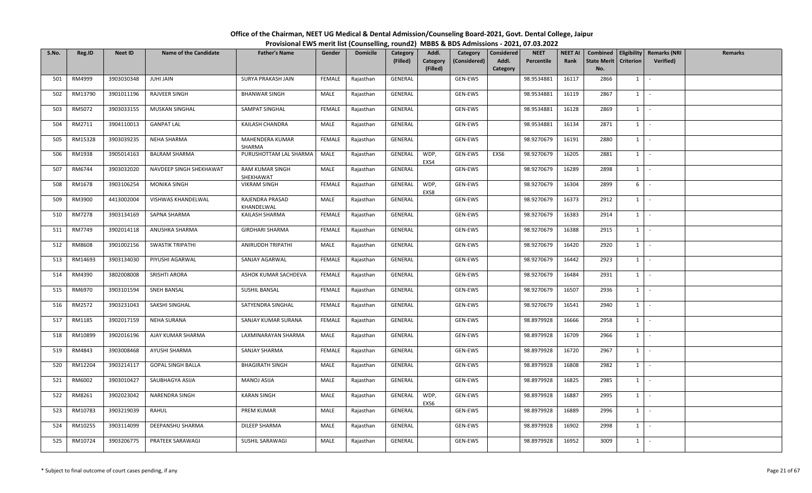| S.No. | Reg.ID        | <b>Neet ID</b> | <b>Name of the Candidate</b> | <b>Father's Name</b>          | Gender        | <b>Domicile</b> | Category<br>(Filled) | Addl.<br>Category | Category<br>(Considered) | Considered<br>Addl. | <b>NEET</b><br>Percentile | <b>NEET AI</b><br>Rank | Combined<br><b>State Merit</b> | <b>Criterion</b> | <b>Eligibility Remarks (NRI</b><br><b>Verified</b> ) | <b>Remarks</b> |
|-------|---------------|----------------|------------------------------|-------------------------------|---------------|-----------------|----------------------|-------------------|--------------------------|---------------------|---------------------------|------------------------|--------------------------------|------------------|------------------------------------------------------|----------------|
| 501   | RM4999        | 3903030348     | <b>JUHI JAIN</b>             | SURYA PRAKASH JAIN            | FEMALE        | Rajasthan       | GENERAL              | (Filled)          | GEN-EWS                  | Category            | 98.9534881                | 16117                  | No.<br>2866                    | 1                | $\sim$                                               |                |
|       |               |                |                              |                               |               |                 |                      |                   |                          |                     |                           |                        |                                |                  |                                                      |                |
| 502   | RM13790       | 3901011196     | RAJVEER SINGH                | <b>BHANWAR SINGH</b>          | MALE          | Rajasthan       | GENERAL              |                   | GEN-EWS                  |                     | 98.9534881                | 16119                  | 2867                           | $\mathbf{1}$     | $\sim$                                               |                |
| 503   | RM5072        | 3903033155     | <b>MUSKAN SINGHAL</b>        | SAMPAT SINGHAL                | FEMALE        | Rajasthan       | GENERAL              |                   | GEN-EWS                  |                     | 98.9534881                | 16128                  | 2869                           | $1 \vert$        | $\sim$                                               |                |
| 504   | RM2711        | 3904110013     | <b>GANPAT LAL</b>            | KAILASH CHANDRA               | MALE          | Rajasthan       | GENERAL              |                   | GEN-EWS                  |                     | 98.9534881                | 16134                  | 2871                           | $1 \vert$        | $\sim$                                               |                |
| 505   | RM15328       | 3903039235     | NEHA SHARMA                  | MAHENDERA KUMAR<br>SHARMA     | FEMALE        | Rajasthan       | GENERAL              |                   | GEN-EWS                  |                     | 98.9270679                | 16191                  | 2880                           | $1 \vert$        | $\sim$                                               |                |
| 506   | RM1938        | 3905014163     | <b>BALRAM SHARMA</b>         | PURUSHOTTAM LAL SHARMA        | MALE          | Rajasthan       | GENERAL              | WDP,<br>EXS4      | GEN-EWS                  | EXS6                | 98.9270679                | 16205                  | 2881                           | $1 \vert$        | $\sim$                                               |                |
| 507   | RM6744        | 3903032020     | NAVDEEP SINGH SHEKHAWAT      | RAM KUMAR SINGH<br>SHEKHAWAT  | MALE          | Rajasthan       | GENERAL              |                   | GEN-EWS                  |                     | 98.9270679                | 16289                  | 2898                           | $1 \vert$        | $\sim$                                               |                |
| 508   | RM1678        | 3903106254     | <b>MONIKA SINGH</b>          | <b>VIKRAM SINGH</b>           | <b>FEMALE</b> | Rajasthan       | GENERAL              | WDP,<br>EXS8      | GEN-EWS                  |                     | 98.9270679                | 16304                  | 2899                           | 6                |                                                      |                |
| 509   | RM3900        | 4413002004     | VISHWAS KHANDELWAL           | RAJENDRA PRASAD<br>KHANDELWAL | MALE          | Rajasthan       | GENERAL              |                   | GEN-EWS                  |                     | 98.9270679                | 16373                  | 2912                           | $1 \vert$        | $\sim$                                               |                |
| 510   | <b>RM7278</b> | 3903134169     | SAPNA SHARMA                 | KAILASH SHARMA                | FEMALE        | Rajasthan       | GENERAL              |                   | GEN-EWS                  |                     | 98.9270679                | 16383                  | 2914                           | $1 \mid$         | $\sim$                                               |                |
| 511   | RM7749        | 3902014118     | ANUSHKA SHARMA               | <b>GIRDHARI SHARMA</b>        | FEMALE        | Rajasthan       | GENERAL              |                   | GEN-EWS                  |                     | 98.9270679                | 16388                  | 2915                           | $1 \vert$        | $\sim$                                               |                |
| 512   | RM8608        | 3901002156     | SWASTIK TRIPATHI             | ANIRUDDH TRIPATHI             | MALE          | Rajasthan       | GENERAL              |                   | GEN-EWS                  |                     | 98.9270679                | 16420                  | 2920                           | $1 \mid$         |                                                      |                |
| 513   | RM14693       | 3903134030     | PIYUSHI AGARWAL              | SANJAY AGARWAL                | FEMALE        | Rajasthan       | GENERAL              |                   | GEN-EWS                  |                     | 98.9270679                | 16442                  | 2923                           | $1 \vert$        |                                                      |                |
| 514   | RM4390        | 3802008008     | SRISHTI ARORA                | ASHOK KUMAR SACHDEVA          | FEMALE        | Rajasthan       | GENERAL              |                   | GEN-EWS                  |                     | 98.9270679                | 16484                  | 2931                           | 1 I              | $\sim$                                               |                |
| 515   | RM6970        | 3903101594     | SNEH BANSAL                  | SUSHIL BANSAL                 | FEMALE        | Rajasthan       | GENERAL              |                   | GEN-EWS                  |                     | 98.9270679                | 16507                  | 2936                           | $1 \vert$        |                                                      |                |
| 516   | RM2572        | 3903231043     | SAKSHI SINGHAL               | SATYENDRA SINGHAL             | <b>FEMALE</b> | Rajasthan       | GENERAL              |                   | GEN-EWS                  |                     | 98.9270679                | 16541                  | 2940                           | $1$ $\cdot$      |                                                      |                |
| 517   | RM1185        | 3902017159     | NEHA SURANA                  | SANJAY KUMAR SURANA           | FEMALE        | Rajasthan       | GENERAL              |                   | GEN-EWS                  |                     | 98.8979928                | 16666                  | 2958                           | 1                |                                                      |                |
| 518   | RM10899       | 3902016196     | AJAY KUMAR SHARMA            | LAXMINARAYAN SHARMA           | MALE          | Rajasthan       | GENERAL              |                   | GEN-EWS                  |                     | 98.8979928                | 16709                  | 2966                           | 1                | $\sim$                                               |                |
| 519   | RM4843        | 3903008468     | AYUSHI SHARMA                | SANJAY SHARMA                 | FEMALE        | Rajasthan       | GENERAL              |                   | GEN-EWS                  |                     | 98.8979928                | 16720                  | 2967                           | <sup>1</sup>     | $\sim$                                               |                |
| 520   | RM12204       | 3903214117     | <b>GOPAL SINGH BALLA</b>     | <b>BHAGIRATH SINGH</b>        | MALE          | Rajasthan       | GENERAL              |                   | GEN-EWS                  |                     | 98.8979928                | 16808                  | 2982                           | $1 \vert$        |                                                      |                |
| 521   | RM6002        | 3903010427     | SAUBHAGYA ASIJA              | MANOJ ASIJA                   | MALE          | Rajasthan       | GENERAL              |                   | GEN-EWS                  |                     | 98.8979928                | 16825                  | 2985                           | $1 \vert -$      |                                                      |                |
| 522   | RM8261        | 3902023042     | NARENDRA SINGH               | <b>KARAN SINGH</b>            | MALE          | Rajasthan       | GENERAL              | WDP,<br>EXS6      | GEN-EWS                  |                     | 98.8979928                | 16887                  | 2995                           | $1 \vert$        | $\sim$                                               |                |
| 523   | RM10783       | 3903219039     | RAHUL                        | PREM KUMAR                    | MALE          | Rajasthan       | GENERAL              |                   | GEN-EWS                  |                     | 98.8979928                | 16889                  | 2996                           | 1 I              | $\sim$                                               |                |
| 524   | RM10255       | 3903114099     | DEEPANSHU SHARMA             | DILEEP SHARMA                 | MALE          | Rajasthan       | GENERAL              |                   | GEN-EWS                  |                     | 98.8979928                | 16902                  | 2998                           | <sup>1</sup>     |                                                      |                |
| 525   | RM10724       | 3903206775     | PRATEEK SARAWAGI             | SUSHIL SARAWAGI               | MALE          | Rajasthan       | GENERAL              |                   | GEN-EWS                  |                     | 98.8979928                | 16952                  | 3009                           | $1 \vert$        | $\sim$                                               |                |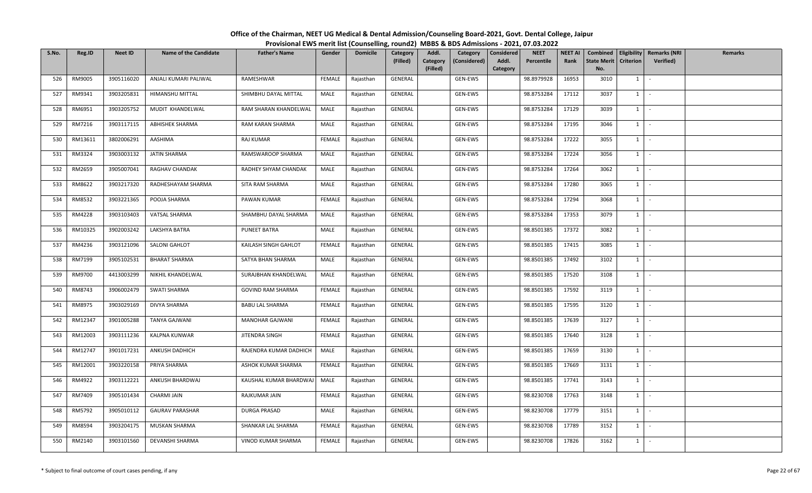| S.No. | Reg.ID  | <b>Neet ID</b> | <b>Name of the Candidate</b> | <b>Father's Name</b>     | Gender        | <b>Domicile</b> | Category<br>(Filled) | Addl.<br>Category<br>(Considered)<br>Category<br>(Filled) | <b>NEET</b><br>Considered<br>Addl.<br>Percentile<br>Category | <b>NEET AI</b><br>Rank | <b>State Merit</b><br>No. | <b>Criterion</b> | Combined   Eligibility   Remarks (NRI<br><b>Verified</b> ) | Remarks |
|-------|---------|----------------|------------------------------|--------------------------|---------------|-----------------|----------------------|-----------------------------------------------------------|--------------------------------------------------------------|------------------------|---------------------------|------------------|------------------------------------------------------------|---------|
| 526   | RM9005  | 3905116020     | ANJALI KUMARI PALIWAL        | RAMESHWAR                | FEMALE        | Rajasthan       | GENERAL              | GEN-EWS                                                   | 98.8979928                                                   | 16953                  | 3010                      | $1 \vert$        |                                                            |         |
| 527   | RM9341  | 3903205831     | HIMANSHU MITTAL              | SHIMBHU DAYAL MITTAL     | MALE          | Rajasthan       | GENERAL              | GEN-EWS                                                   | 98.8753284                                                   | 17112                  | 3037                      | $1 \mid$         | $\sim$                                                     |         |
| 528   | RM6951  | 3903205752     | MUDIT KHANDELWAL             | RAM SHARAN KHANDELWAL    | MALE          | Rajasthan       | GENERAL              | GEN-EWS                                                   | 98.8753284                                                   | 17129                  | 3039                      | $1 \vert$        |                                                            |         |
| 529   | RM7216  | 3903117115     | ABHISHEK SHARMA              | RAM KARAN SHARMA         | MALE          | Rajasthan       | GENERAL              | GEN-EWS                                                   | 98.8753284                                                   | 17195                  | 3046                      | $1 \vert$        | $\mathcal{L}$                                              |         |
| 530   | RM13611 | 3802006291     | AASHIMA                      | RAJ KUMAR                | FEMALE        | Rajasthan       | GENERAL              | GEN-EWS                                                   | 98.8753284                                                   | 17222                  | 3055                      | $1 \vert$        | $\sim$                                                     |         |
| 531   | RM3324  | 3903003132     | JATIN SHARMA                 | RAMSWAROOP SHARMA        | MALE          | Rajasthan       | GENERAL              | GEN-EWS                                                   | 98.8753284                                                   | 17224                  | 3056                      | $1 \mid$         | $\sim$                                                     |         |
| 532   | RM2659  | 3905007041     | RAGHAV CHANDAK               | RADHEY SHYAM CHANDAK     | MALE          | Rajasthan       | GENERAL              | GEN-EWS                                                   | 98.8753284                                                   | 17264                  | 3062                      | $1 \vert$        | $\sim$                                                     |         |
| 533   | RM8622  | 3903217320     | RADHESHAYAM SHARMA           | SITA RAM SHARMA          | MALE          | Rajasthan       | GENERAL              | GEN-EWS                                                   | 98.8753284                                                   | 17280                  | 3065                      | $1 \mid$         | $\sim$                                                     |         |
| 534   | RM8532  | 3903221365     | POOJA SHARMA                 | PAWAN KUMAR              | FEMALE        | Rajasthan       | GENERAL              | GEN-EWS                                                   | 98.8753284                                                   | 17294                  | 3068                      | $1 \mid$         | $\sim$                                                     |         |
| 535   | RM4228  | 3903103403     | VATSAL SHARMA                | SHAMBHU DAYAL SHARMA     | MALE          | Rajasthan       | GENERAL              | GEN-EWS                                                   | 98.8753284                                                   | 17353                  | 3079                      | <sup>1</sup>     | $\sim$                                                     |         |
| 536   | RM10325 | 3902003242     | LAKSHYA BATRA                | PUNEET BATRA             | MALE          | Rajasthan       | GENERAL              | GEN-EWS                                                   | 98.8501385                                                   | 17372                  | 3082                      | $1 \cdot$        |                                                            |         |
| 537   | RM4236  | 3903121096     | SALONI GAHLOT                | KAILASH SINGH GAHLOT     | <b>FEMALE</b> | Rajasthan       | GENERAL              | GEN-EWS                                                   | 98.8501385                                                   | 17415                  | 3085                      | $1 \vert$        | $\sim$                                                     |         |
| 538   | RM7199  | 3905102531     | <b>BHARAT SHARMA</b>         | SATYA BHAN SHARMA        | MALE          | Rajasthan       | GENERAL              | GEN-EWS                                                   | 98.8501385                                                   | 17492                  | 3102                      | 1                |                                                            |         |
| 539   | RM9700  | 4413003299     | NIKHIL KHANDELWAL            | SURAJBHAN KHANDELWAL     | MALE          | Rajasthan       | GENERAL              | GEN-EWS                                                   | 98.8501385                                                   | 17520                  | 3108                      | $1 \vert$        | $\sim$                                                     |         |
| 540   | RM8743  | 3906002479     | SWATI SHARMA                 | <b>GOVIND RAM SHARMA</b> | FEMALE        | Rajasthan       | GENERAL              | GEN-EWS                                                   | 98.8501385                                                   | 17592                  | 3119                      | $1 \vert$        |                                                            |         |
| 541   | RM8975  | 3903029169     | DIVYA SHARMA                 | <b>BABU LAL SHARMA</b>   | FEMALE        | Rajasthan       | GENERAL              | GEN-EWS                                                   | 98.8501385                                                   | 17595                  | 3120                      | $1$ $\cdot$      |                                                            |         |
| 542   | RM12347 | 3901005288     | <b>TANYA GAJWANI</b>         | MANOHAR GAJWANI          | FEMALE        | Rajasthan       | GENERAL              | GEN-EWS                                                   | 98.8501385                                                   | 17639                  | 3127                      | $1 \vert$        |                                                            |         |
| 543   | RM12003 | 3903111236     | KALPNA KUNWAR                | JITENDRA SINGH           | FEMALE        | Rajasthan       | GENERAL              | GEN-EWS                                                   | 98.8501385                                                   | 17640                  | 3128                      | $1 \vert$        | $\sim$                                                     |         |
| 544   | RM12747 | 3901017231     | ANKUSH DADHICH               | RAJENDRA KUMAR DADHICH   | MALE          | Rajasthan       | GENERAL              | GEN-EWS                                                   | 98.8501385                                                   | 17659                  | 3130                      | $1 \mid$         | $\sim$                                                     |         |
| 545   | RM12001 | 3903220158     | PRIYA SHARMA                 | ASHOK KUMAR SHARMA       | FEMALE        | Rajasthan       | GENERAL              | GEN-EWS                                                   | 98.8501385                                                   | 17669                  | 3131                      | $1 \vert$        | $\sim$                                                     |         |
| 546   | RM4922  | 3903112221     | ANKUSH BHARDWAJ              | KAUSHAL KUMAR BHARDWAJ   | MALE          | Rajasthan       | GENERAL              | GEN-EWS                                                   | 98.8501385                                                   | 17741                  | 3143                      | $1$ $-$          |                                                            |         |
| 547   | RM7409  | 3905101434     | <b>CHARMI JAIN</b>           | RAJKUMAR JAIN            | FEMALE        | Rajasthan       | GENERAL              | GEN-EWS                                                   | 98.8230708                                                   | 17763                  | 3148                      | $1 \mid$         | $\sim$                                                     |         |
| 548   | RM5792  | 3905010112     | <b>GAURAV PARASHAR</b>       | DURGA PRASAD             | MALE          | Rajasthan       | GENERAL              | GEN-EWS                                                   | 98.8230708                                                   | 17779                  | 3151                      | $1 \vert$        | $\sim$                                                     |         |
| 549   | RM8594  | 3903204175     | MUSKAN SHARMA                | SHANKAR LAL SHARMA       | FEMALE        | Rajasthan       | GENERAL              | GEN-EWS                                                   | 98.8230708                                                   | 17789                  | 3152                      | $1 \vert$        | $\sim$                                                     |         |
| 550   | RM2140  | 3903101560     | DEVANSHI SHARMA              | VINOD KUMAR SHARMA       | FEMALE        | Rajasthan       | GENERAL              | GEN-EWS                                                   | 98.8230708                                                   | 17826                  | 3162                      | $1 \mid$         | $\sim$                                                     |         |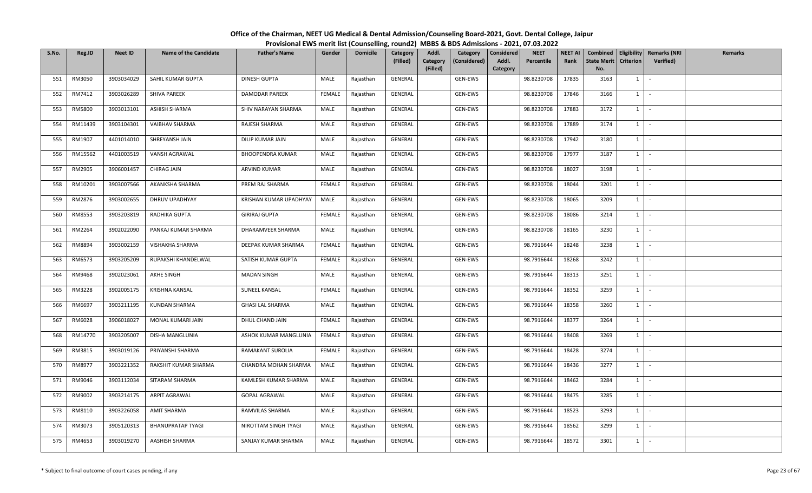| S.No. | Reg.ID  | <b>Neet ID</b> | <b>Name of the Candidate</b> | <b>Father's Name</b>    | Gender        | <b>Domicile</b> | Category<br>(Filled) | Addl.<br>Category<br>(Considered)<br>Category<br>(Filled) | <b>NEET</b><br>Considered<br>Addl.<br>Percentile<br>Category | <b>NEET AI</b><br>Rank | <b>State Merit</b><br>No. | <b>Criterion</b> | Combined   Eligibility   Remarks (NRI<br><b>Verified</b> ) | Remarks |
|-------|---------|----------------|------------------------------|-------------------------|---------------|-----------------|----------------------|-----------------------------------------------------------|--------------------------------------------------------------|------------------------|---------------------------|------------------|------------------------------------------------------------|---------|
| 551   | RM3050  | 3903034029     | SAHIL KUMAR GUPTA            | <b>DINESH GUPTA</b>     | MALE          | Rajasthan       | GENERAL              | GEN-EWS                                                   | 98.8230708                                                   | 17835                  | 3163                      | $1 \vert$        |                                                            |         |
| 552   | RM7412  | 3903026289     | SHIVA PAREEK                 | DAMODAR PAREEK          | <b>FEMALE</b> | Rajasthan       | <b>GENERAL</b>       | GEN-EWS                                                   | 98.8230708                                                   | 17846                  | 3166                      | $1 \mid$         | $\sim$                                                     |         |
| 553   | RM5800  | 3903013101     | ASHISH SHARMA                | SHIV NARAYAN SHARMA     | MALE          | Rajasthan       | GENERAL              | GEN-EWS                                                   | 98.8230708                                                   | 17883                  | 3172                      | $1 \mid$         |                                                            |         |
| 554   | RM11439 | 3903104301     | VAIBHAV SHARMA               | RAJESH SHARMA           | MALE          | Rajasthan       | GENERAL              | GEN-EWS                                                   | 98.8230708                                                   | 17889                  | 3174                      | $1 \vert$        | $\mathcal{L}$                                              |         |
| 555   | RM1907  | 4401014010     | SHREYANSH JAIN               | DILIP KUMAR JAIN        | MALE          | Rajasthan       | GENERAL              | GEN-EWS                                                   | 98.8230708                                                   | 17942                  | 3180                      | $1 \vert$        | $\sim$                                                     |         |
| 556   | RM15562 | 4401003519     | VANSH AGRAWAL                | <b>BHOOPENDRA KUMAR</b> | MALE          | Rajasthan       | GENERAL              | GEN-EWS                                                   | 98.8230708                                                   | 17977                  | 3187                      | $1 \vert$        | $\sim$                                                     |         |
| 557   | RM2905  | 3906001457     | CHIRAG JAIN                  | ARVIND KUMAR            | MALE          | Rajasthan       | GENERAL              | GEN-EWS                                                   | 98.8230708                                                   | 18027                  | 3198                      | $1 \vert$        | $\sim$                                                     |         |
| 558   | RM10201 | 3903007566     | AKANKSHA SHARMA              | PREM RAJ SHARMA         | FEMALE        | Rajasthan       | GENERAL              | GEN-EWS                                                   | 98.8230708                                                   | 18044                  | 3201                      | $1 \mid$         | $\sim$                                                     |         |
| 559   | RM2876  | 3903002655     | DHRUV UPADHYAY               | KRISHAN KUMAR UPADHYAY  | MALE          | Rajasthan       | GENERAL              | GEN-EWS                                                   | 98.8230708                                                   | 18065                  | 3209                      | $1 \mid$         | $\sim$                                                     |         |
| 560   | RM8553  | 3903203819     | RADHIKA GUPTA                | <b>GIRIRAJ GUPTA</b>    | FEMALE        | Rajasthan       | GENERAL              | GEN-EWS                                                   | 98.8230708                                                   | 18086                  | 3214                      | $1 \vert$        | $\sim$                                                     |         |
| 561   | RM2264  | 3902022090     | PANKAJ KUMAR SHARMA          | DHARAMVEER SHARMA       | MALE          | Rajasthan       | GENERAL              | GEN-EWS                                                   | 98.8230708                                                   | 18165                  | 3230                      | $1 \cdot$        |                                                            |         |
| 562   | RM8894  | 3903002159     | VISHAKHA SHARMA              | DEEPAK KUMAR SHARMA     | FEMALE        | Rajasthan       | GENERAL              | GEN-EWS                                                   | 98.7916644                                                   | 18248                  | 3238                      | $1 \mid$         | $\sim$                                                     |         |
| 563   | RM6573  | 3903205209     | RUPAKSHI KHANDELWAL          | SATISH KUMAR GUPTA      | FEMALE        | Rajasthan       | GENERAL              | GEN-EWS                                                   | 98.7916644                                                   | 18268                  | 3242                      | 1                |                                                            |         |
| 564   | RM9468  | 3902023061     | AKHE SINGH                   | <b>MADAN SINGH</b>      | MALE          | Rajasthan       | GENERAL              | GEN-EWS                                                   | 98.7916644                                                   | 18313                  | 3251                      | $1 \vert$        | $\sim$                                                     |         |
| 565   | RM3228  | 3902005175     | <b>KRISHNA KANSAL</b>        | SUNEEL KANSAL           | FEMALE        | Rajasthan       | GENERAL              | GEN-EWS                                                   | 98.7916644                                                   | 18352                  | 3259                      | $1 \vert$        |                                                            |         |
| 566   | RM6697  | 3903211195     | <b>KUNDAN SHARMA</b>         | <b>GHASI LAL SHARMA</b> | MALE          | Rajasthan       | GENERAL              | GEN-EWS                                                   | 98.7916644                                                   | 18358                  | 3260                      | $1$ $\cdot$      |                                                            |         |
| 567   | RM6028  | 3906018027     | MONAL KUMARI JAIN            | DHUL CHAND JAIN         | FEMALE        | Rajasthan       | GENERAL              | GEN-EWS                                                   | 98.7916644                                                   | 18377                  | 3264                      | $1 \vert$        |                                                            |         |
| 568   | RM14770 | 3903205007     | DISHA MANGLUNIA              | ASHOK KUMAR MANGLUNIA   | FEMALE        | Rajasthan       | GENERAL              | GEN-EWS                                                   | 98.7916644                                                   | 18408                  | 3269                      | $1 \vert$        | $\sim$                                                     |         |
| 569   | RM3815  | 3903019126     | PRIYANSHI SHARMA             | RAMAKANT SUROLIA        | FEMALE        | Rajasthan       | GENERAL              | GEN-EWS                                                   | 98.7916644                                                   | 18428                  | 3274                      | $1 \mid$         | $\sim$                                                     |         |
| 570   | RM8977  | 3903221352     | RAKSHIT KUMAR SHARMA         | CHANDRA MOHAN SHARMA    | MALE          | Rajasthan       | GENERAL              | GEN-EWS                                                   | 98.7916644                                                   | 18436                  | 3277                      | $1 \vert$        | $\sim$                                                     |         |
| 571   | RM9046  | 3903112034     | SITARAM SHARMA               | KAMLESH KUMAR SHARMA    | MALE          | Rajasthan       | GENERAL              | GEN-EWS                                                   | 98.7916644                                                   | 18462                  | 3284                      | $1$ $-$          |                                                            |         |
| 572   | RM9002  | 3903214175     | ARPIT AGRAWAL                | <b>GOPAL AGRAWAL</b>    | MALE          | Rajasthan       | GENERAL              | GEN-EWS                                                   | 98.7916644                                                   | 18475                  | 3285                      | $1 \mid$         | $\sim$                                                     |         |
| 573   | RM8110  | 3903226058     | AMIT SHARMA                  | RAMVILAS SHARMA         | MALE          | Rajasthan       | GENERAL              | GEN-EWS                                                   | 98.7916644                                                   | 18523                  | 3293                      | $1 \mid$         | $\sim$                                                     |         |
| 574   | RM3073  | 3905120313     | <b>BHANUPRATAP TYAGI</b>     | NIROTTAM SINGH TYAGI    | MALE          | Rajasthan       | GENERAL              | GEN-EWS                                                   | 98.7916644                                                   | 18562                  | 3299                      | $1 \vert$        | $\sim$                                                     |         |
| 575   | RM4653  | 3903019270     | AASHISH SHARMA               | SANJAY KUMAR SHARMA     | MALE          | Rajasthan       | GENERAL              | GEN-EWS                                                   | 98.7916644                                                   | 18572                  | 3301                      | $1 \mid$         | $\mathcal{L}_{\mathcal{A}}$                                |         |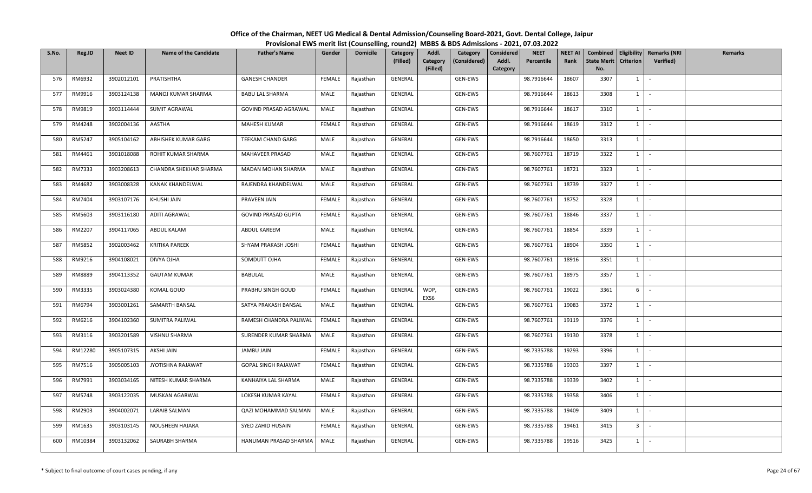| S.No. | Reg.ID  | <b>Neet ID</b> | <b>Name of the Candidate</b> | <b>Father's Name</b>       | Gender        | <b>Domicile</b> | Category<br>(Filled) | Addl.<br>Category<br>(Considered)<br>Category<br>(Filled) | <b>NEET</b><br>Considered<br>Addl.<br>Percentile<br>Category | <b>NEET AI</b><br>Rank | <b>State Merit</b><br>No. | <b>Criterion</b> | Combined   Eligibility   Remarks (NRI<br><b>Verified</b> ) | Remarks |
|-------|---------|----------------|------------------------------|----------------------------|---------------|-----------------|----------------------|-----------------------------------------------------------|--------------------------------------------------------------|------------------------|---------------------------|------------------|------------------------------------------------------------|---------|
| 576   | RM6932  | 3902012101     | PRATISHTHA                   | <b>GANESH CHANDER</b>      | FEMALE        | Rajasthan       | GENERAL              | GEN-EWS                                                   | 98.7916644                                                   | 18607                  | 3307                      | $1 \vert$        |                                                            |         |
| 577   | RM9916  | 3903124138     | MANOJ KUMAR SHARMA           | <b>BABU LAL SHARMA</b>     | MALE          | Rajasthan       | GENERAL              | GEN-EWS                                                   | 98.7916644                                                   | 18613                  | 3308                      | $1 \mid$         | $\sim$                                                     |         |
| 578   | RM9819  | 3903114444     | SUMIT AGRAWAL                | GOVIND PRASAD AGRAWAL      | MALE          | Rajasthan       | GENERAL              | GEN-EWS                                                   | 98.7916644                                                   | 18617                  | 3310                      | $1 \mid$         |                                                            |         |
| 579   | RM4248  | 3902004136     | AASTHA                       | MAHESH KUMAR               | <b>FEMALE</b> | Rajasthan       | GENERAL              | GEN-EWS                                                   | 98.7916644                                                   | 18619                  | 3312                      | $1 \vert$        | $\mathcal{L}$                                              |         |
| 580   | RM5247  | 3905104162     | ABHISHEK KUMAR GARG          | TEEKAM CHAND GARG          | MALE          | Rajasthan       | GENERAL              | GEN-EWS                                                   | 98.7916644                                                   | 18650                  | 3313                      | $1 \vert$        | $\sim$                                                     |         |
| 581   | RM4461  | 3901018088     | ROHIT KUMAR SHARMA           | MAHAVEER PRASAD            | MALE          | Rajasthan       | GENERAL              | GEN-EWS                                                   | 98.7607761                                                   | 18719                  | 3322                      | $1 \vert$        | $\sim$                                                     |         |
| 582   | RM7333  | 3903208613     | CHANDRA SHEKHAR SHARMA       | MADAN MOHAN SHARMA         | MALE          | Rajasthan       | GENERAL              | GEN-EWS                                                   | 98.7607761                                                   | 18721                  | 3323                      | $1 \vert$        | $\sim$                                                     |         |
| 583   | RM4682  | 3903008328     | KANAK KHANDELWAL             | RAJENDRA KHANDELWAL        | MALE          | Rajasthan       | GENERAL              | GEN-EWS                                                   | 98.7607761                                                   | 18739                  | 3327                      | $1 \mid$         | $\sim$                                                     |         |
| 584   | RM7404  | 3903107176     | KHUSHI JAIN                  | PRAVEEN JAIN               | FEMALE        | Rajasthan       | GENERAL              | GEN-EWS                                                   | 98.7607761                                                   | 18752                  | 3328                      | $1 \mid$         | $\sim$                                                     |         |
| 585   | RM5603  | 3903116180     | ADITI AGRAWAL                | <b>GOVIND PRASAD GUPTA</b> | FEMALE        | Rajasthan       | GENERAL              | GEN-EWS                                                   | 98.7607761                                                   | 18846                  | 3337                      | $\mathbf{1}$     |                                                            |         |
| 586   | RM2207  | 3904117065     | ABDUL KALAM                  | ABDUL KAREEM               | MALE          | Rajasthan       | GENERAL              | GEN-EWS                                                   | 98.7607761                                                   | 18854                  | 3339                      | $1 \cdot$        |                                                            |         |
| 587   | RM5852  | 3902003462     | <b>KRITIKA PAREEK</b>        | SHYAM PRAKASH JOSHI        | <b>FEMALE</b> | Rajasthan       | GENERAL              | GEN-EWS                                                   | 98.7607761                                                   | 18904                  | 3350                      | $1 \vert$        | $\sim$                                                     |         |
| 588   | RM9216  | 3904108021     | DIVYA OJHA                   | SOMDUTT OJHA               | FEMALE        | Rajasthan       | GENERAL              | GEN-EWS                                                   | 98.7607761                                                   | 18916                  | 3351                      | 1                |                                                            |         |
| 589   | RM8889  | 3904113352     | <b>GAUTAM KUMAR</b>          | BABULAL                    | MALE          | Rajasthan       | GENERAL              | GEN-EWS                                                   | 98.7607761                                                   | 18975                  | 3357                      | $1 \vert$        | $\sim$                                                     |         |
| 590   | RM3335  | 3903024380     | KOMAL GOUD                   | PRABHU SINGH GOUD          | FEMALE        | Rajasthan       | GENERAL              | WDP,<br>GEN-EWS<br>EXS6                                   | 98.7607761                                                   | 19022                  | 3361                      | 6                |                                                            |         |
| 591   | RM6794  | 3903001261     | SAMARTH BANSAL               | SATYA PRAKASH BANSAL       | MALE          | Rajasthan       | GENERAL              | GEN-EWS                                                   | 98.7607761                                                   | 19083                  | 3372                      | $1$ $\cdot$      |                                                            |         |
| 592   | RM6216  | 3904102360     | SUMITRA PALIWAL              | RAMESH CHANDRA PALIWAL     | <b>FEMALE</b> | Rajasthan       | GENERAL              | GEN-EWS                                                   | 98.7607761                                                   | 19119                  | 3376                      | $1 \vert$        |                                                            |         |
| 593   | RM3116  | 3903201589     | VISHNU SHARMA                | SURENDER KUMAR SHARMA      | MALE          | Rajasthan       | GENERAL              | GEN-EWS                                                   | 98.7607761                                                   | 19130                  | 3378                      | $1 \vert$        | $\sim$                                                     |         |
| 594   | RM12280 | 3905107315     | AKSHI JAIN                   | JAMBU JAIN                 | FEMALE        | Rajasthan       | GENERAL              | GEN-EWS                                                   | 98.7335788                                                   | 19293                  | 3396                      | $1 \mid$         | $\sim$                                                     |         |
| 595   | RM7516  | 3905005103     | JYOTISHNA RAJAWAT            | GOPAL SINGH RAJAWAT        | FEMALE        | Rajasthan       | GENERAL              | GEN-EWS                                                   | 98.7335788                                                   | 19303                  | 3397                      | $1 \vert$        | $\sim$                                                     |         |
| 596   | RM7991  | 3903034165     | NITESH KUMAR SHARMA          | KANHAIYA LAL SHARMA        | MALE          | Rajasthan       | GENERAL              | GEN-EWS                                                   | 98.7335788                                                   | 19339                  | 3402                      | $1$ $-$          |                                                            |         |
| 597   | RM5748  | 3903122035     | MUSKAN AGARWAL               | LOKESH KUMAR KAYAL         | FEMALE        | Rajasthan       | GENERAL              | GEN-EWS                                                   | 98.7335788                                                   | 19358                  | 3406                      | $1 \mid$         | $\sim$                                                     |         |
| 598   | RM2903  | 3904002071     | LARAIB SALMAN                | QAZI MOHAMMAD SALMAN       | MALE          | Rajasthan       | GENERAL              | GEN-EWS                                                   | 98.7335788                                                   | 19409                  | 3409                      | $1 \mid$         | $\sim$                                                     |         |
| 599   | RM1635  | 3903103145     | NOUSHEEN HAJARA              | SYED ZAHID HUSAIN          | FEMALE        | Rajasthan       | GENERAL              | GEN-EWS                                                   | 98.7335788                                                   | 19461                  | 3415                      | 3 <sup>1</sup>   |                                                            |         |
| 600   | RM10384 | 3903132062     | SAURABH SHARMA               | HANUMAN PRASAD SHARMA      | MALE          | Rajasthan       | GENERAL              | GEN-EWS                                                   | 98.7335788                                                   | 19516                  | 3425                      | $1 \mid$         | $\sim$                                                     |         |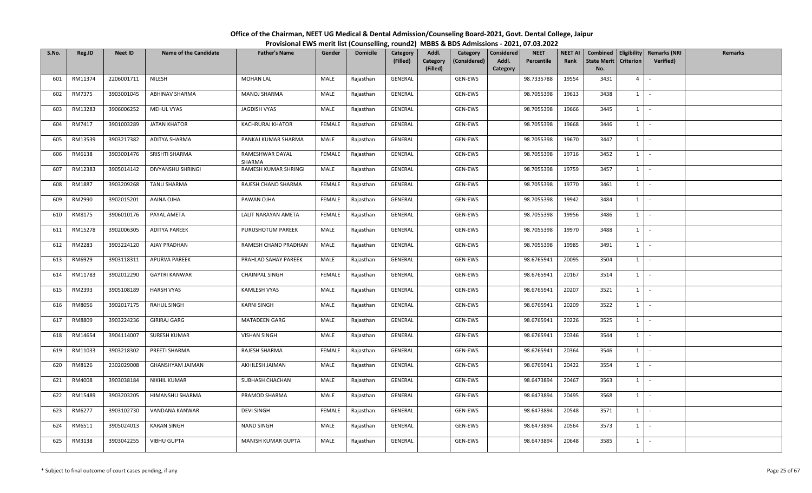| S.No. | Reg.ID  | <b>Neet ID</b> | <b>Name of the Candidate</b> | <b>Father's Name</b>      | Gender        | <b>Domicile</b> | Category<br>(Filled) | Addl.<br>Category<br>(Filled) | Category<br>(Considered) | <b>Considered</b><br>Addl.<br>Category | <b>NEET</b><br>Percentile | <b>NEET AI</b><br>Rank | <b>State Merit</b><br>No. | <b>Criterion</b> | Combined   Eligibility   Remarks (NRI<br>Verified) | Remarks |
|-------|---------|----------------|------------------------------|---------------------------|---------------|-----------------|----------------------|-------------------------------|--------------------------|----------------------------------------|---------------------------|------------------------|---------------------------|------------------|----------------------------------------------------|---------|
| 601   | RM11374 | 2206001711     | NILESH                       | <b>MOHAN LAL</b>          | MALE          | Rajasthan       | GENERAL              |                               | GEN-EWS                  |                                        | 98.7335788                | 19554                  | 3431                      | $4 \square$      | $\sim$                                             |         |
| 602   | RM7375  | 3903001045     | ABHINAV SHARMA               | MANOJ SHARMA              | MALE          | Rajasthan       | GENERAL              |                               | GEN-EWS                  |                                        | 98.7055398                | 19613                  | 3438                      | 1                | $\sim$                                             |         |
| 603   | RM13283 | 3906006252     | MEHUL VYAS                   | JAGDISH VYAS              | MALE          | Rajasthan       | GENERAL              |                               | GEN-EWS                  |                                        | 98.7055398                | 19666                  | 3445                      | 1                | $\sim$                                             |         |
| 604   | RM7417  | 3901003289     | <b>JATAN KHATOR</b>          | KACHRURAJ KHATOR          | <b>FEMALE</b> | Rajasthan       | GENERAL              |                               | GEN-EWS                  |                                        | 98.7055398                | 19668                  | 3446                      | $1 \quad$        | $\sim$                                             |         |
| 605   | RM13539 | 3903217382     | ADITYA SHARMA                | PANKAJ KUMAR SHARMA       | MALE          | Rajasthan       | GENERAL              |                               | GEN-EWS                  |                                        | 98.7055398                | 19670                  | 3447                      | $1 \quad$        | $\sim$                                             |         |
| 606   | RM6138  | 3903001476     | SRISHTI SHARMA               | RAMESHWAR DAYAL<br>SHARMA | <b>FEMALE</b> | Rajasthan       | GENERAL              |                               | GEN-EWS                  |                                        | 98.7055398                | 19716                  | 3452                      | $1 \quad$        | $\sim$                                             |         |
| 607   | RM12383 | 3905014142     | DIVYANSHU SHRINGI            | RAMESH KUMAR SHRINGI      | MALE          | Rajasthan       | GENERAL              |                               | GEN-EWS                  |                                        | 98.7055398                | 19759                  | 3457                      | 1                | $\sim$                                             |         |
| 608   | RM1887  | 3903209268     | <b>TANU SHARMA</b>           | RAJESH CHAND SHARMA       | <b>FEMALE</b> | Rajasthan       | GENERAL              |                               | GEN-EWS                  |                                        | 98.7055398                | 19770                  | 3461                      | $1$ $\cdot$      |                                                    |         |
| 609   | RM2990  | 3902015201     | AAINA OJHA                   | PAWAN OJHA                | FEMALE        | Rajasthan       | GENERAL              |                               | GEN-EWS                  |                                        | 98.7055398                | 19942                  | 3484                      | $1\vert$         | $\sim$                                             |         |
| 610   | RM8175  | 3906010176     | PAYAL AMETA                  | LALIT NARAYAN AMETA       | <b>FEMALE</b> | Rajasthan       | GENERAL              |                               | GEN-EWS                  |                                        | 98.7055398                | 19956                  | 3486                      | $1 \quad$        | $\sim$                                             |         |
| 611   | RM15278 | 3902006305     | <b>ADITYA PAREEK</b>         | PURUSHOTUM PAREEK         | MALE          | Rajasthan       | GENERAL              |                               | GEN-EWS                  |                                        | 98.7055398                | 19970                  | 3488                      | $1 \mid -$       |                                                    |         |
| 612   | RM2283  | 3903224120     | <b>AJAY PRADHAN</b>          | RAMESH CHAND PRADHAN      | MALE          | Rajasthan       | GENERAL              |                               | GEN-EWS                  |                                        | 98.7055398                | 19985                  | 3491                      | 1                | $\sim$                                             |         |
| 613   | RM6929  | 3903118311     | <b>APURVA PAREEK</b>         | PRAHLAD SAHAY PAREEK      | MALE          | Rajasthan       | GENERAL              |                               | GEN-EWS                  |                                        | 98.6765941                | 20095                  | 3504                      | $1 \quad$        | $\sim$                                             |         |
| 614   | RM11783 | 3902012290     | <b>GAYTRI KANWAR</b>         | <b>CHAINPAL SINGH</b>     | FEMALE        | Rajasthan       | GENERAL              |                               | GEN-EWS                  |                                        | 98.6765941                | 20167                  | 3514                      | $1 \quad$        | $\sim$                                             |         |
| 615   | RM2393  | 3905108189     | <b>HARSH VYAS</b>            | KAMLESH VYAS              | MALE          | Rajasthan       | GENERAL              |                               | GEN-EWS                  |                                        | 98.6765941                | 20207                  | 3521                      | 1                | $\sim$                                             |         |
| 616   | RM8056  | 3902017175     | <b>RAHUL SINGH</b>           | <b>KARNI SINGH</b>        | MALE          | Rajasthan       | GENERAL              |                               | GEN-EWS                  |                                        | 98.6765941                | 20209                  | 3522                      | $1$ $-$          |                                                    |         |
| 617   | RM8809  | 3903224236     | <b>GIRIRAJ GARG</b>          | MATADEEN GARG             | MALE          | Rajasthan       | GENERAL              |                               | GEN-EWS                  |                                        | 98.6765941                | 20226                  | 3525                      | 1                | $\sim$                                             |         |
| 618   | RM14654 | 3904114007     | SURESH KUMAR                 | <b>VISHAN SINGH</b>       | MALE          | Rajasthan       | GENERAL              |                               | GEN-EWS                  |                                        | 98.6765941                | 20346                  | 3544                      | $1 \quad$        | $\sim$                                             |         |
| 619   | RM11033 | 3903218302     | PREETI SHARMA                | RAJESH SHARMA             | FEMALE        | Rajasthan       | GENERAL              |                               | GEN-EWS                  |                                        | 98.6765941                | 20364                  | 3546                      | $1 \quad$        | $\sim$                                             |         |
| 620   | RM8126  | 2302029008     | <b>GHANSHYAM JAIMAN</b>      | AKHILESH JAIMAN           | MALE          | Rajasthan       | GENERAL              |                               | GEN-EWS                  |                                        | 98.6765941                | 20422                  | 3554                      | $1 \quad$        | $\sim$                                             |         |
| 621   | RM4008  | 3903038184     | NIKHIL KUMAR                 | SUBHASH CHACHAN           | MALE          | Rajasthan       | GENERAL              |                               | GEN-EWS                  |                                        | 98.6473894                | 20467                  | 3563                      | 1                | $\sim$ $-$                                         |         |
| 622   | RM15489 | 3903203205     | HIMANSHU SHARMA              | PRAMOD SHARMA             | MALE          | Rajasthan       | GENERAL              |                               | GEN-EWS                  |                                        | 98.6473894                | 20495                  | 3568                      | $1 \quad$        | $\sim$                                             |         |
| 623   | RM6277  | 3903102730     | VANDANA KANWAR               | <b>DEVI SINGH</b>         | <b>FEMALE</b> | Rajasthan       | GENERAL              |                               | GEN-EWS                  |                                        | 98.6473894                | 20548                  | 3571                      | $1 \quad$        | $\sim$                                             |         |
| 624   | RM6511  | 3905024013     | <b>KARAN SINGH</b>           | NAND SINGH                | MALE          | Rajasthan       | GENERAL              |                               | GEN-EWS                  |                                        | 98.6473894                | 20564                  | 3573                      | $1 \quad$        | $\sim$                                             |         |
| 625   | RM3138  | 3903042255     | <b>VIBHU GUPTA</b>           | MANISH KUMAR GUPTA        | MALE          | Rajasthan       | GENERAL              |                               | GEN-EWS                  |                                        | 98.6473894                | 20648                  | 3585                      | $1 \quad$        | $\sim$                                             |         |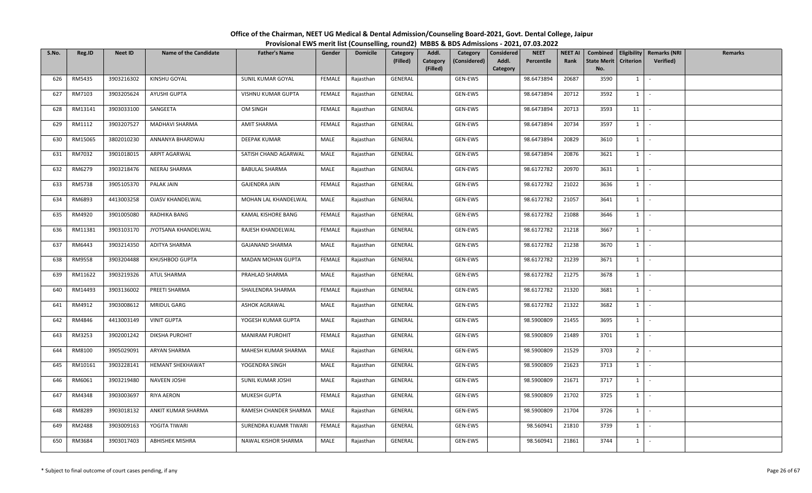| S.No. | Reg.ID        | <b>Neet ID</b> | <b>Name of the Candidate</b> | <b>Father's Name</b>   | Gender        | <b>Domicile</b> | Category<br>(Filled) | Addl.<br>Category<br>(Considered)<br>Category<br>(Filled) | <b>NEET</b><br>Considered<br>Percentile<br>Addl.<br>Category | <b>NEET AI</b><br>Rank | <b>State Merit</b><br>No. | <b>Criterion</b> | Combined   Eligibility   Remarks (NRI<br><b>Verified</b> ) | Remarks |
|-------|---------------|----------------|------------------------------|------------------------|---------------|-----------------|----------------------|-----------------------------------------------------------|--------------------------------------------------------------|------------------------|---------------------------|------------------|------------------------------------------------------------|---------|
| 626   | RM5435        | 3903216302     | KINSHU GOYAL                 | SUNIL KUMAR GOYAL      | FEMALE        | Rajasthan       | GENERAL              | GEN-EWS                                                   | 98.6473894                                                   | 20687                  | 3590                      | $1 \vert$        |                                                            |         |
| 627   | RM7103        | 3903205624     | AYUSHI GUPTA                 | VISHNU KUMAR GUPTA     | <b>FEMALE</b> | Rajasthan       | GENERAL              | GEN-EWS                                                   | 98.6473894                                                   | 20712                  | 3592                      | $1 \mid$         | $\sim$                                                     |         |
| 628   | RM13141       | 3903033100     | SANGEETA                     | OM SINGH               | FEMALE        | Rajasthan       | GENERAL              | GEN-EWS                                                   | 98.6473894                                                   | 20713                  | 3593                      | 11               |                                                            |         |
| 629   | RM1112        | 3903207527     | MADHAVI SHARMA               | AMIT SHARMA            | <b>FEMALE</b> | Rajasthan       | GENERAL              | GEN-EWS                                                   | 98.6473894                                                   | 20734                  | 3597                      | $1 \vert$        | $\sim$                                                     |         |
| 630   | RM15065       | 3802010230     | ANNANYA BHARDWAJ             | DEEPAK KUMAR           | MALE          | Rajasthan       | GENERAL              | GEN-EWS                                                   | 98.6473894                                                   | 20829                  | 3610                      | $1 \vert$        | $\sim$                                                     |         |
| 631   | RM7032        | 3901018015     | ARPIT AGARWAL                | SATISH CHAND AGARWAL   | MALE          | Rajasthan       | GENERAL              | GEN-EWS                                                   | 98.6473894                                                   | 20876                  | 3621                      | $1 \mid$         | $\sim$                                                     |         |
| 632   | RM6279        | 3903218476     | NEERAJ SHARMA                | <b>BABULAL SHARMA</b>  | MALE          | Rajasthan       | GENERAL              | GEN-EWS                                                   | 98.6172782                                                   | 20970                  | 3631                      | $1 \vert$        | $\sim$                                                     |         |
| 633   | RM5738        | 3905105370     | PALAK JAIN                   | <b>GAJENDRA JAIN</b>   | FEMALE        | Rajasthan       | GENERAL              | GEN-EWS                                                   | 98.6172782                                                   | 21022                  | 3636                      | $1 \mid$         | $\sim$                                                     |         |
| 634   | RM6893        | 4413003258     | <b>OJASV KHANDELWAL</b>      | MOHAN LAL KHANDELWAL   | MALE          | Rajasthan       | GENERAL              | GEN-EWS                                                   | 98.6172782                                                   | 21057                  | 3641                      | $1 \mid$         | $\sim$                                                     |         |
| 635   | RM4920        | 3901005080     | RADHIKA BANG                 | KAMAL KISHORE BANG     | <b>FEMALE</b> | Rajasthan       | GENERAL              | GEN-EWS                                                   | 98.6172782                                                   | 21088                  | 3646                      | $\mathbf{1}$     |                                                            |         |
| 636   | RM11381       | 3903103170     | JYOTSANA KHANDELWAL          | RAJESH KHANDELWAL      | FEMALE        | Rajasthan       | GENERAL              | GEN-EWS                                                   | 98.6172782                                                   | 21218                  | 3667                      | 1                | $\sim$                                                     |         |
| 637   | RM6443        | 3903214350     | ADITYA SHARMA                | <b>GAJANAND SHARMA</b> | MALE          | Rajasthan       | GENERAL              | GEN-EWS                                                   | 98.6172782                                                   | 21238                  | 3670                      | $1 \vert$        | $\sim$                                                     |         |
| 638   | <b>RM9558</b> | 3903204488     | KHUSHBOO GUPTA               | MADAN MOHAN GUPTA      | FEMALE        | Rajasthan       | GENERAL              | GEN-EWS                                                   | 98.6172782                                                   | 21239                  | 3671                      | 1                |                                                            |         |
| 639   | RM11622       | 3903219326     | ATUL SHARMA                  | PRAHLAD SHARMA         | MALE          | Rajasthan       | GENERAL              | GEN-EWS                                                   | 98.6172782                                                   | 21275                  | 3678                      | $1 \vert$        | $\sim$                                                     |         |
| 640   | RM14493       | 3903136002     | PREETI SHARMA                | SHAILENDRA SHARMA      | FEMALE        | Rajasthan       | GENERAL              | GEN-EWS                                                   | 98.6172782                                                   | 21320                  | 3681                      | $1 \vert$        |                                                            |         |
| 641   | RM4912        | 3903008612     | MRIDUL GARG                  | <b>ASHOK AGRAWAL</b>   | MALE          | Rajasthan       | GENERAL              | GEN-EWS                                                   | 98.6172782                                                   | 21322                  | 3682                      | $1$ $\cdot$      |                                                            |         |
| 642   | RM4846        | 4413003149     | <b>VINIT GUPTA</b>           | YOGESH KUMAR GUPTA     | MALE          | Rajasthan       | GENERAL              | GEN-EWS                                                   | 98.5900809                                                   | 21455                  | 3695                      | 1                |                                                            |         |
| 643   | RM3253        | 3902001242     | <b>DIKSHA PUROHIT</b>        | MANIRAM PUROHIT        | FEMALE        | Rajasthan       | GENERAL              | GEN-EWS                                                   | 98.5900809                                                   | 21489                  | 3701                      | $1 \vert$        | $\sim$                                                     |         |
| 644   | RM8100        | 3905029091     | ARYAN SHARMA                 | MAHESH KUMAR SHARMA    | MALE          | Rajasthan       | GENERAL              | GEN-EWS                                                   | 98.5900809                                                   | 21529                  | 3703                      | 2 <sup>1</sup>   | $\sim$                                                     |         |
| 645   | RM10161       | 3903228141     | HEMANT SHEKHAWAT             | YOGENDRA SINGH         | MALE          | Rajasthan       | GENERAL              | GEN-EWS                                                   | 98.5900809                                                   | 21623                  | 3713                      | $1 \vert$        | $\sim$                                                     |         |
| 646   | RM6061        | 3903219480     | NAVEEN JOSHI                 | SUNIL KUMAR JOSHI      | MALE          | Rajasthan       | GENERAL              | GEN-EWS                                                   | 98.5900809                                                   | 21671                  | 3717                      | $1$ $-$          |                                                            |         |
| 647   | RM4348        | 3903003697     | RIYA AERON                   | MUKESH GUPTA           | FEMALE        | Rajasthan       | GENERAL              | GEN-EWS                                                   | 98.5900809                                                   | 21702                  | 3725                      | $1 \mid$         | $\sim$                                                     |         |
| 648   | RM8289        | 3903018132     | ANKIT KUMAR SHARMA           | RAMESH CHANDER SHARMA  | MALE          | Rajasthan       | GENERAL              | GEN-EWS                                                   | 98.5900809                                                   | 21704                  | 3726                      | $1 \vert$        | $\sim$                                                     |         |
| 649   | RM2488        | 3903009163     | YOGITA TIWARI                | SURENDRA KUAMR TIWARI  | FEMALE        | Rajasthan       | GENERAL              | GEN-EWS                                                   | 98.560941                                                    | 21810                  | 3739                      | $1 \vert$        | $\sim$                                                     |         |
| 650   | RM3684        | 3903017403     | <b>ABHISHEK MISHRA</b>       | NAWAL KISHOR SHARMA    | MALE          | Rajasthan       | GENERAL              | GEN-EWS                                                   | 98.560941                                                    | 21861                  | 3744                      | $1 \mid$         | $\mathcal{L}_{\mathcal{A}}$                                |         |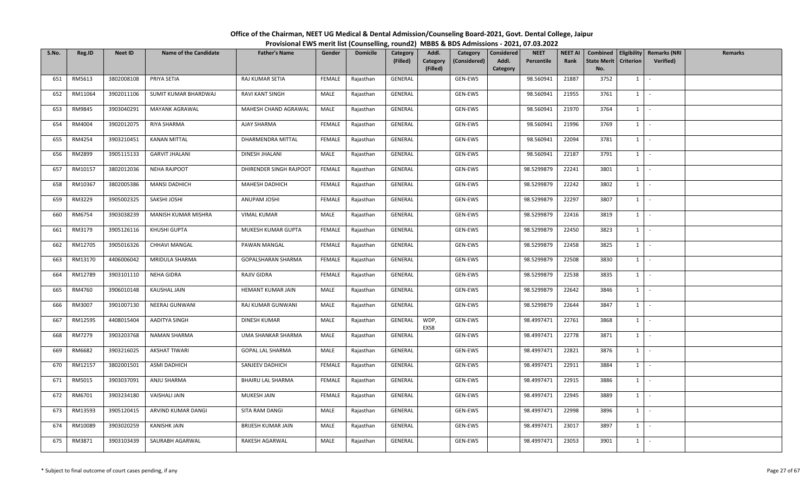| S.No. | Reg.ID  | <b>Neet ID</b> | <b>Name of the Candidate</b> | <b>Father's Name</b>    | Gender        | <b>Domicile</b> | <b>Category</b><br>(Filled) | Addl.<br>Category<br>(Considered)<br>Category<br>(Filled) | <b>NEET</b><br>Considered<br>Percentile<br>Addl.<br>Category | <b>NEET AI</b><br>Rank | <b>State Merit</b><br>No. | <b>Criterion</b> | Combined   Eligibility   Remarks (NRI<br><b>Verified</b> ) | Remarks |
|-------|---------|----------------|------------------------------|-------------------------|---------------|-----------------|-----------------------------|-----------------------------------------------------------|--------------------------------------------------------------|------------------------|---------------------------|------------------|------------------------------------------------------------|---------|
| 651   | RM5613  | 3802008108     | PRIYA SETIA                  | RAJ KUMAR SETIA         | FEMALE        | Rajasthan       | GENERAL                     | GEN-EWS                                                   | 98.560941                                                    | 21887                  | 3752                      | $1 \vert$        |                                                            |         |
| 652   | RM11064 | 3902011106     | SUMIT KUMAR BHARDWAJ         | RAVI KANT SINGH         | MALE          | Rajasthan       | GENERAL                     | GEN-EWS                                                   | 98.560941                                                    | 21955                  | 3761                      | $1 \mid$         | $\sim$                                                     |         |
| 653   | RM9845  | 3903040291     | MAYANK AGRAWAL               | MAHESH CHAND AGRAWAL    | MALE          | Rajasthan       | GENERAL                     | GEN-EWS                                                   | 98.560941                                                    | 21970                  | 3764                      | $1 \mid$         | $\sim$                                                     |         |
| 654   | RM4004  | 3902012075     | RIYA SHARMA                  | AJAY SHARMA             | <b>FEMALE</b> | Rajasthan       | GENERAL                     | GEN-EWS                                                   | 98.560941                                                    | 21996                  | 3769                      | $1 \vert$        | $\sim$                                                     |         |
| 655   | RM4254  | 3903210451     | <b>KANAN MITTAL</b>          | DHARMENDRA MITTAL       | FEMALE        | Rajasthan       | GENERAL                     | GEN-EWS                                                   | 98.560941                                                    | 22094                  | 3781                      | $1 \vert$        | $\sim$                                                     |         |
| 656   | RM2899  | 3905115133     | <b>GARVIT JHALANI</b>        | DINESH JHALANI          | MALE          | Rajasthan       | GENERAL                     | GEN-EWS                                                   | 98.560941                                                    | 22187                  | 3791                      | $1 \mid$         | $\sim$                                                     |         |
| 657   | RM10157 | 3802012036     | <b>NEHA RAJPOOT</b>          | DHIRENDER SINGH RAJPOOT | FEMALE        | Rajasthan       | GENERAL                     | GEN-EWS                                                   | 98.5299879                                                   | 22241                  | 3801                      | $1 \vert$        | $\sim$                                                     |         |
| 658   | RM10367 | 3802005386     | <b>MANSI DADHICH</b>         | MAHESH DADHICH          | FEMALE        | Rajasthan       | GENERAL                     | GEN-EWS                                                   | 98.5299879                                                   | 22242                  | 3802                      | $1 \mid$         | $\sim$                                                     |         |
| 659   | RM3229  | 3905002325     | SAKSHI JOSHI                 | ANUPAM JOSHI            | <b>FEMALE</b> | Rajasthan       | GENERAL                     | GEN-EWS                                                   | 98.5299879                                                   | 22297                  | 3807                      | $1 \mid$         | $\sim$                                                     |         |
| 660   | RM6754  | 3903038239     | MANISH KUMAR MISHRA          | <b>VIMAL KUMAR</b>      | MALE          | Rajasthan       | GENERAL                     | GEN-EWS                                                   | 98.5299879                                                   | 22416                  | 3819                      | $1 \vert$        |                                                            |         |
| 661   | RM3179  | 3905126116     | KHUSHI GUPTA                 | MUKESH KUMAR GUPTA      | FEMALE        | Rajasthan       | GENERAL                     | GEN-EWS                                                   | 98.5299879                                                   | 22450                  | 3823                      | $1 \cdot$        |                                                            |         |
| 662   | RM12705 | 3905016326     | CHHAVI MANGAL                | PAWAN MANGAL            | FEMALE        | Rajasthan       | GENERAL                     | GEN-EWS                                                   | 98.5299879                                                   | 22458                  | 3825                      | $1 \vert$        | $\mathcal{L}$                                              |         |
| 663   | RM13170 | 4406006042     | MRIDULA SHARMA               | GOPALSHARAN SHARMA      | FEMALE        | Rajasthan       | GENERAL                     | GEN-EWS                                                   | 98.5299879                                                   | 22508                  | 3830                      | 1                |                                                            |         |
| 664   | RM12789 | 3903101110     | NEHA GIDRA                   | RAJIV GIDRA             | FEMALE        | Rajasthan       | GENERAL                     | GEN-EWS                                                   | 98.5299879                                                   | 22538                  | 3835                      | $1 \vert$        | $\sim$                                                     |         |
| 665   | RM4760  | 3906010148     | KAUSHAL JAIN                 | HEMANT KUMAR JAIN       | MALE          | Rajasthan       | GENERAL                     | GEN-EWS                                                   | 98.5299879                                                   | 22642                  | 3846                      | $1 \vert$        | $\overline{\phantom{a}}$                                   |         |
| 666   | RM3007  | 3901007130     | NEERAJ GUNWANI               | RAJ KUMAR GUNWANI       | MALE          | Rajasthan       | GENERAL                     | GEN-EWS                                                   | 98.5299879                                                   | 22644                  | 3847                      | $1$ $\cdot$      |                                                            |         |
| 667   | RM12595 | 4408015404     | AADITYA SINGH                | DINESH KUMAR            | MALE          | Rajasthan       | GENERAL                     | GEN-EWS<br>WDP,<br>EXS8                                   | 98.4997471                                                   | 22761                  | 3868                      | 1                |                                                            |         |
| 668   | RM7279  | 3903203768     | NAMAN SHARMA                 | UMA SHANKAR SHARMA      | MALE          | Rajasthan       | GENERAL                     | GEN-EWS                                                   | 98.4997471                                                   | 22778                  | 3871                      | $1 \vert$        | $\sim$                                                     |         |
| 669   | RM6682  | 3903216025     | AKSHAT TIWARI                | GOPAL LAL SHARMA        | MALE          | Rajasthan       | GENERAL                     | GEN-EWS                                                   | 98.4997471                                                   | 22821                  | 3876                      | $1 \mid$         | $\sim$                                                     |         |
| 670   | RM12157 | 3802001501     | ASMI DADHICH                 | SANJEEV DADHICH         | <b>FEMALE</b> | Rajasthan       | GENERAL                     | GEN-EWS                                                   | 98.4997471                                                   | 22911                  | 3884                      | $1 \vert$        | $\sim$                                                     |         |
| 671   | RM5015  | 3903037091     | ANJU SHARMA                  | BHAIRU LAL SHARMA       | FEMALE        | Rajasthan       | GENERAL                     | GEN-EWS                                                   | 98.4997471                                                   | 22915                  | 3886                      | $1$ $-$          |                                                            |         |
| 672   | RM6701  | 3903234180     | <b>VAISHALI JAIN</b>         | MUKESH JAIN             | FEMALE        | Rajasthan       | GENERAL                     | GEN-EWS                                                   | 98.4997471                                                   | 22945                  | 3889                      | $1 \mid$         | $\sim$                                                     |         |
| 673   | RM13593 | 3905120415     | ARVIND KUMAR DANGI           | SITA RAM DANGI          | MALE          | Rajasthan       | GENERAL                     | GEN-EWS                                                   | 98.4997471                                                   | 22998                  | 3896                      | $1 \vert$        | $\sim$                                                     |         |
| 674   | RM10089 | 3903020259     | KANISHK JAIN                 | BRIJESH KUMAR JAIN      | MALE          | Rajasthan       | GENERAL                     | GEN-EWS                                                   | 98.4997471                                                   | 23017                  | 3897                      | $1 \vert$        | $\sim$                                                     |         |
| 675   | RM3871  | 3903103439     | SAURABH AGARWAL              | RAKESH AGARWAL          | MALE          | Rajasthan       | GENERAL                     | GEN-EWS                                                   | 98.4997471                                                   | 23053                  | 3901                      | $1 \mid$         | $\mathcal{L}_{\mathcal{A}}$                                |         |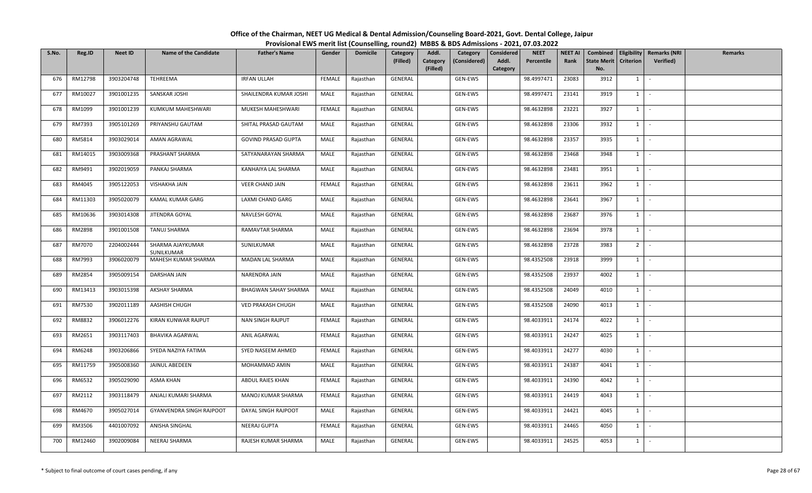| S.No. | Reg.ID  | <b>Neet ID</b> | <b>Name of the Candidate</b>    | <b>Father's Name</b>       | Gender        | <b>Domicile</b> | Category<br>(Filled) | Addl.<br>Category<br>(Considered)<br>Category<br>(Filled) | <b>NEET</b><br>Considered<br>Addl.<br>Percentile<br>Category | <b>NEET AI</b><br>Rank | <b>State Merit</b><br>No. | <b>Criterion</b> | Combined   Eligibility   Remarks (NRI<br><b>Verified</b> ) | Remarks |
|-------|---------|----------------|---------------------------------|----------------------------|---------------|-----------------|----------------------|-----------------------------------------------------------|--------------------------------------------------------------|------------------------|---------------------------|------------------|------------------------------------------------------------|---------|
| 676   | RM12798 | 3903204748     | <b>TEHREEMA</b>                 | <b>IRFAN ULLAH</b>         | FEMALE        | Rajasthan       | GENERAL              | GEN-EWS                                                   | 98.4997471                                                   | 23083                  | 3912                      | 1                |                                                            |         |
| 677   | RM10027 | 3901001235     | SANSKAR JOSHI                   | SHAILENDRA KUMAR JOSHI     | MALE          | Rajasthan       | GENERAL              | GEN-EWS                                                   | 98.4997471                                                   | 23141                  | 3919                      | $1 \vert$        | $\sim$                                                     |         |
| 678   | RM1099  | 3901001239     | KUMKUM MAHESHWARI               | MUKESH MAHESHWARI          | <b>FEMALE</b> | Rajasthan       | GENERAL              | GEN-EWS                                                   | 98.4632898                                                   | 23221                  | 3927                      | $1 \mid$         |                                                            |         |
| 679   | RM7393  | 3905101269     | PRIYANSHU GAUTAM                | SHITAL PRASAD GAUTAM       | MALE          | Rajasthan       | GENERAL              | GEN-EWS                                                   | 98.4632898                                                   | 23306                  | 3932                      | $1 \vert$        | $\sim$                                                     |         |
| 680   | RM5814  | 3903029014     | AMAN AGRAWAL                    | <b>GOVIND PRASAD GUPTA</b> | MALE          | Rajasthan       | GENERAL              | GEN-EWS                                                   | 98.4632898                                                   | 23357                  | 3935                      | 1                | $\sim$                                                     |         |
| 681   | RM14015 | 3903009368     | PRASHANT SHARMA                 | SATYANARAYAN SHARMA        | MALE          | Rajasthan       | GENERAL              | GEN-EWS                                                   | 98.4632898                                                   | 23468                  | 3948                      | $1 \vert$        | $\sim$                                                     |         |
| 682   | RM9491  | 3902019059     | PANKAJ SHARMA                   | KANHAIYA LAL SHARMA        | MALE          | Rajasthan       | GENERAL              | GEN-EWS                                                   | 98.4632898                                                   | 23481                  | 3951                      | $1 \vert$        | $\sim$                                                     |         |
| 683   | RM4045  | 3905122053     | VISHAKHA JAIN                   | VEER CHAND JAIN            | FEMALE        | Rajasthan       | GENERAL              | GEN-EWS                                                   | 98.4632898                                                   | 23611                  | 3962                      | $1 \vert$        |                                                            |         |
| 684   | RM11303 | 3905020079     | KAMAL KUMAR GARG                | LAXMI CHAND GARG           | MALE          | Rajasthan       | GENERAL              | GEN-EWS                                                   | 98.4632898                                                   | 23641                  | 3967                      | $1 \vert$        | $\sim$                                                     |         |
| 685   | RM10636 | 3903014308     | JITENDRA GOYAL                  | NAVLESH GOYAL              | MALE          | Rajasthan       | GENERAL              | GEN-EWS                                                   | 98.4632898                                                   | 23687                  | 3976                      | $\mathbf{1}$     |                                                            |         |
| 686   | RM2898  | 3901001508     | TANUJ SHARMA                    | RAMAVTAR SHARMA            | MALE          | Rajasthan       | GENERAL              | GEN-EWS                                                   | 98.4632898                                                   | 23694                  | 3978                      | $1 \mid$         | $\sim$                                                     |         |
| 687   | RM7070  | 2204002444     | SHARMA AJAYKUMAR<br>SUNILKUMAR  | SUNILKUMAR                 | MALE          | Rajasthan       | GENERAL              | GEN-EWS                                                   | 98.4632898                                                   | 23728                  | 3983                      | 2 <sup>1</sup>   | $\overline{\phantom{a}}$                                   |         |
| 688   | RM7993  | 3906020079     | MAHESH KUMAR SHARMA             | MADAN LAL SHARMA           | MALE          | Rajasthan       | GENERAL              | GEN-EWS                                                   | 98.4352508                                                   | 23918                  | 3999                      | 1                |                                                            |         |
| 689   | RM2854  | 3905009154     | DARSHAN JAIN                    | NARENDRA JAIN              | MALE          | Rajasthan       | GENERAL              | GEN-EWS                                                   | 98.4352508                                                   | 23937                  | 4002                      | $1 \vert$        | $\sim$                                                     |         |
| 690   | RM13413 | 3903015398     | AKSHAY SHARMA                   | BHAGWAN SAHAY SHARMA       | MALE          | Rajasthan       | GENERAL              | GEN-EWS                                                   | 98.4352508                                                   | 24049                  | 4010                      | 1                |                                                            |         |
| 691   | RM7530  | 3902011189     | AASHISH CHUGH                   | <b>VED PRAKASH CHUGH</b>   | MALE          | Rajasthan       | GENERAL              | GEN-EWS                                                   | 98.4352508                                                   | 24090                  | 4013                      | $1$ $\cdot$      |                                                            |         |
| 692   | RM8832  | 3906012276     | KIRAN KUNWAR RAJPUT             | <b>NAN SINGH RAJPUT</b>    | FEMALE        | Rajasthan       | GENERAL              | GEN-EWS                                                   | 98.4033911                                                   | 24174                  | 4022                      | 1                |                                                            |         |
| 693   | RM2651  | 3903117403     | <b>BHAVIKA AGARWAL</b>          | ANIL AGARWAL               | FEMALE        | Rajasthan       | GENERAL              | GEN-EWS                                                   | 98.4033911                                                   | 24247                  | 4025                      | $1 \vert$        |                                                            |         |
| 694   | RM6248  | 3903206866     | SYEDA NAZIYA FATIMA             | SYED NASEEM AHMED          | FEMALE        | Rajasthan       | GENERAL              | GEN-EWS                                                   | 98.4033911                                                   | 24277                  | 4030                      | $1 \vert$        | $\sim$                                                     |         |
| 695   | RM11759 | 3905008360     | JAINUL ABEDEEN                  | MOHAMMAD AMIN              | MALE          | Rajasthan       | GENERAL              | GEN-EWS                                                   | 98.4033911                                                   | 24387                  | 4041                      | $1 \vert$        | $\overline{\phantom{a}}$                                   |         |
| 696   | RM6532  | 3905029090     | ASMA KHAN                       | ABDUL RAIES KHAN           | FEMALE        | Rajasthan       | GENERAL              | GEN-EWS                                                   | 98.4033911                                                   | 24390                  | 4042                      | $1 \mid$         | $\sim$                                                     |         |
| 697   | RM2112  | 3903118479     | ANJALI KUMARI SHARMA            | MANOJ KUMAR SHARMA         | FEMALE        | Rajasthan       | GENERAL              | GEN-EWS                                                   | 98.4033911                                                   | 24419                  | 4043                      | $1 \vert$        | $\overline{\phantom{a}}$                                   |         |
| 698   | RM4670  | 3905027014     | <b>GYANVENDRA SINGH RAJPOOT</b> | DAYAL SINGH RAJPOOT        | MALE          | Rajasthan       | GENERAL              | GEN-EWS                                                   | 98.4033911                                                   | 24421                  | 4045                      | $1 \mid$         | $\sim$                                                     |         |
| 699   | RM3506  | 4401007092     | ANISHA SINGHAL                  | NEERAJ GUPTA               | FEMALE        | Rajasthan       | GENERAL              | GEN-EWS                                                   | 98.4033911                                                   | 24465                  | 4050                      | $1 \vert$        |                                                            |         |
| 700   | RM12460 | 3902009084     | NEERAJ SHARMA                   | RAJESH KUMAR SHARMA        | MALE          | Rajasthan       | GENERAL              | GEN-EWS                                                   | 98.4033911                                                   | 24525                  | 4053                      | $1 \vert$        | $\sim$                                                     |         |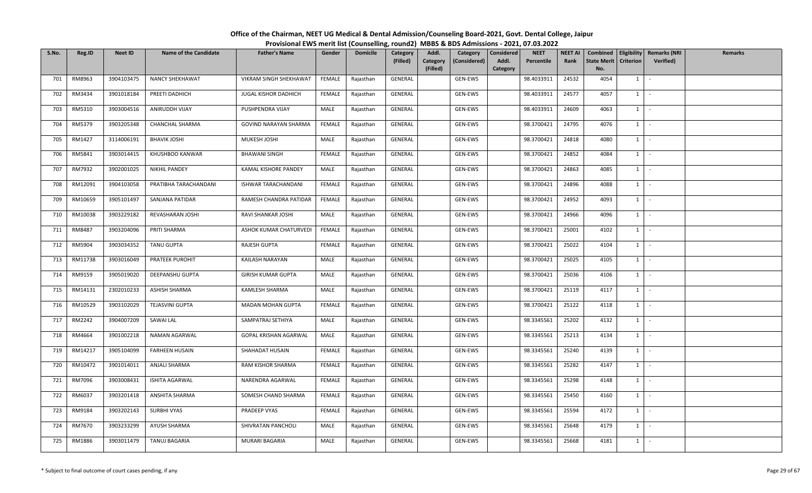| S.No. | Reg.ID  | <b>Neet ID</b> | <b>Name of the Candidate</b> | <b>Father's Name</b>      | Gender        | <b>Domicile</b> | Category<br>(Filled) | Addl.<br>Category<br>(Considered)<br>Category<br>(Filled) | <b>NEET</b><br>Considered<br>Addl.<br>Percentile<br>Category | <b>NEET AI</b><br>Rank | <b>State Merit</b><br>No. | <b>Criterion</b> | Combined   Eligibility   Remarks (NRI<br><b>Verified</b> ) | Remarks |
|-------|---------|----------------|------------------------------|---------------------------|---------------|-----------------|----------------------|-----------------------------------------------------------|--------------------------------------------------------------|------------------------|---------------------------|------------------|------------------------------------------------------------|---------|
| 701   | RM8963  | 3904103475     | <b>NANCY SHEKHAWAT</b>       | VIKRAM SINGH SHEKHAWAT    | FEMALE        | Rajasthan       | GENERAL              | GEN-EWS                                                   | 98.4033911                                                   | 24532                  | 4054                      | $1 \vert$        |                                                            |         |
| 702   | RM3434  | 3901018184     | PREETI DADHICH               | JUGAL KISHOR DADHICH      | <b>FEMALE</b> | Rajasthan       | GENERAL              | GEN-EWS                                                   | 98.4033911                                                   | 24577                  | 4057                      | $1 \mid$         | $\sim$                                                     |         |
| 703   | RM5310  | 3903004516     | ANIRUDDH VIJAY               | PUSHPENDRA VIJAY          | MALE          | Rajasthan       | GENERAL              | GEN-EWS                                                   | 98.4033911                                                   | 24609                  | 4063                      | $1 \mid$         |                                                            |         |
| 704   | RM5379  | 3903205348     | CHANCHAL SHARMA              | GOVIND NARAYAN SHARMA     | FEMALE        | Rajasthan       | GENERAL              | GEN-EWS                                                   | 98.3700421                                                   | 24795                  | 4076                      | $1 \vert$        | $\mathcal{L}$                                              |         |
| 705   | RM1427  | 3114006191     | <b>BHAVIK JOSHI</b>          | MUKESH JOSHI              | MALE          | Rajasthan       | GENERAL              | GEN-EWS                                                   | 98.3700421                                                   | 24818                  | 4080                      | $1 \vert$        | $\sim$                                                     |         |
| 706   | RM5841  | 3903014415     | KHUSHBOO KANWAR              | <b>BHAWANI SINGH</b>      | FEMALE        | Rajasthan       | GENERAL              | GEN-EWS                                                   | 98.3700421                                                   | 24852                  | 4084                      | $1 \vert$        | $\sim$                                                     |         |
| 707   | RM7932  | 3902001025     | <b>NIKHIL PANDEY</b>         | KAMAL KISHORE PANDEY      | MALE          | Rajasthan       | GENERAL              | GEN-EWS                                                   | 98.3700421                                                   | 24863                  | 4085                      | $1 \vert$        | $\sim$                                                     |         |
| 708   | RM12091 | 3904103058     | PRATIBHA TARACHANDANI        | ISHWAR TARACHANDANI       | FEMALE        | Rajasthan       | GENERAL              | GEN-EWS                                                   | 98.3700421                                                   | 24896                  | 4088                      | $1 \vert$        | $\sim$                                                     |         |
| 709   | RM10659 | 3905101497     | SANJANA PATIDAR              | RAMESH CHANDRA PATIDAR    | FEMALE        | Rajasthan       | GENERAL              | GEN-EWS                                                   | 98.3700421                                                   | 24952                  | 4093                      | $1 \mid$         | $\sim$                                                     |         |
| 710   | RM10038 | 3903229182     | REVASHARAN JOSHI             | RAVI SHANKAR JOSHI        | MALE          | Rajasthan       | GENERAL              | GEN-EWS                                                   | 98.3700421                                                   | 24966                  | 4096                      | $\mathbf{1}$     |                                                            |         |
| 711   | RM8487  | 3903204096     | PRITI SHARMA                 | ASHOK KUMAR CHATURVEDI    | FEMALE        | Rajasthan       | GENERAL              | GEN-EWS                                                   | 98.3700421                                                   | 25001                  | 4102                      | $1 \cdot$        |                                                            |         |
| 712   | RM5904  | 3903034352     | <b>TANU GUPTA</b>            | RAJESH GUPTA              | FEMALE        | Rajasthan       | GENERAL              | GEN-EWS                                                   | 98.3700421                                                   | 25022                  | 4104                      | $1 \vert$        | $\sim$                                                     |         |
| 713   | RM11738 | 3903016049     | PRATEEK PUROHIT              | KAILASH NARAYAN           | MALE          | Rajasthan       | GENERAL              | GEN-EWS                                                   | 98.3700421                                                   | 25025                  | 4105                      | 1                |                                                            |         |
| 714   | RM9159  | 3905019020     | DEEPANSHU GUPTA              | <b>GIRISH KUMAR GUPTA</b> | MALE          | Rajasthan       | GENERAL              | GEN-EWS                                                   | 98.3700421                                                   | 25036                  | 4106                      | $1 \vert$        | $\sim$                                                     |         |
| 715   | RM14131 | 2302010233     | ASHISH SHARMA                | KAMLESH SHARMA            | MALE          | Rajasthan       | GENERAL              | GEN-EWS                                                   | 98.3700421                                                   | 25119                  | 4117                      | $1 \vert$        |                                                            |         |
| 716   | RM10529 | 3903102029     | TEJASVINI GUPTA              | MADAN MOHAN GUPTA         | FEMALE        | Rajasthan       | GENERAL              | GEN-EWS                                                   | 98.3700421                                                   | 25122                  | 4118                      | $1$ $\cdot$      |                                                            |         |
| 717   | RM2242  | 3904007209     | SAWAI LAL                    | SAMPATRAJ SETHIYA         | MALE          | Rajasthan       | GENERAL              | GEN-EWS                                                   | 98.3345561                                                   | 25202                  | 4132                      | 1                |                                                            |         |
| 718   | RM4664  | 3901002218     | NAMAN AGARWAL                | GOPAL KRISHAN AGARWAL     | MALE          | Rajasthan       | GENERAL              | GEN-EWS                                                   | 98.3345561                                                   | 25213                  | 4134                      | $1 \vert$        | $\sim$                                                     |         |
| 719   | RM14217 | 3905104099     | <b>FARHEEN HUSAIN</b>        | SHAHADAT HUSAIN           | FEMALE        | Rajasthan       | GENERAL              | GEN-EWS                                                   | 98.3345561                                                   | 25240                  | 4139                      | $1 \vert$        | $\sim$                                                     |         |
| 720   | RM10472 | 3901014011     | ANJALI SHARMA                | RAM KISHOR SHARMA         | FEMALE        | Rajasthan       | GENERAL              | GEN-EWS                                                   | 98.3345561                                                   | 25282                  | 4147                      | $1 \vert$        | $\sim$                                                     |         |
| 721   | RM7096  | 3903008431     | ISHITA AGARWAL               | NARENDRA AGARWAL          | FEMALE        | Rajasthan       | GENERAL              | GEN-EWS                                                   | 98.3345561                                                   | 25298                  | 4148                      | $1$ $-$          |                                                            |         |
| 722   | RM6037  | 3903201418     | ANSHITA SHARMA               | SOMESH CHAND SHARMA       | FEMALE        | Rajasthan       | GENERAL              | GEN-EWS                                                   | 98.3345561                                                   | 25450                  | 4160                      | $1 \mid$         | $\sim$                                                     |         |
| 723   | RM9184  | 3903202143     | SURBHI VYAS                  | PRADEEP VYAS              | FEMALE        | Rajasthan       | GENERAL              | GEN-EWS                                                   | 98.3345561                                                   | 25594                  | 4172                      | $1 \vert$        | $\sim$                                                     |         |
| 724   | RM7670  | 3903233299     | AYUSH SHARMA                 | SHIVRATAN PANCHOLI        | MALE          | Rajasthan       | GENERAL              | GEN-EWS                                                   | 98.3345561                                                   | 25648                  | 4179                      | $1 \vert$        | $\sim$                                                     |         |
| 725   | RM1886  | 3903011479     | <b>TANUJ BAGARIA</b>         | MURARI BAGARIA            | MALE          | Rajasthan       | GENERAL              | GEN-EWS                                                   | 98.3345561                                                   | 25668                  | 4181                      | $1 \mid$         | $\mathcal{L}_{\mathcal{A}}$                                |         |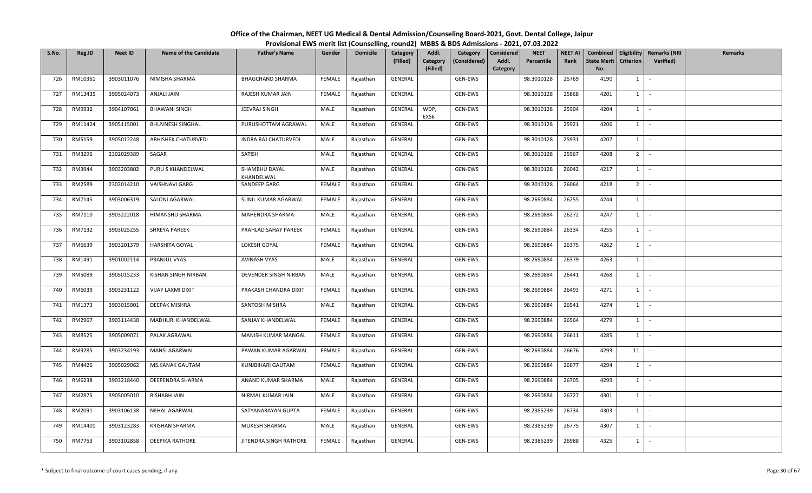| S.No. | Reg.ID  | <b>Neet ID</b> | <b>Name of the Candidate</b> | <b>Father's Name</b>        | Gender        | <b>Domicile</b> | Category<br>(Filled) | Addl.<br>Category<br>(Filled) | Category<br>(Considered) | <b>NEET</b><br>Considered<br>Addl.<br>Percentile<br>Category | <b>NEET AI</b><br>Rank | <b>State Merit</b><br>No. | <b>Criterion</b> | Combined   Eligibility   Remarks (NRI<br><b>Verified</b> ) | Remarks |
|-------|---------|----------------|------------------------------|-----------------------------|---------------|-----------------|----------------------|-------------------------------|--------------------------|--------------------------------------------------------------|------------------------|---------------------------|------------------|------------------------------------------------------------|---------|
| 726   | RM10361 | 3903011076     | NIMISHA SHARMA               | <b>BHAGCHAND SHARMA</b>     | FEMALE        | Rajasthan       | GENERAL              |                               | GEN-EWS                  | 98.3010128                                                   | 25769                  | 4190                      | $1 \vert$        |                                                            |         |
| 727   | RM13435 | 3905024073     | ANJALI JAIN                  | RAJESH KUMAR JAIN           | <b>FEMALE</b> | Rajasthan       | GENERAL              |                               | GEN-EWS                  | 98.3010128                                                   | 25868                  | 4201                      | $1 \mid$         | $\sim$                                                     |         |
| 728   | RM9932  | 3904107061     | <b>BHAWANI SINGH</b>         | JEEVRAJ SINGH               | MALE          | Rajasthan       | GENERAL              | WDP,<br>EXS6                  | GEN-EWS                  | 98.3010128                                                   | 25904                  | 4204                      | $1 \mid$         |                                                            |         |
| 729   | RM11424 | 3905115001     | <b>BHUVNESH SINGHAL</b>      | PURUSHOTTAM AGRAWAL         | MALE          | Rajasthan       | GENERAL              |                               | GEN-EWS                  | 98.3010128                                                   | 25921                  | 4206                      | $1 \vert$        | $\sim$                                                     |         |
| 730   | RM5159  | 3905012248     | ABHISHEK CHATURVEDI          | INDRA RAJ CHATURVEDI        | MALE          | Rajasthan       | GENERAL              |                               | GEN-EWS                  | 98.3010128                                                   | 25931                  | 4207                      | 1                | $\sim$                                                     |         |
| 731   | RM3296  | 2302029389     | SAGAR                        | SATISH                      | MALE          | Rajasthan       | GENERAL              |                               | GEN-EWS                  | 98.3010128                                                   | 25967                  | 4208                      | 2                | $\sim$                                                     |         |
| 732   | RM3944  | 3903203802     | PURU S KHANDELWAL            | SHAMBHU DAYAL<br>KHANDELWAL | MALE          | Rajasthan       | GENERAL              |                               | GEN-EWS                  | 98.3010128                                                   | 26042                  | 4217                      | $1 \vert$        | $\sim$                                                     |         |
| 733   | RM2589  | 2302014210     | VAISHNAVI GARG               | SANDEEP GARG                | FEMALE        | Rajasthan       | GENERAL              |                               | GEN-EWS                  | 98.3010128                                                   | 26064                  | 4218                      | 2 <sup>1</sup>   |                                                            |         |
| 734   | RM7145  | 3903006319     | SALONI AGARWAL               | SUNIL KUMAR AGARWAL         | FEMALE        | Rajasthan       | GENERAL              |                               | GEN-EWS                  | 98.2690884                                                   | 26255                  | 4244                      | $1 \vert$        | $\sim$                                                     |         |
| 735   | RM7110  | 3903222018     | HIMANSHU SHARMA              | MAHENDRA SHARMA             | MALE          | Rajasthan       | GENERAL              |                               | GEN-EWS                  | 98.2690884                                                   | 26272                  | 4247                      | $\mathbf{1}$     |                                                            |         |
| 736   | RM7132  | 3903025255     | SHREYA PAREEK                | PRAHLAD SAHAY PAREEK        | FEMALE        | Rajasthan       | GENERAL              |                               | GEN-EWS                  | 98.2690884                                                   | 26334                  | 4255                      | $1 \mid$         | $\sim$                                                     |         |
| 737   | RM6639  | 3903201379     | <b>HARSHITA GOYAL</b>        | LOKESH GOYAL                | FEMALE        | Rajasthan       | GENERAL              |                               | GEN-EWS                  | 98.2690884                                                   | 26375                  | 4262                      | $1 \vert$        | $\overline{\phantom{a}}$                                   |         |
| 738   | RM1491  | 3901002114     | PRANJUL VYAS                 | <b>AVINASH VYAS</b>         | MALE          | Rajasthan       | GENERAL              |                               | GEN-EWS                  | 98.2690884                                                   | 26379                  | 4263                      | 1                |                                                            |         |
| 739   | RM5089  | 3905015233     | KISHAN SINGH NIRBAN          | DEVENDER SINGH NIRBAN       | MALE          | Rajasthan       | GENERAL              |                               | GEN-EWS                  | 98.2690884                                                   | 26441                  | 4268                      | $1 \vert$        | $\sim$                                                     |         |
| 740   | RM6039  | 3903231122     | VIJAY LAXMI DIXIT            | PRAKASH CHANDRA DIXIT       | FEMALE        | Rajasthan       | GENERAL              |                               | GEN-EWS                  | 98.2690884                                                   | 26493                  | 4271                      | 1                |                                                            |         |
| 741   | RM1373  | 3903015001     | DEEPAK MISHRA                | SANTOSH MISHRA              | MALE          | Rajasthan       | GENERAL              |                               | GEN-EWS                  | 98.2690884                                                   | 26541                  | 4274                      | $1$ $-$          |                                                            |         |
| 742   | RM2967  | 3903114430     | MADHURI KHANDELWAL           | SANJAY KHANDELWAL           | <b>FEMALE</b> | Rajasthan       | GENERAL              |                               | GEN-EWS                  | 98.2690884                                                   | 26564                  | 4279                      | 1                |                                                            |         |
| 743   | RM8525  | 3905009071     | PALAK AGRAWAL                | MANISH KUMAR MANGAL         | FEMALE        | Rajasthan       | GENERAL              |                               | GEN-EWS                  | 98.2690884                                                   | 26611                  | 4285                      | $1 \vert$        |                                                            |         |
| 744   | RM9285  | 3903234193     | <b>MANSI AGARWAL</b>         | PAWAN KUMAR AGARWAL         | FEMALE        | Rajasthan       | GENERAL              |                               | GEN-EWS                  | 98.2690884                                                   | 26676                  | 4293                      | 11               | $\sim$                                                     |         |
| 745   | RM4426  | 3905029062     | MS.KANAK GAUTAM              | KUNJBIHARI GAUTAM           | FEMALE        | Rajasthan       | GENERAL              |                               | GEN-EWS                  | 98.2690884                                                   | 26677                  | 4294                      | $1 \vert$        |                                                            |         |
| 746   | RM6238  | 3903218440     | DEEPENDRA SHARMA             | ANAND KUMAR SHARMA          | MALE          | Rajasthan       | GENERAL              |                               | GEN-EWS                  | 98.2690884                                                   | 26705                  | 4299                      | $1 \mid$         | $\sim$                                                     |         |
| 747   | RM2875  | 3905005010     | RISHABH JAIN                 | NIRMAL KUMAR JAIN           | MALE          | Rajasthan       | GENERAL              |                               | GEN-EWS                  | 98.2690884                                                   | 26727                  | 4301                      | $1 \vert$        | $\sim$                                                     |         |
| 748   | RM2091  | 3903106138     | <b>NEHAL AGARWAL</b>         | SATYANARAYAN GUPTA          | <b>FEMALE</b> | Rajasthan       | GENERAL              |                               | GEN-EWS                  | 98.2385239                                                   | 26734                  | 4303                      | $1 \mid$         | $\sim$                                                     |         |
| 749   | RM14401 | 3903123283     | <b>KRISHAN SHARMA</b>        | MUKESH SHARMA               | MALE          | Rajasthan       | GENERAL              |                               | GEN-EWS                  | 98.2385239                                                   | 26775                  | 4307                      | $1 \vert$        |                                                            |         |
| 750   | RM7753  | 3903102858     | <b>DEEPIKA RATHORE</b>       | JITENDRA SINGH RATHORE      | FEMALE        | Rajasthan       | GENERAL              |                               | GEN-EWS                  | 98.2385239                                                   | 26988                  | 4325                      | $1 \vert$        | $\sim$                                                     |         |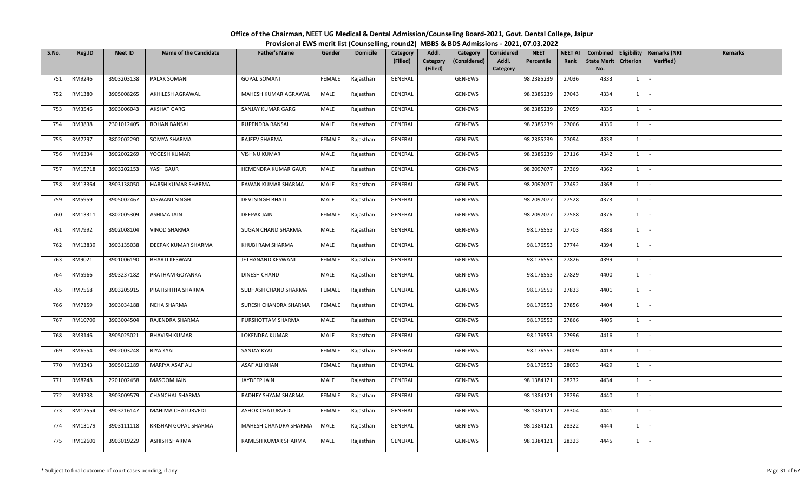| S.No. | Reg.ID  | <b>Neet ID</b> | <b>Name of the Candidate</b> | <b>Father's Name</b>    | Gender        | <b>Domicile</b> | Category<br>(Filled) | Addl.<br>Category<br>(Considered)<br>Category<br>(Filled) | <b>NEET</b><br>Considered<br>Addl.<br>Percentile<br>Category | <b>NEET AI</b><br>Rank | <b>State Merit</b><br>No. | <b>Criterion</b> | Combined   Eligibility   Remarks (NRI<br><b>Verified</b> ) | Remarks |
|-------|---------|----------------|------------------------------|-------------------------|---------------|-----------------|----------------------|-----------------------------------------------------------|--------------------------------------------------------------|------------------------|---------------------------|------------------|------------------------------------------------------------|---------|
| 751   | RM9246  | 3903203138     | PALAK SOMANI                 | <b>GOPAL SOMANI</b>     | FEMALE        | Rajasthan       | GENERAL              | GEN-EWS                                                   | 98.2385239                                                   | 27036                  | 4333                      | $1 \vert$        |                                                            |         |
| 752   | RM1380  | 3905008265     | AKHILESH AGRAWAL             | MAHESH KUMAR AGRAWAL    | MALE          | Rajasthan       | GENERAL              | GEN-EWS                                                   | 98.2385239                                                   | 27043                  | 4334                      | $1 \mid$         | $\sim$                                                     |         |
| 753   | RM3546  | 3903006043     | AKSHAT GARG                  | SANJAY KUMAR GARG       | MALE          | Rajasthan       | GENERAL              | GEN-EWS                                                   | 98.2385239                                                   | 27059                  | 4335                      | $1 \mid$         |                                                            |         |
| 754   | RM3838  | 2301012405     | <b>ROHAN BANSAL</b>          | RUPENDRA BANSAL         | MALE          | Rajasthan       | GENERAL              | GEN-EWS                                                   | 98.2385239                                                   | 27066                  | 4336                      | $1 \vert$        | $\mathcal{L}$                                              |         |
| 755   | RM7297  | 3802002290     | SOMYA SHARMA                 | RAJEEV SHARMA           | FEMALE        | Rajasthan       | GENERAL              | GEN-EWS                                                   | 98.2385239                                                   | 27094                  | 4338                      | $1 \vert$        | $\sim$                                                     |         |
| 756   | RM6334  | 3902002269     | YOGESH KUMAR                 | <b>VISHNU KUMAR</b>     | MALE          | Rajasthan       | GENERAL              | GEN-EWS                                                   | 98.2385239                                                   | 27116                  | 4342                      | $1 \vert$        | $\sim$                                                     |         |
| 757   | RM15718 | 3903202153     | YASH GAUR                    | HEMENDRA KUMAR GAUR     | MALE          | Rajasthan       | GENERAL              | GEN-EWS                                                   | 98.2097077                                                   | 27369                  | 4362                      | $1 \vert$        | $\sim$                                                     |         |
| 758   | RM13364 | 3903138050     | HARSH KUMAR SHARMA           | PAWAN KUMAR SHARMA      | MALE          | Rajasthan       | GENERAL              | GEN-EWS                                                   | 98.2097077                                                   | 27492                  | 4368                      | $1 \vert$        | $\sim$                                                     |         |
| 759   | RM5959  | 3905002467     | JASWANT SINGH                | DEVI SINGH BHATI        | MALE          | Rajasthan       | GENERAL              | GEN-EWS                                                   | 98.2097077                                                   | 27528                  | 4373                      | $1 \mid$         | $\sim$                                                     |         |
| 760   | RM13311 | 3802005309     | ASHIMA JAIN                  | DEEPAK JAIN             | <b>FEMALE</b> | Rajasthan       | GENERAL              | GEN-EWS                                                   | 98.2097077                                                   | 27588                  | 4376                      | $\mathbf{1}$     |                                                            |         |
| 761   | RM7992  | 3902008104     | VINOD SHARMA                 | SUGAN CHAND SHARMA      | MALE          | Rajasthan       | GENERAL              | GEN-EWS                                                   | 98.176553                                                    | 27703                  | 4388                      | 1                | $\sim$                                                     |         |
| 762   | RM13839 | 3903135038     | DEEPAK KUMAR SHARMA          | KHUBI RAM SHARMA        | MALE          | Rajasthan       | GENERAL              | GEN-EWS                                                   | 98.176553                                                    | 27744                  | 4394                      | $1 \vert$        | $\sim$                                                     |         |
| 763   | RM9021  | 3901006190     | <b>BHARTI KESWANI</b>        | JETHANAND KESWANI       | FEMALE        | Rajasthan       | GENERAL              | GEN-EWS                                                   | 98.176553                                                    | 27826                  | 4399                      | 1                |                                                            |         |
| 764   | RM5966  | 3903237182     | PRATHAM GOYANKA              | DINESH CHAND            | MALE          | Rajasthan       | GENERAL              | GEN-EWS                                                   | 98.176553                                                    | 27829                  | 4400                      | $1 \vert$        | $\sim$                                                     |         |
| 765   | RM7568  | 3903205915     | PRATISHTHA SHARMA            | SUBHASH CHAND SHARMA    | FEMALE        | Rajasthan       | GENERAL              | GEN-EWS                                                   | 98.176553                                                    | 27833                  | 4401                      | $1 \vert$        |                                                            |         |
| 766   | RM7159  | 3903034188     | NEHA SHARMA                  | SURESH CHANDRA SHARMA   | FEMALE        | Rajasthan       | GENERAL              | GEN-EWS                                                   | 98.176553                                                    | 27856                  | 4404                      | $1$ $-$          |                                                            |         |
| 767   | RM10709 | 3903004504     | RAJENDRA SHARMA              | PURSHOTTAM SHARMA       | MALE          | Rajasthan       | GENERAL              | GEN-EWS                                                   | 98.176553                                                    | 27866                  | 4405                      | 1                |                                                            |         |
| 768   | RM3146  | 3905025021     | <b>BHAVISH KUMAR</b>         | LOKENDRA KUMAR          | MALE          | Rajasthan       | GENERAL              | GEN-EWS                                                   | 98.176553                                                    | 27996                  | 4416                      | $1 \vert$        | $\sim$                                                     |         |
| 769   | RM6554  | 3902003248     | RIYA KYAL                    | SANJAY KYAL             | FEMALE        | Rajasthan       | GENERAL              | GEN-EWS                                                   | 98.176553                                                    | 28009                  | 4418                      | $1 \vert$        | $\sim$                                                     |         |
| 770   | RM3343  | 3905012189     | MARIYA ASAF ALI              | ASAF ALI KHAN           | FEMALE        | Rajasthan       | GENERAL              | GEN-EWS                                                   | 98.176553                                                    | 28093                  | 4429                      | $1 \vert$        | $\sim$                                                     |         |
| 771   | RM8248  | 2201002458     | MASOOM JAIN                  | JAYDEEP JAIN            | MALE          | Rajasthan       | GENERAL              | GEN-EWS                                                   | 98.1384121                                                   | 28232                  | 4434                      | $1$ $-$          |                                                            |         |
| 772   | RM9238  | 3903009579     | CHANCHAL SHARMA              | RADHEY SHYAM SHARMA     | FEMALE        | Rajasthan       | GENERAL              | GEN-EWS                                                   | 98.1384121                                                   | 28296                  | 4440                      | $1 \vert$        | $\sim$                                                     |         |
| 773   | RM12554 | 3903216147     | MAHIMA CHATURVEDI            | <b>ASHOK CHATURVEDI</b> | FEMALE        | Rajasthan       | GENERAL              | GEN-EWS                                                   | 98.1384121                                                   | 28304                  | 4441                      | $1 \mid$         | $\sim$                                                     |         |
| 774   | RM13179 | 3903111118     | KRISHAN GOPAL SHARMA         | MAHESH CHANDRA SHARMA   | MALE          | Rajasthan       | GENERAL              | GEN-EWS                                                   | 98.1384121                                                   | 28322                  | 4444                      | $1 \vert$        | $\sim$                                                     |         |
| 775   | RM12601 | 3903019229     | ASHISH SHARMA                | RAMESH KUMAR SHARMA     | MALE          | Rajasthan       | GENERAL              | GEN-EWS                                                   | 98.1384121                                                   | 28323                  | 4445                      | $1 \mid$         | $\sim$                                                     |         |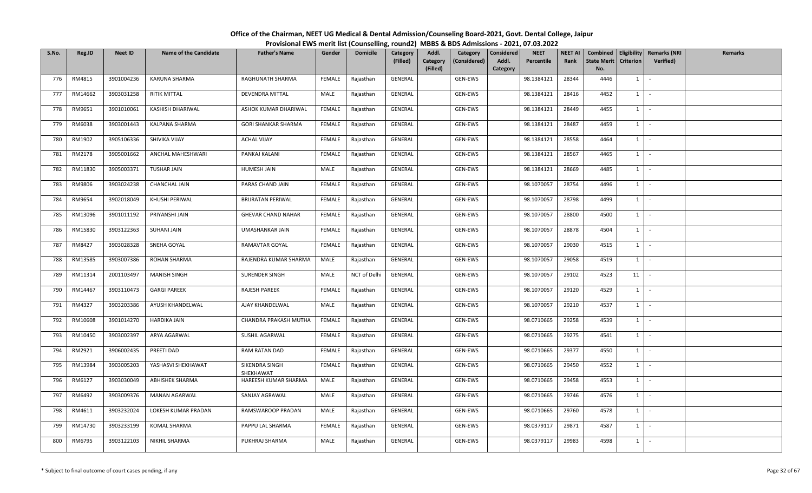| S.No. | Reg.ID  | <b>Neet ID</b> | <b>Name of the Candidate</b> | <b>Father's Name</b>        | Gender        | <b>Domicile</b> | Category<br>(Filled) | Addl.<br>Category<br>(Considered)<br>Category<br>(Filled) | <b>NEET</b><br>Considered<br>Percentile<br>Addl.<br>Category | <b>NEET AI</b><br>Rank | <b>State Merit</b><br>No. | <b>Criterion</b> | Combined   Eligibility   Remarks (NRI<br><b>Verified</b> ) | Remarks |
|-------|---------|----------------|------------------------------|-----------------------------|---------------|-----------------|----------------------|-----------------------------------------------------------|--------------------------------------------------------------|------------------------|---------------------------|------------------|------------------------------------------------------------|---------|
| 776   | RM4815  | 3901004236     | KARUNA SHARMA                | RAGHUNATH SHARMA            | FEMALE        | Rajasthan       | GENERAL              | GEN-EWS                                                   | 98.1384121                                                   | 28344                  | 4446                      | $1 \vert$        |                                                            |         |
| 777   | RM14662 | 3903031258     | <b>RITIK MITTAL</b>          | DEVENDRA MITTAL             | MALE          | Rajasthan       | <b>GENERAL</b>       | GEN-EWS                                                   | 98.1384121                                                   | 28416                  | 4452                      | $1 \mid$         | $\sim$                                                     |         |
| 778   | RM9651  | 3901010061     | KASHISH DHARIWAL             | ASHOK KUMAR DHARIWAL        | <b>FEMALE</b> | Rajasthan       | GENERAL              | GEN-EWS                                                   | 98.1384121                                                   | 28449                  | 4455                      | $1 \mid$         |                                                            |         |
| 779   | RM6038  | 3903001443     | KALPANA SHARMA               | <b>GORI SHANKAR SHARMA</b>  | FEMALE        | Rajasthan       | GENERAL              | GEN-EWS                                                   | 98.1384121                                                   | 28487                  | 4459                      | $1 \vert$        | $\sim$                                                     |         |
| 780   | RM1902  | 3905106336     | SHIVIKA VIJAY                | <b>ACHAL VIJAY</b>          | FEMALE        | Rajasthan       | GENERAL              | GEN-EWS                                                   | 98.1384121                                                   | 28558                  | 4464                      | $1 \vert$        | $\sim$                                                     |         |
| 781   | RM2178  | 3905001662     | ANCHAL MAHESHWARI            | PANKAJ KALANI               | FEMALE        | Rajasthan       | GENERAL              | GEN-EWS                                                   | 98.1384121                                                   | 28567                  | 4465                      | $1 \vert$        | $\sim$                                                     |         |
| 782   | RM11830 | 3905003371     | <b>TUSHAR JAIN</b>           | HUMESH JAIN                 | MALE          | Rajasthan       | GENERAL              | GEN-EWS                                                   | 98.1384121                                                   | 28669                  | 4485                      | $1 \vert$        | $\sim$                                                     |         |
| 783   | RM9806  | 3903024238     | <b>CHANCHAL JAIN</b>         | PARAS CHAND JAIN            | FEMALE        | Rajasthan       | GENERAL              | GEN-EWS                                                   | 98.1070057                                                   | 28754                  | 4496                      | $1 \vert$        | $\sim$                                                     |         |
| 784   | RM9654  | 3902018049     | KHUSHI PERIWAL               | BRIJRATAN PERIWAL           | FEMALE        | Rajasthan       | GENERAL              | GEN-EWS                                                   | 98.1070057                                                   | 28798                  | 4499                      | $1 \vert$        | $\sim$                                                     |         |
| 785   | RM13096 | 3901011192     | PRIYANSHI JAIN               | <b>GHEVAR CHAND NAHAR</b>   | FEMALE        | Rajasthan       | GENERAL              | GEN-EWS                                                   | 98.1070057                                                   | 28800                  | 4500                      | $\mathbf{1}$     |                                                            |         |
| 786   | RM15830 | 3903122363     | SUHANI JAIN                  | UMASHANKAR JAIN             | FEMALE        | Rajasthan       | GENERAL              | GEN-EWS                                                   | 98.1070057                                                   | 28878                  | 4504                      | $1 \vert$        | $\sim$                                                     |         |
| 787   | RM8427  | 3903028328     | SNEHA GOYAL                  | RAMAVTAR GOYAL              | FEMALE        | Rajasthan       | GENERAL              | GEN-EWS                                                   | 98.1070057                                                   | 29030                  | 4515                      | $1 \vert$        | $\overline{\phantom{a}}$                                   |         |
| 788   | RM13585 | 3903007386     | ROHAN SHARMA                 | RAJENDRA KUMAR SHARMA       | MALE          | Rajasthan       | GENERAL              | GEN-EWS                                                   | 98.1070057                                                   | 29058                  | 4519                      | 1                |                                                            |         |
| 789   | RM11314 | 2001103497     | <b>MANISH SINGH</b>          | SURENDER SINGH              | MALE          | NCT of Delhi    | GENERAL              | GEN-EWS                                                   | 98.1070057                                                   | 29102                  | 4523                      | 11               | $\sim$                                                     |         |
| 790   | RM14467 | 3903110473     | <b>GARGI PAREEK</b>          | RAJESH PAREEK               | FEMALE        | Rajasthan       | GENERAL              | GEN-EWS                                                   | 98.1070057                                                   | 29120                  | 4529                      | 1                |                                                            |         |
| 791   | RM4327  | 3903203386     | AYUSH KHANDELWAL             | AJAY KHANDELWAL             | MALE          | Rajasthan       | GENERAL              | GEN-EWS                                                   | 98.1070057                                                   | 29210                  | 4537                      | $1$ $-$          |                                                            |         |
| 792   | RM10608 | 3901014270     | <b>HARDIKA JAIN</b>          | CHANDRA PRAKASH MUTHA       | FEMALE        | Rajasthan       | GENERAL              | GEN-EWS                                                   | 98.0710665                                                   | 29258                  | 4539                      | 1                |                                                            |         |
| 793   | RM10450 | 3903002397     | ARYA AGARWAL                 | SUSHIL AGARWAL              | FEMALE        | Rajasthan       | GENERAL              | GEN-EWS                                                   | 98.0710665                                                   | 29275                  | 4541                      | $1 \vert$        | $\sim$                                                     |         |
| 794   | RM2921  | 3906002435     | PREETI DAD                   | RAM RATAN DAD               | FEMALE        | Rajasthan       | GENERAL              | GEN-EWS                                                   | 98.0710665                                                   | 29377                  | 4550                      | $1 \vert$        | $\sim$                                                     |         |
| 795   | RM13984 | 3903005203     | YASHASVI SHEKHAWAT           | SIKENDRA SINGH<br>SHEKHAWAT | FEMALE        | Rajasthan       | GENERAL              | GEN-EWS                                                   | 98.0710665                                                   | 29450                  | 4552                      | $1 \vert$        | $\overline{\phantom{a}}$                                   |         |
| 796   | RM6127  | 3903030049     | ABHISHEK SHARMA              | HAREESH KUMAR SHARMA        | MALE          | Rajasthan       | GENERAL              | GEN-EWS                                                   | 98.0710665                                                   | 29458                  | 4553                      | $1$ $-$          |                                                            |         |
| 797   | RM6492  | 3903009376     | MANAN AGARWAL                | SANJAY AGRAWAL              | MALE          | Rajasthan       | GENERAL              | GEN-EWS                                                   | 98.0710665                                                   | 29746                  | 4576                      | $1 \vert$        | $\sim$                                                     |         |
| 798   | RM4611  | 3903232024     | LOKESH KUMAR PRADAN          | RAMSWAROOP PRADAN           | MALE          | Rajasthan       | GENERAL              | GEN-EWS                                                   | 98.0710665                                                   | 29760                  | 4578                      | $1 \vert$        | $\sim$                                                     |         |
| 799   | RM14730 | 3903233199     | KOMAL SHARMA                 | PAPPU LAL SHARMA            | FEMALE        | Rajasthan       | GENERAL              | GEN-EWS                                                   | 98.0379117                                                   | 29871                  | 4587                      | $1 \vert$        |                                                            |         |
| 800   | RM6795  | 3903122103     | NIKHIL SHARMA                | PUKHRAJ SHARMA              | MALE          | Rajasthan       | GENERAL              | GEN-EWS                                                   | 98.0379117                                                   | 29983                  | 4598                      | $1 \mid$         | $\sim$                                                     |         |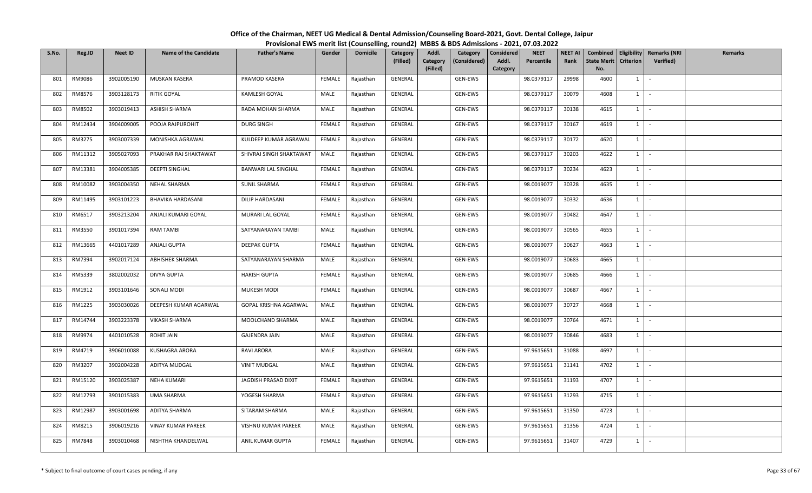| S.No. | Reg.ID  | <b>Neet ID</b> | <b>Name of the Candidate</b> | <b>Father's Name</b>    | Gender        | <b>Domicile</b> | Category<br>(Filled) | Addl.<br>Category<br>(Filled) | Category<br>(Considered) | <b>Considered</b><br>Addl.<br>Category | <b>NEET</b><br>Percentile | <b>NEET AI</b><br>Rank | <b>State Merit</b><br>No. | <b>Criterion</b> | Combined   Eligibility   Remarks (NRI<br>Verified) | Remarks |
|-------|---------|----------------|------------------------------|-------------------------|---------------|-----------------|----------------------|-------------------------------|--------------------------|----------------------------------------|---------------------------|------------------------|---------------------------|------------------|----------------------------------------------------|---------|
| 801   | RM9086  | 3902005190     | MUSKAN KASERA                | PRAMOD KASERA           | FEMALE        | Rajasthan       | GENERAL              |                               | GEN-EWS                  |                                        | 98.0379117                | 29998                  | 4600                      | $1 \quad$        | $\sim$                                             |         |
| 802   | RM8576  | 3903128173     | <b>RITIK GOYAL</b>           | <b>KAMLESH GOYAL</b>    | MALE          | Rajasthan       | GENERAL              |                               | GEN-EWS                  |                                        | 98.0379117                | 30079                  | 4608                      | $1\phantom{0}$   | $\sim$                                             |         |
| 803   | RM8502  | 3903019413     | ASHISH SHARMA                | RADA MOHAN SHARMA       | MALE          | Rajasthan       | GENERAL              |                               | GEN-EWS                  |                                        | 98.0379117                | 30138                  | 4615                      | $1 \quad$        | $\sim$                                             |         |
| 804   | RM12434 | 3904009005     | POOJA RAJPUROHIT             | <b>DURG SINGH</b>       | FEMALE        | Rajasthan       | GENERAL              |                               | GEN-EWS                  |                                        | 98.0379117                | 30167                  | 4619                      | $1 \quad$        | $\sim$                                             |         |
| 805   | RM3275  | 3903007339     | MONISHKA AGRAWAL             | KULDEEP KUMAR AGRAWAL   | FEMALE        | Rajasthan       | GENERAL              |                               | GEN-EWS                  |                                        | 98.0379117                | 30172                  | 4620                      | $1 \quad$        | $\sim$                                             |         |
| 806   | RM11312 | 3905027093     | PRAKHAR RAJ SHAKTAWAT        | SHIVRAJ SINGH SHAKTAWAT | MALE          | Rajasthan       | GENERAL              |                               | GEN-EWS                  |                                        | 98.0379117                | 30203                  | 4622                      | $1 \quad$        | $\sim$                                             |         |
| 807   | RM13381 | 3904005385     | <b>DEEPTI SINGHAL</b>        | BANWARI LAL SINGHAL     | <b>FEMALE</b> | Rajasthan       | GENERAL              |                               | GEN-EWS                  |                                        | 98.0379117                | 30234                  | 4623                      | $1\phantom{0}$   | $\sim$                                             |         |
| 808   | RM10082 | 3903004350     | NEHAL SHARMA                 | <b>SUNIL SHARMA</b>     | FEMALE        | Rajasthan       | GENERAL              |                               | GEN-EWS                  |                                        | 98.0019077                | 30328                  | 4635                      | $1$ $\cdot$      |                                                    |         |
| 809   | RM11495 | 3903101223     | <b>BHAVIKA HARDASANI</b>     | DILIP HARDASANI         | FEMALE        | Rajasthan       | GENERAL              |                               | GEN-EWS                  |                                        | 98.0019077                | 30332                  | 4636                      | $1 \quad$        | $\sim$                                             |         |
| 810   | RM6517  | 3903213204     | ANJALI KUMARI GOYAL          | MURARI LAL GOYAL        | <b>FEMALE</b> | Rajasthan       | GENERAL              |                               | GEN-EWS                  |                                        | 98.0019077                | 30482                  | 4647                      | $1 \quad$        | $\sim$                                             |         |
| 811   | RM3550  | 3901017394     | <b>RAM TAMBI</b>             | SATYANARAYAN TAMBI      | MALE          | Rajasthan       | GENERAL              |                               | GEN-EWS                  |                                        | 98.0019077                | 30565                  | 4655                      | $1 \mid -$       |                                                    |         |
| 812   | RM13665 | 4401017289     | ANJALI GUPTA                 | <b>DEEPAK GUPTA</b>     | FEMALE        | Rajasthan       | GENERAL              |                               | GEN-EWS                  |                                        | 98.0019077                | 30627                  | 4663                      | $1 \quad$        | $\sim$                                             |         |
| 813   | RM7394  | 3902017124     | ABHISHEK SHARMA              | SATYANARAYAN SHARMA     | MALE          | Rajasthan       | GENERAL              |                               | GEN-EWS                  |                                        | 98.0019077                | 30683                  | 4665                      | $1 \quad$        | $\sim$                                             |         |
| 814   | RM5339  | 3802002032     | DIVYA GUPTA                  | <b>HARISH GUPTA</b>     | FEMALE        | Rajasthan       | GENERAL              |                               | GEN-EWS                  |                                        | 98.0019077                | 30685                  | 4666                      | $1 \quad$        | $\sim$                                             |         |
| 815   | RM1912  | 3903101646     | SONALI MODI                  | <b>MUKESH MODI</b>      | <b>FEMALE</b> | Rajasthan       | GENERAL              |                               | GEN-EWS                  |                                        | 98.0019077                | 30687                  | 4667                      | $1\phantom{0}$   | $\sim$                                             |         |
| 816   | RM1225  | 3903030026     | DEEPESH KUMAR AGARWAL        | GOPAL KRISHNA AGARWAL   | MALE          | Rajasthan       | GENERAL              |                               | GEN-EWS                  |                                        | 98.0019077                | 30727                  | 4668                      | $1$ $-$          |                                                    |         |
| 817   | RM14744 | 3903223378     | <b>VIKASH SHARMA</b>         | MOOLCHAND SHARMA        | MALE          | Rajasthan       | GENERAL              |                               | GEN-EWS                  |                                        | 98.0019077                | 30764                  | 4671                      | $1\phantom{0}$   | $\sim$                                             |         |
| 818   | RM9974  | 4401010528     | ROHIT JAIN                   | <b>GAJENDRA JAIN</b>    | MALE          | Rajasthan       | GENERAL              |                               | GEN-EWS                  |                                        | 98.0019077                | 30846                  | 4683                      | $1 \quad$        | $\sim$                                             |         |
| 819   | RM4719  | 3906010088     | KUSHAGRA ARORA               | RAVI ARORA              | MALE          | Rajasthan       | GENERAL              |                               | GEN-EWS                  |                                        | 97.9615651                | 31088                  | 4697                      | $1 \quad$        | $\sim$                                             |         |
| 820   | RM3207  | 3902004228     | ADITYA MUDGAL                | <b>VINIT MUDGAL</b>     | MALE          | Rajasthan       | GENERAL              |                               | GEN-EWS                  |                                        | 97.9615651                | 31141                  | 4702                      | $1 \quad$        | $\sim$                                             |         |
| 821   | RM15120 | 3903025387     | <b>NEHA KUMARI</b>           | JAGDISH PRASAD DIXIT    | FEMALE        | Rajasthan       | GENERAL              |                               | GEN-EWS                  |                                        | 97.9615651                | 31193                  | 4707                      | 1                | $\sim$ $-$                                         |         |
| 822   | RM12793 | 3901015383     | UMA SHARMA                   | YOGESH SHARMA           | FEMALE        | Rajasthan       | GENERAL              |                               | GEN-EWS                  |                                        | 97.9615651                | 31293                  | 4715                      | $1 \mid$         | $\sim$                                             |         |
| 823   | RM12987 | 3903001698     | ADITYA SHARMA                | SITARAM SHARMA          | MALE          | Rajasthan       | GENERAL              |                               | GEN-EWS                  |                                        | 97.9615651                | 31350                  | 4723                      | $1 \quad$        | $\sim$                                             |         |
| 824   | RM8215  | 3906019216     | VINAY KUMAR PAREEK           | VISHNU KUMAR PAREEK     | MALE          | Rajasthan       | GENERAL              |                               | GEN-EWS                  |                                        | 97.9615651                | 31356                  | 4724                      | $1 \quad$        | $\sim$                                             |         |
| 825   | RM7848  | 3903010468     | NISHTHA KHANDELWAL           | ANIL KUMAR GUPTA        | FEMALE        | Rajasthan       | GENERAL              |                               | GEN-EWS                  |                                        | 97.9615651                | 31407                  | 4729                      | $1\phantom{0}$   | $\sim$                                             |         |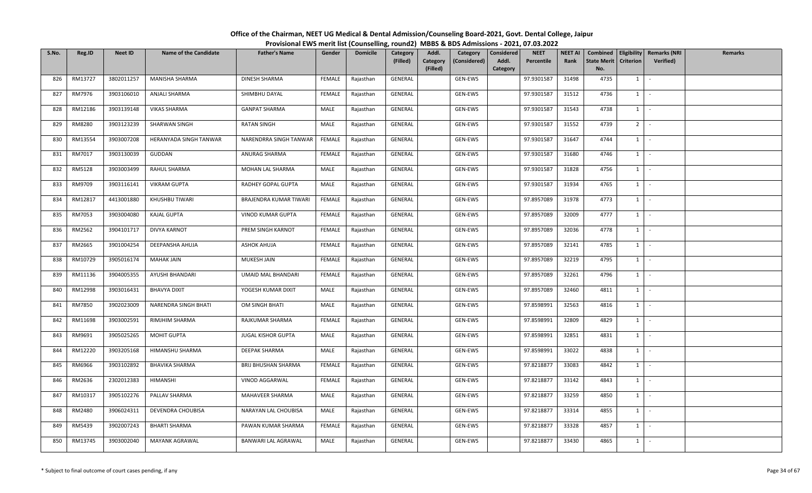| S.No. | Reg.ID  | <b>Neet ID</b> | <b>Name of the Candidate</b> | <b>Father's Name</b>   | Gender | <b>Domicile</b> | Category<br>(Filled) | Addl.<br>Category<br>(Considered)<br>Category | <b>NEET</b><br>Considered<br>Addl.<br>Percentile | <b>NEET AI</b><br>Rank | Combined<br><b>State Merit</b> | <b>Criterion</b> | <b>Eligibility Remarks (NRI</b><br><b>Verified</b> ) | <b>Remarks</b> |
|-------|---------|----------------|------------------------------|------------------------|--------|-----------------|----------------------|-----------------------------------------------|--------------------------------------------------|------------------------|--------------------------------|------------------|------------------------------------------------------|----------------|
|       |         |                |                              |                        |        |                 |                      | (Filled)                                      | Category                                         |                        | No.                            |                  |                                                      |                |
| 826   | RM13727 | 3802011257     | MANISHA SHARMA               | DINESH SHARMA          | FEMALE | Rajasthan       | GENERAL              | GEN-EWS                                       | 97.9301587                                       | 31498                  | 4735                           | $1 \vert$        | $\overline{\phantom{a}}$                             |                |
| 827   | RM7976  | 3903106010     | ANJALI SHARMA                | SHIMBHU DAYAL          | FEMALE | Rajasthan       | GENERAL              | GEN-EWS                                       | 97.9301587                                       | 31512                  | 4736                           | $1 \mid$         | $\sim$                                               |                |
| 828   | RM12186 | 3903139148     | <b>VIKAS SHARMA</b>          | <b>GANPAT SHARMA</b>   | MALE   | Rajasthan       | GENERAL              | GEN-EWS                                       | 97.9301587                                       | 31543                  | 4738                           | $1 \vert$        | $\sim$                                               |                |
| 829   | RM8280  | 3903123239     | SHARWAN SINGH                | RATAN SINGH            | MALE   | Rajasthan       | GENERAL              | GEN-EWS                                       | 97.9301587                                       | 31552                  | 4739                           | 2 I              | $\sim$                                               |                |
| 830   | RM13554 | 3903007208     | HERANYADA SINGH TANWAR       | NARENDRRA SINGH TANWAR | FEMALE | Rajasthan       | GENERAL              | GEN-EWS                                       | 97.9301587                                       | 31647                  | 4744                           | $1 \vert$        | $\sim$                                               |                |
| 831   | RM7017  | 3903130039     | GUDDAN                       | ANURAG SHARMA          | FEMALE | Rajasthan       | GENERAL              | GEN-EWS                                       | 97.9301587                                       | 31680                  | 4746                           | $1 \vert$        | $\sim$                                               |                |
| 832   | RM5128  | 3903003499     | RAHUL SHARMA                 | MOHAN LAL SHARMA       | MALE   | Rajasthan       | GENERAL              | GEN-EWS                                       | 97.9301587                                       | 31828                  | 4756                           | $1 \mid$         | $\sim$                                               |                |
| 833   | RM9709  | 3903116141     | <b>VIKRAM GUPTA</b>          | RADHEY GOPAL GUPTA     | MALE   | Rajasthan       | GENERAL              | GEN-EWS                                       | 97.9301587                                       | 31934                  | 4765                           | $1 \vert$        |                                                      |                |
| 834   | RM12817 | 4413001880     | KHUSHBU TIWARI               | BRAJENDRA KUMAR TIWARI | FEMALE | Rajasthan       | GENERAL              | GEN-EWS                                       | 97.8957089                                       | 31978                  | 4773                           | $1 \vert$        | $\sim$                                               |                |
| 835   | RM7053  | 3903004080     | KAJAL GUPTA                  | VINOD KUMAR GUPTA      | FEMALE | Rajasthan       | GENERAL              | GEN-EWS                                       | 97.8957089                                       | 32009                  | 4777                           | $1 \mid$         | $\sim$                                               |                |
| 836   | RM2562  | 3904101717     | DIVYA KARNOT                 | PREM SINGH KARNOT      | FEMALE | Rajasthan       | GENERAL              | GEN-EWS                                       | 97.8957089                                       | 32036                  | 4778                           | 1                | $\sim$                                               |                |
| 837   | RM2665  | 3901004254     | DEEPANSHA AHUJA              | <b>ASHOK AHUJA</b>     | FEMALE | Rajasthan       | GENERAL              | GEN-EWS                                       | 97.8957089                                       | 32141                  | 4785                           | $1 \vert$        | $\sim$                                               |                |
| 838   | RM10729 | 3905016174     | <b>MAHAK JAIN</b>            | MUKESH JAIN            | FEMALE | Rajasthan       | GENERAL              | GEN-EWS                                       | 97.8957089                                       | 32219                  | 4795                           | $1 \vert$        |                                                      |                |
| 839   | RM11136 | 3904005355     | AYUSHI BHANDARI              | UMAID MAL BHANDARI     | FEMALE | Rajasthan       | GENERAL              | GEN-EWS                                       | 97.8957089                                       | 32261                  | 4796                           | $1 \mid$         | $\sim$                                               |                |
| 840   | RM12998 | 3903016431     | <b>BHAVYA DIXIT</b>          | YOGESH KUMAR DIXIT     | MALE   | Rajasthan       | GENERAL              | GEN-EWS                                       | 97.8957089                                       | 32460                  | 4811                           | $1 \vert$        | $\sim$                                               |                |
| 841   | RM7850  | 3902023009     | NARENDRA SINGH BHATI         | OM SINGH BHATI         | MALE   | Rajasthan       | GENERAL              | GEN-EWS                                       | 97.8598991                                       | 32563                  | 4816                           | $1$ $\sim$       |                                                      |                |
| 842   | RM11698 | 3903002591     | RIMJHIM SHARMA               | RAJKUMAR SHARMA        | FEMALE | Rajasthan       | GENERAL              | GEN-EWS                                       | 97.8598991                                       | 32809                  | 4829                           | $1 \vert$        |                                                      |                |
| 843   | RM9691  | 3905025265     | MOHIT GUPTA                  | JUGAL KISHOR GUPTA     | MALE   | Rajasthan       | GENERAL              | GEN-EWS                                       | 97.8598991                                       | 32851                  | 4831                           | $1 \vert$        | $\sim$                                               |                |
| 844   | RM12220 | 3903205168     | HIMANSHU SHARMA              | DEEPAK SHARMA          | MALE   | Rajasthan       | GENERAL              | GEN-EWS                                       | 97.8598991                                       | 33022                  | 4838                           | 1 I              | $\sim$                                               |                |
| 845   | RM6966  | 3903102892     | <b>BHAVIKA SHARMA</b>        | BRIJ BHUSHAN SHARMA    | FEMALE | Rajasthan       | GENERAL              | GEN-EWS                                       | 97.8218877                                       | 33083                  | 4842                           | $1 \vert$        | $\overline{\phantom{a}}$                             |                |
| 846   | RM2636  | 2302012383     | HIMANSHI                     | VINOD AGGARWAL         | FEMALE | Rajasthan       | GENERAL              | GEN-EWS                                       | 97.8218877                                       | 33142                  | 4843                           | $1 \vert -$      |                                                      |                |
| 847   | RM10317 | 3905102276     | PALLAV SHARMA                | MAHAVEER SHARMA        | MALE   | Rajasthan       | GENERAL              | GEN-EWS                                       | 97.8218877                                       | 33259                  | 4850                           | $1 \mid$         | $\sim$                                               |                |
| 848   | RM2480  | 3906024311     | DEVENDRA CHOUBISA            | NARAYAN LAL CHOUBISA   | MALE   | Rajasthan       | GENERAL              | GEN-EWS                                       | 97.8218877                                       | 33314                  | 4855                           | 1 I              | $\sim$                                               |                |
| 849   | RM5439  | 3902007243     | <b>BHARTI SHARMA</b>         | PAWAN KUMAR SHARMA     | FEMALE | Rajasthan       | GENERAL              | GEN-EWS                                       | 97.8218877                                       | 33328                  | 4857                           | <sup>1</sup>     | $\sim$                                               |                |
| 850   | RM13745 | 3903002040     | MAYANK AGRAWAL               | BANWARI LAL AGRAWAL    | MALE   | Rajasthan       | GENERAL              | GEN-EWS                                       | 97.8218877                                       | 33430                  | 4865                           | $1 \mid$         | $\sim$                                               |                |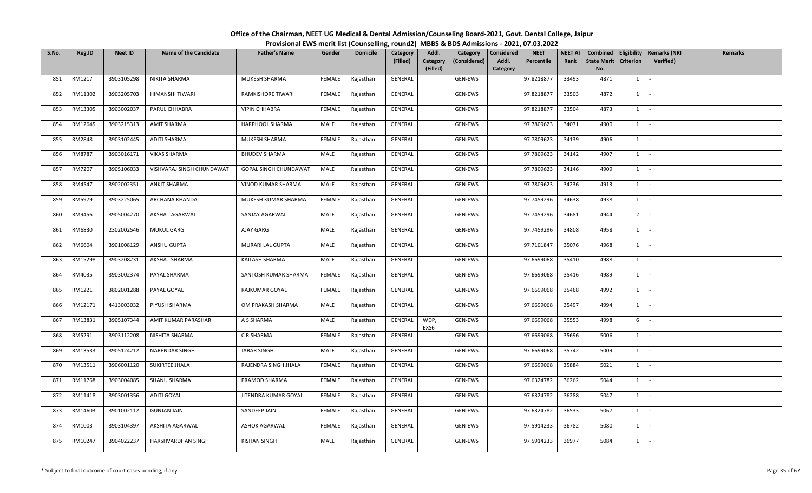| S.No. | Reg.ID  | <b>Neet ID</b> | <b>Name of the Candidate</b> | <b>Father's Name</b>         | Gender        | <b>Domicile</b> | Category<br>(Filled) | Addl.<br>Category<br>(Filled) | Category<br>(Considered) | Considered<br>Addl.<br>Category | <b>NEET</b><br>Percentile | <b>NEET AI</b><br>Rank | Combined<br>State Merit<br>No. | <b>Criterion</b> | Eligibility   Remarks (NRI<br>Verified) | <b>Remarks</b> |
|-------|---------|----------------|------------------------------|------------------------------|---------------|-----------------|----------------------|-------------------------------|--------------------------|---------------------------------|---------------------------|------------------------|--------------------------------|------------------|-----------------------------------------|----------------|
| 851   | RM1217  | 3903105298     | NIKITA SHARMA                | MUKESH SHARMA                | FEMALE        | Rajasthan       | GENERAL              |                               | GEN-EWS                  |                                 | 97.8218877                | 33493                  | 4871                           | $1 \quad$        | $\sim$                                  |                |
| 852   | RM11302 | 3903205703     | HIMANSHI TIWARI              | RAMKISHORE TIWARI            | FEMALE        | Rajasthan       | GENERAL              |                               | GEN-EWS                  |                                 | 97.8218877                | 33503                  | 4872                           | $1 \vert$        | $\sim$                                  |                |
| 853   | RM13305 | 3903002037     | PARUL CHHABRA                | <b>VIPIN CHHABRA</b>         | <b>FEMALE</b> | Rajasthan       | GENERAL              |                               | GEN-EWS                  |                                 | 97.8218877                | 33504                  | 4873                           | 1                | $\sim$ $-$                              |                |
| 854   | RM12645 | 3903215313     | AMIT SHARMA                  | HARPHOOL SHARMA              | MALE          | Rajasthan       | GENERAL              |                               | GEN-EWS                  |                                 | 97.7809623                | 34071                  | 4900                           | $1 \quad$        | $\sim$                                  |                |
| 855   | RM2848  | 3903102445     | ADITI SHARMA                 | MUKESH SHARMA                | FEMALE        | Rajasthan       | GENERAL              |                               | GEN-EWS                  |                                 | 97.7809623                | 34139                  | 4906                           | $1 \quad$        | $\sim$                                  |                |
| 856   | RM8787  | 3903016171     | <b>VIKAS SHARMA</b>          | <b>BHUDEV SHARMA</b>         | MALE          | Rajasthan       | GENERAL              |                               | GEN-EWS                  |                                 | 97.7809623                | 34142                  | 4907                           | 1                | $\sim$                                  |                |
| 857   | RM7207  | 3905106033     | VISHVARAJ SINGH CHUNDAWAT    | <b>GOPAL SINGH CHUNDAWAT</b> | MALE          | Rajasthan       | GENERAL              |                               | GEN-EWS                  |                                 | 97.7809623                | 34146                  | 4909                           | 1                | $\sim$                                  |                |
| 858   | RM4547  | 3902002351     | ANKIT SHARMA                 | VINOD KUMAR SHARMA           | MALE          | Rajasthan       | GENERAL              |                               | GEN-EWS                  |                                 | 97.7809623                | 34236                  | 4913                           | 1                | $\sim$                                  |                |
| 859   | RM5979  | 3903225065     | ARCHANA KHANDAL              | MUKESH KUMAR SHARMA          | FEMALE        | Rajasthan       | GENERAL              |                               | GEN-EWS                  |                                 | 97.7459296                | 34638                  | 4938                           | $1 \quad$        | $\sim$                                  |                |
| 860   | RM9456  | 3905004270     | AKSHAT AGARWAL               | SANJAY AGARWAL               | MALE          | Rajasthan       | GENERAL              |                               | GEN-EWS                  |                                 | 97.7459296                | 34681                  | 4944                           | 2 <sup>1</sup>   | $\sim$                                  |                |
| 861   | RM6830  | 2302002546     | <b>MUKUL GARG</b>            | AJAY GARG                    | MALE          | Rajasthan       | GENERAL              |                               | GEN-EWS                  |                                 | 97.7459296                | 34808                  | 4958                           | $1 \quad$        | $\sim$ $-$                              |                |
| 862   | RM6604  | 3901008129     | ANSHU GUPTA                  | MURARI LAL GUPTA             | MALE          | Rajasthan       | GENERAL              |                               | GEN-EWS                  |                                 | 97.7101847                | 35076                  | 4968                           | $1 \quad$        | $\sim$                                  |                |
| 863   | RM15298 | 3903208231     | AKSHAT SHARMA                | KAILASH SHARMA               | MALE          | Rajasthan       | GENERAL              |                               | GEN-EWS                  |                                 | 97.6699068                | 35410                  | 4988                           | $1 \mid$         | $\sim$ $\sim$                           |                |
| 864   | RM4035  | 3903002374     | PAYAL SHARMA                 | SANTOSH KUMAR SHARMA         | FEMALE        | Rajasthan       | GENERAL              |                               | GEN-EWS                  |                                 | 97.6699068                | 35416                  | 4989                           | $1 \mid$         | $\sim$                                  |                |
| 865   | RM1221  | 3802001288     | PAYAL GOYAL                  | RAJKUMAR GOYAL               | FEMALE        | Rajasthan       | GENERAL              |                               | GEN-EWS                  |                                 | 97.6699068                | 35468                  | 4992                           | $1 \quad$        | $\sim$                                  |                |
| 866   | RM12171 | 4413003032     | PIYUSH SHARMA                | OM PRAKASH SHARMA            | MALE          | Rajasthan       | GENERAL              |                               | GEN-EWS                  |                                 | 97.6699068                | 35497                  | 4994                           | $1$ $-$          |                                         |                |
| 867   | RM13831 | 3905107344     | AMIT KUMAR PARASHAR          | A S SHARMA                   | MALE          | Rajasthan       | GENERAL              | WDP,<br>EXS6                  | GEN-EWS                  |                                 | 97.6699068                | 35553                  | 4998                           | 6                | $\sim$                                  |                |
| 868   | RM5291  | 3903112208     | NISHITA SHARMA               | C R SHARMA                   | FEMALE        | Rajasthan       | GENERAL              |                               | GEN-EWS                  |                                 | 97.6699068                | 35696                  | 5006                           | $1 \quad$        | $\sim$                                  |                |
| 869   | RM13533 | 3905124212     | NARENDAR SINGH               | JABAR SINGH                  | MALE          | Rajasthan       | GENERAL              |                               | GEN-EWS                  |                                 | 97.6699068                | 35742                  | 5009                           | $1 \vert$        | $\sim$ $-$                              |                |
| 870   | RM13511 | 3906001120     | SUKIRTEE JHALA               | RAJENDRA SINGH JHALA         | FEMALE        | Rajasthan       | GENERAL              |                               | GEN-EWS                  |                                 | 97.6699068                | 35884                  | 5021                           | $1 \quad$        | $\sim$                                  |                |
| 871   | RM11768 | 3903004085     | SHANU SHARMA                 | PRAMOD SHARMA                | FEMALE        | Rajasthan       | GENERAL              |                               | GEN-EWS                  |                                 | 97.6324782                | 36262                  | 5044                           | $1 \mid -$       |                                         |                |
| 872   | RM11418 | 3903001356     | ADITI GOYAL                  | JITENDRA KUMAR GOYAL         | FEMALE        | Rajasthan       | GENERAL              |                               | GEN-EWS                  |                                 | 97.6324782                | 36288                  | 5047                           | $1 \mid$         | $\sim$                                  |                |
| 873   | RM14603 | 3901002112     | <b>GUNJAN JAIN</b>           | SANDEEP JAIN                 | FEMALE        | Rajasthan       | GENERAL              |                               | GEN-EWS                  |                                 | 97.6324782                | 36533                  | 5067                           | $1 \quad$        | $\sim$                                  |                |
| 874   | RM1003  | 3903104397     | AKSHITA AGARWAL              | <b>ASHOK AGARWAL</b>         | FEMALE        | Rajasthan       | GENERAL              |                               | GEN-EWS                  |                                 | 97.5914233                | 36782                  | 5080                           | $1 \vert$        | $\sim$                                  |                |
| 875   | RM10247 | 3904022237     | HARSHVARDHAN SINGH           | <b>KISHAN SINGH</b>          | MALE          | Rajasthan       | GENERAL              |                               | GEN-EWS                  |                                 | 97.5914233                | 36977                  | 5084                           | $1 \quad$        | $\sim$                                  |                |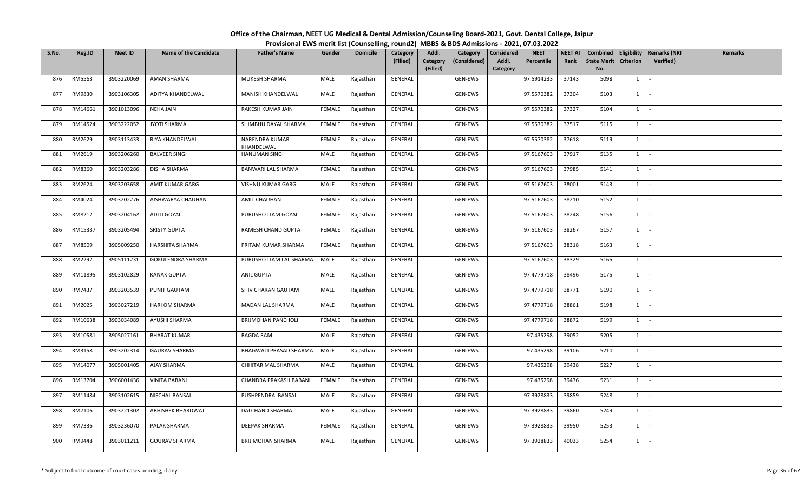| S.No. | Reg.ID  | <b>Neet ID</b> | <b>Name of the Candidate</b> | <b>Father's Name</b>         | Gender        | <b>Domicile</b> | Category<br>(Filled) | Addl.<br>Category<br>(Considered)<br>Category | <b>NEET</b><br>Considered<br>Addl.<br>Percentile | <b>NEET AI</b><br>Rank | Combined<br><b>State Merit</b> | <b>Criterion</b> | <b>Eligibility Remarks (NRI</b><br><b>Verified</b> ) | <b>Remarks</b> |
|-------|---------|----------------|------------------------------|------------------------------|---------------|-----------------|----------------------|-----------------------------------------------|--------------------------------------------------|------------------------|--------------------------------|------------------|------------------------------------------------------|----------------|
|       |         |                |                              |                              |               |                 |                      | (Filled)                                      | Category                                         |                        | No.                            |                  |                                                      |                |
| 876   | RM5563  | 3903220069     | AMAN SHARMA                  | MUKESH SHARMA                | MALE          | Rajasthan       | GENERAL              | GEN-EWS                                       | 97.5914233                                       | 37143                  | 5098                           | 1                | $\sim$                                               |                |
| 877   | RM9830  | 3903106305     | ADITYA KHANDELWAL            | MANISH KHANDELWAL            | MALE          | Rajasthan       | GENERAL              | GEN-EWS                                       | 97.5570382                                       | 37304                  | 5103                           | $1 \vert$        | $\sim$                                               |                |
| 878   | RM14661 | 3901013096     | <b>NEHA JAIN</b>             | RAKESH KUMAR JAIN            | FEMALE        | Rajasthan       | GENERAL              | GEN-EWS                                       | 97.5570382                                       | 37327                  | 5104                           | $1 \vert$        | $\sim$                                               |                |
| 879   | RM14524 | 3903222052     | JYOTI SHARMA                 | SHIMBHU DAYAL SHARMA         | FEMALE        | Rajasthan       | GENERAL              | GEN-EWS                                       | 97.5570382                                       | 37517                  | 5115                           | $1 \vert$        | $\sim$                                               |                |
| 880   | RM2629  | 3903113433     | RIYA KHANDELWAL              | NARENDRA KUMAR<br>KHANDELWAL | FEMALE        | Rajasthan       | GENERAL              | GEN-EWS                                       | 97.5570382                                       | 37618                  | 5119                           | <sup>1</sup>     | $\sim$                                               |                |
| 881   | RM2619  | 3903206260     | <b>BALVEER SINGH</b>         | HANUMAN SINGH                | MALE          | Rajasthan       | GENERAL              | GEN-EWS                                       | 97.5167603                                       | 37917                  | 5135                           | $1 \vert$        | $\sim$                                               |                |
| 882   | RM8360  | 3903203286     | DISHA SHARMA                 | BANWARI LAL SHARMA           | <b>FEMALE</b> | Rajasthan       | <b>GENERAL</b>       | GEN-EWS                                       | 97.5167603                                       | 37985                  | 5141                           | 1                | $\sim$                                               |                |
| 883   | RM2624  | 3903203658     | AMIT KUMAR GARG              | VISHNU KUMAR GARG            | MALE          | Rajasthan       | GENERAL              | GEN-EWS                                       | 97.5167603                                       | 38001                  | 5143                           | $1 \vert$        |                                                      |                |
| 884   | RM4024  | 3903202276     | AISHWARYA CHAUHAN            | <b>AMIT CHAUHAN</b>          | FEMALE        | Rajasthan       | GENERAL              | GEN-EWS                                       | 97.5167603                                       | 38210                  | 5152                           | $1 \vert$        | $\sim$                                               |                |
| 885   | RM8212  | 3903204162     | ADITI GOYAL                  | PURUSHOTTAM GOYAL            | FEMALE        | Rajasthan       | GENERAL              | GEN-EWS                                       | 97.5167603                                       | 38248                  | 5156                           | $1 \vert$        | $\sim$                                               |                |
| 886   | RM15337 | 3903205494     | <b>SRISTY GUPTA</b>          | RAMESH CHAND GUPTA           | FEMALE        | Rajasthan       | GENERAL              | GEN-EWS                                       | 97.5167603                                       | 38267                  | 5157                           | $1 \vert$        | $\sim$                                               |                |
| 887   | RM8509  | 3905009250     | HARSHITA SHARMA              | PRITAM KUMAR SHARMA          | FEMALE        | Rajasthan       | GENERAL              | GEN-EWS                                       | 97.5167603                                       | 38318                  | 5163                           | $1 \vert$        | $\sim$                                               |                |
| 888   | RM2292  | 3905111231     | GOKULENDRA SHARMA            | PURUSHOTTAM LAL SHARMA       | MALE          | Rajasthan       | GENERAL              | GEN-EWS                                       | 97.5167603                                       | 38329                  | 5165                           | $1 \vert$        | $\sim$                                               |                |
| 889   | RM11895 | 3903102829     | <b>KANAK GUPTA</b>           | <b>ANIL GUPTA</b>            | MALE          | Rajasthan       | GENERAL              | GEN-EWS                                       | 97.4779718                                       | 38496                  | 5175                           | $1 \vert -$      |                                                      |                |
| 890   | RM7437  | 3903203539     | PUNIT GAUTAM                 | SHIV CHARAN GAUTAM           | MALE          | Rajasthan       | GENERAL              | GEN-EWS                                       | 97.4779718                                       | 38771                  | 5190                           | $1 \vert$        |                                                      |                |
| 891   | RM2025  | 3903027219     | HARI OM SHARMA               | MADAN LAL SHARMA             | MALE          | Rajasthan       | GENERAL              | GEN-EWS                                       | 97.4779718                                       | 38861                  | 5198                           | $1 \vert$        | $\sim$                                               |                |
| 892   | RM10638 | 3903034089     | AYUSHI SHARMA                | <b>BRIJMOHAN PANCHOLI</b>    | FEMALE        | Rajasthan       | GENERAL              | GEN-EWS                                       | 97.4779718                                       | 38872                  | 5199                           | 1                | $\sim$                                               |                |
| 893   | RM10581 | 3905027161     | <b>BHARAT KUMAR</b>          | <b>BAGDA RAM</b>             | MALE          | Rajasthan       | GENERAL              | GEN-EWS                                       | 97.435298                                        | 39052                  | 5205                           | $1 \vert$        | $\sim$                                               |                |
| 894   | RM3158  | 3903202314     | <b>GAURAV SHARMA</b>         | BHAGWATI PRASAD SHARMA       | MALE          | Rajasthan       | GENERAL              | GEN-EWS                                       | 97.435298                                        | 39106                  | 5210                           | $1 \vert$        | $\sim$                                               |                |
| 895   | RM14077 | 3905001405     | AJAY SHARMA                  | CHHITAR MAL SHARMA           | MALE          | Rajasthan       | GENERAL              | GEN-EWS                                       | 97.435298                                        | 39438                  | 5227                           | $1 \vert$        |                                                      |                |
| 896   | RM13704 | 3906001436     | <b>VINITA BABANI</b>         | CHANDRA PRAKASH BABANI       | FEMALE        | Rajasthan       | GENERAL              | GEN-EWS                                       | 97.435298                                        | 39476                  | 5231                           | $1$ $-$          |                                                      |                |
| 897   | RM11484 | 3903102615     | NISCHAL BANSAL               | PUSHPENDRA BANSAL            | MALE          | Rajasthan       | GENERAL              | GEN-EWS                                       | 97.3928833                                       | 39859                  | 5248                           | $1 \vert$        |                                                      |                |
| 898   | RM7106  | 3903221302     | ABHISHEK BHARDWAJ            | DALCHAND SHARMA              | MALE          | Rajasthan       | GENERAL              | GEN-EWS                                       | 97.3928833                                       | 39860                  | 5249                           | $1 \vert$        |                                                      |                |
| 899   | RM7336  | 3903236070     | PALAK SHARMA                 | DEEPAK SHARMA                | FEMALE        | Rajasthan       | GENERAL              | GEN-EWS                                       | 97.3928833                                       | 39950                  | 5253                           | $1 \vert$        | $\sim$                                               |                |
| 900   | RM9448  | 3903011211     | <b>GOURAV SHARMA</b>         | <b>BRIJ MOHAN SHARMA</b>     | MALE          | Rajasthan       | <b>GENERAL</b>       | GEN-EWS                                       | 97.3928833                                       | 40033                  | 5254                           | $1 \vert$        |                                                      |                |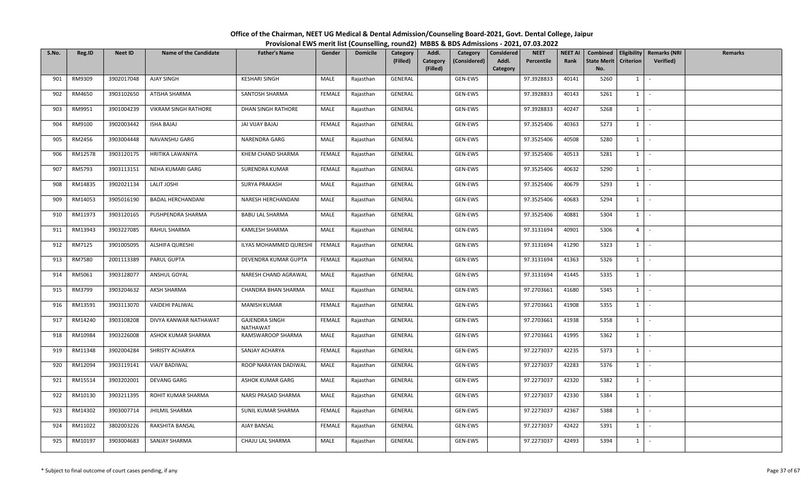| S.No. | Reg.ID  | <b>Neet ID</b> | <b>Name of the Candidate</b> | <b>Father's Name</b>              | Gender        | <b>Domicile</b> | Category<br>(Filled) | Addl.<br>Category<br>(Filled) | Category<br>(Considered) | <b>Considered</b><br>Addl.<br>Category | <b>NEET</b><br>Percentile | <b>NEET AI</b><br>Rank | <b>State Merit</b><br>No. | <b>Criterion</b> | Combined   Eligibility   Remarks (NRI<br>Verified) | Remarks |
|-------|---------|----------------|------------------------------|-----------------------------------|---------------|-----------------|----------------------|-------------------------------|--------------------------|----------------------------------------|---------------------------|------------------------|---------------------------|------------------|----------------------------------------------------|---------|
| 901   | RM9309  | 3902017048     | AJAY SINGH                   | <b>KESHARI SINGH</b>              | MALE          | Rajasthan       | GENERAL              |                               | GEN-EWS                  |                                        | 97.3928833                | 40141                  | 5260                      | $1 \quad$        | $\sim$                                             |         |
| 902   | RM4650  | 3903102650     | ATISHA SHARMA                | SANTOSH SHARMA                    | <b>FEMALE</b> | Rajasthan       | GENERAL              |                               | GEN-EWS                  |                                        | 97.3928833                | 40143                  | 5261                      | 1                | $\sim$                                             |         |
| 903   | RM9951  | 3901004239     | VIKRAM SINGH RATHORE         | DHAN SINGH RATHORE                | MALE          | Rajasthan       | GENERAL              |                               | GEN-EWS                  |                                        | 97.3928833                | 40247                  | 5268                      | $1 \quad$        | $\sim$                                             |         |
| 904   | RM9100  | 3902003442     | <b>ISHA BAJAJ</b>            | JAI VIJAY BAJAJ                   | FEMALE        | Rajasthan       | GENERAL              |                               | GEN-EWS                  |                                        | 97.3525406                | 40363                  | 5273                      | $1 \quad$        | $\sim$                                             |         |
| 905   | RM2456  | 3903004448     | NAVANSHU GARG                | NARENDRA GARG                     | MALE          | Rajasthan       | GENERAL              |                               | GEN-EWS                  |                                        | 97.3525406                | 40508                  | 5280                      | $1 \quad$        | $\sim$                                             |         |
| 906   | RM12578 | 3903120175     | HRITIKA LAWANIYA             | KHEM CHAND SHARMA                 | <b>FEMALE</b> | Rajasthan       | GENERAL              |                               | GEN-EWS                  |                                        | 97.3525406                | 40513                  | 5281                      | $1 \quad$        | $\sim$                                             |         |
| 907   | RM5793  | 3903113151     | NEHA KUMARI GARG             | <b>SURENDRA KUMAR</b>             | FEMALE        | Rajasthan       | GENERAL              |                               | GEN-EWS                  |                                        | 97.3525406                | 40632                  | 5290                      | 1                | $\sim$                                             |         |
| 908   | RM14835 | 3902021134     | <b>LALIT JOSHI</b>           | <b>SURYA PRAKASH</b>              | MALE          | Rajasthan       | GENERAL              |                               | GEN-EWS                  |                                        | 97.3525406                | 40679                  | 5293                      | $1 \mid$         | $\sim$                                             |         |
| 909   | RM14053 | 3905016190     | <b>BADAL HERCHANDANI</b>     | NARESH HERCHANDANI                | MALE          | Rajasthan       | GENERAL              |                               | GEN-EWS                  |                                        | 97.3525406                | 40683                  | 5294                      | $1\vert$         | $\sim$                                             |         |
| 910   | RM11973 | 3903120165     | PUSHPENDRA SHARMA            | <b>BABU LAL SHARMA</b>            | MALE          | Rajasthan       | GENERAL              |                               | GEN-EWS                  |                                        | 97.3525406                | 40881                  | 5304                      | $1 \quad$        | $\sim$                                             |         |
| 911   | RM13943 | 3903227085     | RAHUL SHARMA                 | KAMLESH SHARMA                    | MALE          | Rajasthan       | GENERAL              |                               | GEN-EWS                  |                                        | 97.3131694                | 40901                  | 5306                      | 4 <sup>1</sup>   | $\sim$                                             |         |
| 912   | RM7125  | 3901005095     | ALSHIFA QURESHI              | ILYAS MOHAMMED QURESHI            | FEMALE        | Rajasthan       | GENERAL              |                               | GEN-EWS                  |                                        | 97.3131694                | 41290                  | 5323                      | $1 \quad$        | $\sim$                                             |         |
| 913   | RM7580  | 2001113389     | PARUL GUPTA                  | DEVENDRA KUMAR GUPTA              | FEMALE        | Rajasthan       | GENERAL              |                               | GEN-EWS                  |                                        | 97.3131694                | 41363                  | 5326                      | $1 \quad$        | $\sim$                                             |         |
| 914   | RM5061  | 3903128077     | ANSHUL GOYAL                 | NARESH CHAND AGRAWAL              | MALE          | Rajasthan       | GENERAL              |                               | GEN-EWS                  |                                        | 97.3131694                | 41445                  | 5335                      | $1 \quad$        | $\sim$                                             |         |
| 915   | RM3799  | 3903204632     | AKSH SHARMA                  | CHANDRA BHAN SHARMA               | MALE          | Rajasthan       | GENERAL              |                               | GEN-EWS                  |                                        | 97.2703661                | 41680                  | 5345                      | 1                | $\sim$                                             |         |
| 916   | RM13591 | 3903113070     | VAIDEHI PALIWAL              | <b>MANISH KUMAR</b>               | FEMALE        | Rajasthan       | GENERAL              |                               | GEN-EWS                  |                                        | 97.2703661                | 41908                  | 5355                      | $1$ $-$          |                                                    |         |
| 917   | RM14240 | 3903108208     | DIVYA KANWAR NATHAWAT        | <b>GAJENDRA SINGH</b><br>NATHAWAT | FEMALE        | Rajasthan       | GENERAL              |                               | GEN-EWS                  |                                        | 97.2703661                | 41938                  | 5358                      | 1                | $\sim$                                             |         |
| 918   | RM10984 | 3903226008     | ASHOK KUMAR SHARMA           | RAMSWAROOP SHARMA                 | MALE          | Rajasthan       | GENERAL              |                               | GEN-EWS                  |                                        | 97.2703661                | 41995                  | 5362                      | $1 \quad$        | $\sim$                                             |         |
| 919   | RM11348 | 3902004284     | SHRISTY ACHARYA              | SANJAY ACHARYA                    | FEMALE        | Rajasthan       | GENERAL              |                               | GEN-EWS                  |                                        | 97.2273037                | 42235                  | 5373                      | $1 \quad$        | $\sim$                                             |         |
| 920   | RM12094 | 3903119141     | <b>VIAJY BADIWAL</b>         | ROOP NARAYAN DADIWAL              | MALE          | Rajasthan       | GENERAL              |                               | GEN-EWS                  |                                        | 97.2273037                | 42283                  | 5376                      | $1 \quad$        | $\sim$                                             |         |
| 921   | RM15514 | 3903202001     | <b>DEVANG GARG</b>           | ASHOK KUMAR GARG                  | MALE          | Rajasthan       | GENERAL              |                               | GEN-EWS                  |                                        | 97.2273037                | 42320                  | 5382                      | 1                | $\sim$                                             |         |
| 922   | RM10130 | 3903211395     | ROHIT KUMAR SHARMA           | NARSI PRASAD SHARMA               | MALE          | Rajasthan       | GENERAL              |                               | GEN-EWS                  |                                        | 97.2273037                | 42330                  | 5384                      | $1 \quad$        | $\sim$                                             |         |
| 923   | RM14302 | 3903007714     | JHILMIL SHARMA               | SUNIL KUMAR SHARMA                | <b>FEMALE</b> | Rajasthan       | GENERAL              |                               | GEN-EWS                  |                                        | 97.2273037                | 42367                  | 5388                      | $1 \quad$        | $\sim$                                             |         |
| 924   | RM11022 | 3802003226     | RAKSHITA BANSAL              | <b>AJAY BANSAL</b>                | FEMALE        | Rajasthan       | GENERAL              |                               | GEN-EWS                  |                                        | 97.2273037                | 42422                  | 5391                      | $1 \quad$        | $\sim$                                             |         |
| 925   | RM10197 | 3903004683     | SANJAY SHARMA                | CHAJU LAL SHARMA                  | MALE          | Rajasthan       | GENERAL              |                               | GEN-EWS                  |                                        | 97.2273037                | 42493                  | 5394                      | $1\phantom{0}$   | $\sim$                                             |         |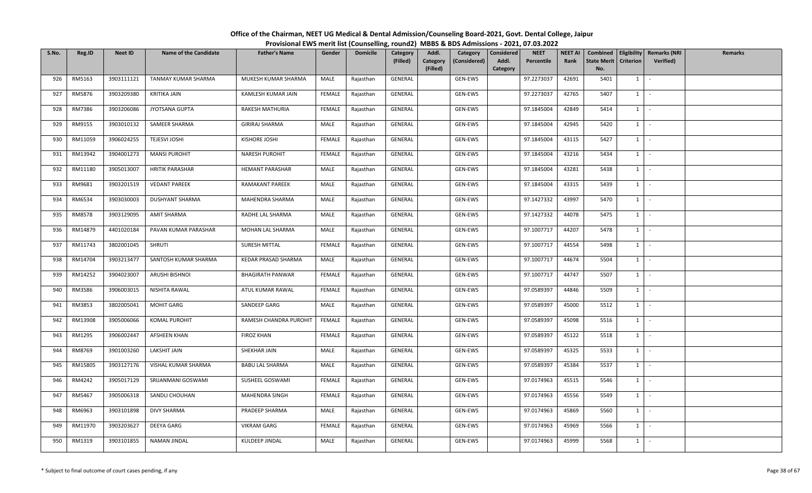| S.No. | Reg.ID  | <b>Neet ID</b> | <b>Name of the Candidate</b> | <b>Father's Name</b>    | Gender        | <b>Domicile</b> | Category<br>(Filled) | Addl.<br>Category<br>(Filled) | Category<br>(Considered) | <b>Considered</b><br>Addl.<br>Category | <b>NEET</b><br>Percentile | <b>NEET AI</b><br>Rank | <b>State Merit</b><br>No. | <b>Criterion</b> | Combined   Eligibility   Remarks (NRI<br>Verified) | Remarks |
|-------|---------|----------------|------------------------------|-------------------------|---------------|-----------------|----------------------|-------------------------------|--------------------------|----------------------------------------|---------------------------|------------------------|---------------------------|------------------|----------------------------------------------------|---------|
| 926   | RM5163  | 3903111121     | TANMAY KUMAR SHARMA          | MUKESH KUMAR SHARMA     | MALE          | Rajasthan       | GENERAL              |                               | GEN-EWS                  |                                        | 97.2273037                | 42691                  | 5401                      | $1 \quad$        | $\sim$                                             |         |
| 927   | RM5876  | 3903209380     | KRITIKA JAIN                 | KAMLESH KUMAR JAIN      | <b>FEMALE</b> | Rajasthan       | GENERAL              |                               | GEN-EWS                  |                                        | 97.2273037                | 42765                  | 5407                      | 1                | $\sim$                                             |         |
| 928   | RM7386  | 3903206086     | JYOTSANA GUPTA               | RAKESH MATHURIA         | FEMALE        | Rajasthan       | GENERAL              |                               | GEN-EWS                  |                                        | 97.1845004                | 42849                  | 5414                      | $1 \quad$        | $\sim$                                             |         |
| 929   | RM9155  | 3903010132     | SAMEER SHARMA                | <b>GIRIRAJ SHARMA</b>   | MALE          | Rajasthan       | GENERAL              |                               | GEN-EWS                  |                                        | 97.1845004                | 42945                  | 5420                      | $1 \quad$        | $\sim$                                             |         |
| 930   | RM11059 | 3906024255     | <b>TEJESVI JOSHI</b>         | KISHORE JOSHI           | FEMALE        | Rajasthan       | GENERAL              |                               | GEN-EWS                  |                                        | 97.1845004                | 43115                  | 5427                      | $1 \quad$        | $\sim$                                             |         |
| 931   | RM13942 | 3904001273     | <b>MANSI PUROHIT</b>         | NARESH PUROHIT          | FEMALE        | Rajasthan       | GENERAL              |                               | GEN-EWS                  |                                        | 97.1845004                | 43216                  | 5434                      | $1 \quad$        | $\sim$                                             |         |
| 932   | RM11180 | 3905013007     | <b>HRITIK PARASHAR</b>       | <b>HEMANT PARASHAR</b>  | MALE          | Rajasthan       | GENERAL              |                               | GEN-EWS                  |                                        | 97.1845004                | 43281                  | 5438                      | 1                | $\sim$                                             |         |
| 933   | RM9681  | 3903201519     | <b>VEDANT PAREEK</b>         | RAMAKANT PAREEK         | MALE          | Rajasthan       | GENERAL              |                               | GEN-EWS                  |                                        | 97.1845004                | 43315                  | 5439                      | $1$ $\cdot$      |                                                    |         |
| 934   | RM6534  | 3903030003     | <b>DUSHYANT SHARMA</b>       | MAHENDRA SHARMA         | MALE          | Rajasthan       | GENERAL              |                               | GEN-EWS                  |                                        | 97.1427332                | 43997                  | 5470                      | $1 \quad$        | $\sim$                                             |         |
| 935   | RM8578  | 3903129095     | AMIT SHARMA                  | RADHE LAL SHARMA        | MALE          | Rajasthan       | GENERAL              |                               | GEN-EWS                  |                                        | 97.1427332                | 44078                  | 5475                      | $1 \quad$        | $\sim$                                             |         |
| 936   | RM14879 | 4401020184     | PAVAN KUMAR PARASHAR         | MOHAN LAL SHARMA        | MALE          | Rajasthan       | GENERAL              |                               | GEN-EWS                  |                                        | 97.1007717                | 44207                  | 5478                      | $1 \mid -$       |                                                    |         |
| 937   | RM11743 | 3802001045     | SHRUTI                       | SURESH MITTAL           | <b>FEMALE</b> | Rajasthan       | GENERAL              |                               | GEN-EWS                  |                                        | 97.1007717                | 44554                  | 5498                      | $1 \quad$        | $\sim$                                             |         |
| 938   | RM14704 | 3903213477     | SANTOSH KUMAR SHARMA         | KEDAR PRASAD SHARMA     | MALE          | Rajasthan       | GENERAL              |                               | GEN-EWS                  |                                        | 97.1007717                | 44674                  | 5504                      | $1 \quad$        | $\sim$                                             |         |
| 939   | RM14252 | 3904023007     | <b>ARUSHI BISHNOI</b>        | <b>BHAGIRATH PANWAR</b> | FEMALE        | Rajasthan       | GENERAL              |                               | GEN-EWS                  |                                        | 97.1007717                | 44747                  | 5507                      | $1 \quad$        | $\sim$                                             |         |
| 940   | RM3586  | 3906003015     | NISHITA RAWAL                | ATUL KUMAR RAWAL        | <b>FEMALE</b> | Rajasthan       | GENERAL              |                               | GEN-EWS                  |                                        | 97.0589397                | 44846                  | 5509                      | 1                | $\sim$                                             |         |
| 941   | RM3853  | 3802005041     | <b>MOHIT GARG</b>            | SANDEEP GARG            | MALE          | Rajasthan       | GENERAL              |                               | GEN-EWS                  |                                        | 97.0589397                | 45000                  | 5512                      | $1$ $-$          |                                                    |         |
| 942   | RM13908 | 3905006066     | <b>KOMAL PUROHIT</b>         | RAMESH CHANDRA PUROHIT  | FEMALE        | Rajasthan       | GENERAL              |                               | GEN-EWS                  |                                        | 97.0589397                | 45098                  | 5516                      | 1                | $\sim$                                             |         |
| 943   | RM1295  | 3906002447     | <b>AFSHEEN KHAN</b>          | <b>FIROZ KHAN</b>       | FEMALE        | Rajasthan       | GENERAL              |                               | GEN-EWS                  |                                        | 97.0589397                | 45122                  | 5518                      | $1 \quad$        | $\sim$                                             |         |
| 944   | RM8769  | 3901003260     | LAKSHIT JAIN                 | SHEKHAR JAIN            | MALE          | Rajasthan       | GENERAL              |                               | GEN-EWS                  |                                        | 97.0589397                | 45325                  | 5533                      | $1 \quad$        | $\sim$                                             |         |
| 945   | RM15805 | 3903127176     | VISHAL KUMAR SHARMA          | <b>BABU LAL SHARMA</b>  | MALE          | Rajasthan       | GENERAL              |                               | GEN-EWS                  |                                        | 97.0589397                | 45384                  | 5537                      | $1 \quad$        | $\sim$                                             |         |
| 946   | RM4242  | 3905017129     | SRIJANMANI GOSWAMI           | SUSHEEL GOSWAMI         | FEMALE        | Rajasthan       | GENERAL              |                               | GEN-EWS                  |                                        | 97.0174963                | 45515                  | 5546                      | 1                | $\sim$ $-$                                         |         |
| 947   | RM5467  | 3905006318     | SANDLI CHOUHAN               | <b>MAHENDRA SINGH</b>   | FEMALE        | Rajasthan       | GENERAL              |                               | GEN-EWS                  |                                        | 97.0174963                | 45556                  | 5549                      | $1 \mid$         | $\sim$                                             |         |
| 948   | RM6963  | 3903101898     | <b>DIVY SHARMA</b>           | PRADEEP SHARMA          | MALE          | Rajasthan       | GENERAL              |                               | GEN-EWS                  |                                        | 97.0174963                | 45869                  | 5560                      | $1 \quad$        | $\sim$                                             |         |
| 949   | RM11970 | 3903203627     | DEEYA GARG                   | <b>VIKRAM GARG</b>      | FEMALE        | Rajasthan       | GENERAL              |                               | GEN-EWS                  |                                        | 97.0174963                | 45969                  | 5566                      | $1 \quad$        | $\sim$                                             |         |
| 950   | RM1319  | 3903101855     | <b>NAMAN JINDAL</b>          | KULDEEP JINDAL          | MALE          | Rajasthan       | GENERAL              |                               | GEN-EWS                  |                                        | 97.0174963                | 45999                  | 5568                      | $1\phantom{0}$   | $\sim$                                             |         |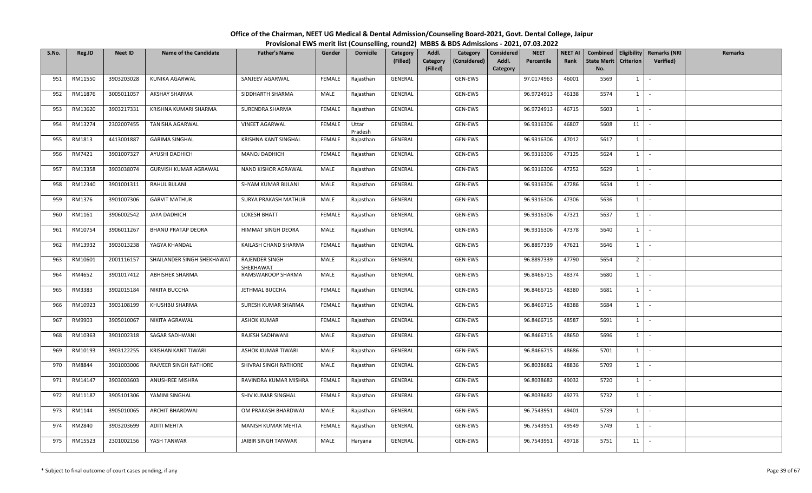| S.No. | Reg.ID  | <b>Neet ID</b> | <b>Name of the Candidate</b> | <b>Father's Name</b>        | Gender        | <b>Domicile</b>  | Category<br>(Filled) | Addl.<br>Category<br>(Filled) | Category<br>(Considered) | <b>Considered</b><br>Addl.<br>Category | <b>NEET</b><br>Percentile | <b>NEET AI</b><br>Rank | Combined<br><b>State Merit</b><br>No. | <b>Criterion</b> | Eligibility   Remarks (NRI<br>Verified) | Remarks |
|-------|---------|----------------|------------------------------|-----------------------------|---------------|------------------|----------------------|-------------------------------|--------------------------|----------------------------------------|---------------------------|------------------------|---------------------------------------|------------------|-----------------------------------------|---------|
| 951   | RM11550 | 3903203028     | KUNIKA AGARWAL               | SANJEEV AGARWAL             | FEMALE        | Rajasthan        | GENERAL              |                               | GEN-EWS                  |                                        | 97.0174963                | 46001                  | 5569                                  | $1 \quad$        | $\sim$                                  |         |
| 952   | RM11876 | 3005011057     | <b>AKSHAY SHARMA</b>         | SIDDHARTH SHARMA            | MALE          | Rajasthan        | GENERAL              |                               | GEN-EWS                  |                                        | 96.9724913                | 46138                  | 5574                                  | 1                | $\sim$                                  |         |
| 953   | RM13620 | 3903217331     | KRISHNA KUMARI SHARMA        | SURENDRA SHARMA             | FEMALE        | Rajasthan        | GENERAL              |                               | GEN-EWS                  |                                        | 96.9724913                | 46715                  | 5603                                  | $1 \quad$        | $\sim$                                  |         |
| 954   | RM13274 | 2302007455     | <b>TANISHA AGARWAL</b>       | <b>VINEET AGARWAL</b>       | FEMALE        | Uttar<br>Pradesh | GENERAL              |                               | GEN-EWS                  |                                        | 96.9316306                | 46807                  | 5608                                  | 11               | $\sim$                                  |         |
| 955   | RM1813  | 4413001887     | <b>GARIMA SINGHAL</b>        | KRISHNA KANT SINGHAL        | FEMALE        | Rajasthan        | GENERAL              |                               | GEN-EWS                  |                                        | 96.9316306                | 47012                  | 5617                                  | $1\vert$         | $\sim$                                  |         |
| 956   | RM7421  | 3901007327     | AYUSHI DADHICH               | <b>MANOJ DADHICH</b>        | <b>FEMALE</b> | Rajasthan        | GENERAL              |                               | GEN-EWS                  |                                        | 96.9316306                | 47125                  | 5624                                  | $1 \quad$        | $\sim$                                  |         |
| 957   | RM13358 | 3903038074     | GURVISH KUMAR AGRAWAL        | NAND KISHOR AGRAWAL         | MALE          | Rajasthan        | GENERAL              |                               | GEN-EWS                  |                                        | 96.9316306                | 47252                  | 5629                                  | 1                | $\sim$                                  |         |
| 958   | RM12340 | 3901001311     | RAHUL BIJLANI                | SHYAM KUMAR BIJLANI         | MALE          | Rajasthan        | GENERAL              |                               | GEN-EWS                  |                                        | 96.9316306                | 47286                  | 5634                                  | $1 \mid$         | $\sim$                                  |         |
| 959   | RM1376  | 3901007306     | <b>GARVIT MATHUR</b>         | SURYA PRAKASH MATHUR        | MALE          | Rajasthan        | GENERAL              |                               | GEN-EWS                  |                                        | 96.9316306                | 47306                  | 5636                                  | $1\vert$         | $\sim$                                  |         |
| 960   | RM1161  | 3906002542     | JAYA DADHICH                 | <b>LOKESH BHATT</b>         | <b>FEMALE</b> | Rajasthan        | GENERAL              |                               | GEN-EWS                  |                                        | 96.9316306                | 47321                  | 5637                                  | $1 \quad$        | $\sim$                                  |         |
| 961   | RM10754 | 3906011267     | <b>BHANU PRATAP DEORA</b>    | HIMMAT SINGH DEORA          | MALE          | Rajasthan        | GENERAL              |                               | GEN-EWS                  |                                        | 96.9316306                | 47378                  | 5640                                  | $1 \mid$         | $\sim$                                  |         |
| 962   | RM13932 | 3903013238     | YAGYA KHANDAL                | KAILASH CHAND SHARMA        | <b>FEMALE</b> | Rajasthan        | GENERAL              |                               | GEN-EWS                  |                                        | 96.8897339                | 47621                  | 5646                                  | $1 \quad$        | $\sim$                                  |         |
| 963   | RM10601 | 2001116157     | SHAILANDER SINGH SHEKHAWAT   | RAJENDER SINGH<br>SHEKHAWAT | MALE          | Rajasthan        | GENERAL              |                               | GEN-EWS                  |                                        | 96.8897339                | 47790                  | 5654                                  | 2 <sup>1</sup>   | $\sim$                                  |         |
| 964   | RM4652  | 3901017412     | ABHISHEK SHARMA              | RAMSWAROOP SHARMA           | MALE          | Rajasthan        | GENERAL              |                               | GEN-EWS                  |                                        | 96.8466715                | 48374                  | 5680                                  | $1 \quad$        | $\sim$                                  |         |
| 965   | RM3383  | 3902015184     | NIKITA BUCCHA                | JETHMAL BUCCHA              | <b>FEMALE</b> | Rajasthan        | GENERAL              |                               | GEN-EWS                  |                                        | 96.8466715                | 48380                  | 5681                                  | 1                | $\sim$                                  |         |
| 966   | RM10923 | 3903108199     | KHUSHBU SHARMA               | SURESH KUMAR SHARMA         | FEMALE        | Rajasthan        | GENERAL              |                               | GEN-EWS                  |                                        | 96.8466715                | 48388                  | 5684                                  | $1 \mid$         | $\sim$                                  |         |
| 967   | RM9903  | 3905010067     | NIKITA AGRAWAL               | <b>ASHOK KUMAR</b>          | FEMALE        | Rajasthan        | GENERAL              |                               | GEN-EWS                  |                                        | 96.8466715                | 48587                  | 5691                                  | 1                | $\sim$                                  |         |
| 968   | RM10363 | 3901002318     | SAGAR SADHWANI               | RAJESH SADHWANI             | MALE          | Rajasthan        | GENERAL              |                               | GEN-EWS                  |                                        | 96.8466715                | 48650                  | 5696                                  | $1 \quad$        | $\sim$                                  |         |
| 969   | RM10193 | 3903122255     | KRISHAN KANT TIWARI          | ASHOK KUMAR TIWARI          | MALE          | Rajasthan        | GENERAL              |                               | GEN-EWS                  |                                        | 96.8466715                | 48686                  | 5701                                  | $1 \quad$        | $\sim$                                  |         |
| 970   | RM8844  | 3901003006     | RAJVEER SINGH RATHORE        | SHIVRAJ SINGH RATHORE       | MALE          | Rajasthan        | GENERAL              |                               | GEN-EWS                  |                                        | 96.8038682                | 48836                  | 5709                                  | $1 \quad$        | $\sim$                                  |         |
| 971   | RM14147 | 3903003603     | ANUSHREE MISHRA              | RAVINDRA KUMAR MISHRA       | FEMALE        | Rajasthan        | GENERAL              |                               | GEN-EWS                  |                                        | 96.8038682                | 49032                  | 5720                                  | 1                | $\sim$                                  |         |
| 972   | RM11187 | 3905101306     | YAMINI SINGHAL               | SHIV KUMAR SINGHAL          | <b>FEMALE</b> | Rajasthan        | GENERAL              |                               | GEN-EWS                  |                                        | 96.8038682                | 49273                  | 5732                                  | $1 \quad$        | $\sim$                                  |         |
| 973   | RM1144  | 3905010065     | ARCHIT BHARDWAJ              | OM PRAKASH BHARDWAJ         | MALE          | Rajasthan        | GENERAL              |                               | GEN-EWS                  |                                        | 96.7543951                | 49401                  | 5739                                  | $1 \quad$        | $\sim$                                  |         |
| 974   | RM2840  | 3903203699     | <b>ADITI MEHTA</b>           | MANISH KUMAR MEHTA          | FEMALE        | Rajasthan        | GENERAL              |                               | GEN-EWS                  |                                        | 96.7543951                | 49549                  | 5749                                  | $1 \quad$        | $\sim$                                  |         |
| 975   | RM15523 | 2301002156     | YASH TANWAR                  | <b>JAIBIR SINGH TANWAR</b>  | MALE          | Haryana          | GENERAL              |                               | GEN-EWS                  |                                        | 96.7543951                | 49718                  | 5751                                  | 11               |                                         |         |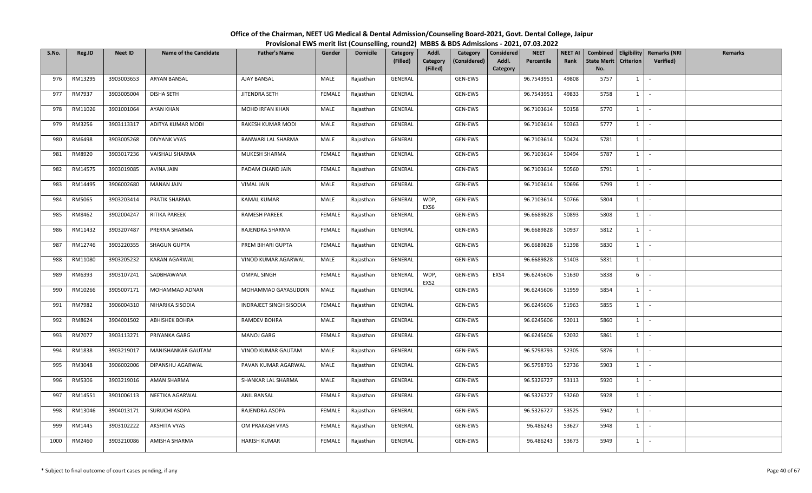| S.No. | Reg.ID  | <b>Neet ID</b> | <b>Name of the Candidate</b> | <b>Father's Name</b>    | Gender        | <b>Domicile</b> | Category<br>(Filled) | Addl.<br>Category<br>(Filled) | Category<br>(Considered) | <b>Considered</b><br>Addl.<br>Category | <b>NEET</b><br>Percentile | <b>NEET AI</b><br>Rank | <b>State Merit</b><br>No. | <b>Criterion</b> | Combined   Eligibility   Remarks (NRI<br>Verified) | Remarks |
|-------|---------|----------------|------------------------------|-------------------------|---------------|-----------------|----------------------|-------------------------------|--------------------------|----------------------------------------|---------------------------|------------------------|---------------------------|------------------|----------------------------------------------------|---------|
| 976   | RM13295 | 3903003653     | <b>ARYAN BANSAL</b>          | <b>AJAY BANSAL</b>      | MALE          | Rajasthan       | GENERAL              |                               | GEN-EWS                  |                                        | 96.7543951                | 49808                  | 5757                      | 1                | $\sim$                                             |         |
| 977   | RM7937  | 3903005004     | <b>DISHA SETH</b>            | JITENDRA SETH           | FEMALE        | Rajasthan       | GENERAL              |                               | GEN-EWS                  |                                        | 96.7543951                | 49833                  | 5758                      | $1 \quad$        | $\sim$                                             |         |
| 978   | RM11026 | 3901001064     | AYAN KHAN                    | MOHD IRFAN KHAN         | MALE          | Rajasthan       | GENERAL              |                               | GEN-EWS                  |                                        | 96.7103614                | 50158                  | 5770                      | 1                | $\sim$                                             |         |
| 979   | RM3256  | 3903113317     | ADITYA KUMAR MODI            | RAKESH KUMAR MODI       | MALE          | Rajasthan       | GENERAL              |                               | GEN-EWS                  |                                        | 96.7103614                | 50363                  | 5777                      | $1 \quad$        | $\sim$                                             |         |
| 980   | RM6498  | 3903005268     | DIVYANK VYAS                 | BANWARI LAL SHARMA      | MALE          | Rajasthan       | GENERAL              |                               | GEN-EWS                  |                                        | 96.7103614                | 50424                  | 5781                      | 1                | $\sim$                                             |         |
| 981   | RM8920  | 3903017236     | VAISHALI SHARMA              | MUKESH SHARMA           | FEMALE        | Rajasthan       | GENERAL              |                               | GEN-EWS                  |                                        | 96.7103614                | 50494                  | 5787                      | $1 \quad$        | $\sim$                                             |         |
| 982   | RM14575 | 3903019085     | <b>AVINA JAIN</b>            | PADAM CHAND JAIN        | FEMALE        | Rajasthan       | GENERAL              |                               | GEN-EWS                  |                                        | 96.7103614                | 50560                  | 5791                      | 1                | $\sim$                                             |         |
| 983   | RM14495 | 3906002680     | <b>MANAN JAIN</b>            | <b>VIMAL JAIN</b>       | MALE          | Rajasthan       | GENERAL              |                               | GEN-EWS                  |                                        | 96.7103614                | 50696                  | 5799                      | $1$ $\cdot$      |                                                    |         |
| 984   | RM5065  | 3903203414     | PRATIK SHARMA                | <b>KAMAL KUMAR</b>      | MALE          | Rajasthan       | GENERAL              | WDP,<br>EXS6                  | GEN-EWS                  |                                        | 96.7103614                | 50766                  | 5804                      | $1 \vert$        | $\sim$                                             |         |
| 985   | RM8462  | 3902004247     | RITIKA PAREEK                | RAMESH PAREEK           | FEMALE        | Rajasthan       | GENERAL              |                               | GEN-EWS                  |                                        | 96.6689828                | 50893                  | 5808                      | $1 \quad$        | $\sim$                                             |         |
| 986   | RM11432 | 3903207487     | PRERNA SHARMA                | RAJENDRA SHARMA         | FEMALE        | Rajasthan       | GENERAL              |                               | GEN-EWS                  |                                        | 96.6689828                | 50937                  | 5812                      | $1 \quad$        | $\sim$                                             |         |
| 987   | RM12746 | 3903220355     | SHAGUN GUPTA                 | PREM BIHARI GUPTA       | FEMALE        | Rajasthan       | GENERAL              |                               | GEN-EWS                  |                                        | 96.6689828                | 51398                  | 5830                      | $1 \cdot$        |                                                    |         |
| 988   | RM11080 | 3903205232     | <b>KARAN AGARWAL</b>         | VINOD KUMAR AGARWAL     | MALE          | Rajasthan       | GENERAL              |                               | GEN-EWS                  |                                        | 96.6689828                | 51403                  | 5831                      | $1 \quad$        | $\sim$                                             |         |
| 989   | RM6393  | 3903107241     | SADBHAWANA                   | <b>OMPAL SINGH</b>      | FEMALE        | Rajasthan       | GENERAL              | WDP,<br>EXS2                  | GEN-EWS                  | EXS4                                   | 96.6245606                | 51630                  | 5838                      | 6                | $\sim$                                             |         |
| 990   | RM10266 | 3905007171     | MOHAMMAD ADNAN               | MOHAMMAD GAYASUDDIN     | MALE          | Rajasthan       | GENERAL              |                               | GEN-EWS                  |                                        | 96.6245606                | 51959                  | 5854                      | $1 \quad$        | $\sim$                                             |         |
| 991   | RM7982  | 3906004310     | NIHARIKA SISODIA             | INDRAJEET SINGH SISODIA | <b>FEMALE</b> | Rajasthan       | GENERAL              |                               | GEN-EWS                  |                                        | 96.6245606                | 51963                  | 5855                      | 1                | $\sim$                                             |         |
| 992   | RM8624  | 3904001502     | <b>ABHISHEK BOHRA</b>        | RAMDEV BOHRA            | MALE          | Rajasthan       | GENERAL              |                               | GEN-EWS                  |                                        | 96.6245606                | 52011                  | 5860                      | 1                | $\sim$                                             |         |
| 993   | RM7077  | 3903113271     | PRIYANKA GARG                | <b>MANOJ GARG</b>       | FEMALE        | Rajasthan       | GENERAL              |                               | GEN-EWS                  |                                        | 96.6245606                | 52032                  | 5861                      | $1 \quad$        | $\sim$                                             |         |
| 994   | RM1838  | 3903219017     | MANISHANKAR GAUTAM           | VINOD KUMAR GAUTAM      | MALE          | Rajasthan       | GENERAL              |                               | GEN-EWS                  |                                        | 96.5798793                | 52305                  | 5876                      | $1 \vert$        | $\sim$                                             |         |
| 995   | RM3048  | 3906002006     | DIPANSHU AGARWAL             | PAVAN KUMAR AGARWAL     | MALE          | Rajasthan       | GENERAL              |                               | GEN-EWS                  |                                        | 96.5798793                | 52736                  | 5903                      | 1                | $\sim$                                             |         |
| 996   | RM5306  | 3903219016     | AMAN SHARMA                  | SHANKAR LAL SHARMA      | MALE          | Rajasthan       | GENERAL              |                               | GEN-EWS                  |                                        | 96.5326727                | 53113                  | 5920                      | $1 \mid$         | $\sim$                                             |         |
| 997   | RM14551 | 3901006113     | NEETIKA AGARWAL              | <b>ANIL BANSAL</b>      | <b>FEMALE</b> | Rajasthan       | GENERAL              |                               | GEN-EWS                  |                                        | 96.5326727                | 53260                  | 5928                      | $1 \quad$        | $\sim$                                             |         |
| 998   | RM13046 | 3904013171     | SURUCHI ASOPA                | RAJENDRA ASOPA          | FEMALE        | Rajasthan       | GENERAL              |                               | GEN-EWS                  |                                        | 96.5326727                | 53525                  | 5942                      | $1 \quad$        | $\sim$                                             |         |
| 999   | RM1445  | 3903102222     | <b>AKSHITA VYAS</b>          | OM PRAKASH VYAS         | FEMALE        | Rajasthan       | GENERAL              |                               | GEN-EWS                  |                                        | 96.486243                 | 53627                  | 5948                      | $1 \vert -$      |                                                    |         |
| 1000  | RM2460  | 3903210086     | AMISHA SHARMA                | <b>HARISH KUMAR</b>     | FEMALE        | Rajasthan       | GENERAL              |                               | GEN-EWS                  |                                        | 96.486243                 | 53673                  | 5949                      | $1\phantom{0}$   | $\sim$                                             |         |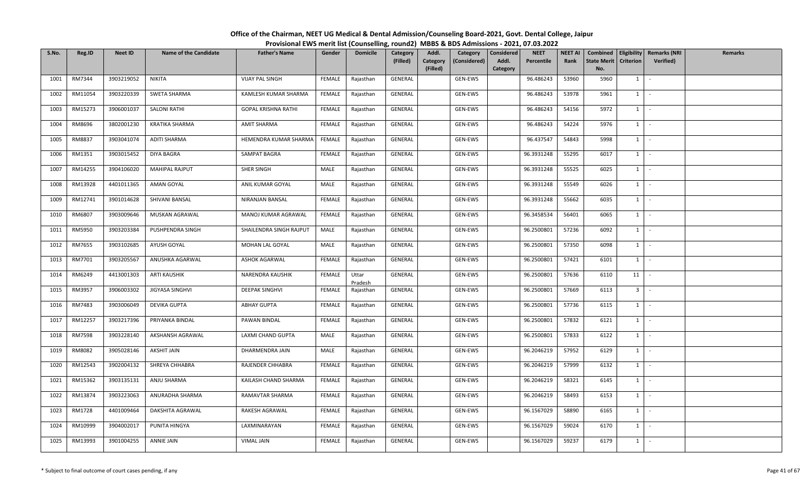| S.No. | Reg.ID        | <b>Neet ID</b> | <b>Name of the Candidate</b> | <b>Father's Name</b>       | Gender        | <b>Domicile</b>  | Category<br>(Filled) | Addl.<br>Category<br>(Filled) | Category<br>(Considered) | Considered<br>Addl.<br>Category | <b>NEET</b><br>Percentile | <b>NEET AI</b><br>Rank | <b>State Merit</b><br>No. | <b>Criterion</b> | Combined   Eligibility   Remarks (NRI<br><b>Verified</b> ) | Remarks |
|-------|---------------|----------------|------------------------------|----------------------------|---------------|------------------|----------------------|-------------------------------|--------------------------|---------------------------------|---------------------------|------------------------|---------------------------|------------------|------------------------------------------------------------|---------|
| 1001  | RM7344        | 3903219052     | NIKITA                       | <b>VIJAY PAL SINGH</b>     | FEMALE        | Rajasthan        | GENERAL              |                               | GEN-EWS                  |                                 | 96.486243                 | 53960                  | 5960                      | 1                | $\mathcal{L}_{\mathcal{A}}$                                |         |
| 1002  | RM11054       | 3903220339     | <b>SWETA SHARMA</b>          | KAMLESH KUMAR SHARMA       | <b>FEMALE</b> | Rajasthan        | GENERAL              |                               | GEN-EWS                  |                                 | 96.486243                 | 53978                  | 5961                      | $1 \vert$        | $\sim$                                                     |         |
| 1003  | RM15273       | 3906001037     | SALONI RATHI                 | <b>GOPAL KRISHNA RATHI</b> | FEMALE        | Rajasthan        | GENERAL              |                               | GEN-EWS                  |                                 | 96.486243                 | 54156                  | 5972                      | $1 \vert$        | $\sim$                                                     |         |
| 1004  | RM8696        | 3802001230     | KRATIKA SHARMA               | <b>AMIT SHARMA</b>         | FEMALE        | Rajasthan        | GENERAL              |                               | GEN-EWS                  |                                 | 96.486243                 | 54224                  | 5976                      | $1 \vert$        | $\sim$                                                     |         |
| 1005  | RM8837        | 3903041074     | ADITI SHARMA                 | HEMENDRA KUMAR SHARMA      | FEMALE        | Rajasthan        | GENERAL              |                               | GEN-EWS                  |                                 | 96.437547                 | 54843                  | 5998                      | $1 \vert$        | $\sim$                                                     |         |
| 1006  | RM1351        | 3903015452     | DIYA BAGRA                   | SAMPAT BAGRA               | <b>FEMALE</b> | Rajasthan        | GENERAL              |                               | GEN-EWS                  |                                 | 96.3931248                | 55295                  | 6017                      | $1 \vert$        | $\sim$                                                     |         |
| 1007  | RM14255       | 3904106020     | <b>MAHIPAL RAJPUT</b>        | SHER SINGH                 | MALE          | Rajasthan        | GENERAL              |                               | GEN-EWS                  |                                 | 96.3931248                | 55525                  | 6025                      | $1 \vert$        | $\sim$                                                     |         |
| 1008  | RM13928       | 4401011365     | AMAN GOYAL                   | ANIL KUMAR GOYAL           | MALE          | Rajasthan        | GENERAL              |                               | GEN-EWS                  |                                 | 96.3931248                | 55549                  | 6026                      | $1 \vert$        | $\sim$                                                     |         |
| 1009  | RM12741       | 3901014628     | SHIVANI BANSAL               | NIRANJAN BANSAL            | FEMALE        | Rajasthan        | GENERAL              |                               | GEN-EWS                  |                                 | 96.3931248                | 55662                  | 6035                      | $1 \vert$        | $\sim$                                                     |         |
| 1010  | RM6807        | 3903009646     | MUSKAN AGRAWAL               | MANOJ KUMAR AGRAWAL        | FEMALE        | Rajasthan        | GENERAL              |                               | GEN-EWS                  |                                 | 96.3458534                | 56401                  | 6065                      | 1                | $\sim$                                                     |         |
| 1011  | RM5950        | 3903203384     | PUSHPENDRA SINGH             | SHAILENDRA SINGH RAJPUT    | MALE          | Rajasthan        | GENERAL              |                               | GEN-EWS                  |                                 | 96.2500801                | 57236                  | 6092                      | $1$ $-$          |                                                            |         |
| 1012  | RM7655        | 3903102685     | AYUSH GOYAL                  | MOHAN LAL GOYAL            | MALE          | Rajasthan        | GENERAL              |                               | GEN-EWS                  |                                 | 96.2500801                | 57350                  | 6098                      | $1 \vert$        | $\sim$                                                     |         |
| 1013  | RM7701        | 3903205567     | ANUSHKA AGARWAL              | <b>ASHOK AGARWAL</b>       | FEMALE        | Rajasthan        | GENERAL              |                               | GEN-EWS                  |                                 | 96.2500801                | 57421                  | 6101                      | $1 \vert$        | $\overline{\phantom{a}}$                                   |         |
| 1014  | RM6249        | 4413001303     | <b>ARTI KAUSHIK</b>          | NARENDRA KAUSHIK           | FEMALE        | Uttar<br>Pradesh | GENERAL              |                               | GEN-EWS                  |                                 | 96.2500801                | 57636                  | 6110                      | 11               | $\sim$                                                     |         |
| 1015  | RM3957        | 3906003302     | JIGYASA SINGHVI              | <b>DEEPAK SINGHVI</b>      | <b>FEMALE</b> | Rajasthan        | GENERAL              |                               | GEN-EWS                  |                                 | 96.2500801                | 57669                  | 6113                      | 3 <sup>1</sup>   | $\mathcal{L}$                                              |         |
| 1016  | RM7483        | 3903006049     | DEVIKA GUPTA                 | <b>ABHAY GUPTA</b>         | <b>FEMALE</b> | Rajasthan        | GENERAL              |                               | GEN-EWS                  |                                 | 96.2500801                | 57736                  | 6115                      | $1$ $-$          |                                                            |         |
| 1017  | RM12257       | 3903217396     | PRIYANKA BINDAL              | PAWAN BINDAL               | FEMALE        | Rajasthan        | GENERAL              |                               | GEN-EWS                  |                                 | 96.2500801                | 57832                  | 6121                      | $1 \vert$        | $\sim$                                                     |         |
| 1018  | <b>RM7598</b> | 3903228140     | AKSHANSH AGRAWAL             | LAXMI CHAND GUPTA          | MALE          | Rajasthan        | GENERAL              |                               | GEN-EWS                  |                                 | 96.2500801                | 57833                  | 6122                      | $1 \vert$        | $\sim$                                                     |         |
| 1019  | RM8082        | 3905028146     | <b>AKSHIT JAIN</b>           | DHARMENDRA JAIN            | MALE          | Rajasthan        | GENERAL              |                               | GEN-EWS                  |                                 | 96.2046219                | 57952                  | 6129                      | $\overline{1}$   | $\sim$                                                     |         |
| 1020  | RM12543       | 3902004132     | SHREYA CHHABRA               | RAJENDER CHHABRA           | <b>FEMALE</b> | Rajasthan        | GENERAL              |                               | GEN-EWS                  |                                 | 96.2046219                | 57999                  | 6132                      | $1 \vert$        | $\sim$                                                     |         |
| 1021  | RM15362       | 3903135131     | ANJU SHARMA                  | KAILASH CHAND SHARMA       | FEMALE        | Rajasthan        | GENERAL              |                               | GEN-EWS                  |                                 | 96.2046219                | 58321                  | 6145                      | $1 \vert$        | $\sim$                                                     |         |
| 1022  | RM13874       | 3903223063     | ANURADHA SHARMA              | RAMAVTAR SHARMA            | FEMALE        | Rajasthan        | GENERAL              |                               | GEN-EWS                  |                                 | 96.2046219                | 58493                  | 6153                      | $1 \vert$        | 94.)                                                       |         |
| 1023  | RM1728        | 4401009464     | DAKSHITA AGRAWAL             | RAKESH AGRAWAL             | <b>FEMALE</b> | Rajasthan        | GENERAL              |                               | GEN-EWS                  |                                 | 96.1567029                | 58890                  | 6165                      | $1 \vert$        | $\sim$                                                     |         |
| 1024  | RM10999       | 3904002017     | PUNITA HINGYA                | LAXMINARAYAN               | FEMALE        | Rajasthan        | GENERAL              |                               | GEN-EWS                  |                                 | 96.1567029                | 59024                  | 6170                      | $1 \vert$        | $\sim$                                                     |         |
| 1025  | RM13993       | 3901004255     | <b>ANNIE JAIN</b>            | <b>VIMAL JAIN</b>          | FEMALE        | Rajasthan        | GENERAL              |                               | GEN-EWS                  |                                 | 96.1567029                | 59237                  | 6179                      | $1 \vert$        | $\sim$                                                     |         |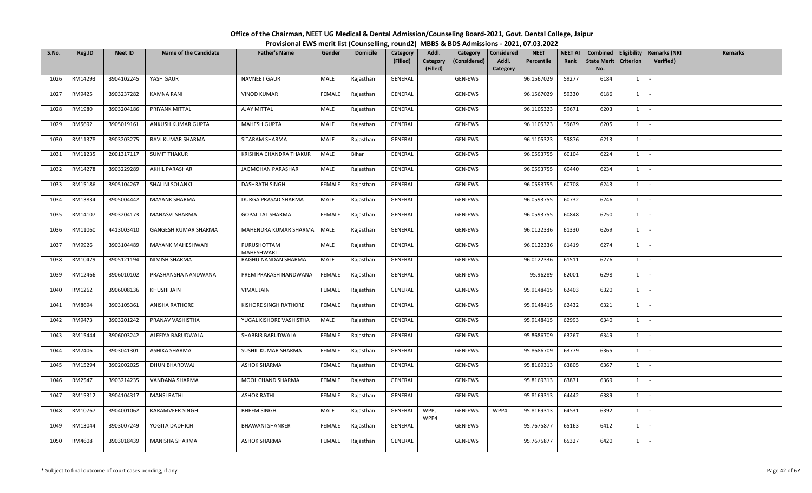| S.No. | Reg.ID  | <b>Neet ID</b> | <b>Name of the Candidate</b> | <b>Father's Name</b>      | Gender        | <b>Domicile</b> | Category<br>(Filled) | Addl.<br>Category<br>(Filled) | Category<br>(Considered) | Considered<br>Addl.<br>Category | <b>NEET</b><br>Percentile | <b>NEET AI</b><br>Rank | Combined<br><b>State Merit</b><br>No. | <b>Criterion</b> | Eligibility   Remarks (NRI<br><b>Verified</b> ) | Remarks |
|-------|---------|----------------|------------------------------|---------------------------|---------------|-----------------|----------------------|-------------------------------|--------------------------|---------------------------------|---------------------------|------------------------|---------------------------------------|------------------|-------------------------------------------------|---------|
| 1026  | RM14293 | 3904102245     | YASH GAUR                    | NAVNEET GAUR              | MALE          | Rajasthan       | GENERAL              |                               | GEN-EWS                  |                                 | 96.1567029                | 59277                  | 6184                                  | 1                | $\sim$                                          |         |
| 1027  | RM9425  | 3903237282     | KAMNA RANI                   | <b>VINOD KUMAR</b>        | <b>FEMALE</b> | Rajasthan       | GENERAL              |                               | GEN-EWS                  |                                 | 96.1567029                | 59330                  | 6186                                  | 1                | $\sim$                                          |         |
| 1028  | RM1980  | 3903204186     | PRIYANK MITTAL               | <b>AJAY MITTAL</b>        | MALE          | Rajasthan       | GENERAL              |                               | GEN-EWS                  |                                 | 96.1105323                | 59671                  | 6203                                  | $1 \vert$        | $\sim$                                          |         |
| 1029  | RM5692  | 3905019161     | ANKUSH KUMAR GUPTA           | <b>MAHESH GUPTA</b>       | MALE          | Rajasthan       | GENERAL              |                               | GEN-EWS                  |                                 | 96.1105323                | 59679                  | 6205                                  | $1 \vert$        | $\sim$                                          |         |
| 1030  | RM11378 | 3903203275     | RAVI KUMAR SHARMA            | SITARAM SHARMA            | MALE          | Rajasthan       | GENERAL              |                               | GEN-EWS                  |                                 | 96.1105323                | 59876                  | 6213                                  | $1 \vert$        | $\sim$                                          |         |
| 1031  | RM11235 | 2001317117     | <b>SUMIT THAKUR</b>          | KRISHNA CHANDRA THAKUR    | MALE          | Bihar           | GENERAL              |                               | GEN-EWS                  |                                 | 96.0593755                | 60104                  | 6224                                  | $1 \vert$        | $\sim$                                          |         |
| 1032  | RM14278 | 3903229289     | AKHIL PARASHAR               | JAGMOHAN PARASHAR         | MALE          | Rajasthan       | GENERAL              |                               | GEN-EWS                  |                                 | 96.0593755                | 60440                  | 6234                                  | $1 \vert$        | $\sim$                                          |         |
| 1033  | RM15186 | 3905104267     | SHALINI SOLANKI              | <b>DASHRATH SINGH</b>     | <b>FEMALE</b> | Rajasthan       | GENERAL              |                               | GEN-EWS                  |                                 | 96.0593755                | 60708                  | 6243                                  | $1 \vert$        | $\sim$                                          |         |
| 1034  | RM13834 | 3905004442     | <b>MAYANK SHARMA</b>         | DURGA PRASAD SHARMA       | MALE          | Rajasthan       | GENERAL              |                               | GEN-EWS                  |                                 | 96.0593755                | 60732                  | 6246                                  | <sup>1</sup>     | $\sim$                                          |         |
| 1035  | RM14107 | 3903204173     | MANASVI SHARMA               | GOPAL LAL SHARMA          | FEMALE        | Rajasthan       | GENERAL              |                               | GEN-EWS                  |                                 | 96.0593755                | 60848                  | 6250                                  | $1 \vert$        | $\sim$                                          |         |
| 1036  | RM11060 | 4413003410     | <b>GANGESH KUMAR SHARMA</b>  | MAHENDRA KUMAR SHARMA     | MALE          | Rajasthan       | GENERAL              |                               | GEN-EWS                  |                                 | 96.0122336                | 61330                  | 6269                                  | $1 \vert$        | $\sim$                                          |         |
| 1037  | RM9926  | 3903104489     | <b>MAYANK MAHESHWARI</b>     | PURUSHOTTAM<br>MAHESHWARI | MALE          | Rajasthan       | GENERAL              |                               | GEN-EWS                  |                                 | 96.0122336                | 61419                  | 6274                                  | $1 \vert$        | $\sim$                                          |         |
| 1038  | RM10479 | 3905121194     | NIMISH SHARMA                | RAGHU NANDAN SHARMA       | MALE          | Rajasthan       | GENERAL              |                               | GEN-EWS                  |                                 | 96.0122336                | 61511                  | 6276                                  | $1 \vert$        | $\sim$                                          |         |
| 1039  | RM12466 | 3906010102     | PRASHANSHA NANDWANA          | PREM PRAKASH NANDWANA     | FEMALE        | Rajasthan       | GENERAL              |                               | GEN-EWS                  |                                 | 95.96289                  | 62001                  | 6298                                  | $1 \vert$        | $\sim$                                          |         |
| 1040  | RM1262  | 3906008136     | KHUSHI JAIN                  | <b>VIMAL JAIN</b>         | FEMALE        | Rajasthan       | GENERAL              |                               | GEN-EWS                  |                                 | 95.9148415                | 62403                  | 6320                                  | $1 \vert$        | $\mathcal{L}_{\mathcal{A}}$                     |         |
| 1041  | RM8694  | 3903105361     | ANISHA RATHORE               | KISHORE SINGH RATHORE     | <b>FEMALE</b> | Rajasthan       | GENERAL              |                               | GEN-EWS                  |                                 | 95.9148415                | 62432                  | 6321                                  | $1 \vert$        | $\sim$                                          |         |
| 1042  | RM9473  | 3903201242     | PRANAV VASHISTHA             | YUGAL KISHORE VASHISTHA   | MALE          | Rajasthan       | GENERAL              |                               | GEN-EWS                  |                                 | 95.9148415                | 62993                  | 6340                                  | $1 \mid$         | $\sim$                                          |         |
| 1043  | RM15444 | 3906003242     | ALEFIYA BARUDWALA            | SHABBIR BARUDWALA         | <b>FEMALE</b> | Rajasthan       | GENERAL              |                               | GEN-EWS                  |                                 | 95.8686709                | 63267                  | 6349                                  | $1 \vert$        | $\sim$                                          |         |
| 1044  | RM7406  | 3903041301     | ASHIKA SHARMA                | SUSHIL KUMAR SHARMA       | FEMALE        | Rajasthan       | GENERAL              |                               | GEN-EWS                  |                                 | 95.8686709                | 63779                  | 6365                                  | $1 \vert$        | $\sim$                                          |         |
| 1045  | RM15294 | 3902002025     | DHUN BHARDWAJ                | <b>ASHOK SHARMA</b>       | <b>FEMALE</b> | Rajasthan       | GENERAL              |                               | GEN-EWS                  |                                 | 95.8169313                | 63805                  | 6367                                  | $1 \vert$        | $\overline{\phantom{a}}$                        |         |
| 1046  | RM2547  | 3903214235     | VANDANA SHARMA               | MOOL CHAND SHARMA         | FEMALE        | Rajasthan       | GENERAL              |                               | GEN-EWS                  |                                 | 95.8169313                | 63871                  | 6369                                  | $1 \vert$        | $\sim$                                          |         |
| 1047  | RM15312 | 3904104317     | <b>MANSI RATHI</b>           | <b>ASHOK RATHI</b>        | FEMALE        | Rajasthan       | GENERAL              |                               | GEN-EWS                  |                                 | 95.8169313                | 64442                  | 6389                                  | $1 \vert$        | $\sim$                                          |         |
| 1048  | RM10767 | 3904001062     | <b>KARAMVEER SINGH</b>       | <b>BHEEM SINGH</b>        | MALE          | Rajasthan       | GENERAL              | WPP,<br>WPP4                  | GEN-EWS                  | WPP4                            | 95.8169313                | 64531                  | 6392                                  | $1 \vert$        | $\sim$                                          |         |
| 1049  | RM13044 | 3903007249     | YOGITA DADHICH               | <b>BHAWANI SHANKER</b>    | FEMALE        | Rajasthan       | GENERAL              |                               | GEN-EWS                  |                                 | 95.7675877                | 65163                  | 6412                                  | $1 \vert$        | $\sim$                                          |         |
| 1050  | RM4608  | 3903018439     | MANISHA SHARMA               | <b>ASHOK SHARMA</b>       | FEMALE        | Rajasthan       | GENERAL              |                               | GEN-EWS                  |                                 | 95.7675877                | 65327                  | 6420                                  | $1 \vert$        | $\sim$                                          |         |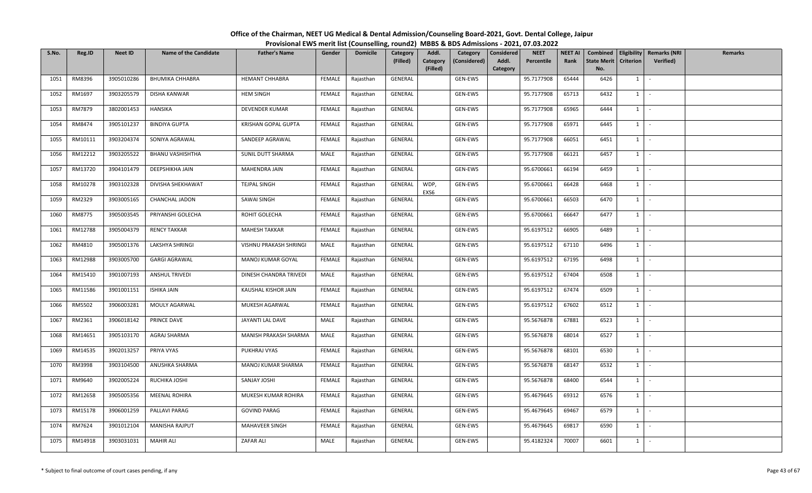| S.No. | Reg.ID  | <b>Neet ID</b> | <b>Name of the Candidate</b> | <b>Father's Name</b>   | Gender        | <b>Domicile</b> | Category<br>(Filled) | Addl.<br>Category<br>(Filled) | Category<br>(Considered) | Considered<br>Addl.<br>Category | <b>NEET</b><br>Percentile | <b>NEET AI</b><br>Rank | <b>State Merit</b><br>No. | <b>Criterion</b> | Combined   Eligibility   Remarks (NRI<br><b>Verified</b> ) | Remarks |
|-------|---------|----------------|------------------------------|------------------------|---------------|-----------------|----------------------|-------------------------------|--------------------------|---------------------------------|---------------------------|------------------------|---------------------------|------------------|------------------------------------------------------------|---------|
| 1051  | RM8396  | 3905010286     | <b>BHUMIKA CHHABRA</b>       | <b>HEMANT CHHABRA</b>  | FEMALE        | Rajasthan       | GENERAL              |                               | GEN-EWS                  |                                 | 95.7177908                | 65444                  | 6426                      | $1 \vert$        | $\sim$                                                     |         |
| 1052  | RM1697  | 3903205579     | DISHA KANWAR                 | <b>HEM SINGH</b>       | <b>FEMALE</b> | Rajasthan       | GENERAL              |                               | GEN-EWS                  |                                 | 95.7177908                | 65713                  | 6432                      | $1 \vert$        | $\sim$                                                     |         |
| 1053  | RM7879  | 3802001453     | HANSIKA                      | DEVENDER KUMAR         | FEMALE        | Rajasthan       | GENERAL              |                               | GEN-EWS                  |                                 | 95.7177908                | 65965                  | 6444                      | $1 \vert$        | $\sim$                                                     |         |
| 1054  | RM8474  | 3905101237     | <b>BINDIYA GUPTA</b>         | KRISHAN GOPAL GUPTA    | FEMALE        | Rajasthan       | GENERAL              |                               | GEN-EWS                  |                                 | 95.7177908                | 65971                  | 6445                      | $1 \vert$        | $\sim$                                                     |         |
| 1055  | RM10111 | 3903204374     | SONIYA AGRAWAL               | SANDEEP AGRAWAL        | FEMALE        | Rajasthan       | GENERAL              |                               | GEN-EWS                  |                                 | 95.7177908                | 66051                  | 6451                      | $1 \vert$        | $\sim$                                                     |         |
| 1056  | RM12212 | 3903205522     | <b>BHANU VASHISHTHA</b>      | SUNIL DUTT SHARMA      | MALE          | Rajasthan       | GENERAL              |                               | GEN-EWS                  |                                 | 95.7177908                | 66121                  | 6457                      | $1 \vert$        | $\sim$                                                     |         |
| 1057  | RM13720 | 3904101479     | DEEPSHIKHA JAIN              | MAHENDRA JAIN          | FEMALE        | Rajasthan       | GENERAL              |                               | GEN-EWS                  |                                 | 95.6700661                | 66194                  | 6459                      | $1$ $\sim$       |                                                            |         |
| 1058  | RM10278 | 3903102328     | DIVISHA SHEKHAWAT            | TEJPAL SINGH           | FEMALE        | Rajasthan       | GENERAL              | WDP,<br>EXS6                  | GEN-EWS                  |                                 | 95.6700661                | 66428                  | 6468                      | $1 \vert$        | $\sim$                                                     |         |
| 1059  | RM2329  | 3903005165     | CHANCHAL JADON               | <b>SAWAI SINGH</b>     | FEMALE        | Rajasthan       | GENERAL              |                               | GEN-EWS                  |                                 | 95.6700661                | 66503                  | 6470                      | $1 \vert$        | $\sim$                                                     |         |
| 1060  | RM8775  | 3905003545     | PRIYANSHI GOLECHA            | ROHIT GOLECHA          | FEMALE        | Rajasthan       | GENERAL              |                               | GEN-EWS                  |                                 | 95.6700661                | 66647                  | 6477                      | 1                | $\sim$                                                     |         |
| 1061  | RM12788 | 3905004379     | <b>RENCY TAKKAR</b>          | <b>MAHESH TAKKAR</b>   | FEMALE        | Rajasthan       | GENERAL              |                               | GEN-EWS                  |                                 | 95.6197512                | 66905                  | 6489                      | $1$ $-$          |                                                            |         |
| 1062  | RM4810  | 3905001376     | LAKSHYA SHRINGI              | VISHNU PRAKASH SHRINGI | MALE          | Rajasthan       | GENERAL              |                               | GEN-EWS                  |                                 | 95.6197512                | 67110                  | 6496                      | $1 \vert$        | $\sim$ $-$                                                 |         |
| 1063  | RM12988 | 3903005700     | <b>GARGI AGRAWAL</b>         | MANOJ KUMAR GOYAL      | FEMALE        | Rajasthan       | GENERAL              |                               | GEN-EWS                  |                                 | 95.6197512                | 67195                  | 6498                      | $1 \vert$        | $\sim$                                                     |         |
| 1064  | RM15410 | 3901007193     | <b>ANSHUL TRIVEDI</b>        | DINESH CHANDRA TRIVEDI | MALE          | Rajasthan       | GENERAL              |                               | GEN-EWS                  |                                 | 95.6197512                | 67404                  | 6508                      | $1 \vert$        | $\sim$                                                     |         |
| 1065  | RM11586 | 3901001151     | <b>ISHIKA JAIN</b>           | KAUSHAL KISHOR JAIN    | <b>FEMALE</b> | Rajasthan       | GENERAL              |                               | GEN-EWS                  |                                 | 95.6197512                | 67474                  | 6509                      | $1 \vert$        | $\overline{\phantom{a}}$                                   |         |
| 1066  | RM5502  | 3906003281     | MOULY AGARWAL                | MUKESH AGARWAL         | FEMALE        | Rajasthan       | GENERAL              |                               | GEN-EWS                  |                                 | 95.6197512                | 67602                  | 6512                      | $1$ $-$          |                                                            |         |
| 1067  | RM2361  | 3906018142     | PRINCE DAVE                  | JAYANTI LAL DAVE       | MALE          | Rajasthan       | GENERAL              |                               | GEN-EWS                  |                                 | 95.5676878                | 67881                  | 6523                      | $1 \vert$        | $\sim$                                                     |         |
| 1068  | RM14651 | 3905103170     | AGRAJ SHARMA                 | MANISH PRAKASH SHARMA  | MALE          | Rajasthan       | GENERAL              |                               | GEN-EWS                  |                                 | 95.5676878                | 68014                  | 6527                      | $1 \vert$        | $\sim$                                                     |         |
| 1069  | RM14535 | 3902013257     | PRIYA VYAS                   | PUKHRAJ VYAS           | FEMALE        | Rajasthan       | GENERAL              |                               | GEN-EWS                  |                                 | 95.5676878                | 68101                  | 6530                      | $\overline{1}$   | $\sim$ $-$                                                 |         |
| 1070  | RM3998  | 3903104500     | ANUSHKA SHARMA               | MANOJ KUMAR SHARMA     | <b>FEMALE</b> | Rajasthan       | GENERAL              |                               | GEN-EWS                  |                                 | 95.5676878                | 68147                  | 6532                      | $1 \vert$        | $\sim$                                                     |         |
| 1071  | RM9640  | 3902005224     | RUCHIKA JOSHI                | SANJAY JOSHI           | FEMALE        | Rajasthan       | GENERAL              |                               | GEN-EWS                  |                                 | 95.5676878                | 68400                  | 6544                      | $1 \vert$        | $\sim 10^{-1}$                                             |         |
| 1072  | RM12658 | 3905005356     | <b>MEENAL ROHIRA</b>         | MUKESH KUMAR ROHIRA    | FEMALE        | Rajasthan       | GENERAL              |                               | GEN-EWS                  |                                 | 95.4679645                | 69312                  | 6576                      | $1 \vert$        | $\sim$                                                     |         |
| 1073  | RM15178 | 3906001259     | PALLAVI PARAG                | <b>GOVIND PARAG</b>    | <b>FEMALE</b> | Rajasthan       | GENERAL              |                               | GEN-EWS                  |                                 | 95.4679645                | 69467                  | 6579                      | $1 \vert$        | $\sim$                                                     |         |
| 1074  | RM7624  | 3901012104     | <b>MANISHA RAJPUT</b>        | MAHAVEER SINGH         | FEMALE        | Rajasthan       | GENERAL              |                               | GEN-EWS                  |                                 | 95.4679645                | 69817                  | 6590                      | $1 \vert$        | $\sim$                                                     |         |
| 1075  | RM14918 | 3903031031     | <b>MAHIR ALI</b>             | ZAFAR ALI              | MALE          | Rajasthan       | GENERAL              |                               | GEN-EWS                  |                                 | 95.4182324                | 70007                  | 6601                      | $1 \vert$        | $\sim$                                                     |         |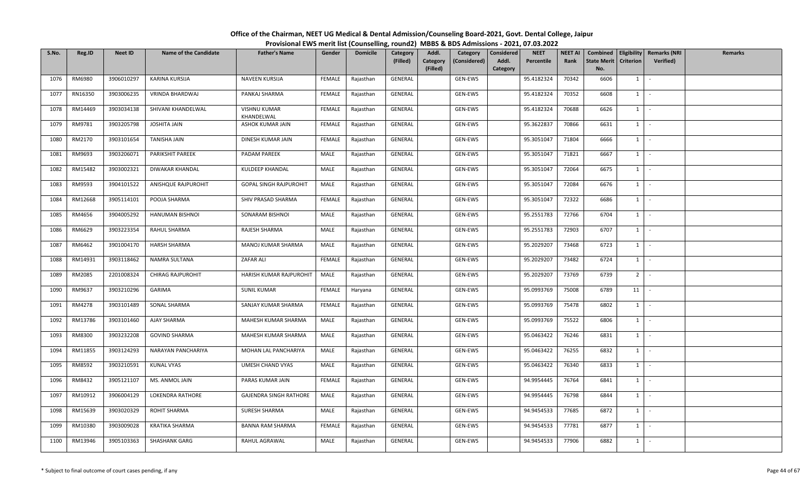| S.No. | Reg.ID  | <b>Neet ID</b> | <b>Name of the Candidate</b> | <b>Father's Name</b>              | Gender        | <b>Domicile</b> | Category<br>(Filled) | Addl.<br>Category<br>(Filled) | Category<br>(Considered) | Considered<br>Addl.<br>Category | <b>NEET</b><br>Percentile | <b>NEET AI</b><br>Rank | Combined<br><b>State Merit</b><br>No. | <b>Criterion</b> | Eligibility   Remarks (NRI<br><b>Verified</b> ) | Remarks |
|-------|---------|----------------|------------------------------|-----------------------------------|---------------|-----------------|----------------------|-------------------------------|--------------------------|---------------------------------|---------------------------|------------------------|---------------------------------------|------------------|-------------------------------------------------|---------|
| 1076  | RM6980  | 3906010297     | KARINA KURSIJA               | NAVEEN KURSIJA                    | FEMALE        | Rajasthan       | GENERAL              |                               | GEN-EWS                  |                                 | 95.4182324                | 70342                  | 6606                                  | 1                | $\sim$                                          |         |
| 1077  | RN16350 | 3903006235     | VRINDA BHARDWAJ              | PANKAJ SHARMA                     | FEMALE        | Rajasthan       | GENERAL              |                               | GEN-EWS                  |                                 | 95.4182324                | 70352                  | 6608                                  | 1                | $\sim$                                          |         |
| 1078  | RM14469 | 3903034138     | SHIVANI KHANDELWAL           | <b>VISHNU KUMAR</b><br>KHANDELWAL | <b>FEMALE</b> | Rajasthan       | GENERAL              |                               | GEN-EWS                  |                                 | 95.4182324                | 70688                  | 6626                                  | $1 \vert$        | $\sim$ $-$                                      |         |
| 1079  | RM9781  | 3903205798     | JOSHITA JAIN                 | ASHOK KUMAR JAIN                  | <b>FEMALE</b> | Rajasthan       | GENERAL              |                               | GEN-EWS                  |                                 | 95.3622837                | 70866                  | 6631                                  | $1 \vert$        | $\sim$                                          |         |
| 1080  | RM2170  | 3903101654     | TANISHA JAIN                 | DINESH KUMAR JAIN                 | FEMALE        | Rajasthan       | GENERAL              |                               | GEN-EWS                  |                                 | 95.3051047                | 71804                  | 6666                                  | $1 \vert$        | $\sim$                                          |         |
| 1081  | RM9693  | 3903206071     | PARIKSHIT PAREEK             | PADAM PAREEK                      | MALE          | Rajasthan       | GENERAL              |                               | GEN-EWS                  |                                 | 95.3051047                | 71821                  | 6667                                  | $1 \vert$        | $\sim$                                          |         |
| 1082  | RM15482 | 3903002321     | DIWAKAR KHANDAL              | KULDEEP KHANDAL                   | MALE          | Rajasthan       | GENERAL              |                               | GEN-EWS                  |                                 | 95.3051047                | 72064                  | 6675                                  | $1 \vert$        | $\sim$                                          |         |
| 1083  | RM9593  | 3904101522     | ANISHQUE RAJPUROHIT          | <b>GOPAL SINGH RAJPUROHIT</b>     | MALE          | Rajasthan       | GENERAL              |                               | GEN-EWS                  |                                 | 95.3051047                | 72084                  | 6676                                  | $1 \vert$        | $\sim$                                          |         |
| 1084  | RM12668 | 3905114101     | POOJA SHARMA                 | SHIV PRASAD SHARMA                | <b>FEMALE</b> | Rajasthan       | GENERAL              |                               | GEN-EWS                  |                                 | 95.3051047                | 72322                  | 6686                                  | $1 \vert$        | $\sim$                                          |         |
| 1085  | RM4656  | 3904005292     | HANUMAN BISHNOI              | SONARAM BISHNOI                   | MALE          | Rajasthan       | GENERAL              |                               | GEN-EWS                  |                                 | 95.2551783                | 72766                  | 6704                                  | $1 \vert$        | $\sim$                                          |         |
| 1086  | RM6629  | 3903223354     | RAHUL SHARMA                 | RAJESH SHARMA                     | MALE          | Rajasthan       | GENERAL              |                               | GEN-EWS                  |                                 | 95.2551783                | 72903                  | 6707                                  | $1 \vert$        | $\sim$                                          |         |
| 1087  | RM6462  | 3901004170     | <b>HARSH SHARMA</b>          | MANOJ KUMAR SHARMA                | MALE          | Rajasthan       | GENERAL              |                               | GEN-EWS                  |                                 | 95.2029207                | 73468                  | 6723                                  | $1 \vert$        | $\sim$                                          |         |
| 1088  | RM14931 | 3903118462     | NAMRA SULTANA                | ZAFAR ALI                         | <b>FEMALE</b> | Rajasthan       | GENERAL              |                               | GEN-EWS                  |                                 | 95.2029207                | 73482                  | 6724                                  | $1 \vert$        | $\sim$                                          |         |
| 1089  | RM2085  | 2201008324     | CHIRAG RAJPUROHIT            | HARISH KUMAR RAJPUROHIT           | MALE          | Rajasthan       | GENERAL              |                               | GEN-EWS                  |                                 | 95.2029207                | 73769                  | 6739                                  | 2 <sup>1</sup>   | $\sim$                                          |         |
| 1090  | RM9637  | 3903210296     | GARIMA                       | <b>SUNIL KUMAR</b>                | FEMALE        | Haryana         | GENERAL              |                               | GEN-EWS                  |                                 | 95.0993769                | 75008                  | 6789                                  | 11               | $\sim$                                          |         |
| 1091  | RM4278  | 3903101489     | SONAL SHARMA                 | SANJAY KUMAR SHARMA               | FEMALE        | Rajasthan       | GENERAL              |                               | GEN-EWS                  |                                 | 95.0993769                | 75478                  | 6802                                  | $1 \vert$        | $\sim$                                          |         |
| 1092  | RM13786 | 3903101460     | <b>AJAY SHARMA</b>           | MAHESH KUMAR SHARMA               | MALE          | Rajasthan       | GENERAL              |                               | GEN-EWS                  |                                 | 95.0993769                | 75522                  | 6806                                  | $1 \vert$        | $\sim$                                          |         |
| 1093  | RM8300  | 3903232208     | <b>GOVIND SHARMA</b>         | MAHESH KUMAR SHARMA               | MALE          | Rajasthan       | GENERAL              |                               | GEN-EWS                  |                                 | 95.0463422                | 76246                  | 6831                                  | $1 \mid$         | $\sim$                                          |         |
| 1094  | RM11855 | 3903124293     | NARAYAN PANCHARIYA           | MOHAN LAL PANCHARIYA              | MALE          | Rajasthan       | GENERAL              |                               | GEN-EWS                  |                                 | 95.0463422                | 76255                  | 6832                                  | $1 \vert$        | $\sim$ $-$                                      |         |
| 1095  | RM8592  | 3903210591     | <b>KUNAL VYAS</b>            | UMESH CHAND VYAS                  | MALE          | Rajasthan       | GENERAL              |                               | GEN-EWS                  |                                 | 95.0463422                | 76340                  | 6833                                  | $1 \vert$        | $\sim$                                          |         |
| 1096  | RM8432  | 3905121107     | MS. ANMOL JAIN               | PARAS KUMAR JAIN                  | FEMALE        | Rajasthan       | GENERAL              |                               | GEN-EWS                  |                                 | 94.9954445                | 76764                  | 6841                                  | $1$ $-$          |                                                 |         |
| 1097  | RM10912 | 3906004129     | <b>LOKENDRA RATHORE</b>      | <b>GAJENDRA SINGH RATHORE</b>     | MALE          | Rajasthan       | GENERAL              |                               | GEN-EWS                  |                                 | 94.9954445                | 76798                  | 6844                                  | $1 \vert$        | $\sim$                                          |         |
| 1098  | RM15639 | 3903020329     | ROHIT SHARMA                 | <b>SURESH SHARMA</b>              | MALE          | Rajasthan       | GENERAL              |                               | GEN-EWS                  |                                 | 94.9454533                | 77685                  | 6872                                  | $1 \vert$        | $\sim$                                          |         |
| 1099  | RM10380 | 3903009028     | KRATIKA SHARMA               | <b>BANNA RAM SHARMA</b>           | FEMALE        | Rajasthan       | GENERAL              |                               | GEN-EWS                  |                                 | 94.9454533                | 77781                  | 6877                                  | $1 \mid$         | $\sim$                                          |         |
| 1100  | RM13946 | 3905103363     | SHASHANK GARG                | RAHUL AGRAWAL                     | MALE          | Rajasthan       | GENERAL              |                               | GEN-EWS                  |                                 | 94.9454533                | 77906                  | 6882                                  | $1 \vert$        | $\sim$                                          |         |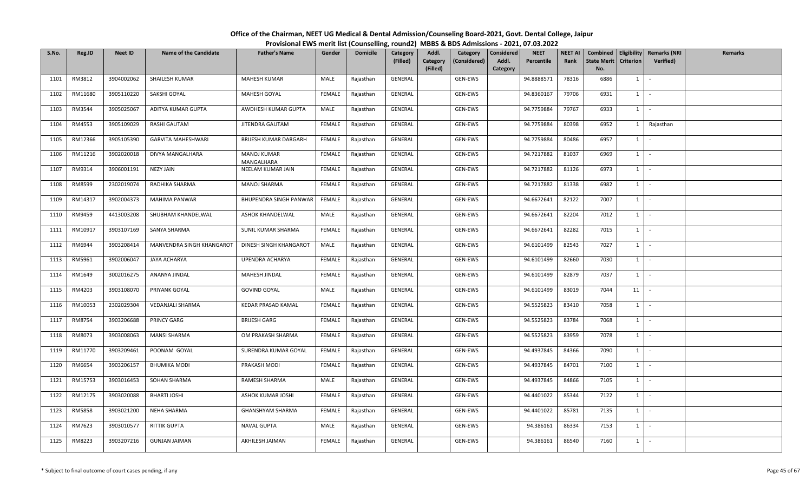| S.No. | Reg.ID  | <b>Neet ID</b> | <b>Name of the Candidate</b> | <b>Father's Name</b>             | Gender        | <b>Domicile</b> | Category<br>(Filled) | Addl.<br>Category<br>(Filled) | Category<br>(Considered) | <b>Considered</b><br>Addl.<br>Category | <b>NEET</b><br>Percentile | <b>NEET AI</b><br>Rank | Combined<br><b>State Merit</b><br>No. | <b>Criterion</b> | Eligibility   Remarks (NRI<br>Verified) | Remarks |
|-------|---------|----------------|------------------------------|----------------------------------|---------------|-----------------|----------------------|-------------------------------|--------------------------|----------------------------------------|---------------------------|------------------------|---------------------------------------|------------------|-----------------------------------------|---------|
| 1101  | RM3812  | 3904002062     | SHAILESH KUMAR               | <b>MAHESH KUMAR</b>              | MALE          | Rajasthan       | GENERAL              |                               | GEN-EWS                  |                                        | 94.8888571                | 78316                  | 6886                                  | $1 \quad$        | $\sim$                                  |         |
| 1102  | RM11680 | 3905110220     | SAKSHI GOYAL                 | <b>MAHESH GOYAL</b>              | <b>FEMALE</b> | Rajasthan       | GENERAL              |                               | GEN-EWS                  |                                        | 94.8360167                | 79706                  | 6931                                  | 1                | $\sim$                                  |         |
| 1103  | RM3544  | 3905025067     | ADITYA KUMAR GUPTA           | AWDHESH KUMAR GUPTA              | MALE          | Rajasthan       | GENERAL              |                               | GEN-EWS                  |                                        | 94.7759884                | 79767                  | 6933                                  | $1 \quad$        | $\sim$                                  |         |
| 1104  | RM4553  | 3905109029     | RASHI GAUTAM                 | JITENDRA GAUTAM                  | FEMALE        | Rajasthan       | GENERAL              |                               | GEN-EWS                  |                                        | 94.7759884                | 80398                  | 6952                                  | $1 \quad$        | Rajasthan                               |         |
| 1105  | RM12366 | 3905105390     | <b>GARVITA MAHESHWARI</b>    | <b>BRIJESH KUMAR DARGARH</b>     | FEMALE        | Rajasthan       | GENERAL              |                               | GEN-EWS                  |                                        | 94.7759884                | 80486                  | 6957                                  | $1\vert$         | $\sim$                                  |         |
| 1106  | RM11216 | 3902020018     | DIVYA MANGALHARA             | <b>MANOJ KUMAR</b><br>MANGALHARA | FEMALE        | Rajasthan       | GENERAL              |                               | GEN-EWS                  |                                        | 94.7217882                | 81037                  | 6969                                  | $1 \quad$        | $\sim$                                  |         |
| 1107  | RM9314  | 3906001191     | <b>NEZY JAIN</b>             | NEELAM KUMAR JAIN                | <b>FEMALE</b> | Rajasthan       | GENERAL              |                               | GEN-EWS                  |                                        | 94.7217882                | 81126                  | 6973                                  | 1                | $\sim$                                  |         |
| 1108  | RM8599  | 2302019074     | RADHIKA SHARMA               | MANOJ SHARMA                     | <b>FEMALE</b> | Rajasthan       | GENERAL              |                               | GEN-EWS                  |                                        | 94.7217882                | 81338                  | 6982                                  | $1 \mid$         | $\sim$                                  |         |
| 1109  | RM14317 | 3902004373     | MAHIMA PANWAR                | BHUPENDRA SINGH PANWAR           | FEMALE        | Rajasthan       | GENERAL              |                               | GEN-EWS                  |                                        | 94.6672641                | 82122                  | 7007                                  | $1\vert$         | $\sim$                                  |         |
| 1110  | RM9459  | 4413003208     | SHUBHAM KHANDELWAL           | ASHOK KHANDELWAL                 | MALE          | Rajasthan       | GENERAL              |                               | GEN-EWS                  |                                        | 94.6672641                | 82204                  | 7012                                  | $1 \quad$        | $\sim$                                  |         |
| 1111  | RM10917 | 3903107169     | SANYA SHARMA                 | SUNIL KUMAR SHARMA               | FEMALE        | Rajasthan       | GENERAL              |                               | GEN-EWS                  |                                        | 94.6672641                | 82282                  | 7015                                  | $1 \mid$         | $\sim$                                  |         |
| 1112  | RM6944  | 3903208414     | MANVENDRA SINGH KHANGAROT    | DINESH SINGH KHANGAROT           | MALE          | Rajasthan       | GENERAL              |                               | GEN-EWS                  |                                        | 94.6101499                | 82543                  | 7027                                  | $1 \quad$        | $\sim$                                  |         |
| 1113  | RM5961  | 3902006047     | JAYA ACHARYA                 | UPENDRA ACHARYA                  | FEMALE        | Rajasthan       | GENERAL              |                               | GEN-EWS                  |                                        | 94.6101499                | 82660                  | 7030                                  | $1 \quad$        | $\sim$                                  |         |
| 1114  | RM1649  | 3002016275     | ANANYA JINDAL                | MAHESH JINDAL                    | FEMALE        | Rajasthan       | GENERAL              |                               | GEN-EWS                  |                                        | 94.6101499                | 82879                  | 7037                                  | $1 \quad$        | $\sim$                                  |         |
| 1115  | RM4203  | 3903108070     | PRIYANK GOYAL                | <b>GOVIND GOYAL</b>              | MALE          | Rajasthan       | GENERAL              |                               | GEN-EWS                  |                                        | 94.6101499                | 83019                  | 7044                                  | 11               | $\sim$                                  |         |
| 1116  | RM10053 | 2302029304     | <b>VEDANJALI SHARMA</b>      | KEDAR PRASAD KAMAL               | FEMALE        | Rajasthan       | GENERAL              |                               | GEN-EWS                  |                                        | 94.5525823                | 83410                  | 7058                                  | $1 \mid$         | $\sim$                                  |         |
| 1117  | RM8754  | 3903206688     | PRINCY GARG                  | <b>BRIJESH GARG</b>              | FEMALE        | Rajasthan       | GENERAL              |                               | GEN-EWS                  |                                        | 94.5525823                | 83784                  | 7068                                  | 1                | $\sim$                                  |         |
| 1118  | RM8073  | 3903008063     | <b>MANSI SHARMA</b>          | OM PRAKASH SHARMA                | FEMALE        | Rajasthan       | GENERAL              |                               | GEN-EWS                  |                                        | 94.5525823                | 83959                  | 7078                                  | $1 \quad$        | $\sim$                                  |         |
| 1119  | RM11770 | 3903209461     | POONAM GOYAL                 | SURENDRA KUMAR GOYAL             | FEMALE        | Rajasthan       | GENERAL              |                               | GEN-EWS                  |                                        | 94.4937845                | 84366                  | 7090                                  | $1 \quad$        | - 20                                    |         |
| 1120  | RM6654  | 3903206157     | <b>BHUMIKA MODI</b>          | PRAKASH MODI                     | FEMALE        | Rajasthan       | GENERAL              |                               | GEN-EWS                  |                                        | 94.4937845                | 84701                  | 7100                                  | $1 \quad$        | $\sim$                                  |         |
| 1121  | RM15753 | 3903016453     | SOHAN SHARMA                 | RAMESH SHARMA                    | MALE          | Rajasthan       | GENERAL              |                               | GEN-EWS                  |                                        | 94.4937845                | 84866                  | 7105                                  | 1                | $\sim$                                  |         |
| 1122  | RM12175 | 3903020088     | <b>BHARTI JOSHI</b>          | ASHOK KUMAR JOSHI                | <b>FEMALE</b> | Rajasthan       | GENERAL              |                               | GEN-EWS                  |                                        | 94.4401022                | 85344                  | 7122                                  | $1 \quad$        | $\sim$                                  |         |
| 1123  | RM5858  | 3903021200     | NEHA SHARMA                  | <b>GHANSHYAM SHARMA</b>          | <b>FEMALE</b> | Rajasthan       | GENERAL              |                               | GEN-EWS                  |                                        | 94.4401022                | 85781                  | 7135                                  | $1 \quad$        | $\sim$                                  |         |
| 1124  | RM7623  | 3903010577     | RITTIK GUPTA                 | <b>NAVAL GUPTA</b>               | MALE          | Rajasthan       | GENERAL              |                               | GEN-EWS                  |                                        | 94.386161                 | 86334                  | 7153                                  | $1\vert$         | $\sim$                                  |         |
| 1125  | RM8223  | 3903207216     | <b>GUNJAN JAIMAN</b>         | AKHILESH JAIMAN                  | FEMALE        | Rajasthan       | GENERAL              |                               | GEN-EWS                  |                                        | 94.386161                 | 86540                  | 7160                                  | $1\phantom{0}$   | $\sim$                                  |         |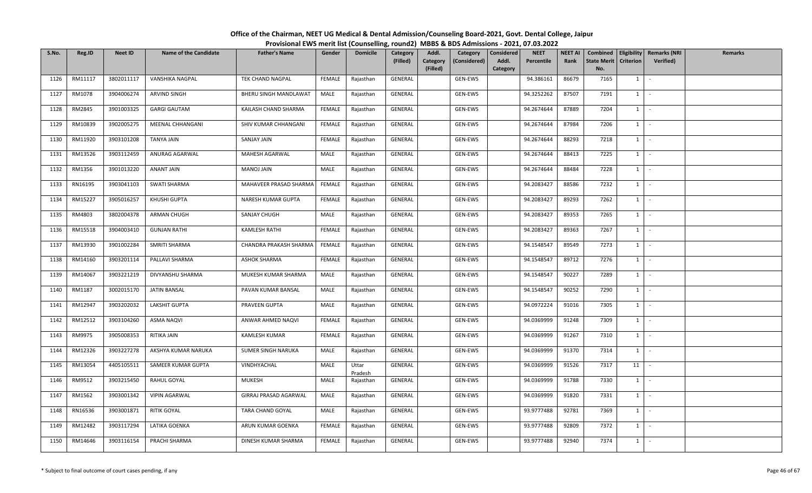| S.No. | Reg.ID  | <b>Neet ID</b> | <b>Name of the Candidate</b> | <b>Father's Name</b>         | Gender        | <b>Domicile</b>  | Category<br>(Filled) | Addl.<br>Category<br>(Filled) | Category<br>(Considered) | <b>Considered</b><br>Addl.<br>Category | <b>NEET</b><br>Percentile | <b>NEET AI</b><br>Rank | <b>State Merit</b><br>No. | <b>Criterion</b> | Combined   Eligibility   Remarks (NRI<br>Verified) | Remarks |
|-------|---------|----------------|------------------------------|------------------------------|---------------|------------------|----------------------|-------------------------------|--------------------------|----------------------------------------|---------------------------|------------------------|---------------------------|------------------|----------------------------------------------------|---------|
| 1126  | RM11117 | 3802011117     | VANSHIKA NAGPAL              | TEK CHAND NAGPAL             | FEMALE        | Rajasthan        | GENERAL              |                               | GEN-EWS                  |                                        | 94.386161                 | 86679                  | 7165                      | $1 \quad$        | $\sim$                                             |         |
| 1127  | RM1078  | 3904006274     | ARVIND SINGH                 | <b>BHERU SINGH MANDLAWAT</b> | MALE          | Rajasthan        | GENERAL              |                               | GEN-EWS                  |                                        | 94.3252262                | 87507                  | 7191                      | 1                | $\sim$                                             |         |
| 1128  | RM2845  | 3901003325     | <b>GARGI GAUTAM</b>          | KAILASH CHAND SHARMA         | FEMALE        | Rajasthan        | GENERAL              |                               | GEN-EWS                  |                                        | 94.2674644                | 87889                  | 7204                      | $1 \quad$        | $\sim$                                             |         |
| 1129  | RM10839 | 3902005275     | MEENAL CHHANGANI             | SHIV KUMAR CHHANGANI         | FEMALE        | Rajasthan        | GENERAL              |                               | GEN-EWS                  |                                        | 94.2674644                | 87984                  | 7206                      | $1 \quad$        | $\sim$                                             |         |
| 1130  | RM11920 | 3903101208     | TANYA JAIN                   | SANJAY JAIN                  | FEMALE        | Rajasthan        | GENERAL              |                               | GEN-EWS                  |                                        | 94.2674644                | 88293                  | 7218                      | $1 \quad$        | $\sim$                                             |         |
| 1131  | RM13526 | 3903112459     | ANURAG AGARWAL               | MAHESH AGARWAL               | MALE          | Rajasthan        | GENERAL              |                               | GEN-EWS                  |                                        | 94.2674644                | 88413                  | 7225                      | $1 \quad$        | $\sim$                                             |         |
| 1132  | RM1356  | 3901013220     | ANANT JAIN                   | MANOJ JAIN                   | MALE          | Rajasthan        | GENERAL              |                               | GEN-EWS                  |                                        | 94.2674644                | 88484                  | 7228                      | 1                | $\sim$                                             |         |
| 1133  | RN16195 | 3903041103     | SWATI SHARMA                 | MAHAVEER PRASAD SHARMA       | <b>FEMALE</b> | Rajasthan        | GENERAL              |                               | GEN-EWS                  |                                        | 94.2083427                | 88586                  | 7232                      | $1$ $\cdot$      |                                                    |         |
| 1134  | RM15227 | 3905016257     | KHUSHI GUPTA                 | NARESH KUMAR GUPTA           | FEMALE        | Rajasthan        | GENERAL              |                               | GEN-EWS                  |                                        | 94.2083427                | 89293                  | 7262                      | $1\vert$         | $\sim$                                             |         |
| 1135  | RM4803  | 3802004378     | ARMAN CHUGH                  | SANJAY CHUGH                 | MALE          | Rajasthan        | GENERAL              |                               | GEN-EWS                  |                                        | 94.2083427                | 89353                  | 7265                      | $1 \quad$        | $\sim$                                             |         |
| 1136  | RM15518 | 3904003410     | <b>GUNJAN RATHI</b>          | KAMLESH RATHI                | <b>FEMALE</b> | Rajasthan        | GENERAL              |                               | GEN-EWS                  |                                        | 94.2083427                | 89363                  | 7267                      | $1 \mid -$       |                                                    |         |
| 1137  | RM13930 | 3901002284     | SMRITI SHARMA                | CHANDRA PRAKASH SHARMA       | FEMALE        | Rajasthan        | GENERAL              |                               | GEN-EWS                  |                                        | 94.1548547                | 89549                  | 7273                      | $1 \quad$        | $\sim$                                             |         |
| 1138  | RM14160 | 3903201114     | PALLAVI SHARMA               | <b>ASHOK SHARMA</b>          | FEMALE        | Rajasthan        | GENERAL              |                               | GEN-EWS                  |                                        | 94.1548547                | 89712                  | 7276                      | $1 \quad$        | $\sim$                                             |         |
| 1139  | RM14067 | 3903221219     | DIVYANSHU SHARMA             | MUKESH KUMAR SHARMA          | MALE          | Rajasthan        | GENERAL              |                               | GEN-EWS                  |                                        | 94.1548547                | 90227                  | 7289                      | $1 \quad$        | $\sim$                                             |         |
| 1140  | RM1187  | 3002015170     | JATIN BANSAL                 | PAVAN KUMAR BANSAL           | MALE          | Rajasthan        | GENERAL              |                               | GEN-EWS                  |                                        | 94.1548547                | 90252                  | 7290                      | 1                | $\sim$                                             |         |
| 1141  | RM12947 | 3903202032     | LAKSHIT GUPTA                | PRAVEEN GUPTA                | MALE          | Rajasthan        | GENERAL              |                               | GEN-EWS                  |                                        | 94.0972224                | 91016                  | 7305                      | $1$ $-$          |                                                    |         |
| 1142  | RM12512 | 3903104260     | <b>ASMA NAQVI</b>            | ANWAR AHMED NAQVI            | FEMALE        | Rajasthan        | GENERAL              |                               | GEN-EWS                  |                                        | 94.0369999                | 91248                  | 7309                      | 1                | $\sim$                                             |         |
| 1143  | RM9975  | 3905008353     | RITIKA JAIN                  | KAMLESH KUMAR                | FEMALE        | Rajasthan        | GENERAL              |                               | GEN-EWS                  |                                        | 94.0369999                | 91267                  | 7310                      | $1 \quad$        | $\sim$                                             |         |
| 1144  | RM12326 | 3903227278     | AKSHYA KUMAR NARUKA          | SUMER SINGH NARUKA           | MALE          | Rajasthan        | GENERAL              |                               | GEN-EWS                  |                                        | 94.0369999                | 91370                  | 7314                      | $1 \quad$        | $\sim$                                             |         |
| 1145  | RM13054 | 4405105511     | SAMEER KUMAR GUPTA           | VINDHYACHAL                  | MALE          | Uttar<br>Pradesh | GENERAL              |                               | GEN-EWS                  |                                        | 94.0369999                | 91526                  | 7317                      | 11               | $\sim$                                             |         |
| 1146  | RM9512  | 3903215450     | RAHUL GOYAL                  | <b>MUKESH</b>                | MALE          | Rajasthan        | GENERAL              |                               | GEN-EWS                  |                                        | 94.0369999                | 91788                  | 7330                      | 1                | $\sim$                                             |         |
| 1147  | RM1562  | 3903001342     | <b>VIPIN AGARWAL</b>         | GIRRAJ PRASAD AGARWAL        | MALE          | Rajasthan        | GENERAL              |                               | GEN-EWS                  |                                        | 94.0369999                | 91820                  | 7331                      | $1 \quad$        | $\sim$                                             |         |
| 1148  | RN16536 | 3903001871     | <b>RITIK GOYAL</b>           | TARA CHAND GOYAL             | MALE          | Rajasthan        | GENERAL              |                               | GEN-EWS                  |                                        | 93.9777488                | 92781                  | 7369                      | $1 \quad$        | $\sim$                                             |         |
| 1149  | RM12482 | 3903117294     | LATIKA GOENKA                | ARUN KUMAR GOENKA            | FEMALE        | Rajasthan        | GENERAL              |                               | GEN-EWS                  |                                        | 93.9777488                | 92809                  | 7372                      | $1 \quad$        | $\sim$                                             |         |
| 1150  | RM14646 | 3903116154     | PRACHI SHARMA                | DINESH KUMAR SHARMA          | FEMALE        | Rajasthan        | GENERAL              |                               | GEN-EWS                  |                                        | 93.9777488                | 92940                  | 7374                      | $1\phantom{0}$   | $\sim$                                             |         |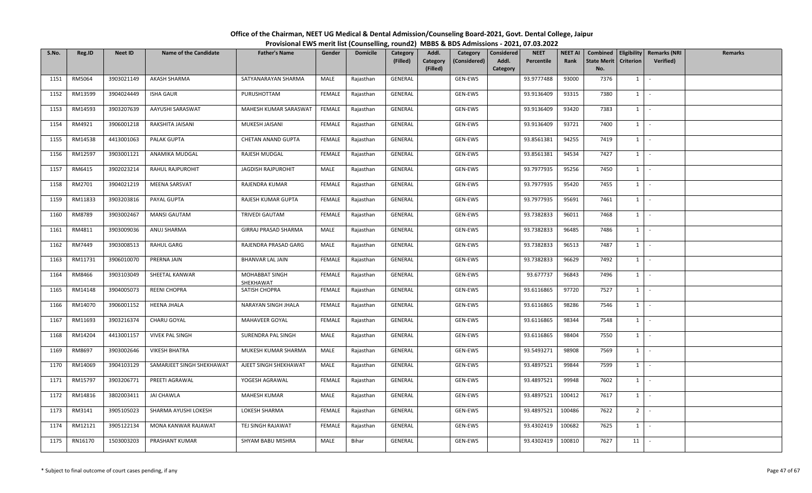| S.No. | Reg.ID  | <b>Neet ID</b> | <b>Name of the Candidate</b> | <b>Father's Name</b>        | Gender        | <b>Domicile</b> | Category<br>(Filled) | Addl.<br>Category<br>(Filled) | Category<br>(Considered) | Considered<br>Addl.<br>Category | <b>NEET</b><br>Percentile | <b>NEET AI</b><br>Rank | <b>State Merit</b><br>No. | <b>Criterion</b> | Combined   Eligibility   Remarks (NRI<br><b>Verified</b> ) | Remarks |
|-------|---------|----------------|------------------------------|-----------------------------|---------------|-----------------|----------------------|-------------------------------|--------------------------|---------------------------------|---------------------------|------------------------|---------------------------|------------------|------------------------------------------------------------|---------|
| 1151  | RM5064  | 3903021149     | AKASH SHARMA                 | SATYANARAYAN SHARMA         | MALE          | Rajasthan       | GENERAL              |                               | GEN-EWS                  |                                 | 93.9777488                | 93000                  | 7376                      | 1                | $\mathcal{L}_{\mathcal{A}}$                                |         |
| 1152  | RM13599 | 3904024449     | <b>ISHA GAUR</b>             | PURUSHOTTAM                 | <b>FEMALE</b> | Rajasthan       | GENERAL              |                               | GEN-EWS                  |                                 | 93.9136409                | 93315                  | 7380                      | $1 \vert$        | $\sim$                                                     |         |
| 1153  | RM14593 | 3903207639     | AAYUSHI SARASWAT             | MAHESH KUMAR SARASWAT       | FEMALE        | Rajasthan       | GENERAL              |                               | GEN-EWS                  |                                 | 93.9136409                | 93420                  | 7383                      | $1 \vert$        | $\sim$                                                     |         |
| 1154  | RM4921  | 3906001218     | RAKSHITA JAISANI             | MUKESH JAISANI              | FEMALE        | Rajasthan       | GENERAL              |                               | GEN-EWS                  |                                 | 93.9136409                | 93721                  | 7400                      | $1 \vert$        | $\sim$                                                     |         |
| 1155  | RM14538 | 4413001063     | PALAK GUPTA                  | CHETAN ANAND GUPTA          | FEMALE        | Rajasthan       | GENERAL              |                               | GEN-EWS                  |                                 | 93.8561381                | 94255                  | 7419                      | $1 \vert$        | $\sim$                                                     |         |
| 1156  | RM12597 | 3903001121     | ANAMIKA MUDGAL               | RAJESH MUDGAL               | <b>FEMALE</b> | Rajasthan       | GENERAL              |                               | GEN-EWS                  |                                 | 93.8561381                | 94534                  | 7427                      | $1 \vert$        | $\sim$                                                     |         |
| 1157  | RM6415  | 3902023214     | RAHUL RAJPUROHIT             | JAGDISH RAJPUROHIT          | MALE          | Rajasthan       | GENERAL              |                               | GEN-EWS                  |                                 | 93.7977935                | 95256                  | 7450                      | $1$ $\sim$       |                                                            |         |
| 1158  | RM2701  | 3904021219     | MEENA SARSVAT                | RAJENDRA KUMAR              | <b>FEMALE</b> | Rajasthan       | GENERAL              |                               | GEN-EWS                  |                                 | 93.7977935                | 95420                  | 7455                      | $1 \vert$        | $\sim$                                                     |         |
| 1159  | RM11833 | 3903203816     | PAYAL GUPTA                  | RAJESH KUMAR GUPTA          | FEMALE        | Rajasthan       | GENERAL              |                               | GEN-EWS                  |                                 | 93.7977935                | 95691                  | 7461                      | $1 \vert$        | $\sim$                                                     |         |
| 1160  | RM8789  | 3903002467     | <b>MANSI GAUTAM</b>          | TRIVEDI GAUTAM              | FEMALE        | Rajasthan       | GENERAL              |                               | GEN-EWS                  |                                 | 93.7382833                | 96011                  | 7468                      | 1                | $\sim$                                                     |         |
| 1161  | RM4811  | 3903009036     | ANUJ SHARMA                  | GIRRAJ PRASAD SHARMA        | MALE          | Rajasthan       | GENERAL              |                               | GEN-EWS                  |                                 | 93.7382833                | 96485                  | 7486                      | $1$ $-$          |                                                            |         |
| 1162  | RM7449  | 3903008513     | <b>RAHUL GARG</b>            | RAJENDRA PRASAD GARG        | MALE          | Rajasthan       | GENERAL              |                               | GEN-EWS                  |                                 | 93.7382833                | 96513                  | 7487                      | $1 \vert$        | $\sim$                                                     |         |
| 1163  | RM11731 | 3906010070     | PRERNA JAIN                  | <b>BHANVAR LAL JAIN</b>     | FEMALE        | Rajasthan       | GENERAL              |                               | GEN-EWS                  |                                 | 93.7382833                | 96629                  | 7492                      | $1 \vert$        | $\sim$                                                     |         |
| 1164  | RM8466  | 3903103049     | SHEETAL KANWAR               | MOHABBAT SINGH<br>SHEKHAWAT | FEMALE        | Rajasthan       | GENERAL              |                               | GEN-EWS                  |                                 | 93.677737                 | 96843                  | 7496                      | $1 \vert$        | $\sim$                                                     |         |
| 1165  | RM14148 | 3904005073     | REENI CHOPRA                 | SATISH CHOPRA               | <b>FEMALE</b> | Rajasthan       | GENERAL              |                               | GEN-EWS                  |                                 | 93.6116865                | 97720                  | 7527                      | $1 \vert$        | $\overline{\phantom{a}}$                                   |         |
| 1166  | RM14070 | 3906001152     | <b>HEENA JHALA</b>           | NARAYAN SINGH JHALA         | FEMALE        | Rajasthan       | GENERAL              |                               | GEN-EWS                  |                                 | 93.6116865                | 98286                  | 7546                      | $1$ $-$          |                                                            |         |
| 1167  | RM11693 | 3903216374     | CHARU GOYAL                  | MAHAVEER GOYAL              | FEMALE        | Rajasthan       | GENERAL              |                               | GEN-EWS                  |                                 | 93.6116865                | 98344                  | 7548                      | $1 \vert$        | $\sim$                                                     |         |
| 1168  | RM14204 | 4413001157     | <b>VIVEK PAL SINGH</b>       | SURENDRA PAL SINGH          | MALE          | Rajasthan       | GENERAL              |                               | GEN-EWS                  |                                 | 93.6116865                | 98404                  | 7550                      | $1 \vert$        | $\sim$                                                     |         |
| 1169  | RM8697  | 3903002646     | VIKESH BHATRA                | MUKESH KUMAR SHARMA         | MALE          | Rajasthan       | GENERAL              |                               | GEN-EWS                  |                                 | 93.5493271                | 98908                  | 7569                      | $\overline{1}$   | $\sim$ $-$                                                 |         |
| 1170  | RM14069 | 3904103129     | SAMARJEET SINGH SHEKHAWAT    | AJEET SINGH SHEKHAWAT       | MALE          | Rajasthan       | GENERAL              |                               | GEN-EWS                  |                                 | 93.4897521                | 99844                  | 7599                      | $1 \vert$        | $\sim$                                                     |         |
| 1171  | RM15797 | 3903206771     | PREETI AGRAWAL               | YOGESH AGRAWAL              | FEMALE        | Rajasthan       | GENERAL              |                               | GEN-EWS                  |                                 | 93.4897521                | 99948                  | 7602                      | $1 \vert$        | $\sim$                                                     |         |
| 1172  | RM14816 | 3802003411     | JAI CHAWLA                   | <b>MAHESH KUMAR</b>         | MALE          | Rajasthan       | GENERAL              |                               | GEN-EWS                  |                                 | 93.4897521                | 100412                 | 7617                      | $1 \vert$        | $\sim$                                                     |         |
| 1173  | RM3141  | 3905105023     | SHARMA AYUSHI LOKESH         | LOKESH SHARMA               | <b>FEMALE</b> | Rajasthan       | GENERAL              |                               | GEN-EWS                  |                                 | 93.4897521                | 100486                 | 7622                      | $2^{\circ}$      | $\sim$                                                     |         |
| 1174  | RM12121 | 3905122134     | MONA KANWAR RAJAWAT          | TEJ SINGH RAJAWAT           | FEMALE        | Rajasthan       | GENERAL              |                               | GEN-EWS                  |                                 | 93.4302419                | 100682                 | 7625                      | $1 \vert$        | $\sim$                                                     |         |
| 1175  | RN16170 | 1503003203     | PRASHANT KUMAR               | SHYAM BABU MISHRA           | MALE          | Bihar           | GENERAL              |                               | GEN-EWS                  |                                 | 93.4302419                | 100810                 | 7627                      | 11               | $\sim$                                                     |         |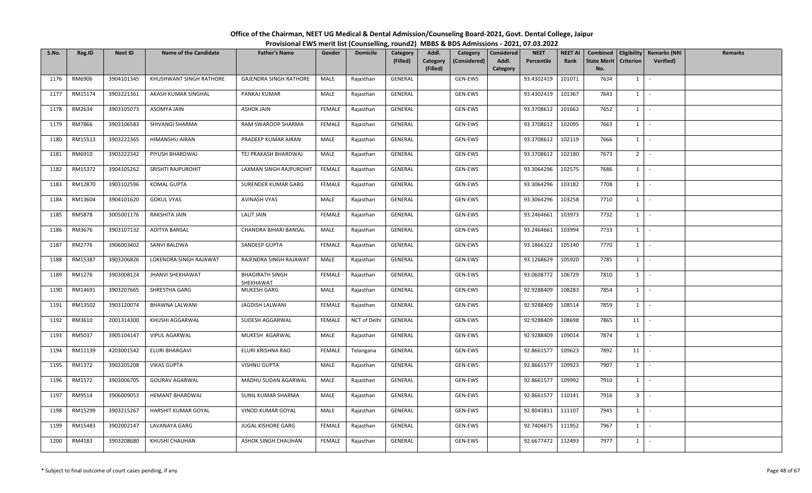| S.No. | Reg.ID  | <b>Neet ID</b> | <b>Name of the Candidate</b> | <b>Father's Name</b>                | Gender        | <b>Domicile</b> | Category<br>(Filled) | Addl.<br>Category<br>(Filled) | Category<br>(Considered) | <b>Considered</b><br>Addl.<br>Category | <b>NEET</b><br>Percentile | <b>NEET AI</b><br>Rank | Combined<br><b>State Merit</b><br>No. | <b>Criterion</b> | Eligibility   Remarks (NRI<br>Verified) | Remarks |
|-------|---------|----------------|------------------------------|-------------------------------------|---------------|-----------------|----------------------|-------------------------------|--------------------------|----------------------------------------|---------------------------|------------------------|---------------------------------------|------------------|-----------------------------------------|---------|
| 1176  | RM6906  | 3904101345     | KHUSHWANT SINGH RATHORE      | <b>GAJENDRA SINGH RATHORE</b>       | MALE          | Rajasthan       | GENERAL              |                               | GEN-EWS                  |                                        | 93.4302419                | 101071                 | 7634                                  | $1 \quad$        | $\sim$                                  |         |
| 1177  | RM15174 | 3903221361     | AKASH KUMAR SINGHAL          | PANKAJ KUMAR                        | MALE          | Rajasthan       | GENERAL              |                               | GEN-EWS                  |                                        | 93.4302419                | 101367                 | 7643                                  | $1\phantom{0}$   | $\sim$                                  |         |
| 1178  | RM2634  | 3903105073     | ASOMYA JAIN                  | <b>ASHOK JAIN</b>                   | FEMALE        | Rajasthan       | GENERAL              |                               | GEN-EWS                  |                                        | 93.3708612                | 101662                 | 7652                                  | $1 \quad$        | $\sim$                                  |         |
| 1179  | RM7866  | 3903106583     | SHIVANGI SHARMA              | RAM SWAROOP SHARMA                  | FEMALE        | Rajasthan       | GENERAL              |                               | GEN-EWS                  |                                        | 93.3708612                | 102095                 | 7663                                  | $1 \quad$        | $\sim$                                  |         |
| 1180  | RM15513 | 3903222365     | HIMANSHU AIRAN               | PRADEEP KUMAR AIRAN                 | MALE          | Rajasthan       | GENERAL              |                               | GEN-EWS                  |                                        | 93.3708612                | 102119                 | 7666                                  | $1 \quad$        | $\sim$                                  |         |
| 1181  | RM6910  | 3903222342     | PIYUSH BHARDWAJ              | TEJ PRAKASH BHARDWAJ                | MALE          | Rajasthan       | GENERAL              |                               | GEN-EWS                  |                                        | 93.3708612                | 102180                 | 7673                                  | 2 <sup>1</sup>   | $\sim$                                  |         |
| 1182  | RM15372 | 3904105262     | SRISHTI RAJPUROHIT           | LAXMAN SINGH RAJPUROHIT             | FEMALE        | Rajasthan       | GENERAL              |                               | GEN-EWS                  |                                        | 93.3064296                | 102575                 | 7686                                  | $1\phantom{0}$   | $\sim$                                  |         |
| 1183  | RM12870 | 3903102596     | KOMAL GUPTA                  | SURENDER KUMAR GARG                 | FEMALE        | Rajasthan       | GENERAL              |                               | GEN-EWS                  |                                        | 93.3064296                | 103182                 | 7708                                  | $1 \mid$         | $\sim$                                  |         |
| 1184  | RM13604 | 3904101620     | <b>GOKUL VYAS</b>            | <b>AVINASH VYAS</b>                 | MALE          | Rajasthan       | GENERAL              |                               | GEN-EWS                  |                                        | 93.3064296                | 103258                 | 7710                                  | $1 \mid$         | $\sim$                                  |         |
| 1185  | RM5878  | 3005001176     | RAKSHITA JAIN                | <b>LALIT JAIN</b>                   | <b>FEMALE</b> | Rajasthan       | GENERAL              |                               | GEN-EWS                  |                                        | 93.2464661                | 103973                 | 7732                                  | $1 \quad$        | $\sim$                                  |         |
| 1186  | RM3676  | 3903107132     | ADITYA BANSAL                | CHANDRA BIHARI BANSAL               | MALE          | Rajasthan       | GENERAL              |                               | GEN-EWS                  |                                        | 93.2464661                | 103994                 | 7733                                  | $1 \mid -$       |                                         |         |
| 1187  | RM2776  | 3906003402     | SANVI BALDWA                 | SANDEEP GUPTA                       | <b>FEMALE</b> | Rajasthan       | GENERAL              |                               | GEN-EWS                  |                                        | 93.1866322                | 105140                 | 7770                                  | $1 \quad$        | $\sim$                                  |         |
| 1188  | RM15387 | 3903206826     | LOKENDRA SINGH RAJAWAT       | RAJENDRA SINGH RAJAWAT              | MALE          | Rajasthan       | GENERAL              |                               | GEN-EWS                  |                                        | 93.1268629                | 105920                 | 7785                                  | $1 \quad$        | $\sim$                                  |         |
| 1189  | RM1276  | 3903008124     | JHANVI SHEKHAWAT             | <b>BHAGIRATH SINGH</b><br>SHEKHAWAT | FEMALE        | Rajasthan       | GENERAL              |                               | GEN-EWS                  |                                        | 93.0608772                | 106729                 | 7810                                  | $1 \quad$        | $\sim$                                  |         |
| 1190  | RM14691 | 3903207665     | SHRESTHA GARG                | MUKESH GARG                         | MALE          | Rajasthan       | GENERAL              |                               | GEN-EWS                  |                                        | 92.9288409                | 108283                 | 7854                                  | $1\phantom{0}$   | $\sim$                                  |         |
| 1191  | RM13502 | 3903120074     | BHAWNA LALWANI               | JAGDISH LALWANI                     | FEMALE        | Rajasthan       | GENERAL              |                               | GEN-EWS                  |                                        | 92.9288409                | 108514                 | 7859                                  | $1$ $-$          |                                         |         |
| 1192  | RM3610  | 2001314300     | KHUSHI AGGARWAL              | SUDESH AGGARWAL                     | <b>FEMALE</b> | NCT of Delhi    | GENERAL              |                               | GEN-EWS                  |                                        | 92.9288409                | 108698                 | 7865                                  | 11               | $\sim$                                  |         |
| 1193  | RM5037  | 3905104147     | <b>VIPUL AGARWAL</b>         | MUKESH AGARWAL                      | MALE          | Rajasthan       | GENERAL              |                               | GEN-EWS                  |                                        | 92.9288409                | 109014                 | 7874                                  | $1 \quad$        |                                         |         |
| 1194  | RM11139 | 4203001542     | ELURI BHARGAVI               | ELURI KRISHNA RAO                   | FEMALE        | Telangana       | GENERAL              |                               | GEN-EWS                  |                                        | 92.8661577                | 109623                 | 7892                                  | 11               | $\sim$                                  |         |
| 1195  | RM1372  | 3903205208     | <b>VIKAS GUPTA</b>           | <b>VISHNU GUPTA</b>                 | MALE          | Rajasthan       | GENERAL              |                               | GEN-EWS                  |                                        | 92.8661577                | 109923                 | 7907                                  | $1 \quad$        | $\sim$                                  |         |
| 1196  | RM1572  | 3903006705     | <b>GOURAV AGARWAL</b>        | MADHU SUDAN AGARWAL                 | MALE          | Rajasthan       | GENERAL              |                               | GEN-EWS                  |                                        | 92.8661577                | 109992                 | 7910                                  | 1                | $\sim 10$                               |         |
| 1197  | RM9514  | 3906009053     | HEMANT BHARDWAJ              | SUNIL KUMAR SHARMA                  | MALE          | Rajasthan       | GENERAL              |                               | GEN-EWS                  |                                        | 92.8661577                | 110141                 | 7916                                  | 3 <sup>1</sup>   | $\sim$                                  |         |
| 1198  | RM15299 | 3903215267     | HARSHIT KUMAR GOYAL          | VINOD KUMAR GOYAL                   | MALE          | Rajasthan       | GENERAL              |                               | GEN-EWS                  |                                        | 92.8043811                | 111107                 | 7945                                  | $1 \quad$        | $\sim$                                  |         |
| 1199  | RM15483 | 3902002147     | LAVANAYA GARG                | JUGAL KISHORE GARG                  | FEMALE        | Rajasthan       | GENERAL              |                               | GEN-EWS                  |                                        | 92.7404675                | 111952                 | 7967                                  | $1 \quad$        | $\sim$                                  |         |
| 1200  | RM4183  | 3903208680     | KHUSHI CHAUHAN               | ASHOK SINGH CHAUHAN                 | FEMALE        | Rajasthan       | GENERAL              |                               | GEN-EWS                  |                                        | 92.6677472                | 112493                 | 7977                                  | $1\phantom{0}$   | $\sim$                                  |         |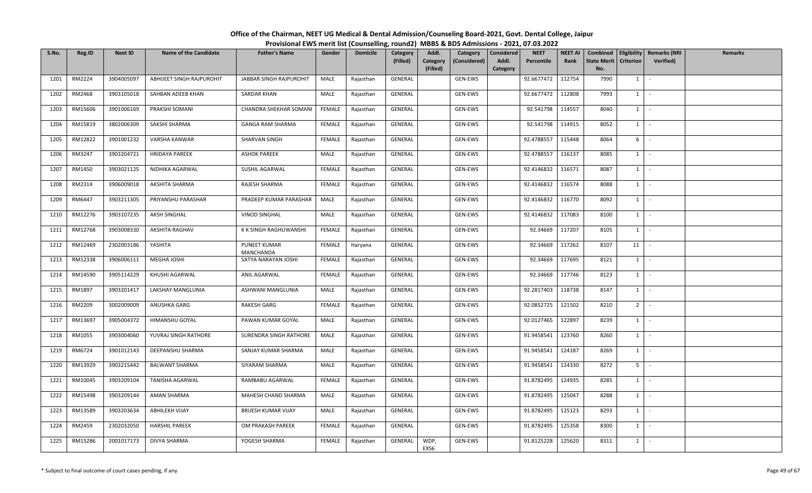| S.No. | Reg.ID  | <b>Neet ID</b> | <b>Name of the Candidate</b> | <b>Father's Name</b>       | Gender        | <b>Domicile</b> | <b>Category</b><br>(Filled) | Addl.<br>Category<br>(Filled) | Category<br>(Considered) | Considered<br>Addl.<br>Category | <b>NEET</b><br>Percentile | <b>NEET AI</b><br>Rank | Combined<br><b>State Merit</b><br>No. | <b>Criterion</b> | <b>Eligibility Remarks (NRI</b><br>Verified) | Remarks |
|-------|---------|----------------|------------------------------|----------------------------|---------------|-----------------|-----------------------------|-------------------------------|--------------------------|---------------------------------|---------------------------|------------------------|---------------------------------------|------------------|----------------------------------------------|---------|
| 1201  | RM2224  | 3904005097     | ABHIJEET SINGH RAJPUROHIT    | JABBAR SINGH RAJPUROHIT    | MALE          | Rajasthan       | GENERAL                     |                               | GEN-EWS                  |                                 | 92.6677472                | 112754                 | 7990                                  | 1                | $\sim$                                       |         |
| 1202  | RM2468  | 3903105018     | SAHBAN ADEEB KHAN            | <b>SARDAR KHAN</b>         | MALE          | Rajasthan       | GENERAL                     |                               | GEN-EWS                  |                                 | 92.6677472                | 112808                 | 7993                                  | $1 \vert$        | $\sim$                                       |         |
| 1203  | RM15606 | 3901006169     | PRAKSHI SOMANI               | CHANDRA SHEKHAR SOMAN      | FEMALE        | Rajasthan       | GENERAL                     |                               | GEN-EWS                  |                                 | 92.541798                 | 114557                 | 8040                                  | $1 \vert$        | $\sim$                                       |         |
| 1204  | RM15819 | 3802006309     | SAKSHI SHARMA                | <b>GANGA RAM SHARMA</b>    | FEMALE        | Rajasthan       | GENERAL                     |                               | GEN-EWS                  |                                 | 92.541798                 | 114915                 | 8052                                  | $1 \vert$        | $\sim$                                       |         |
| 1205  | RM12822 | 3901001232     | VARSHA KANWAR                | SHARVAN SINGH              | FEMALE        | Rajasthan       | GENERAL                     |                               | GEN-EWS                  |                                 | 92.4788557                | 115448                 | 8064                                  | 6                | $\sim$                                       |         |
| 1206  | RM3247  | 3903204721     | <b>HRIDAYA PAREEK</b>        | <b>ASHOK PAREEK</b>        | MALE          | Rajasthan       | GENERAL                     |                               | GEN-EWS                  |                                 | 92.4788557                | 116137                 | 8085                                  | $1 \vert$        | $\sim$                                       |         |
| 1207  | RM1450  | 3903021125     | NIDHIKA AGARWAL              | SUSHIL AGARWAL             | FEMALE        | Rajasthan       | GENERAL                     |                               | GEN-EWS                  |                                 | 92.4146832                | 116571                 | 8087                                  | $1 \vert$        | $\sim$                                       |         |
| 1208  | RM2314  | 3906009018     | AKSHITA SHARMA               | RAJESH SHARMA              | <b>FEMALE</b> | Rajasthan       | GENERAL                     |                               | GEN-EWS                  |                                 | 92.4146832                | 116574                 | 8088                                  | $1 \vert$        | $\sim$                                       |         |
| 1209  | RM6447  | 3903211305     | PRIYANSHU PARASHAR           | PRADEEP KUMAR PARASHAR     | MALE          | Rajasthan       | GENERAL                     |                               | GEN-EWS                  |                                 | 92.4146832                | 116770                 | 8092                                  | $1 \vert$        | $\sim$                                       |         |
| 1210  | RM12276 | 3903107235     | AKSH SINGHAL                 | <b>VINOD SINGHAL</b>       | MALE          | Rajasthan       | GENERAL                     |                               | GEN-EWS                  |                                 | 92.4146832                | 117083                 | 8100                                  | 1                | $\sim$                                       |         |
| 1211  | RM12768 | 3903008330     | AKSHITA RAGHAV               | K K SINGH RAGHUWANSHI      | FEMALE        | Rajasthan       | GENERAL                     |                               | GEN-EWS                  |                                 | 92.34669                  | 117207                 | 8105                                  | $1 \vert$        | $\sim$                                       |         |
| 1212  | RM12469 | 2302003186     | YASHITA                      | PUNEET KUMAR<br>MANCHANDA  | FEMALE        | Haryana         | GENERAL                     |                               | GEN-EWS                  |                                 | 92.34669                  | 117262                 | 8107                                  | 11               | $\mathcal{L}$                                |         |
| 1213  | RM12338 | 3906006111     | MEGHA JOSHI                  | SATYA NARAYAN JOSHI        | FEMALE        | Rajasthan       | GENERAL                     |                               | GEN-EWS                  |                                 | 92.34669                  | 117695                 | 8121                                  | $1 \mid$         | $\sim$                                       |         |
| 1214  | RM14590 | 3905114229     | KHUSHI AGARWAL               | <b>ANIL AGARWAL</b>        | FEMALE        | Rajasthan       | GENERAL                     |                               | GEN-EWS                  |                                 | 92.34669                  | 117746                 | 8123                                  | $1 \vert$        | $\sim$                                       |         |
| 1215  | RM1897  | 3903201417     | LAKSHAY MANGLUNIA            | ASHWANI MANGLUNIA          | MALE          | Rajasthan       | GENERAL                     |                               | GEN-EWS                  |                                 | 92.2817403                | 118738                 | 8147                                  | 1                | $\mathcal{L}$                                |         |
| 1216  | RM2209  | 3002009009     | ANUSHKA GARG                 | <b>RAKESH GARG</b>         | FEMALE        | Rajasthan       | GENERAL                     |                               | GEN-EWS                  |                                 | 92.0852725                | 121502                 | 8210                                  | 2 <sup>1</sup>   | $\sim$                                       |         |
| 1217  | RM13697 | 3905004372     | HIMANSHU GOYAL               | PAWAN KUMAR GOYAL          | MALE          | Rajasthan       | GENERAL                     |                               | GEN-EWS                  |                                 | 92.0127465                | 122897                 | 8239                                  | $1 \vert$        | $\sim$                                       |         |
| 1218  | RM1055  | 3903004060     | YUVRAJ SINGH RATHORE         | SURENDRA SINGH RATHORE     | MALE          | Rajasthan       | GENERAL                     |                               | GEN-EWS                  |                                 | 91.9458541                | 123760                 | 8260                                  | $1 \vert$        | $\sim$                                       |         |
| 1219  | RM6724  | 3901012143     | DEEPANSHU SHARMA             | SANJAY KUMAR SHARMA        | MALE          | Rajasthan       | GENERAL                     |                               | GEN-EWS                  |                                 | 91.9458541                | 124187                 | 8269                                  | <sup>1</sup>     | $\sim$                                       |         |
| 1220  | RM13929 | 3903215442     | <b>BALWANT SHARMA</b>        | SIYARAM SHARMA             | MALE          | Rajasthan       | GENERAL                     |                               | GEN-EWS                  |                                 | 91.9458541                | 124330                 | 8272                                  | 5 <sub>1</sub>   | $\mathcal{L}_{\mathcal{A}}$                  |         |
| 1221  | RM10045 | 3903209104     | <b>TANISHA AGARWAL</b>       | RAMBABU AGARWAL            | <b>FEMALE</b> | Rajasthan       | GENERAL                     |                               | GEN-EWS                  |                                 | 91.8782495                | 124935                 | 8285                                  | $1 \vert$        | $\sim$                                       |         |
| 1222  | RM15498 | 3903209144     | AMAN SHARMA                  | MAHESH CHAND SHARMA        | MALE          | Rajasthan       | GENERAL                     |                               | GEN-EWS                  |                                 | 91.8782495                | 125047                 | 8288                                  | 1                | $\sim$                                       |         |
| 1223  | RM13589 | 3903203634     | <b>ABHILEKH VIJAY</b>        | <b>BRIJESH KUMAR VIJAY</b> | MALE          | Rajasthan       | GENERAL                     |                               | GEN-EWS                  |                                 | 91.8782495                | 125123                 | 8293                                  | $1 \vert$        | $\sim$                                       |         |
| 1224  | RM2459  | 2302032050     | <b>HARSHIL PAREEK</b>        | OM PRAKASH PAREEK          | FEMALE        | Rajasthan       | GENERAL                     |                               | GEN-EWS                  |                                 | 91.8782495                | 125358                 | 8300                                  | $1 \vert$        | $\sim$                                       |         |
| 1225  | RM15286 | 2001017173     | DIVYA SHARMA                 | YOGESH SHARMA              | FEMALE        | Rajasthan       | GENERAL                     | WDP,<br>EXS6                  | GEN-EWS                  |                                 | 91.8125228                | 125620                 | 8311                                  | $1 \vert$        | $\sim$                                       |         |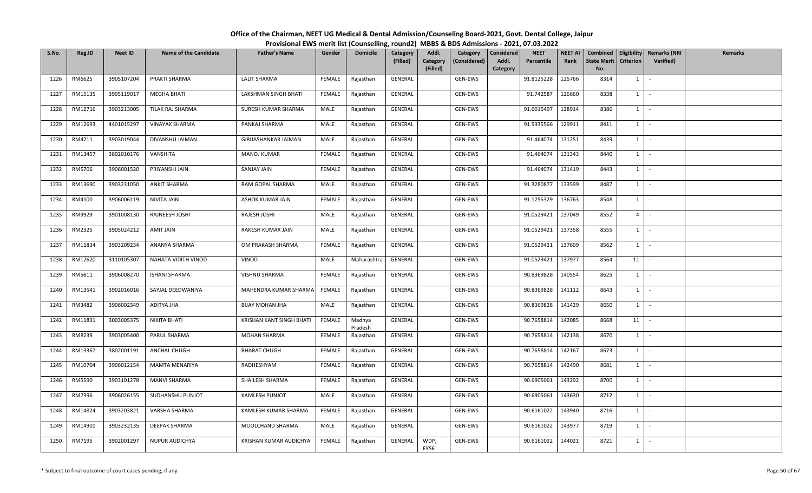| S.No. | Reg.ID  | <b>Neet ID</b> | <b>Name of the Candidate</b> | <b>Father's Name</b>    | Gender        | <b>Domicile</b>   | Category<br>(Filled) | Addl.<br>Category<br>(Filled) | Category<br>(Considered) | <b>Considered</b><br>Addl.<br>Category | <b>NEET</b><br>Percentile | <b>NEET AI</b><br>Rank | Combined<br><b>State Merit</b><br>No. | <b>Criterion</b> | <b>Eligibility Remarks (NRI</b><br>Verified) | Remarks |
|-------|---------|----------------|------------------------------|-------------------------|---------------|-------------------|----------------------|-------------------------------|--------------------------|----------------------------------------|---------------------------|------------------------|---------------------------------------|------------------|----------------------------------------------|---------|
| 1226  | RM6625  | 3905107204     | PRAKTI SHARMA                | <b>LALIT SHARMA</b>     | FEMALE        | Rajasthan         | GENERAL              |                               | GEN-EWS                  |                                        | 91.8125228                | 125766                 | 8314                                  | 1                | $\sim$                                       |         |
| 1227  | RM15135 | 3905119017     | <b>MEGHA BHATI</b>           | LAKSHMAN SINGH BHATI    | FEMALE        | Rajasthan         | GENERAL              |                               | GEN-EWS                  |                                        | 91.742587                 | 126660                 | 8338                                  | $1 \quad$        | $\sim$                                       |         |
| 1228  | RM12716 | 3903213005     | TILAK RAJ SHARMA             | SURESH KUMAR SHARMA     | MALE          | Rajasthan         | GENERAL              |                               | GEN-EWS                  |                                        | 91.6015497                | 128914                 | 8386                                  | 1                | $\sim$                                       |         |
| 1229  | RM12693 | 4401015297     | VINAYAK SHARMA               | PANKAJ SHARMA           | MALE          | Rajasthan         | GENERAL              |                               | GEN-EWS                  |                                        | 91.5335566                | 129911                 | 8411                                  | $1 \quad$        | $\sim$                                       |         |
| 1230  | RM4211  | 3903019044     | DIVANSHU JAIMAN              | GIRIJASHANKAR JAIMAN    | MALE          | Rajasthan         | GENERAL              |                               | GEN-EWS                  |                                        | 91.464074                 | 131251                 | 8439                                  | $1 \mid$         | $\sim$                                       |         |
| 1231  | RM13457 | 3802010176     | VANSHITA                     | <b>MANOJ KUMAR</b>      | FEMALE        | Rajasthan         | GENERAL              |                               | GEN-EWS                  |                                        | 91.464074                 | 131343                 | 8440                                  | $1 \quad$        | $\sim$                                       |         |
| 1232  | RM5706  | 3906001520     | PRIYANSHI JAIN               | SANJAY JAIN             | FEMALE        | Rajasthan         | GENERAL              |                               | GEN-EWS                  |                                        | 91.464074                 | 131419                 | 8443                                  | 1                | $\sim$                                       |         |
| 1233  | RM13690 | 3903231050     | <b>ANKIT SHARMA</b>          | RAM GOPAL SHARMA        | MALE          | Rajasthan         | GENERAL              |                               | GEN-EWS                  |                                        | 91.3280877                | 133599                 | 8487                                  | $1$ $\cdot$      |                                              |         |
| 1234  | RM4100  | 3906006119     | NIVITA JAIN                  | ASHOK KUMAR JAIN        | <b>FEMALE</b> | Rajasthan         | GENERAL              |                               | GEN-EWS                  |                                        | 91.1255329                | 136763                 | 8548                                  | $1 \vert$        | $\sim$                                       |         |
| 1235  | RM9929  | 3901008130     | RAJNEESH JOSHI               | RAJESH JOSHI            | MALE          | Rajasthan         | GENERAL              |                               | GEN-EWS                  |                                        | 91.0529421                | 137049                 | 8552                                  | $4 \square$      | $\sim$                                       |         |
| 1236  | RM2325  | 3905024212     | AMIT JAIN                    | RAKESH KUMAR JAIN       | MALE          | Rajasthan         | GENERAL              |                               | GEN-EWS                  |                                        | 91.0529421                | 137358                 | 8555                                  | $1 \quad$        | $\sim$                                       |         |
| 1237  | RM11834 | 3903209234     | ANANYA SHARMA                | OM PRAKASH SHARMA       | FEMALE        | Rajasthan         | GENERAL              |                               | GEN-EWS                  |                                        | 91.0529421                | 137609                 | 8562                                  | $1 \cdot$        |                                              |         |
| 1238  | RM12620 | 3110105307     | NAHATA VIDITH VINOD          | VINOD                   | MALE          | Maharashtra       | GENERAL              |                               | GEN-EWS                  |                                        | 91.0529421                | 137977                 | 8564                                  | 11               | $\sim$                                       |         |
| 1239  | RM5611  | 3906008270     | <b>ISHANI SHARMA</b>         | VISHNU SHARMA           | FEMALE        | Rajasthan         | GENERAL              |                               | GEN-EWS                  |                                        | 90.8369828                | 140554                 | 8625                                  | $1 \quad$        | $\sim$                                       |         |
| 1240  | RM13541 | 3902016016     | SAYJAL DEEDWANIYA            | MAHENDRA KUMAR SHARM/   | FEMALE        | Rajasthan         | GENERAL              |                               | GEN-EWS                  |                                        | 90.8369828                | 141112                 | 8643                                  | $1 \mid$         | $\sim$                                       |         |
| 1241  | RM3482  | 3906002349     | ADITYA JHA                   | <b>BIJAY MOHAN JHA</b>  | MALE          | Rajasthan         | GENERAL              |                               | GEN-EWS                  |                                        | 90.8369828                | 141429                 | 8650                                  | 1                | $\sim$                                       |         |
| 1242  | RM11831 | 3003005375     | NIKITA BHATI                 | KRISHAN KANT SINGH BHAT | FEMALE        | Madhya<br>Pradesh | GENERAL              |                               | GEN-EWS                  |                                        | 90.7658814                | 142085                 | 8668                                  | 11               | $\sim$                                       |         |
| 1243  | RM8239  | 3903005400     | PARUL SHARMA                 | <b>MOHAN SHARMA</b>     | FEMALE        | Rajasthan         | GENERAL              |                               | GEN-EWS                  |                                        | 90.7658814                | 142138                 | 8670                                  | $1 \quad$        | $\sim$                                       |         |
| 1244  | RM13367 | 3802001191     | ANCHAL CHUGH                 | <b>BHARAT CHUGH</b>     | FEMALE        | Rajasthan         | GENERAL              |                               | GEN-EWS                  |                                        | 90.7658814                | 142167                 | 8673                                  | $1 \vert$        | $\sim$                                       |         |
| 1245  | RM10704 | 3906012154     | <b>MAMTA MENARIYA</b>        | RADHESHYAM              | FEMALE        | Rajasthan         | GENERAL              |                               | GEN-EWS                  |                                        | 90.7658814                | 142490                 | 8681                                  | 1                | $\sim$                                       |         |
| 1246  | RM5590  | 3903101278     | <b>MANVI SHARMA</b>          | SHAILESH SHARMA         | <b>FEMALE</b> | Rajasthan         | GENERAL              |                               | GEN-EWS                  |                                        | 90.6905061                | 143292                 | 8700                                  | $1 \mid$         | $\sim$                                       |         |
| 1247  | RM7396  | 3906026155     | SUDHANSHU PUNJOT             | KAMLESH PUNJOT          | MALE          | Rajasthan         | GENERAL              |                               | GEN-EWS                  |                                        | 90.6905061                | 143630                 | 8712                                  | $1 \quad$        | $\sim$                                       |         |
| 1248  | RM14824 | 3903203821     | VARSHA SHARMA                | KAMLESH KUMAR SHARMA    | FEMALE        | Rajasthan         | GENERAL              |                               | GEN-EWS                  |                                        | 90.6161022                | 143940                 | 8716                                  | $1 \quad$        | $\sim$                                       |         |
| 1249  | RM14901 | 3903232135     | DEEPAK SHARMA                | MOOLCHAND SHARMA        | MALE          | Rajasthan         | GENERAL              |                               | GEN-EWS                  |                                        | 90.6161022                | 143977                 | 8719                                  | $1 \vert -$      |                                              |         |
| 1250  | RM7195  | 3902001297     | NUPUR AUDICHYA               | KRISHAN KUMAR AUDICHYA  | FEMALE        | Rajasthan         | GENERAL              | WDP,<br>EXS6                  | GEN-EWS                  |                                        | 90.6161022                | 144021                 | 8721                                  | $1\phantom{0}$   | $\sim$                                       |         |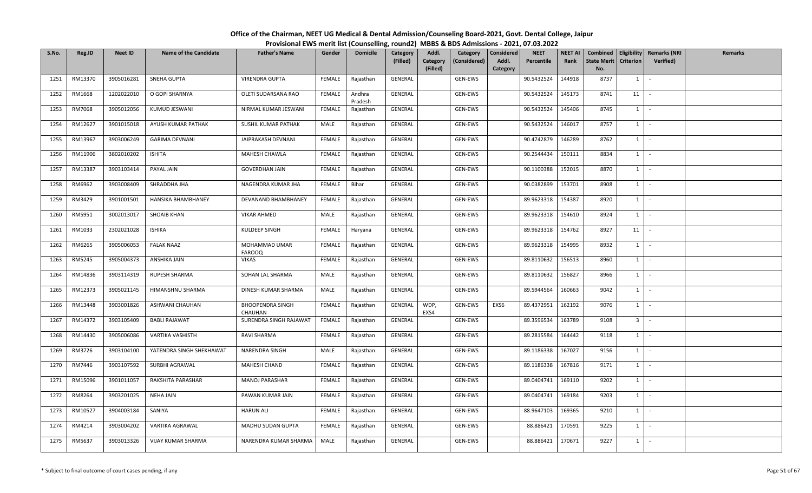| S.No. | Reg.ID  | <b>Neet ID</b> | <b>Name of the Candidate</b> | <b>Father's Name</b>               | Gender        | <b>Domicile</b>   | Category<br>(Filled) | Addl.<br>Category<br>(Filled) | Category<br>(Considered) | Considered<br>Addl.<br>Category | <b>NEET</b><br>Percentile | <b>NEET AI</b><br>Rank | Combined<br>State Merit<br>No. | <b>Criterion</b> | Eligibility   Remarks (NRI<br>Verified) | <b>Remarks</b> |
|-------|---------|----------------|------------------------------|------------------------------------|---------------|-------------------|----------------------|-------------------------------|--------------------------|---------------------------------|---------------------------|------------------------|--------------------------------|------------------|-----------------------------------------|----------------|
| 1251  | RM13370 | 3905016281     | SNEHA GUPTA                  | <b>VIRENDRA GUPTA</b>              | FEMALE        | Rajasthan         | GENERAL              |                               | GEN-EWS                  |                                 | 90.5432524                | 144918                 | 8737                           | $1 \mid$         | $\sim$                                  |                |
| 1252  | RM1668  | 1202022010     | O GOPI SHARNYA               | OLETI SUDARSANA RAO                | FEMALE        | Andhra<br>Pradesh | GENERAL              |                               | GEN-EWS                  |                                 | 90.5432524                | 145173                 | 8741                           | 11               |                                         |                |
| 1253  | RM7068  | 3905012056     | KUMUD JESWANI                | NIRMAL KUMAR JESWANI               | FEMALE        | Rajasthan         | GENERAL              |                               | GEN-EWS                  |                                 | 90.5432524                | 145406                 | 8745                           | 1                | $\sim$                                  |                |
| 1254  | RM12627 | 3901015018     | AYUSH KUMAR PATHAK           | SUSHIL KUMAR PATHAK                | MALE          | Rajasthan         | GENERAL              |                               | GEN-EWS                  |                                 | 90.5432524                | 146017                 | 8757                           | $1 \quad$        | $\sim$                                  |                |
| 1255  | RM13967 | 3903006249     | <b>GARIMA DEVNANI</b>        | JAIPRAKASH DEVNANI                 | FEMALE        | Rajasthan         | GENERAL              |                               | GEN-EWS                  |                                 | 90.4742879                | 146289                 | 8762                           | $1 \quad$        | $\sim$                                  |                |
| 1256  | RM11906 | 3802010202     | <b>ISHITA</b>                | MAHESH CHAWLA                      | FEMALE        | Rajasthan         | GENERAL              |                               | GEN-EWS                  |                                 | 90.2544434                | 150111                 | 8834                           | $1 \quad$        | $\sim$                                  |                |
| 1257  | RM13387 | 3903103414     | PAYAL JAIN                   | <b>GOVERDHAN JAIN</b>              | FEMALE        | Rajasthan         | GENERAL              |                               | GEN-EWS                  |                                 | 90.1100388                | 152015                 | 8870                           | $1\phantom{0}$   | $\sim$                                  |                |
| 1258  | RM6962  | 3903008409     | SHRADDHA JHA                 | NAGENDRA KUMAR JHA                 | FEMALE        | Bihar             | GENERAL              |                               | GEN-EWS                  |                                 | 90.0382899                | 153701                 | 8908                           | $1\phantom{0}$   | $\sim$                                  |                |
| 1259  | RM3429  | 3901001501     | HANSIKA BHAMBHANEY           | DEVANAND BHAMBHANEY                | FEMALE        | Rajasthan         | GENERAL              |                               | GEN-EWS                  |                                 | 89.9623318                | 154387                 | 8920                           | $1 \quad$        | $\sim$                                  |                |
| 1260  | RM5951  | 3002013017     | SHOAIB KHAN                  | <b>VIKAR AHMED</b>                 | MALE          | Rajasthan         | GENERAL              |                               | GEN-EWS                  |                                 | 89.9623318                | 154610                 | 8924                           | 1                | $\sim$                                  |                |
| 1261  | RM1033  | 2302021028     | <b>ISHIKA</b>                | KULDEEP SINGH                      | FEMALE        | Haryana           | GENERAL              |                               | GEN-EWS                  |                                 | 89.9623318                | 154762                 | 8927                           | 11               | $\sim$                                  |                |
| 1262  | RM6265  | 3905006053     | <b>FALAK NAAZ</b>            | MOHAMMAD UMAR<br><b>FAROOQ</b>     | FEMALE        | Rajasthan         | GENERAL              |                               | GEN-EWS                  |                                 | 89.9623318                | 154995                 | 8932                           | $1 \quad$        | $\sim$                                  |                |
| 1263  | RM5245  | 3905004373     | ANSHIKA JAIN                 | <b>VIKAS</b>                       | <b>FEMALE</b> | Rajasthan         | GENERAL              |                               | GEN-EWS                  |                                 | 89.8110632                | 156513                 | 8960                           | $1 \quad$        | $\sim$                                  |                |
| 1264  | RM14836 | 3903114319     | RUPESH SHARMA                | SOHAN LAL SHARMA                   | MALE          | Rajasthan         | GENERAL              |                               | GEN-EWS                  |                                 | 89.8110632                | 156827                 | 8966                           | $1 \vert$        | $\sim$                                  |                |
| 1265  | RM12373 | 3905021145     | HIMANSHNU SHARMA             | DINESH KUMAR SHARMA                | MALE          | Rajasthan         | GENERAL              |                               | GEN-EWS                  |                                 | 89.5944564                | 160663                 | 9042                           | $1 \quad$        | $\sim$                                  |                |
| 1266  | RM13448 | 3903001826     | ASHWANI CHAUHAN              | <b>BHOOPENDRA SINGH</b><br>CHAUHAN | <b>FEMALE</b> | Rajasthan         | GENERAL              | WDP,<br>EXS4                  | GEN-EWS                  | EXS6                            | 89.4372951                | 162192                 | 9076                           | $1$ $-$          |                                         |                |
| 1267  | RM14372 | 3903105409     | <b>BABLI RAJAWAT</b>         | SURENDRA SINGH RAJAWAT             | FEMALE        | Rajasthan         | GENERAL              |                               | GEN-EWS                  |                                 | 89.3596534                | 163789                 | 9108                           | 3 <sup>1</sup>   | $\sim$                                  |                |
| 1268  | RM14430 | 3905006086     | VARTIKA VASHISTH             | RAVI SHARMA                        | FEMALE        | Rajasthan         | GENERAL              |                               | GEN-EWS                  |                                 | 89.2815584                | 164442                 | 9118                           | $1 \quad$        | $\sim$                                  |                |
| 1269  | RM3726  | 3903104100     | YATENDRA SINGH SHEKHAWAT     | NARENDRA SINGH                     | MALE          | Rajasthan         | GENERAL              |                               | GEN-EWS                  |                                 | 89.1186338                | 167027                 | 9156                           | $1 \vert$        | $\sim$                                  |                |
| 1270  | RM7446  | 3903107592     | SURBHI AGRAWAL               | MAHESH CHAND                       | FEMALE        | Rajasthan         | GENERAL              |                               | GEN-EWS                  |                                 | 89.1186338                | 167816                 | 9171                           | $1 \quad$        | $\sim$                                  |                |
| 1271  | RM15096 | 3901011057     | RAKSHITA PARASHAR            | <b>MANOJ PARASHAR</b>              | FEMALE        | Rajasthan         | GENERAL              |                               | GEN-EWS                  |                                 | 89.0404741                | 169110                 | 9202                           | $1 \mid$         | $\sim$                                  |                |
| 1272  | RM8264  | 3903201025     | <b>NEHA JAIN</b>             | PAWAN KUMAR JAIN                   | FEMALE        | Rajasthan         | GENERAL              |                               | GEN-EWS                  |                                 | 89.0404741                | 169184                 | 9203                           | $1 \mid$         | $\sim$                                  |                |
| 1273  | RM10527 | 3904003184     | SANIYA                       | <b>HARUN ALI</b>                   | FEMALE        | Rajasthan         | GENERAL              |                               | GEN-EWS                  |                                 | 88.9647103                | 169365                 | 9210                           | $1 \quad$        | $\sim$                                  |                |
| 1274  | RM4214  | 3903004202     | VARTIKA AGRAWAL              | MADHU SUDAN GUPTA                  | FEMALE        | Rajasthan         | GENERAL              |                               | GEN-EWS                  |                                 | 88.886421                 | 170591                 | 9225                           | $1 \vert$        | $\sim$                                  |                |
| 1275  | RM5637  | 3903013326     | <b>VIJAY KUMAR SHARMA</b>    | NARENDRA KUMAR SHARMA              | MALE          | Rajasthan         | GENERAL              |                               | GEN-EWS                  |                                 | 88.886421                 | 170671                 | 9227                           | $1\phantom{0}$   | $\sim$                                  |                |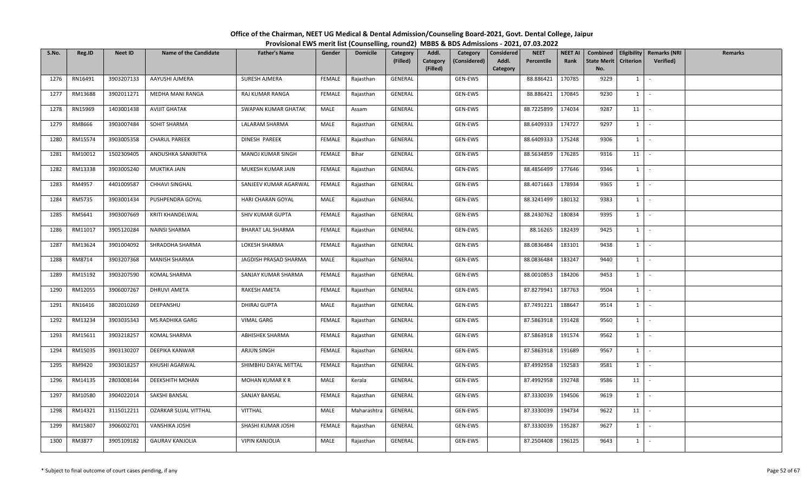| S.No. | Reg.ID  | <b>Neet ID</b> | <b>Name of the Candidate</b> | <b>Father's Name</b>     | Gender        | <b>Domicile</b> | Category<br>(Filled) | Addl.<br>Category<br>(Filled) | Category<br>(Considered) | Considered<br>Addl.<br>Category | <b>NEET</b><br>Percentile | <b>NEET AI</b><br>Rank | <b>State Merit</b><br>No. | <b>Criterion</b> | Combined   Eligibility   Remarks (NRI<br><b>Verified</b> ) | Remarks |
|-------|---------|----------------|------------------------------|--------------------------|---------------|-----------------|----------------------|-------------------------------|--------------------------|---------------------------------|---------------------------|------------------------|---------------------------|------------------|------------------------------------------------------------|---------|
| 1276  | RN16491 | 3903207133     | AAYUSHI AJMERA               | <b>SURESH AJMERA</b>     | FEMALE        | Rajasthan       | GENERAL              |                               | GEN-EWS                  |                                 | 88.886421                 | 170785                 | 9229                      | $1 \vert$        | $\sim$                                                     |         |
| 1277  | RM13688 | 3902011271     | MEDHA MANI RANGA             | RAJ KUMAR RANGA          | <b>FEMALE</b> | Rajasthan       | GENERAL              |                               | GEN-EWS                  |                                 | 88.886421                 | 170845                 | 9230                      | $1$ $\sim$       |                                                            |         |
| 1278  | RN15969 | 1403001438     | AVIJIT GHATAK                | SWAPAN KUMAR GHATAK      | MALE          | Assam           | GENERAL              |                               | GEN-EWS                  |                                 | 88.7225899                | 174034                 | 9287                      | 11               | $\sim$                                                     |         |
| 1279  | RM8666  | 3903007484     | SOHIT SHARMA                 | LALARAM SHARMA           | MALE          | Rajasthan       | GENERAL              |                               | GEN-EWS                  |                                 | 88.6409333                | 174727                 | 9297                      | $1 \vert$        | $\sim$                                                     |         |
| 1280  | RM15574 | 3903005358     | <b>CHARUL PAREEK</b>         | DINESH PAREEK            | FEMALE        | Rajasthan       | GENERAL              |                               | GEN-EWS                  |                                 | 88.6409333                | 175248                 | 9306                      | $1 \vert$        | $\sim$                                                     |         |
| 1281  | RM10012 | 1502309405     | ANOUSHKA SANKRITYA           | MANOJ KUMAR SINGH        | FEMALE        | Bihar           | GENERAL              |                               | GEN-EWS                  |                                 | 88.5634859                | 176285                 | 9316                      | 11               | $\sim$                                                     |         |
| 1282  | RM13338 | 3903005240     | MUKTIKA JAIN                 | MUKESH KUMAR JAIN        | FEMALE        | Rajasthan       | GENERAL              |                               | GEN-EWS                  |                                 | 88.4856499                | 177646                 | 9346                      | $1$ $\sim$       |                                                            |         |
| 1283  | RM4957  | 4401009587     | CHHAVI SINGHAL               | SANJEEV KUMAR AGARWAL    | FEMALE        | Rajasthan       | GENERAL              |                               | GEN-EWS                  |                                 | 88.4071663                | 178934                 | 9365                      | $1 \vert$        | $\sim$                                                     |         |
| 1284  | RM5735  | 3903001434     | PUSHPENDRA GOYAL             | HARI CHARAN GOYAL        | MALE          | Rajasthan       | GENERAL              |                               | GEN-EWS                  |                                 | 88.3241499                | 180132                 | 9383                      | $1 \vert$        | $\sim$                                                     |         |
| 1285  | RM5641  | 3903007669     | KRITI KHANDELWAL             | SHIV KUMAR GUPTA         | <b>FEMALE</b> | Rajasthan       | GENERAL              |                               | GEN-EWS                  |                                 | 88.2430762                | 180834                 | 9395                      | 1                | $\sim$                                                     |         |
| 1286  | RM11017 | 3905120284     | <b>NAINSI SHARMA</b>         | <b>BHARAT LAL SHARMA</b> | FEMALE        | Rajasthan       | GENERAL              |                               | GEN-EWS                  |                                 | 88.16265                  | 182439                 | 9425                      | $1$ $-$          |                                                            |         |
| 1287  | RM13624 | 3901004092     | SHRADDHA SHARMA              | LOKESH SHARMA            | FEMALE        | Rajasthan       | GENERAL              |                               | GEN-EWS                  |                                 | 88.0836484                | 183101                 | 9438                      | $1 \vert$        | $\sim$ $-$                                                 |         |
| 1288  | RM8714  | 3903207368     | <b>MANISH SHARMA</b>         | JAGDISH PRASAD SHARMA    | MALE          | Rajasthan       | GENERAL              |                               | GEN-EWS                  |                                 | 88.0836484                | 183247                 | 9440                      | $1 \vert$        | $\sim$                                                     |         |
| 1289  | RM15192 | 3903207590     | KOMAL SHARMA                 | SANJAY KUMAR SHARMA      | FEMALE        | Rajasthan       | GENERAL              |                               | GEN-EWS                  |                                 | 88.0010853                | 184206                 | 9453                      | $1 \vert$        | $\sim$                                                     |         |
| 1290  | RM12055 | 3906007267     | DHRUVI AMETA                 | RAKESH AMETA             | <b>FEMALE</b> | Rajasthan       | GENERAL              |                               | GEN-EWS                  |                                 | 87.8279941                | 187763                 | 9504                      | $1 \vert$        | $\overline{\phantom{a}}$                                   |         |
| 1291  | RN16416 | 3802010269     | DEEPANSHU                    | DHIRAJ GUPTA             | MALE          | Rajasthan       | GENERAL              |                               | GEN-EWS                  |                                 | 87.7491221                | 188647                 | 9514                      | $1$ $-$          |                                                            |         |
| 1292  | RM13234 | 3903035343     | MS.RADHIKA GARG              | <b>VIMAL GARG</b>        | <b>FEMALE</b> | Rajasthan       | GENERAL              |                               | GEN-EWS                  |                                 | 87.5863918                | 191428                 | 9560                      | $1 \vert$        | $\sim$                                                     |         |
| 1293  | RM15611 | 3903218257     | KOMAL SHARMA                 | ABHISHEK SHARMA          | FEMALE        | Rajasthan       | GENERAL              |                               | GEN-EWS                  |                                 | 87.5863918                | 191574                 | 9562                      | $1 \vert$        | $\sim$                                                     |         |
| 1294  | RM15035 | 3903130207     | DEEPIKA KANWAR               | ARJUN SINGH              | FEMALE        | Rajasthan       | GENERAL              |                               | GEN-EWS                  |                                 | 87.5863918                | 191689                 | 9567                      | $\overline{1}$   | $\sim$ $-$                                                 |         |
| 1295  | RM9420  | 3903018257     | KHUSHI AGARWAL               | SHIMBHU DAYAL MITTAL     | <b>FEMALE</b> | Rajasthan       | GENERAL              |                               | GEN-EWS                  |                                 | 87.4992958                | 192583                 | 9581                      | $1 \vert$        | $\sim$                                                     |         |
| 1296  | RM14135 | 2803008144     | DEEKSHITH MOHAN              | MOHAN KUMAR K R          | MALE          | Kerala          | GENERAL              |                               | GEN-EWS                  |                                 | 87.4992958                | 192748                 | 9586                      | 11               | $\sim$                                                     |         |
| 1297  | RM10580 | 3904022014     | SAKSHI BANSAL                | SANJAY BANSAL            | <b>FEMALE</b> | Rajasthan       | GENERAL              |                               | GEN-EWS                  |                                 | 87.3330039                | 194506                 | 9619                      | $1 \vert$        | $\sim$                                                     |         |
| 1298  | RM14321 | 3115012211     | OZARKAR SUJAL VITTHAL        | <b>VITTHAL</b>           | MALE          | Maharashtra     | GENERAL              |                               | GEN-EWS                  |                                 | 87.3330039                | 194734                 | 9622                      | 11               | $\sim$                                                     |         |
| 1299  | RM15807 | 3906002701     | VANSHIKA JOSHI               | SHASHI KUMAR JOSHI       | FEMALE        | Rajasthan       | GENERAL              |                               | GEN-EWS                  |                                 | 87.3330039                | 195287                 | 9627                      | $1 \vert$        | $\sim$                                                     |         |
| 1300  | RM3877  | 3905109182     | <b>GAURAV KANJOLIA</b>       | <b>VIPIN KANJOLIA</b>    | MALE          | Rajasthan       | GENERAL              |                               | GEN-EWS                  |                                 | 87.2504408                | 196125                 | 9643                      | $1 \vert$        | $\sim$                                                     |         |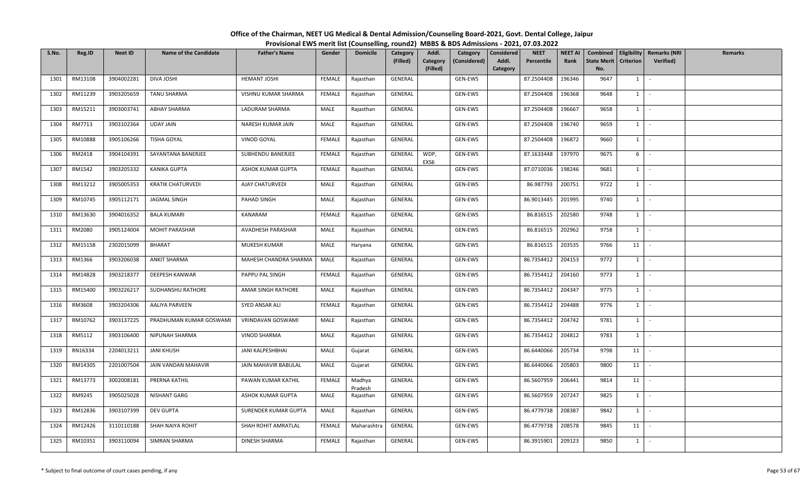| S.No. | Reg.ID  | <b>Neet ID</b> | <b>Name of the Candidate</b> | <b>Father's Name</b>  | Gender        | <b>Domicile</b>   | Category<br>(Filled) | Addl.<br>Category<br>(Filled) | Category<br>(Considered) | Considered<br>Addl.<br>Category | <b>NEET</b><br>Percentile | <b>NEET AI</b><br>Rank | Combined<br><b>State Merit</b><br>No. | <b>Criterion</b> | Eligibility   Remarks (NRI<br>Verified) | <b>Remarks</b> |
|-------|---------|----------------|------------------------------|-----------------------|---------------|-------------------|----------------------|-------------------------------|--------------------------|---------------------------------|---------------------------|------------------------|---------------------------------------|------------------|-----------------------------------------|----------------|
| 1301  | RM13108 | 3904002281     | DIVA JOSHI                   | <b>HEMANT JOSHI</b>   | FEMALE        | Rajasthan         | GENERAL              |                               | GEN-EWS                  |                                 | 87.2504408                | 196346                 | 9647                                  | $1 \quad$        | $\sim$                                  |                |
| 1302  | RM11239 | 3903205659     | TANU SHARMA                  | VISHNU KUMAR SHARMA   | FEMALE        | Rajasthan         | GENERAL              |                               | GEN-EWS                  |                                 | 87.2504408                | 196368                 | 9648                                  | $1 \vert$        | $\sim$                                  |                |
| 1303  | RM15211 | 3903003741     | <b>ABHAY SHARMA</b>          | LADURAM SHARMA        | MALE          | Rajasthan         | GENERAL              |                               | GEN-EWS                  |                                 | 87.2504408                | 196667                 | 9658                                  | 1                | $\sim$                                  |                |
| 1304  | RM7713  | 3903102364     | UDAY JAIN                    | NARESH KUMAR JAIN     | MALE          | Rajasthan         | GENERAL              |                               | GEN-EWS                  |                                 | 87.2504408                | 196740                 | 9659                                  | $1 \quad$        | $\sim$                                  |                |
| 1305  | RM10888 | 3905106266     | TISHA GOYAL                  | VINOD GOYAL           | FEMALE        | Rajasthan         | GENERAL              |                               | GEN-EWS                  |                                 | 87.2504408                | 196872                 | 9660                                  | $1 \quad$        | $\sim$                                  |                |
| 1306  | RM2418  | 3904104391     | SAYANTANA BANERJEE           | SUBHENDU BANERJEE     | FEMALE        | Rajasthan         | GENERAL              | WDP,<br>EXS6                  | GEN-EWS                  |                                 | 87.1633448                | 197970                 | 9675                                  | 6                | $\sim$                                  |                |
| 1307  | RM1542  | 3903205332     | <b>KANIKA GUPTA</b>          | ASHOK KUMAR GUPTA     | FEMALE        | Rajasthan         | GENERAL              |                               | GEN-EWS                  |                                 | 87.0710036                | 198246                 | 9681                                  | 1                | $\sim$                                  |                |
| 1308  | RM13212 | 3905005353     | <b>KRATIK CHATURVEDI</b>     | AJAY CHATURVEDI       | MALE          | Rajasthan         | GENERAL              |                               | GEN-EWS                  |                                 | 86.987793                 | 200751                 | 9722                                  | 1                | $\sim$                                  |                |
| 1309  | RM10745 | 3905112171     | JAGMAL SINGH                 | PAHAD SINGH           | MALE          | Rajasthan         | GENERAL              |                               | GEN-EWS                  |                                 | 86.9013445                | 201995                 | 9740                                  | $1 \quad$        | $\sim$                                  |                |
| 1310  | RM13630 | 3904016352     | <b>BALA KUMARI</b>           | KANARAM               | FEMALE        | Rajasthan         | GENERAL              |                               | GEN-EWS                  |                                 | 86.816515                 | 202580                 | 9748                                  | 1                | $\sim$                                  |                |
| 1311  | RM2080  | 3905124004     | <b>MOHIT PARASHAR</b>        | AVADHESH PARASHAR     | MALE          | Rajasthan         | GENERAL              |                               | GEN-EWS                  |                                 | 86.816515                 | 202962                 | 9758                                  | $1 \quad$        | $\sim$                                  |                |
| 1312  | RM15158 | 2302015099     | <b>BHARAT</b>                | MUKESH KUMAR          | MALE          | Haryana           | GENERAL              |                               | GEN-EWS                  |                                 | 86.816515                 | 203535                 | 9766                                  | 11               | $\sim$                                  |                |
| 1313  | RM1366  | 3903206038     | ANKIT SHARMA                 | MAHESH CHANDRA SHARMA | MALE          | Rajasthan         | GENERAL              |                               | GEN-EWS                  |                                 | 86.7354412                | 204153                 | 9772                                  | $1 \mid$         | $\sim$                                  |                |
| 1314  | RM14828 | 3903218377     | DEEPESH KANWAR               | PAPPU PAL SINGH       | FEMALE        | Rajasthan         | GENERAL              |                               | GEN-EWS                  |                                 | 86.7354412                | 204160                 | 9773                                  | $1 \mid$         | $\sim$                                  |                |
| 1315  | RM15400 | 3903226217     | SUDHANSHU RATHORE            | AMAR SINGH RATHORE    | MALE          | Rajasthan         | GENERAL              |                               | GEN-EWS                  |                                 | 86.7354412                | 204347                 | 9775                                  | 1                | $\sim$                                  |                |
| 1316  | RM3608  | 3903204306     | AALIYA PARVEEN               | SYED ANSAR ALI        | <b>FEMALE</b> | Rajasthan         | GENERAL              |                               | GEN-EWS                  |                                 | 86.7354412                | 204488                 | 9776                                  | $1$ $-$          |                                         |                |
| 1317  | RM10762 | 3903137225     | PRADHUMAN KUMAR GOSWAMI      | VRINDAVAN GOSWAMI     | MALE          | Rajasthan         | GENERAL              |                               | GEN-EWS                  |                                 | 86.7354412                | 204742                 | 9781                                  | $1 \quad$        | $\sim$                                  |                |
| 1318  | RM5112  | 3903106400     | NIPUNAH SHARMA               | VINOD SHARMA          | MALE          | Rajasthan         | GENERAL              |                               | GEN-EWS                  |                                 | 86.7354412                | 204812                 | 9783                                  | $1 \quad$        | $\sim$                                  |                |
| 1319  | RN16334 | 2204013211     | <b>JANI KHUSH</b>            | JANI KALPESHBHAI      | MALE          | Gujarat           | GENERAL              |                               | GEN-EWS                  |                                 | 86.6440066                | 205734                 | 9798                                  | 11               | $\sim$                                  |                |
| 1320  | RM14305 | 2201007504     | JAIN VANDAN MAHAVIR          | JAIN MAHAVIR BABULAL  | MALE          | Gujarat           | GENERAL              |                               | GEN-EWS                  |                                 | 86.6440066                | 205803                 | 9800                                  | 11               | $\sim$                                  |                |
| 1321  | RM13773 | 3002008181     | PRERNA KATHIL                | PAWAN KUMAR KATHIL    | <b>FEMALE</b> | Madhya<br>Pradesh | GENERAL              |                               | GEN-EWS                  |                                 | 86.5607959                | 206441                 | 9814                                  | 11               | $\sim$                                  |                |
| 1322  | RM9245  | 3905025028     | <b>NISHANT GARG</b>          | ASHOK KUMAR GUPTA     | MALE          | Rajasthan         | GENERAL              |                               | GEN-EWS                  |                                 | 86.5607959                | 207247                 | 9825                                  | $1 \quad$        | $\sim$                                  |                |
| 1323  | RM12836 | 3903107399     | <b>DEV GUPTA</b>             | SURENDER KUMAR GUPTA  | MALE          | Rajasthan         | GENERAL              |                               | GEN-EWS                  |                                 | 86.4779738                | 208387                 | 9842                                  | $1 \quad$        | $\sim$                                  |                |
| 1324  | RM12426 | 3110110188     | SHAH NAIYA ROHIT             | SHAH ROHIT AMRATLAL   | FEMALE        | Maharashtra       | GENERAL              |                               | GEN-EWS                  |                                 | 86.4779738                | 208578                 | 9845                                  | 11               | $\sim$                                  |                |
| 1325  | RM10351 | 3903110094     | SIMRAN SHARMA                | DINESH SHARMA         | FEMALE        | Rajasthan         | GENERAL              |                               | GEN-EWS                  |                                 | 86.3915901                | 209123                 | 9850                                  | 1                | $\sim$                                  |                |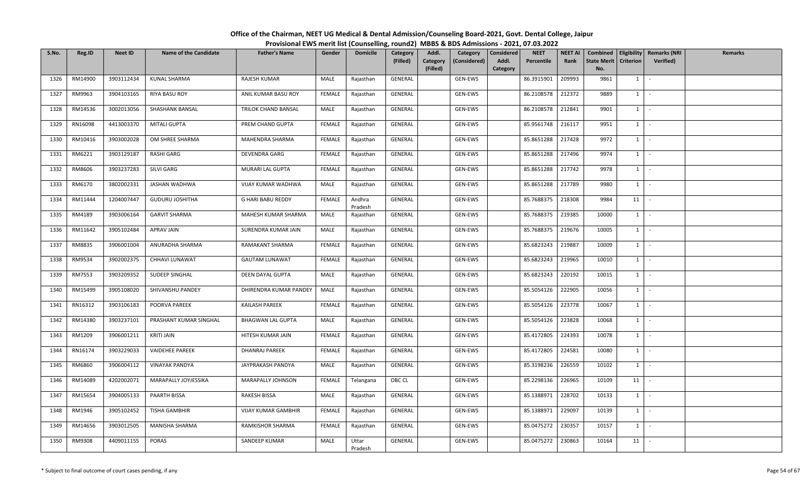| S.No. | Reg.ID  | <b>Neet ID</b> | <b>Name of the Candidate</b> | <b>Father's Name</b>       | Gender        | <b>Domicile</b>   | <b>Category</b><br>(Filled) | Addl.<br>Category | Category<br>(Considered) | <b>Considered</b><br>Addl. | <b>NEET</b><br>Percentile | <b>NEET AI</b><br>Rank | Combined<br><b>State Merit</b> | <b>Criterion</b> | <b>Eligibility Remarks (NRI</b><br>Verified) | Remarks |
|-------|---------|----------------|------------------------------|----------------------------|---------------|-------------------|-----------------------------|-------------------|--------------------------|----------------------------|---------------------------|------------------------|--------------------------------|------------------|----------------------------------------------|---------|
|       |         |                |                              |                            |               |                   |                             | (Filled)          |                          | Category                   |                           |                        | No.                            |                  |                                              |         |
| 1326  | RM14900 | 3903112434     | KUNAL SHARMA                 | RAJESH KUMAR               | MALE          | Rajasthan         | GENERAL                     |                   | GEN-EWS                  |                            | 86.3915901                | 209993                 | 9861                           | $1 \quad$        | $\sim$                                       |         |
| 1327  | RM9963  | 3904103165     | <b>RIYA BASU ROY</b>         | ANIL KUMAR BASU ROY        | FEMALE        | Rajasthan         | GENERAL                     |                   | GEN-EWS                  |                            | 86.2108578                | 212372                 | 9889                           | $1 \quad$        | $\sim$                                       |         |
| 1328  | RM14536 | 3002013056     | <b>SHASHANK BANSAL</b>       | TRILOK CHAND BANSAL        | MALE          | Rajasthan         | GENERAL                     |                   | GEN-EWS                  |                            | 86.2108578                | 212841                 | 9901                           | 1                | $\sim$                                       |         |
| 1329  | RN16098 | 4413003370     | MITALI GUPTA                 | PREM CHAND GUPTA           | <b>FEMALE</b> | Rajasthan         | GENERAL                     |                   | GEN-EWS                  |                            | 85.9561748                | 216117                 | 9951                           | $1 \quad$        | $\sim$                                       |         |
| 1330  | RM10416 | 3903002028     | OM SHREE SHARMA              | MAHENDRA SHARMA            | FEMALE        | Rajasthan         | GENERAL                     |                   | GEN-EWS                  |                            | 85.8651288                | 217428                 | 9972                           | $1 \mid$         | $\sim$                                       |         |
| 1331  | RM6221  | 3903129187     | <b>RASHI GARG</b>            | DEVENDRA GARG              | FEMALE        | Rajasthan         | GENERAL                     |                   | GEN-EWS                  |                            | 85.8651288                | 217496                 | 9974                           | $1 \quad$        | $\sim$                                       |         |
| 1332  | RM8606  | 3903237283     | SILVI GARG                   | MURARI LAL GUPTA           | FEMALE        | Rajasthan         | GENERAL                     |                   | GEN-EWS                  |                            | 85.8651288                | 217742                 | 9978                           | 1                | $\sim$                                       |         |
| 1333  | RM6170  | 3802002331     | JASHAN WADHWA                | VIJAY KUMAR WADHWA         | MALE          | Rajasthan         | GENERAL                     |                   | GEN-EWS                  |                            | 85.8651288                | 217789                 | 9980                           | $1$ $\cdot$      |                                              |         |
| 1334  | RM11444 | 1204007447     | <b>GUDURU JOSHITHA</b>       | <b>G HARI BABU REDDY</b>   | <b>FEMALE</b> | Andhra<br>Pradesh | GENERAL                     |                   | GEN-EWS                  |                            | 85.7688375                | 218308                 | 9984                           | 11               | $\sim$                                       |         |
| 1335  | RM4189  | 3903006164     | <b>GARVIT SHARMA</b>         | MAHESH KUMAR SHARMA        | MALE          | Rajasthan         | GENERAL                     |                   | GEN-EWS                  |                            | 85.7688375                | 219385                 | 10000                          | $1 \mid$         | $\sim$                                       |         |
| 1336  | RM11642 | 3905102484     | APRAV JAIN                   | SURENDRA KUMAR JAIN        | MALE          | Rajasthan         | GENERAL                     |                   | GEN-EWS                  |                            | 85.7688375                | 219676                 | 10005                          | $1 \quad$        | $\sim$                                       |         |
| 1337  | RM8835  | 3906001004     | ANURADHA SHARMA              | RAMAKANT SHARMA            | FEMALE        | Rajasthan         | GENERAL                     |                   | GEN-EWS                  |                            | 85.6823243                | 219887                 | 10009                          | $1 \cdot$        |                                              |         |
| 1338  | RM9534  | 3902002375     | CHHAVI LUNAWAT               | <b>GAUTAM LUNAWAT</b>      | <b>FEMALE</b> | Rajasthan         | GENERAL                     |                   | GEN-EWS                  |                            | 85.6823243                | 219965                 | 10010                          | $1 \quad$        | $\sim$                                       |         |
| 1339  | RM7553  | 3903209352     | SUDEEP SINGHAL               | DEEN DAYAL GUPTA           | MALE          | Rajasthan         | GENERAL                     |                   | GEN-EWS                  |                            | 85.6823243                | 220192                 | 10015                          | $1 \quad$        | $\sim$                                       |         |
| 1340  | RM15499 | 3905108020     | SHIVANSHU PANDEY             | DHIRENDRA KUMAR PANDEY     | MALE          | Rajasthan         | GENERAL                     |                   | GEN-EWS                  |                            | 85.5054126                | 222905                 | 10056                          | $1 \mid$         | $\sim$                                       |         |
| 1341  | RN16312 | 3903106183     | POORVA PAREEK                | <b>KAILASH PAREEK</b>      | <b>FEMALE</b> | Rajasthan         | GENERAL                     |                   | GEN-EWS                  |                            | 85.5054126                | 223778                 | 10067                          | 1                | $\sim$                                       |         |
| 1342  | RM14380 | 3903237101     | PRASHANT KUMAR SINGHAL       | <b>BHAGWAN LAL GUPTA</b>   | MALE          | Rajasthan         | GENERAL                     |                   | GEN-EWS                  |                            | 85.5054126                | 223828                 | 10068                          | 1                | $\sim$                                       |         |
| 1343  | RM1209  | 3906001211     | <b>KRITI JAIN</b>            | HITESH KUMAR JAIN          | FEMALE        | Rajasthan         | GENERAL                     |                   | GEN-EWS                  |                            | 85.4172805                | 224393                 | 10078                          | $1 \quad$        | $\sim$                                       |         |
| 1344  | RN16174 | 3903229033     | VAIDEHEE PAREEK              | DHANRAJ PAREEK             | FEMALE        | Rajasthan         | GENERAL                     |                   | GEN-EWS                  |                            | 85.4172805                | 224581                 | 10080                          | $1 \vert$        | $\sim$                                       |         |
| 1345  | RM6860  | 3906004112     | VINAYAK PANDYA               | JAYPRAKASH PANDYA          | MALE          | Rajasthan         | GENERAL                     |                   | GEN-EWS                  |                            | 85.3198236                | 226559                 | 10102                          | $1 \quad$        | $\sim$                                       |         |
| 1346  | RM14089 | 4202002071     | MARAPALLY JOYJESSIKA         | <b>MARAPALLY JOHNSON</b>   | <b>FEMALE</b> | Telangana         | OBC CL                      |                   | GEN-EWS                  |                            | 85.2298136                | 226965                 | 10109                          | 11               | $\sim$                                       |         |
| 1347  | RM15654 | 3904005133     | PAARTH BISSA                 | RAKESH BISSA               | MALE          | Rajasthan         | GENERAL                     |                   | GEN-EWS                  |                            | 85.1388971                | 228702                 | 10133                          | $1 \mid$         | $\sim$                                       |         |
| 1348  | RM1946  | 3905102452     | TISHA GAMBHIR                | <b>VIJAY KUMAR GAMBHIR</b> | FEMALE        | Rajasthan         | GENERAL                     |                   | GEN-EWS                  |                            | 85.1388971                | 229097                 | 10139                          | $1 \quad$        | $\sim$                                       |         |
| 1349  | RM14656 | 3903012505     | MANISHA SHARMA               | RAMKISHOR SHARMA           | FEMALE        | Rajasthan         | GENERAL                     |                   | GEN-EWS                  |                            | 85.0475272                | 230357                 | 10157                          | $1 \mid$         | $\sim$                                       |         |
| 1350  | RM9308  | 4409011155     | PORAS                        | SANDEEP KUMAR              | MALE          | Uttar<br>Pradesh  | GENERAL                     |                   | GEN-EWS                  |                            | 85.0475272                | 230863                 | 10164                          | 11               | $\sim$                                       |         |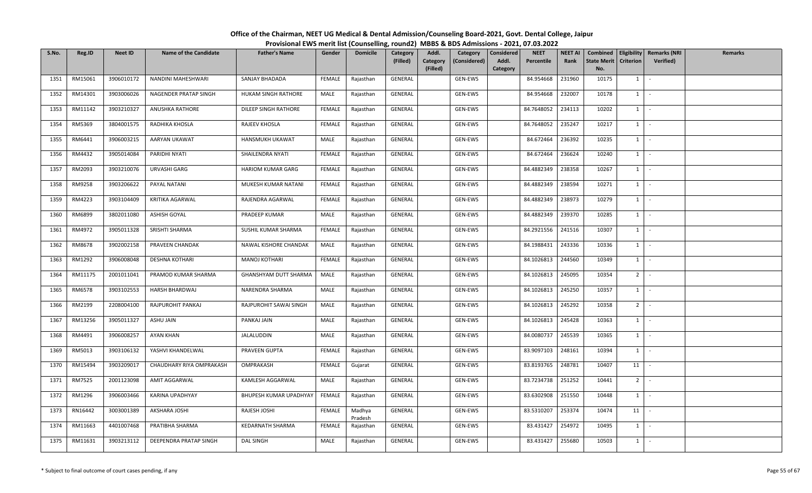| S.No. | Reg.ID  | <b>Neet ID</b> | <b>Name of the Candidate</b> | <b>Father's Name</b>     | Gender        | <b>Domicile</b>   | <b>Category</b><br>(Filled) | Addl.<br>Category<br>(Filled) | Category<br>(Considered) | Considered<br>Addl.<br>Category | <b>NEET</b><br>Percentile | <b>NEET AI</b><br>Rank | <b>State Merit</b><br>No. | <b>Criterion</b> | Combined   Eligibility   Remarks (NRI<br>Verified) | Remarks |
|-------|---------|----------------|------------------------------|--------------------------|---------------|-------------------|-----------------------------|-------------------------------|--------------------------|---------------------------------|---------------------------|------------------------|---------------------------|------------------|----------------------------------------------------|---------|
| 1351  | RM15061 | 3906010172     | NANDINI MAHESHWARI           | SANJAY BHADADA           | FEMALE        | Rajasthan         | GENERAL                     |                               | GEN-EWS                  |                                 | 84.954668                 | 231960                 | 10175                     | 1                | $\mathcal{L}_{\mathcal{A}}$                        |         |
| 1352  | RM14301 | 3903006026     | NAGENDER PRATAP SINGH        | HUKAM SINGH RATHORE      | MALE          | Rajasthan         | GENERAL                     |                               | GEN-EWS                  |                                 | 84.954668                 | 232007                 | 10178                     | $1 \vert$        | $\sim$                                             |         |
| 1353  | RM11142 | 3903210327     | ANUSHKA RATHORE              | DILEEP SINGH RATHORE     | <b>FEMALE</b> | Rajasthan         | GENERAL                     |                               | GEN-EWS                  |                                 | 84.7648052                | 234113                 | 10202                     | $1 \vert$        | $\sim$                                             |         |
| 1354  | RM5369  | 3804001575     | RADHIKA KHOSLA               | RAJEEV KHOSLA            | FEMALE        | Rajasthan         | GENERAL                     |                               | GEN-EWS                  |                                 | 84.7648052                | 235247                 | 10217                     | $1 \vert$        | $\sim$                                             |         |
| 1355  | RM6441  | 3906003215     | AARYAN UKAWAT                | HANSMUKH UKAWAT          | MALE          | Rajasthan         | GENERAL                     |                               | GEN-EWS                  |                                 | 84.672464                 | 236392                 | 10235                     | $1 \vert$        | $\sim$                                             |         |
| 1356  | RM4432  | 3905014084     | PARIDHI NYATI                | SHAILENDRA NYATI         | <b>FEMALE</b> | Rajasthan         | GENERAL                     |                               | GEN-EWS                  |                                 | 84.672464                 | 236624                 | 10240                     | $1 \vert$        | $\sim$                                             |         |
| 1357  | RM2093  | 3903210076     | URVASHI GARG                 | <b>HARIOM KUMAR GARG</b> | FEMALE        | Rajasthan         | GENERAL                     |                               | GEN-EWS                  |                                 | 84.4882349                | 238358                 | 10267                     | $1 \vert$        | $\sim$                                             |         |
| 1358  | RM9258  | 3903206622     | PAYAL NATANI                 | MUKESH KUMAR NATANI      | FEMALE        | Rajasthan         | GENERAL                     |                               | GEN-EWS                  |                                 | 84.4882349                | 238594                 | 10271                     | $1 \vert$        | $\sim$                                             |         |
| 1359  | RM4223  | 3903104409     | KRITIKA AGARWAL              | RAJENDRA AGARWAL         | FEMALE        | Rajasthan         | GENERAL                     |                               | GEN-EWS                  |                                 | 84.4882349                | 238973                 | 10279                     | $1 \vert$        | $\sim$                                             |         |
| 1360  | RM6899  | 3802011080     | <b>ASHISH GOYAL</b>          | PRADEEP KUMAR            | MALE          | Rajasthan         | GENERAL                     |                               | GEN-EWS                  |                                 | 84.4882349                | 239370                 | 10285                     | 1                | $\sim$                                             |         |
| 1361  | RM4972  | 3905011328     | SRISHTI SHARMA               | SUSHIL KUMAR SHARMA      | FEMALE        | Rajasthan         | GENERAL                     |                               | GEN-EWS                  |                                 | 84.2921556                | 241516                 | 10307                     | $1$ $-$          |                                                    |         |
| 1362  | RM8678  | 3902002158     | PRAVEEN CHANDAK              | NAWAL KISHORE CHANDAK    | MALE          | Rajasthan         | GENERAL                     |                               | GEN-EWS                  |                                 | 84.1988431                | 243336                 | 10336                     | $1 \vert$        | $\sim$                                             |         |
| 1363  | RM1292  | 3906008048     | <b>DESHNA KOTHARI</b>        | <b>MANOJ KOTHARI</b>     | FEMALE        | Rajasthan         | GENERAL                     |                               | GEN-EWS                  |                                 | 84.1026813                | 244560                 | 10349                     | $1 \vert$        | $\overline{\phantom{a}}$                           |         |
| 1364  | RM11175 | 2001011041     | PRAMOD KUMAR SHARMA          | GHANSHYAM DUTT SHARMA    | MALE          | Rajasthan         | GENERAL                     |                               | GEN-EWS                  |                                 | 84.1026813                | 245095                 | 10354                     | 2 <sup>1</sup>   | $\sim$                                             |         |
| 1365  | RM6578  | 3903102553     | HARSH BHARDWAJ               | NARENDRA SHARMA          | MALE          | Rajasthan         | GENERAL                     |                               | GEN-EWS                  |                                 | 84.1026813                | 245250                 | 10357                     | $1 \vert$        | $\overline{\phantom{a}}$                           |         |
| 1366  | RM2199  | 2208004100     | RAJPUROHIT PANKAJ            | RAJPUROHIT SAWAI SINGH   | MALE          | Rajasthan         | GENERAL                     |                               | GEN-EWS                  |                                 | 84.1026813                | 245292                 | 10358                     | 2 <sup>1</sup>   | $\sim 10$                                          |         |
| 1367  | RM13256 | 3905011327     | ASHU JAIN                    | PANKAJ JAIN              | MALE          | Rajasthan         | GENERAL                     |                               | GEN-EWS                  |                                 | 84.1026813                | 245428                 | 10363                     | $1 \vert$        | $\sim$                                             |         |
| 1368  | RM4491  | 3906008257     | AYAN KHAN                    | JALALUDDIN               | MALE          | Rajasthan         | GENERAL                     |                               | GEN-EWS                  |                                 | 84.0080737                | 245539                 | 10365                     | $1 \vert$        | $\sim$                                             |         |
| 1369  | RM5013  | 3903106132     | YASHVI KHANDELWAL            | PRAVEEN GUPTA            | FEMALE        | Rajasthan         | GENERAL                     |                               | GEN-EWS                  |                                 | 83.9097103                | 248161                 | 10394                     | $1 \vert$        | $\sim$                                             |         |
| 1370  | RM15494 | 3903209017     | CHAUDHARY RIYA OMPRAKASH     | OMPRAKASH                | FEMALE        | Gujarat           | GENERAL                     |                               | GEN-EWS                  |                                 | 83.8193765                | 248781                 | 10407                     | 11               | $\overline{\phantom{a}}$                           |         |
| 1371  | RM7525  | 2001123098     | AMIT AGGARWAL                | KAMLESH AGGARWAL         | MALE          | Rajasthan         | GENERAL                     |                               | GEN-EWS                  |                                 | 83.7234738                | 251252                 | 10441                     | 2 <sup>1</sup>   | $\sim$                                             |         |
| 1372  | RM1296  | 3906003466     | KARINA UPADHYAY              | BHUPESH KUMAR UPADHYAY   | FEMALE        | Rajasthan         | GENERAL                     |                               | GEN-EWS                  |                                 | 83.6302908                | 251550                 | 10448                     | $1 \vert$        | 94.)                                               |         |
| 1373  | RN16442 | 3003001389     | AKSHARA JOSHI                | RAJESH JOSHI             | <b>FEMALE</b> | Madhya<br>Pradesh | GENERAL                     |                               | GEN-EWS                  |                                 | 83.5310207                | 253374                 | 10474                     | 11               | $\sim$                                             |         |
| 1374  | RM11663 | 4401007468     | PRATIBHA SHARMA              | KEDARNATH SHARMA         | <b>FEMALE</b> | Rajasthan         | GENERAL                     |                               | GEN-EWS                  |                                 | 83.431427                 | 254972                 | 10495                     | $1 \vert$        | $\sim$                                             |         |
| 1375  | RM11631 | 3903213112     | DEEPENDRA PRATAP SINGH       | <b>DAL SINGH</b>         | MALE          | Rajasthan         | GENERAL                     |                               | GEN-EWS                  |                                 | 83.431427                 | 255680                 | 10503                     | $1 \vert$        | $\sim$                                             |         |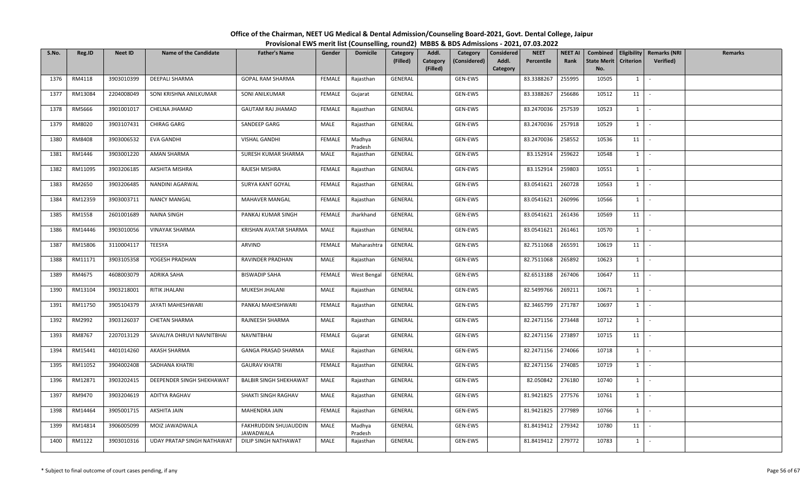| S.No. | Reg.ID  | <b>Neet ID</b> | <b>Name of the Candidate</b> | <b>Father's Name</b>                      | Gender        | <b>Domicile</b>   | Category<br>(Filled) | Addl.<br>Category<br>(Filled) | Category<br>(Considered) | Considered<br>Addl.<br>Category | <b>NEET</b><br>Percentile | NEET AI<br>Rank | Combined<br><b>State Merit</b><br>No. | <b>Criterion</b> | Eligibility   Remarks (NRI<br>Verified) | Remarks |
|-------|---------|----------------|------------------------------|-------------------------------------------|---------------|-------------------|----------------------|-------------------------------|--------------------------|---------------------------------|---------------------------|-----------------|---------------------------------------|------------------|-----------------------------------------|---------|
| 1376  | RM4118  | 3903010399     | <b>DEEPALI SHARMA</b>        | <b>GOPAL RAM SHARMA</b>                   | FEMALE        | Rajasthan         | GENERAL              |                               | GEN-EWS                  |                                 | 83.3388267                | 255995          | 10505                                 | 1                | $\sim$                                  |         |
| 1377  | RM13084 | 2204008049     | SONI KRISHNA ANILKUMAR       | SONI ANILKUMAR                            | <b>FEMALE</b> | Gujarat           | GENERAL              |                               | GEN-EWS                  |                                 | 83.3388267                | 256686          | 10512                                 | 11               | $\sim$                                  |         |
| 1378  | RM5666  | 3901001017     | CHELNA JHAMAD                | <b>GAUTAM RAJ JHAMAD</b>                  | FEMALE        | Rajasthan         | GENERAL              |                               | GEN-EWS                  |                                 | 83.2470036                | 257539          | 10523                                 | $1 \vert$        | $\sim$                                  |         |
| 1379  | RM8020  | 3903107431     | CHIRAG GARG                  | SANDEEP GARG                              | MALE          | Rajasthan         | GENERAL              |                               | GEN-EWS                  |                                 | 83.2470036                | 257918          | 10529                                 | $1 \vert$        | $\sim$                                  |         |
| 1380  | RM8408  | 3903006532     | EVA GANDHI                   | <b>VISHAL GANDHI</b>                      | <b>FEMALE</b> | Madhya<br>Pradesh | GENERAL              |                               | GEN-EWS                  |                                 | 83.2470036                | 258552          | 10536                                 | 11               | $\sim$                                  |         |
| 1381  | RM1446  | 3903001220     | AMAN SHARMA                  | SURESH KUMAR SHARMA                       | MALE          | Rajasthan         | GENERAL              |                               | GEN-EWS                  |                                 | 83.152914                 | 259622          | 10548                                 | $1 \vert$        | $\sim$                                  |         |
| 1382  | RM11095 | 3903206185     | AKSHITA MISHRA               | RAJESH MISHRA                             | <b>FEMALE</b> | Rajasthan         | GENERAL              |                               | GEN-EWS                  |                                 | 83.152914                 | 259803          | 10551                                 | $1 \vert$        | $\sim$                                  |         |
| 1383  | RM2650  | 3903206485     | NANDINI AGARWAL              | SURYA KANT GOYAL                          | FEMALE        | Rajasthan         | GENERAL              |                               | GEN-EWS                  |                                 | 83.0541621                | 260728          | 10563                                 | $1 \vert$        | $\sim$                                  |         |
| 1384  | RM12359 | 3903003711     | <b>NANCY MANGAL</b>          | MAHAVER MANGAL                            | FEMALE        | Rajasthan         | GENERAL              |                               | GEN-EWS                  |                                 | 83.0541621                | 260996          | 10566                                 | $1 \vert$        | $\sim$                                  |         |
| 1385  | RM1558  | 2601001689     | <b>NAINA SINGH</b>           | PANKAJ KUMAR SINGH                        | FEMALE        | Jharkhand         | GENERAL              |                               | GEN-EWS                  |                                 | 83.0541621                | 261436          | 10569                                 | 11               | $\sim$                                  |         |
| 1386  | RM14446 | 3903010056     | <b>VINAYAK SHARMA</b>        | KRISHAN AVATAR SHARMA                     | MALE          | Rajasthan         | GENERAL              |                               | GEN-EWS                  |                                 | 83.0541621                | 261461          | 10570                                 | $1 \vert$        | $\overline{\phantom{a}}$                |         |
| 1387  | RM15806 | 3110004117     | TEESYA                       | ARVIND                                    | FEMALE        | Maharashtra       | GENERAL              |                               | GEN-EWS                  |                                 | 82.7511068                | 265591          | 10619                                 | 11               | $\sim$                                  |         |
| 1388  | RM11171 | 3903105358     | YOGESH PRADHAN               | RAVINDER PRADHAN                          | MALE          | Rajasthan         | GENERAL              |                               | GEN-EWS                  |                                 | 82.7511068                | 265892          | 10623                                 | $1 \vert$        | $\sim$                                  |         |
| 1389  | RM4675  | 4608003079     | <b>ADRIKA SAHA</b>           | <b>BISWADIP SAHA</b>                      | <b>FEMALE</b> | West Bengal       | GENERAL              |                               | GEN-EWS                  |                                 | 82.6513188                | 267406          | 10647                                 | 11               | $\sim$                                  |         |
| 1390  | RM13104 | 3903218001     | RITIK JHALANI                | MUKESH JHALANI                            | MALE          | Rajasthan         | GENERAL              |                               | GEN-EWS                  |                                 | 82.5499766                | 269211          | 10671                                 | 1                | $\sim$                                  |         |
| 1391  | RM11750 | 3905104379     | JAYATI MAHESHWARI            | PANKAJ MAHESHWARI                         | FEMALE        | Rajasthan         | GENERAL              |                               | GEN-EWS                  |                                 | 82.3465799                | 271787          | 10697                                 | $1 \vert$        | $\sim$                                  |         |
| 1392  | RM2992  | 3903126037     | <b>CHETAN SHARMA</b>         | RAJNEESH SHARMA                           | MALE          | Rajasthan         | GENERAL              |                               | GEN-EWS                  |                                 | 82.2471156                | 273448          | 10712                                 | $1 \vert$        | $\sim$                                  |         |
| 1393  | RM8767  | 2207013129     | SAVALIYA DHRUVI NAVNITBHAI   | <b>NAVNITBHAI</b>                         | <b>FEMALE</b> | Gujarat           | GENERAL              |                               | GEN-EWS                  |                                 | 82.2471156                | 273897          | 10715                                 | 11               | $\sim$                                  |         |
| 1394  | RM15441 | 4401014260     | AKASH SHARMA                 | <b>GANGA PRASAD SHARMA</b>                | MALE          | Rajasthan         | GENERAL              |                               | GEN-EWS                  |                                 | 82.2471156                | 274066          | 10718                                 | $1 \vert$        | $\sim$                                  |         |
| 1395  | RM11052 | 3904002408     | SADHANA KHATRI               | <b>GAURAV KHATRI</b>                      | FEMALE        | Rajasthan         | GENERAL              |                               | GEN-EWS                  |                                 | 82.2471156                | 274085          | 10719                                 | $1 \vert$        | $\sim$                                  |         |
| 1396  | RM12871 | 3903202415     | DEEPENDER SINGH SHEKHAWAT    | <b>BALBIR SINGH SHEKHAWAT</b>             | MALE          | Rajasthan         | GENERAL              |                               | GEN-EWS                  |                                 | 82.050842                 | 276180          | 10740                                 | $1 \vert$        | $\sim$                                  |         |
| 1397  | RM9470  | 3903204619     | ADITYA RAGHAV                | SHAKTI SINGH RAGHAV                       | MALE          | Rajasthan         | GENERAL              |                               | GEN-EWS                  |                                 | 81.9421825                | 277576          | 10761                                 | $1 \vert$        | $\sim$                                  |         |
| 1398  | RM14464 | 3905001715     | AKSHITA JAIN                 | MAHENDRA JAIN                             | FEMALE        | Rajasthan         | GENERAL              |                               | GEN-EWS                  |                                 | 81.9421825                | 277989          | 10766                                 | $1 \mid$         | $\sim$                                  |         |
| 1399  | RM14814 | 3906005099     | MOIZ JAWADWALA               | FAKHRUDDIN SHUJAUDDIN<br><b>JAWADWALA</b> | MALE          | Madhya<br>Pradesh | GENERAL              |                               | GEN-EWS                  |                                 | 81.8419412                | 279342          | 10780                                 | 11               | $\sim$ $-$                              |         |
| 1400  | RM1122  | 3903010316     | UDAY PRATAP SINGH NATHAWAT   | DILIP SINGH NATHAWAT                      | MALE          | Rajasthan         | GENERAL              |                               | GEN-EWS                  |                                 | 81.8419412                | 279772          | 10783                                 | 1                |                                         |         |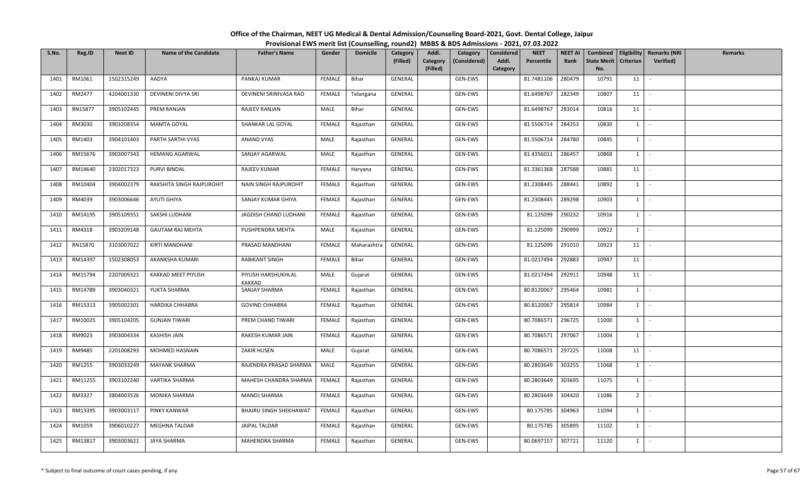| S.No. | Reg.ID  | <b>Neet ID</b> | <b>Name of the Candidate</b> | <b>Father's Name</b>          | Gender        | <b>Domicile</b> | Category<br>(Filled) | Addl.<br>Category<br>(Filled) | Category<br>(Considered) | Considered<br>Addl.<br>Category | <b>NEET</b><br>Percentile | <b>NEET AI</b><br>Rank | <b>State Merit</b><br>No. | <b>Criterion</b> | Combined   Eligibility   Remarks (NRI<br>Verified) | Remarks |
|-------|---------|----------------|------------------------------|-------------------------------|---------------|-----------------|----------------------|-------------------------------|--------------------------|---------------------------------|---------------------------|------------------------|---------------------------|------------------|----------------------------------------------------|---------|
| 1401  | RM1061  | 1502315249     | AADYA                        | PANKAJ KUMAR                  | FEMALE        | Bihar           | GENERAL              |                               | GEN-EWS                  |                                 | 81.7481106                | 280479                 | 10791                     | 11               | $\overline{\phantom{a}}$                           |         |
| 1402  | RM2477  | 4204001330     | DEVINENI DIVYA SRI           | DEVINENI SRINIVASA RAO        | FEMALE        | Telangana       | GENERAL              |                               | GEN-EWS                  |                                 | 81.6498767                | 282349                 | 10807                     | 11               | $\sim$                                             |         |
| 1403  | RN15877 | 3905102445     | PREM RANJAN                  | RAJEEV RANJAN                 | MALE          | Bihar           | GENERAL              |                               | GEN-EWS                  |                                 | 81.6498767                | 283014                 | 10816                     | 11               | $\sim$                                             |         |
| 1404  | RM3030  | 3903208354     | MAMTA GOYAL                  | SHANKAR LAL GOYAL             | <b>FEMALE</b> | Rajasthan       | GENERAL              |                               | GEN-EWS                  |                                 | 81.5506714                | 284253                 | 10830                     | $1 \vert$        | $\sim$                                             |         |
| 1405  | RM1403  | 3904101403     | PARTH SARTHI VYAS            | ANAND VYAS                    | MALE          | Rajasthan       | GENERAL              |                               | GEN-EWS                  |                                 | 81.5506714                | 284780                 | 10845                     | $1 \vert$        | $\sim$                                             |         |
| 1406  | RM15676 | 3903007343     | <b>HEMANG AGARWAL</b>        | SANJAY AGARWAL                | MALE          | Rajasthan       | GENERAL              |                               | GEN-EWS                  |                                 | 81.4356011                | 286457                 | 10868                     | $1 \vert$        | $\sim$                                             |         |
| 1407  | RM14640 | 2302017323     | PURVI BINDAL                 | RAJEEV KUMAR                  | <b>FEMALE</b> | Haryana         | GENERAL              |                               | GEN-EWS                  |                                 | 81.3361368                | 287588                 | 10881                     | 11               | $\sim$                                             |         |
| 1408  | RM10404 | 3904002379     | RAKSHITA SINGH RAJPUROHIT    | NAIN SINGH RAJPUROHIT         | FEMALE        | Rajasthan       | GENERAL              |                               | GEN-EWS                  |                                 | 81.2308445                | 288441                 | 10892                     | $1 \vert$        | $\sim$                                             |         |
| 1409  | RM4039  | 3903006646     | AYUTI GHIYA                  | SANJAY KUMAR GHIYA            | FEMALE        | Rajasthan       | GENERAL              |                               | GEN-EWS                  |                                 | 81.2308445                | 289298                 | 10903                     | $1 \vert$        | $\sim$                                             |         |
| 1410  | RM14195 | 3905109351     | SAKSHI LUDHANI               | JAGDISH CHAND LUDHANI         | FEMALE        | Rajasthan       | GENERAL              |                               | GEN-EWS                  |                                 | 81.125099                 | 290232                 | 10916                     | 1                | $\sim$                                             |         |
| 1411  | RM4318  | 3903209148     | <b>GAUTAM RAJ MEHTA</b>      | PUSHPENDRA MEHTA              | MALE          | Rajasthan       | GENERAL              |                               | GEN-EWS                  |                                 | 81.125099                 | 290999                 | 10922                     | $1$ $-$          |                                                    |         |
| 1412  | RN15870 | 3103007022     | KIRTI MANDHANI               | PRASAD MANDHANI               | <b>FEMALE</b> | Maharashtra     | GENERAL              |                               | GEN-EWS                  |                                 | 81.125099                 | 291010                 | 10923                     | 11               | $\sim$                                             |         |
| 1413  | RM14397 | 1502308053     | AKANKSHA KUMARI              | RABIKANT SINGH                | FEMALE        | Bihar           | GENERAL              |                               | GEN-EWS                  |                                 | 81.0217494                | 292883                 | 10947                     | 11               |                                                    |         |
| 1414  | RM15794 | 2207009321     | KAKKAD MEET PIYUSH           | PIYUSH HARSHUKHLAL<br>KAKKAD  | MALE          | Gujarat         | GENERAL              |                               | GEN-EWS                  |                                 | 81.0217494                | 292911                 | 10948                     | 11               | $\sim$                                             |         |
| 1415  | RM14789 | 3903040321     | YUKTA SHARMA                 | SANJAY SHARMA                 | <b>FEMALE</b> | Rajasthan       | GENERAL              |                               | GEN-EWS                  |                                 | 80.8120067                | 295464                 | 10981                     | $1 \vert$        | $\overline{\phantom{a}}$                           |         |
| 1416  | RM15313 | 3905002301     | <b>HARDIKA CHHABRA</b>       | <b>GOVIND CHHABRA</b>         | FEMALE        | Rajasthan       | GENERAL              |                               | GEN-EWS                  |                                 | 80.8120067                | 295814                 | 10984                     | $1$ $-$          |                                                    |         |
| 1417  | RM10025 | 3905104205     | <b>GUNJAN TIWARI</b>         | PREM CHAND TIWARI             | FEMALE        | Rajasthan       | GENERAL              |                               | GEN-EWS                  |                                 | 80.7086571                | 296725                 | 11000                     | $1 \vert$        | $\sim$                                             |         |
| 1418  | RM9023  | 3903004334     | <b>KASHISH JAIN</b>          | RAKESH KUMAR JAIN             | FEMALE        | Rajasthan       | GENERAL              |                               | GEN-EWS                  |                                 | 80.7086571                | 297067                 | 11004                     | $1 \vert$        | $\sim$                                             |         |
| 1419  | RM9485  | 2201008293     | MOHMED HASNAIN               | ZAKIR HUSEN                   | MALE          | Gujarat         | GENERAL              |                               | GEN-EWS                  |                                 | 80.7086571                | 297225                 | 11008                     | 11               | $\sim$ $-$                                         |         |
| 1420  | RM1255  | 3903033249     | <b>MAYANK SHARMA</b>         | RAJENDRA PRASAD SHARMA        | MALE          | Rajasthan       | GENERAL              |                               | GEN-EWS                  |                                 | 80.2803649                | 303255                 | 11068                     | $1 \vert$        | $\overline{\phantom{a}}$                           |         |
| 1421  | RM11255 | 3903102240     | VARTIKA SHARMA               | MAHESH CHANDRA SHARMA         | FEMALE        | Rajasthan       | GENERAL              |                               | GEN-EWS                  |                                 | 80.2803649                | 303695                 | 11075                     | $1 \vert$        | $\sim$                                             |         |
| 1422  | RM3327  | 3804003526     | MONIKA SHARMA                | <b>MANOJ SHARMA</b>           | FEMALE        | Rajasthan       | GENERAL              |                               | GEN-EWS                  |                                 | 80.2803649                | 304420                 | 11086                     | 2 <sup>1</sup>   | $\sim$                                             |         |
| 1423  | RM13395 | 3903003117     | PINKY KANWAR                 | <b>BHAIRU SINGH SHEKHAWAT</b> | FEMALE        | Rajasthan       | GENERAL              |                               | GEN-EWS                  |                                 | 80.175785                 | 304963                 | 11094                     | $1 \vert$        | $\sim$                                             |         |
| 1424  | RM1059  | 3906010227     | MEGHNA TALDAR                | JAIPAL TALDAR                 | FEMALE        | Rajasthan       | GENERAL              |                               | GEN-EWS                  |                                 | 80.175785                 | 305895                 | 11102                     | $1 \vert$        | $\sim$                                             |         |
| 1425  | RM13817 | 3903003621     | <b>JAYA SHARMA</b>           | MAHENDRA SHARMA               | FEMALE        | Rajasthan       | GENERAL              |                               | GEN-EWS                  |                                 | 80.0697157                | 307721                 | 11120                     | $1 \vert$        | $\sim$                                             |         |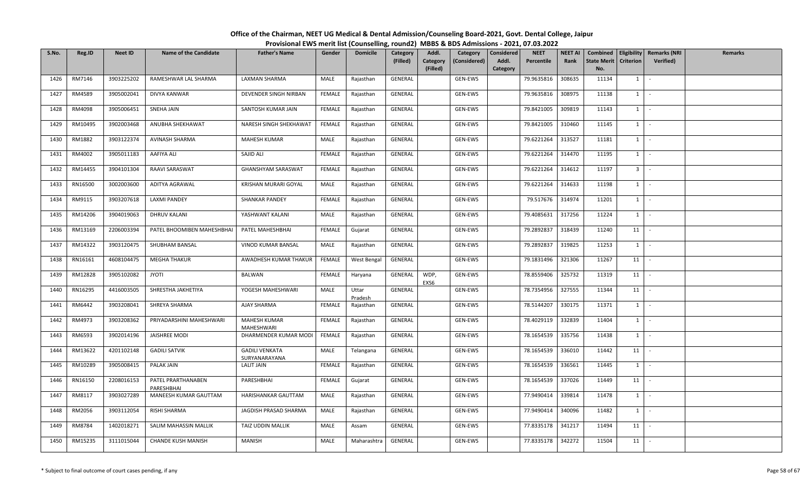| S.No. | Reg.ID  | <b>Neet ID</b> | <b>Name of the Candidate</b>     | <b>Father's Name</b>                   | Gender        | <b>Domicile</b>  | Category<br>(Filled) | Addl.<br>Category<br>(Filled) | Category<br>(Considered) | Considered<br>Addl.<br>Category | <b>NEET</b><br>Percentile | <b>NEET AI</b><br>Rank | Combined<br><b>State Merit</b><br>No. | <b>Criterion</b> | Eligibility   Remarks (NRI<br>Verified) | Remarks |
|-------|---------|----------------|----------------------------------|----------------------------------------|---------------|------------------|----------------------|-------------------------------|--------------------------|---------------------------------|---------------------------|------------------------|---------------------------------------|------------------|-----------------------------------------|---------|
| 1426  | RM7146  | 3903225202     | RAMESHWAR LAL SHARMA             | LAXMAN SHARMA                          | MALE          | Rajasthan        | GENERAL              |                               | GEN-EWS                  |                                 | 79.9635816                | 308635                 | 11134                                 | $1 \mid$         | $\sim$                                  |         |
| 1427  | RM4589  | 3905002041     | DIVYA KANWAR                     | DEVENDER SINGH NIRBAN                  | <b>FEMALE</b> | Rajasthan        | GENERAL              |                               | GEN-EWS                  |                                 | 79.9635816                | 308975                 | 11138                                 | $1 \vert$        | $\sim$                                  |         |
| 1428  | RM4098  | 3905006451     | SNEHA JAIN                       | SANTOSH KUMAR JAIN                     | FEMALE        | Rajasthan        | GENERAL              |                               | GEN-EWS                  |                                 | 79.8421005                | 309819                 | 11143                                 | $1 \quad$        | $\sim$                                  |         |
| 1429  | RM10495 | 3902003468     | ANUBHA SHEKHAWAT                 | NARESH SINGH SHEKHAWAT                 | FEMALE        | Rajasthan        | GENERAL              |                               | GEN-EWS                  |                                 | 79.8421005                | 310460                 | 11145                                 | $1 \mid$         | $\sim$                                  |         |
| 1430  | RM1882  | 3903122374     | AVINASH SHARMA                   | <b>MAHESH KUMAR</b>                    | MALE          | Rajasthan        | GENERAL              |                               | GEN-EWS                  |                                 | 79.6221264                | 313527                 | 11181                                 | $1 \mid$         | $\sim$                                  |         |
| 1431  | RM4002  | 3905011183     | AAFIYA ALI                       | SAJID ALI                              | FEMALE        | Rajasthan        | GENERAL              |                               | GEN-EWS                  |                                 | 79.6221264                | 314470                 | 11195                                 | $1 \quad$        | $\sim$                                  |         |
| 1432  | RM14455 | 3904101304     | RAAVI SARASWAT                   | <b>GHANSHYAM SARASWAT</b>              | <b>FEMALE</b> | Rajasthan        | <b>GENERAL</b>       |                               | GEN-EWS                  |                                 | 79.6221264                | 314612                 | 11197                                 | 3 <sup>1</sup>   | $\sim$                                  |         |
| 1433  | RN16500 | 3002003600     | ADITYA AGRAWAL                   | KRISHAN MURARI GOYAL                   | MALE          | Rajasthan        | GENERAL              |                               | GEN-EWS                  |                                 | 79.6221264                | 314633                 | 11198                                 | $1 \quad$        | $\sim$                                  |         |
| 1434  | RM9115  | 3903207618     | <b>LAXMI PANDEY</b>              | <b>SHANKAR PANDEY</b>                  | <b>FEMALE</b> | Rajasthan        | GENERAL              |                               | GEN-EWS                  |                                 | 79.517676                 | 314974                 | 11201                                 | $1 \vert$        | $\sim$                                  |         |
| 1435  | RM14206 | 3904019063     | DHRUV KALANI                     | YASHWANT KALANI                        | MALE          | Rajasthan        | GENERAL              |                               | GEN-EWS                  |                                 | 79.4085631                | 317256                 | 11224                                 | $1 \vert$        | $\sim$                                  |         |
| 1436  | RM13169 | 2206003394     | PATEL BHOOMIBEN MAHESHBHAI       | PATEL MAHESHBHAI                       | FEMALE        | Gujarat          | GENERAL              |                               | GEN-EWS                  |                                 | 79.2892837                | 318439                 | 11240                                 | 11               | $\sim$                                  |         |
| 1437  | RM14322 | 3903120475     | SHUBHAM BANSAL                   | VINOD KUMAR BANSAL                     | MALE          | Rajasthan        | GENERAL              |                               | GEN-EWS                  |                                 | 79.2892837                | 319825                 | 11253                                 | $1 \vert$        | $\sim$                                  |         |
| 1438  | RN16161 | 4608104475     | <b>MEGHA THAKUR</b>              | AWADHESH KUMAR THAKUR                  | <b>FEMALE</b> | West Bengal      | GENERAL              |                               | GEN-EWS                  |                                 | 79.1831496                | 321306                 | 11267                                 | 11               |                                         |         |
| 1439  | RM12828 | 3905102082     | <b>JYOTI</b>                     | BALWAN                                 | FEMALE        | Haryana          | GENERAL              | WDP,<br>EXS6                  | GEN-EWS                  |                                 | 78.8559406                | 325732                 | 11319                                 | 11               | $\sim$                                  |         |
| 1440  | RN16295 | 4416003505     | SHRESTHA JAKHETIYA               | YOGESH MAHESHWARI                      | MALE          | Uttar<br>Pradesh | GENERAL              |                               | GEN-EWS                  |                                 | 78.7354956                | 327555                 | 11344                                 | 11               | $\sim$                                  |         |
| 1441  | RM6442  | 3903208041     | SHREYA SHARMA                    | AJAY SHARMA                            | <b>FEMALE</b> | Rajasthan        | GENERAL              |                               | GEN-EWS                  |                                 | 78.5144207                | 330175                 | 11371                                 | 1                | $\sim$                                  |         |
| 1442  | RM4973  | 3903208362     | PRIYADARSHINI MAHESHWARI         | <b>MAHESH KUMAR</b><br>MAHESHWARI      | FEMALE        | Rajasthan        | GENERAL              |                               | GEN-EWS                  |                                 | 78.4029119                | 332839                 | 11404                                 | 1                | $\sim$                                  |         |
| 1443  | RM6593  | 3902014196     | <b>JAISHREE MODI</b>             | DHARMENDER KUMAR MODI                  | FEMALE        | Rajasthan        | GENERAL              |                               | GEN-EWS                  |                                 | 78.1654539                | 335756                 | 11438                                 | $1 \quad$        |                                         |         |
| 1444  | RM13622 | 4201102148     | <b>GADILI SATVIK</b>             | <b>GADILI VENKATA</b><br>SURYANARAYANA | MALE          | Telangana        | GENERAL              |                               | GEN-EWS                  |                                 | 78.1654539                | 336010                 | 11442                                 | 11               | $\sim$                                  |         |
| 1445  | RM10289 | 3905008415     | PALAK JAIN                       | <b>LALIT JAIN</b>                      | <b>FEMALE</b> | Rajasthan        | GENERAL              |                               | GEN-EWS                  |                                 | 78.1654539                | 336561                 | 11445                                 | $1 \mid$         | $\sim$                                  |         |
| 1446  | RN16150 | 2208016153     | PATEL PRARTHANABEN<br>PARESHBHAI | PARESHBHAI                             | <b>FEMALE</b> | Gujarat          | GENERAL              |                               | GEN-EWS                  |                                 | 78.1654539                | 337026                 | 11449                                 | 11               | $\sim$                                  |         |
| 1447  | RM8117  | 3903027289     | MANEESH KUMAR GAUTTAM            | HARISHANKAR GAUTTAM                    | MALE          | Rajasthan        | GENERAL              |                               | GEN-EWS                  |                                 | 77.9490414                | 339814                 | 11478                                 | $1 \quad$        | $\sim$                                  |         |
| 1448  | RM2056  | 3903112054     | RISHI SHARMA                     | JAGDISH PRASAD SHARMA                  | MALE          | Rajasthan        | GENERAL              |                               | GEN-EWS                  |                                 | 77.9490414                | 340096                 | 11482                                 | $1 \quad$        | $\sim$                                  |         |
| 1449  | RM8784  | 1402018271     | SALIM MAHASSIN MALLIK            | TAIZ UDDIN MALLIK                      | MALE          | Assam            | GENERAL              |                               | GEN-EWS                  |                                 | 77.8335178                | 341217                 | 11494                                 | 11               | $\sim$                                  |         |
| 1450  | RM15235 | 3111015044     | <b>CHANDE KUSH MANISH</b>        | <b>MANISH</b>                          | MALE          | Maharashtra      | GENERAL              |                               | GEN-EWS                  |                                 | 77.8335178                | 342272                 | 11504                                 | 11               |                                         |         |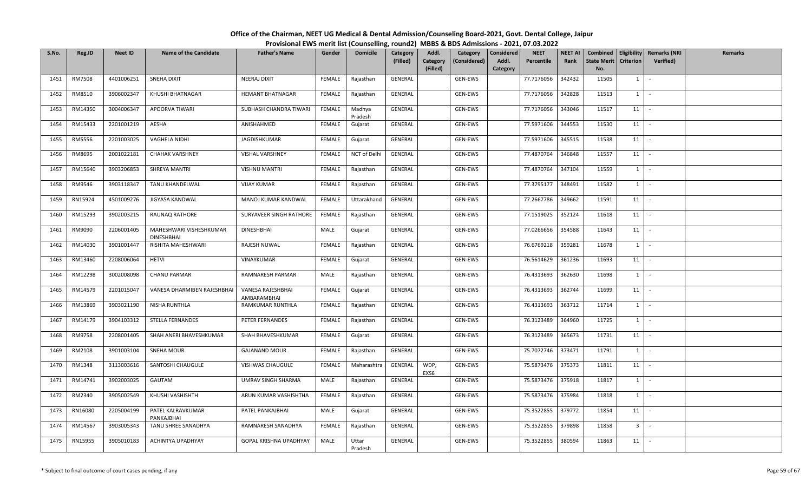| S.No. | Reg.ID        | <b>Neet ID</b> | <b>Name of the Candidate</b>                 | <b>Father's Name</b>             | Gender        | <b>Domicile</b>   | <b>Category</b><br>(Filled) | Addl.<br>Category<br>(Filled) | Category<br>(Considered) | Considered<br>Addl.<br>Category | <b>NEET</b><br>Percentile | <b>NEET AI</b><br>Rank | Combined<br><b>State Merit</b><br>No. | <b>Criterion</b>        | Eligibility   Remarks (NRI<br>Verified) | Remarks |
|-------|---------------|----------------|----------------------------------------------|----------------------------------|---------------|-------------------|-----------------------------|-------------------------------|--------------------------|---------------------------------|---------------------------|------------------------|---------------------------------------|-------------------------|-----------------------------------------|---------|
| 1451  | <b>RM7508</b> | 4401006251     | <b>SNEHA DIXIT</b>                           | <b>NEERAJ DIXIT</b>              | FEMALE        | Rajasthan         | GENERAL                     |                               | GEN-EWS                  |                                 | 77.7176056                | 342432                 | 11505                                 | $1 \mid$                | $\sim$                                  |         |
| 1452  | RM8510        | 3906002347     | KHUSHI BHATNAGAR                             | <b>HEMANT BHATNAGAR</b>          | <b>FEMALE</b> | Rajasthan         | GENERAL                     |                               | GEN-EWS                  |                                 | 77.7176056                | 342828                 | 11513                                 | $1 \vert$               | $\sim$                                  |         |
| 1453  | RM14350       | 3004006347     | APOORVA TIWARI                               | SUBHASH CHANDRA TIWARI           | FEMALE        | Madhya<br>Pradesh | GENERAL                     |                               | GEN-EWS                  |                                 | 77.7176056                | 343046                 | 11517                                 | 11                      |                                         |         |
| 1454  | RM15433       | 2201001219     | AESHA                                        | ANISHAHMED                       | FEMALE        | Gujarat           | GENERAL                     |                               | GEN-EWS                  |                                 | 77.5971606                | 344553                 | 11530                                 | 11                      |                                         |         |
| 1455  | RM5556        | 2201003025     | VAGHELA NIDHI                                | JAGDISHKUMAR                     | FEMALE        | Gujarat           | GENERAL                     |                               | GEN-EWS                  |                                 | 77.5971606                | 345515                 | 11538                                 | 11                      | $\sim$                                  |         |
| 1456  | RM8695        | 2001022181     | <b>CHAHAK VARSHNEY</b>                       | VISHAL VARSHNEY                  | FEMALE        | NCT of Delhi      | GENERAL                     |                               | GEN-EWS                  |                                 | 77.4870764                | 346848                 | 11557                                 | 11                      | $\sim$                                  |         |
| 1457  | RM15640       | 3903206853     | SHREYA MANTRI                                | <b>VISHNU MANTRI</b>             | <b>FEMALE</b> | Rajasthan         | GENERAL                     |                               | GEN-EWS                  |                                 | 77.4870764                | 347104                 | 11559                                 | $1 \mid$                | $\sim$                                  |         |
| 1458  | RM9546        | 3903118347     | TANU KHANDELWAL                              | <b>VIJAY KUMAR</b>               | <b>FEMALE</b> | Rajasthan         | GENERAL                     |                               | GEN-EWS                  |                                 | 77.3795177                | 348491                 | 11582                                 | 1                       | $\sim$                                  |         |
| 1459  | RN15924       | 4501009276     | JIGYASA KANDWAL                              | MANOJ KUMAR KANDWAL              | FEMALE        | Uttarakhand       | GENERAL                     |                               | GEN-EWS                  |                                 | 77.2667786                | 349662                 | 11591                                 | 11                      | $\sim$                                  |         |
| 1460  | RM15293       | 3902003215     | RAUNAQ RATHORE                               | SURYAVEER SINGH RATHORE          | <b>FEMALE</b> | Rajasthan         | GENERAL                     |                               | GEN-EWS                  |                                 | 77.1519025                | 352124                 | 11618                                 | 11                      | $\overline{\phantom{a}}$                |         |
| 1461  | RM9090        | 2206001405     | MAHESHWARI VISHESHKUMAR<br><b>DINESHBHAI</b> | <b>DINESHBHAI</b>                | MALE          | Gujarat           | GENERAL                     |                               | GEN-EWS                  |                                 | 77.0266656                | 354588                 | 11643                                 | 11                      | $\sim$                                  |         |
| 1462  | RM14030       | 3901001447     | RISHITA MAHESHWARI                           | RAJESH NUWAL                     | FEMALE        | Rajasthan         | GENERAL                     |                               | GEN-EWS                  |                                 | 76.6769218                | 359281                 | 11678                                 | $1 \quad$               | $\sim$                                  |         |
| 1463  | RM13460       | 2208006064     | <b>HETVI</b>                                 | VINAYKUMAR                       | FEMALE        | Gujarat           | GENERAL                     |                               | GEN-EWS                  |                                 | 76.5614629                | 361236                 | 11693                                 | 11                      | $\sim$                                  |         |
| 1464  | RM12298       | 3002008098     | <b>CHANU PARMAR</b>                          | RAMNARESH PARMAR                 | MALE          | Rajasthan         | GENERAL                     |                               | GEN-EWS                  |                                 | 76.4313693                | 362630                 | 11698                                 | $1 \mid$                | $\sim$                                  |         |
| 1465  | RM14579       | 2201015047     | VANESA DHARMIBEN RAJESHBHAI                  | VANESA RAJESHBHAI<br>AMBARAMBHAI | <b>FEMALE</b> | Gujarat           | GENERAL                     |                               | GEN-EWS                  |                                 | 76.4313693                | 362744                 | 11699                                 | 11                      | $\sim$                                  |         |
| 1466  | RM13869       | 3903021190     | NISHA RUNTHLA                                | RAMKUMAR RUNTHLA                 | <b>FEMALE</b> | Rajasthan         | GENERAL                     |                               | GEN-EWS                  |                                 | 76.4313693                | 363712                 | 11714                                 | $1 \quad$               | $\sim$                                  |         |
| 1467  | RM14179       | 3904103312     | STELLA FERNANDES                             | PETER FERNANDES                  | <b>FEMALE</b> | Rajasthan         | <b>GENERAL</b>              |                               | GEN-EWS                  |                                 | 76.3123489                | 364960                 | 11725                                 | $1 \vert$               | $\sim$                                  |         |
| 1468  | RM9758        | 2208001405     | SHAH ANERI BHAVESHKUMAR                      | SHAH BHAVESHKUMAR                | FEMALE        | Gujarat           | GENERAL                     |                               | GEN-EWS                  |                                 | 76.3123489                | 365673                 | 11731                                 | 11                      | $\sim$                                  |         |
| 1469  | RM2108        | 3901003104     | <b>SNEHA MOUR</b>                            | <b>GAJANAND MOUR</b>             | FEMALE        | Rajasthan         | GENERAL                     |                               | GEN-EWS                  |                                 | 75.7072746                | 373471                 | 11791                                 | 1                       | $\sim$                                  |         |
| 1470  | RM1348        | 3113003616     | SANTOSHI CHAUGULE                            | VISHWAS CHAUGULE                 | FEMALE        | Maharashtra       | GENERAL                     | WDP,<br>EXS6                  | GEN-EWS                  |                                 | 75.5873476                | 375373                 | 11811                                 | 11                      |                                         |         |
| 1471  | RM14741       | 3902003025     | GAUTAM                                       | UMRAV SINGH SHARMA               | MALE          | Rajasthan         | GENERAL                     |                               | GEN-EWS                  |                                 | 75.5873476                | 375918                 | 11817                                 | $1 \mid$                | $\sim$                                  |         |
| 1472  | RM2340        | 3905002549     | KHUSHI VASHISHTH                             | ARUN KUMAR VASHISHTHA            | FEMALE        | Rajasthan         | GENERAL                     |                               | GEN-EWS                  |                                 | 75.5873476                | 375984                 | 11818                                 | $1 \quad$               | $\sim$                                  |         |
| 1473  | RN16080       | 2205004199     | PATEL KALRAVKUMAR<br>PANKAJBHAI              | PATEL PANKAJBHAI                 | MALE          | Gujarat           | GENERAL                     |                               | GEN-EWS                  |                                 | 75.3522855                | 379772                 | 11854                                 | 11                      | $\sim$                                  |         |
| 1474  | RM14567       | 3903005343     | TANU SHREE SANADHYA                          | RAMNARESH SANADHYA               | <b>FEMALE</b> | Rajasthan         | GENERAL                     |                               | GEN-EWS                  |                                 | 75.3522855                | 379898                 | 11858                                 | $\overline{\mathbf{3}}$ | $\sim$                                  |         |
| 1475  | RN15955       | 3905010183     | ACHINTYA UPADHYAY                            | GOPAL KRISHNA UPADHYAY           | MALE          | Uttar<br>Pradesh  | GENERAL                     |                               | GEN-EWS                  |                                 | 75.3522855                | 380594                 | 11863                                 | 11                      |                                         |         |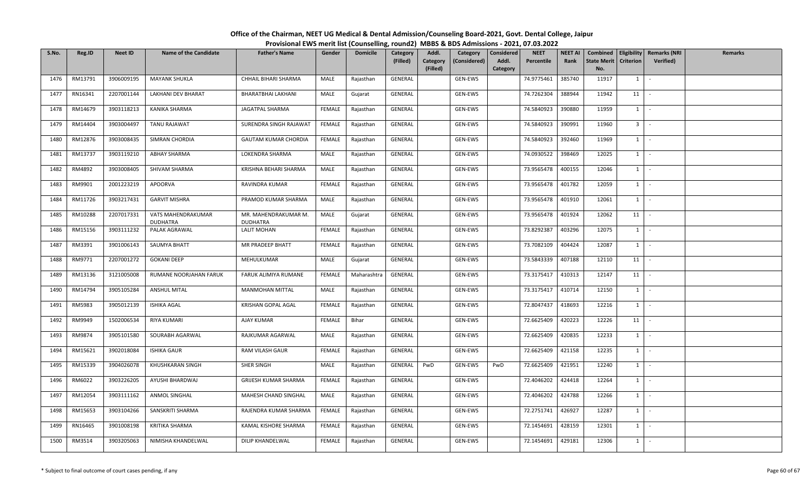| S.No. | Reg.ID  | <b>Neet ID</b> | <b>Name of the Candidate</b>          | <b>Father's Name</b>                    | Gender        | <b>Domicile</b> | <b>Category</b><br>(Filled) | Addl.<br>Category<br>(Filled) | Category<br>(Considered) | Considered<br>Addl.<br>Category | <b>NEET</b><br>Percentile | <b>NEET AI</b><br>Rank | Combined<br><b>State Merit</b><br>No. | <b>Criterion</b> | <b>Eligibility Remarks (NRI</b><br>Verified) | Remarks |
|-------|---------|----------------|---------------------------------------|-----------------------------------------|---------------|-----------------|-----------------------------|-------------------------------|--------------------------|---------------------------------|---------------------------|------------------------|---------------------------------------|------------------|----------------------------------------------|---------|
| 1476  | RM13791 | 3906009195     | <b>MAYANK SHUKLA</b>                  | CHHAIL BIHARI SHARMA                    | MALE          | Rajasthan       | GENERAL                     |                               | GEN-EWS                  |                                 | 74.9775461                | 385740                 | 11917                                 | 1                | $\sim$                                       |         |
| 1477  | RN16341 | 2207001144     | LAKHANI DEV BHARAT                    | BHARATBHAI LAKHANI                      | MALE          | Gujarat         | GENERAL                     |                               | GEN-EWS                  |                                 | 74.7262304                | 388944                 | 11942                                 | 11               | $\sim$                                       |         |
| 1478  | RM14679 | 3903118213     | KANIKA SHARMA                         | JAGATPAL SHARMA                         | <b>FEMALE</b> | Rajasthan       | GENERAL                     |                               | GEN-EWS                  |                                 | 74.5840923                | 390880                 | 11959                                 | $1 \vert$        | $\sim$                                       |         |
| 1479  | RM14404 | 3903004497     | <b>TANU RAJAWAT</b>                   | SURENDRA SINGH RAJAWAT                  | FEMALE        | Rajasthan       | GENERAL                     |                               | GEN-EWS                  |                                 | 74.5840923                | 390991                 | 11960                                 | 3 <sup>1</sup>   | $\mathcal{L}_{\mathcal{A}}$                  |         |
| 1480  | RM12876 | 3903008435     | SIMRAN CHORDIA                        | <b>GAUTAM KUMAR CHORDIA</b>             | FEMALE        | Rajasthan       | GENERAL                     |                               | GEN-EWS                  |                                 | 74.5840923                | 392460                 | 11969                                 | 1                | $\sim$                                       |         |
| 1481  | RM13737 | 3903119210     | <b>ABHAY SHARMA</b>                   | LOKENDRA SHARMA                         | MALE          | Rajasthan       | GENERAL                     |                               | GEN-EWS                  |                                 | 74.0930522                | 398469                 | 12025                                 | $1 \vert$        | $\sim$                                       |         |
| 1482  | RM4892  | 3903008405     | SHIVAM SHARMA                         | KRISHNA BEHARI SHARMA                   | MALE          | Rajasthan       | GENERAL                     |                               | GEN-EWS                  |                                 | 73.9565478                | 400155                 | 12046                                 | $1 \vert$        | $\sim$                                       |         |
| 1483  | RM9901  | 2001223219     | APOORVA                               | RAVINDRA KUMAR                          | FEMALE        | Rajasthan       | GENERAL                     |                               | GEN-EWS                  |                                 | 73.9565478                | 401782                 | 12059                                 | $1 \vert$        | $\sim$                                       |         |
| 1484  | RM11726 | 3903217431     | <b>GARVIT MISHRA</b>                  | PRAMOD KUMAR SHARMA                     | MALE          | Rajasthan       | GENERAL                     |                               | GEN-EWS                  |                                 | 73.9565478                | 401910                 | 12061                                 | $1 \vert$        | $\sim$                                       |         |
| 1485  | RM10288 | 2207017331     | VATS MAHENDRAKUMAR<br><b>DUDHATRA</b> | MR. MAHENDRAKUMAR M.<br><b>DUDHATRA</b> | MALE          | Gujarat         | GENERAL                     |                               | GEN-EWS                  |                                 | 73.9565478                | 401924                 | 12062                                 | 11               |                                              |         |
| 1486  | RM15156 | 3903111232     | PALAK AGRAWAL                         | <b>LALIT MOHAN</b>                      | FEMALE        | Rajasthan       | GENERAL                     |                               | GEN-EWS                  |                                 | 73.8292387                | 403296                 | 12075                                 | $1$ $-$          |                                              |         |
| 1487  | RM3391  | 3901006143     | SAUMYA BHATT                          | MR PRADEEP BHATT                        | <b>FEMALE</b> | Rajasthan       | GENERAL                     |                               | GEN-EWS                  |                                 | 73.7082109                | 404424                 | 12087                                 | $1 \vert$        | $\sim$                                       |         |
| 1488  | RM9771  | 2207001272     | <b>GOKANI DEEP</b>                    | MEHULKUMAR                              | MALE          | Gujarat         | GENERAL                     |                               | GEN-EWS                  |                                 | 73.5843339                | 407188                 | 12110                                 | 11               |                                              |         |
| 1489  | RM13136 | 3121005008     | RUMANE NOORJAHAN FARUK                | FARUK ALIMIYA RUMANE                    | <b>FEMALE</b> | Maharashtra     | GENERAL                     |                               | GEN-EWS                  |                                 | 73.3175417                | 410313                 | 12147                                 | 11               | $\sim$                                       |         |
| 1490  | RM14794 | 3905105284     | <b>ANSHUL MITAL</b>                   | <b>MANMOHAN MITTAL</b>                  | MALE          | Rajasthan       | GENERAL                     |                               | GEN-EWS                  |                                 | 73.3175417                | 410714                 | 12150                                 | 1                | $\mathcal{L}$                                |         |
| 1491  | RM5983  | 3905012139     | <b>ISHIKA AGAL</b>                    | KRISHAN GOPAL AGAL                      | FEMALE        | Rajasthan       | GENERAL                     |                               | GEN-EWS                  |                                 | 72.8047437                | 418693                 | 12216                                 | $1$ $-$          |                                              |         |
| 1492  | RM9949  | 1502006534     | <b>RIYA KUMARI</b>                    | AJAY KUMAR                              | FEMALE        | Bihar           | GENERAL                     |                               | GEN-EWS                  |                                 | 72.6625409                | 420223                 | 12226                                 | 11               | $\overline{\phantom{a}}$                     |         |
| 1493  | RM9874  | 3905101580     | SOURABH AGARWAL                       | RAJKUMAR AGARWAL                        | MALE          | Rajasthan       | GENERAL                     |                               | GEN-EWS                  |                                 | 72.6625409                | 420835                 | 12233                                 | 1                | $\sim$                                       |         |
| 1494  | RM15621 | 3902018084     | <b>ISHIKA GAUR</b>                    | RAM VILASH GAUR                         | <b>FEMALE</b> | Rajasthan       | GENERAL                     |                               | GEN-EWS                  |                                 | 72.6625409                | 421158                 | 12235                                 | $1 \vert$        | $\sim$                                       |         |
| 1495  | RM15339 | 3904026078     | KHUSHKARAN SINGH                      | SHER SINGH                              | MALE          | Rajasthan       | GENERAL                     | PwD                           | GEN-EWS                  | PwD                             | 72.6625409                | 421951                 | 12240                                 | $1 \vert$        | $\overline{\phantom{a}}$                     |         |
| 1496  | RM6022  | 3903226205     | AYUSHI BHARDWAJ                       | GRIJESH KUMAR SHARMA                    | FEMALE        | Rajasthan       | GENERAL                     |                               | GEN-EWS                  |                                 | 72.4046202                | 424418                 | 12264                                 | $1 \vert$        | $\sim$                                       |         |
| 1497  | RM12054 | 3903111162     | ANMOL SINGHAL                         | MAHESH CHAND SINGHAL                    | MALE          | Rajasthan       | GENERAL                     |                               | GEN-EWS                  |                                 | 72.4046202                | 424788                 | 12266                                 | $1 \vert$        | $\sim$                                       |         |
| 1498  | RM15653 | 3903104266     | SANSKRITI SHARMA                      | RAJENDRA KUMAR SHARMA                   | <b>FEMALE</b> | Rajasthan       | GENERAL                     |                               | GEN-EWS                  |                                 | 72.2751741                | 426927                 | 12287                                 | $1 \vert$        | $\sim$                                       |         |
| 1499  | RN16465 | 3901008198     | KRITIKA SHARMA                        | KAMAL KISHORE SHARMA                    | FEMALE        | Rajasthan       | GENERAL                     |                               | GEN-EWS                  |                                 | 72.1454691                | 428159                 | 12301                                 | $1 \vert$        | $\sim$                                       |         |
| 1500  | RM3514  | 3903205063     | NIMISHA KHANDELWAL                    | DILIP KHANDELWAL                        | FEMALE        | Rajasthan       | GENERAL                     |                               | GEN-EWS                  |                                 | 72.1454691                | 429181                 | 12306                                 | $1 \vert$        | $\sim$                                       |         |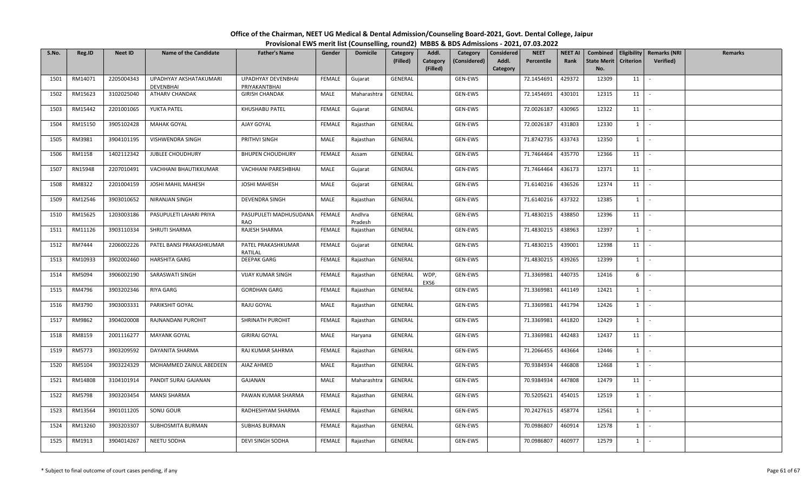| S.No. | Reg.ID  | <b>Neet ID</b> | <b>Name of the Candidate</b> | <b>Father's Name</b>                 | Gender        | <b>Domicile</b>   | <b>Category</b><br>(Filled) | Addl.<br>Category<br>(Filled) | Category<br>(Considered) | <b>Considered</b><br>Addl.<br>Category | <b>NEET</b><br>Percentile | <b>NEET AI</b><br>Rank | Combined<br><b>State Merit</b><br>No. | <b>Criterion</b> | Eligibility   Remarks (NRI<br>Verified) | Remarks |
|-------|---------|----------------|------------------------------|--------------------------------------|---------------|-------------------|-----------------------------|-------------------------------|--------------------------|----------------------------------------|---------------------------|------------------------|---------------------------------------|------------------|-----------------------------------------|---------|
| 1501  | RM14071 | 2205004343     | UPADHYAY AKSHATAKUMARI       | UPADHYAY DEVENBHAI                   | <b>FEMALE</b> | Gujarat           | GENERAL                     |                               | GEN-EWS                  |                                        | 72.1454691                | 429372                 | 12309                                 | 11               | $\mathcal{L}_{\mathcal{A}}$             |         |
|       |         |                | <b>DEVENBHAI</b>             | PRIYAKANTBHAI                        |               |                   |                             |                               |                          |                                        |                           |                        |                                       |                  |                                         |         |
| 1502  | RM15623 | 3102025040     | ATHARV CHANDAK               | <b>GIRISH CHANDAK</b>                | MALE          | Maharashtra       | GENERAL                     |                               | GEN-EWS                  |                                        | 72.1454691                | 430101                 | 12315                                 | 11               | $\sim$                                  |         |
| 1503  | RM15442 | 2201001065     | YUKTA PATEL                  | KHUSHABU PATEL                       | <b>FEMALE</b> | Gujarat           | GENERAL                     |                               | GEN-EWS                  |                                        | 72.0026187                | 430965                 | 12322                                 | 11               |                                         |         |
| 1504  | RM15150 | 3905102428     | <b>MAHAK GOYAL</b>           | AJAY GOYAL                           | <b>FEMALE</b> | Rajasthan         | GENERAL                     |                               | GEN-EWS                  |                                        | 72.0026187                | 431803                 | 12330                                 | $1\vert$         | $\sim$                                  |         |
| 1505  | RM3981  | 3904101195     | VISHWENDRA SINGH             | PRITHVI SINGH                        | MALE          | Rajasthan         | GENERAL                     |                               | GEN-EWS                  |                                        | 71.8742735                | 433743                 | 12350                                 | $1\vert$         | $\sim$                                  |         |
| 1506  | RM1158  | 1402112342     | <b>JUBLEE CHOUDHURY</b>      | <b>BHUPEN CHOUDHURY</b>              | <b>FEMALE</b> | Assam             | GENERAL                     |                               | GEN-EWS                  |                                        | 71.7464464                | 435770                 | 12366                                 | 11               | $\sim$                                  |         |
| 1507  | RN15948 | 2207010491     | VACHHANI BHAUTIKKUMAR        | VACHHANI PARESHBHAI                  | MALE          | Gujarat           | GENERAL                     |                               | GEN-EWS                  |                                        | 71.7464464                | 436173                 | 12371                                 | 11               | $\sim$                                  |         |
| 1508  | RM8322  | 2201004159     | JOSHI MAHIL MAHESH           | <b>JOSHI MAHESH</b>                  | MALE          | Gujarat           | GENERAL                     |                               | GEN-EWS                  |                                        | 71.6140216                | 436526                 | 12374                                 | 11               | $\sim$                                  |         |
| 1509  | RM12546 | 3903010652     | NIRANJAN SINGH               | DEVENDRA SINGH                       | MALE          | Rajasthan         | GENERAL                     |                               | GEN-EWS                  |                                        | 71.6140216                | 437322                 | 12385                                 | $1\vert$         | $\sim$                                  |         |
| 1510  | RM15625 | 1203003186     | PASUPULETI LAHARI PRIYA      | PASUPULETI MADHUSUDANA<br><b>RAO</b> | FEMALE        | Andhra<br>Pradesh | GENERAL                     |                               | GEN-EWS                  |                                        | 71.4830215                | 438850                 | 12396                                 | 11               |                                         |         |
| 1511  | RM11126 | 3903110334     | SHRUTI SHARMA                | RAJESH SHARMA                        | FEMALE        | Rajasthan         | GENERAL                     |                               | GEN-EWS                  |                                        | 71.4830215                | 438963                 | 12397                                 | $1 \mid$         | $\sim$                                  |         |
| 1512  | RM7444  | 2206002226     | PATEL BANSI PRAKASHKUMAR     | PATEL PRAKASHKUMAR<br>RATILAL        | <b>FEMALE</b> | Gujarat           | GENERAL                     |                               | GEN-EWS                  |                                        | 71.4830215                | 439001                 | 12398                                 | 11               | $\sim$                                  |         |
| 1513  | RM10933 | 3902002460     | <b>HARSHITA GARG</b>         | <b>DEEPAK GARG</b>                   | FEMALE        | Rajasthan         | GENERAL                     |                               | GEN-EWS                  |                                        | 71.4830215                | 439265                 | 12399                                 | $1 \quad$        | $\overline{\phantom{a}}$                |         |
| 1514  | RM5094  | 3906002190     | SARASWATI SINGH              | <b>VIJAY KUMAR SINGH</b>             | FEMALE        | Rajasthan         | GENERAL                     | WDP,<br>EXS6                  | GEN-EWS                  |                                        | 71.3369981                | 440735                 | 12416                                 | 6                | $\sim$                                  |         |
| 1515  | RM4796  | 3903202346     | RIYA GARG                    | <b>GORDHAN GARG</b>                  | <b>FEMALE</b> | Rajasthan         | GENERAL                     |                               | GEN-EWS                  |                                        | 71.3369981                | 441149                 | 12421                                 | $1 \vert$        | $\sim$                                  |         |
| 1516  | RM3790  | 3903003331     | PARIKSHIT GOYAL              | RAJU GOYAL                           | MALE          | Rajasthan         | GENERAL                     |                               | GEN-EWS                  |                                        | 71.3369981                | 441794                 | 12426                                 | $1 \mid$         | $\sim$                                  |         |
| 1517  | RM9862  | 3904020008     | RAJNANDANI PUROHIT           | SHRINATH PUROHIT                     | <b>FEMALE</b> | Rajasthan         | GENERAL                     |                               | GEN-EWS                  |                                        | 71.3369981                | 441820                 | 12429                                 | 1                | $\sim$                                  |         |
| 1518  | RM8159  | 2001116277     | MAYANK GOYAL                 | <b>GIRIRAJ GOYAL</b>                 | MALE          | Haryana           | GENERAL                     |                               | GEN-EWS                  |                                        | 71.3369981                | 442483                 | 12437                                 | 11               |                                         |         |
| 1519  | RM5773  | 3903209592     | DAYANITA SHARMA              | RAJ KUMAR SAHRMA                     | <b>FEMALE</b> | Rajasthan         | GENERAL                     |                               | GEN-EWS                  |                                        | 71.2066455                | 443664                 | 12446                                 | $1\vert$         | $\sim$                                  |         |
| 1520  | RM5104  | 3903224329     | MOHAMMED ZAINUL ABEDEEN      | AIAZ AHMED                           | MALE          | Rajasthan         | GENERAL                     |                               | GEN-EWS                  |                                        | 70.9384934                | 446808                 | 12468                                 | $1 \quad$        | $\sim$                                  |         |
| 1521  | RM14808 | 3104101914     | PANDIT SURAJ GAJANAN         | GAJANAN                              | MALE          | Maharashtra       | GENERAL                     |                               | GEN-EWS                  |                                        | 70.9384934                | 447808                 | 12479                                 | 11               | $\sim$                                  |         |
| 1522  | RM5798  | 3903203454     | <b>MANSI SHARMA</b>          | PAWAN KUMAR SHARMA                   | FEMALE        | Rajasthan         | GENERAL                     |                               | GEN-EWS                  |                                        | 70.5205621                | 454015                 | 12519                                 | $1 \quad$        | $\sim$                                  |         |
| 1523  | RM13564 | 3901011205     | SONU GOUR                    | RADHESHYAM SHARMA                    | <b>FEMALE</b> | Rajasthan         | GENERAL                     |                               | GEN-EWS                  |                                        | 70.2427615                | 458774                 | 12561                                 | $1 \quad$        | $\sim$                                  |         |
| 1524  | RM13260 | 3903203307     | SUBHOSMITA BURMAN            | SUBHAS BURMAN                        | FEMALE        | Rajasthan         | GENERAL                     |                               | GEN-EWS                  |                                        | 70.0986807                | 460914                 | 12578                                 | $1\vert$         | $\sim$                                  |         |
| 1525  | RM1913  | 3904014267     | NEETU SODHA                  | DEVI SINGH SODHA                     | FEMALE        | Rajasthan         | GENERAL                     |                               | GEN-EWS                  |                                        | 70.0986807                | 460977                 | 12579                                 | $1\phantom{0}$   | $\sim$                                  |         |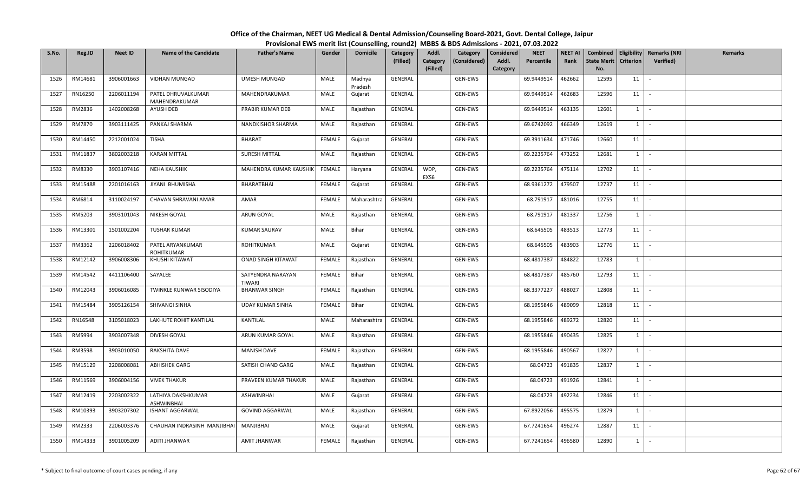| S.No. | Reg.ID  | <b>Neet ID</b> | <b>Name of the Candidate</b>            | <b>Father's Name</b>               | Gender        | <b>Domicile</b>   | Category<br>(Filled) | Addl.<br>Category<br>(Filled) | Category<br>(Considered) | <b>Considered</b><br>Addl.<br>Category | <b>NEET</b><br>Percentile | <b>NEET AI</b><br>Rank | Combined<br><b>State Merit</b><br>No. | <b>Criterion</b> | Eligibility   Remarks (NRI<br>Verified) | Remarks |
|-------|---------|----------------|-----------------------------------------|------------------------------------|---------------|-------------------|----------------------|-------------------------------|--------------------------|----------------------------------------|---------------------------|------------------------|---------------------------------------|------------------|-----------------------------------------|---------|
| 1526  | RM14681 | 3906001663     | <b>VIDHAN MUNGAD</b>                    | <b>UMESH MUNGAD</b>                | MALE          | Madhya<br>Pradesh | GENERAL              |                               | GEN-EWS                  |                                        | 69.9449514                | 462662                 | 12595                                 | 11               | $\mathcal{L}_{\mathcal{A}}$             |         |
| 1527  | RN16250 | 2206011194     | PATEL DHRUVALKUMAR<br>MAHENDRAKUMAR     | MAHENDRAKUMAR                      | MALE          | Gujarat           | GENERAL              |                               | GEN-EWS                  |                                        | 69.9449514                | 462683                 | 12596                                 | 11               | $\sim$                                  |         |
| 1528  | RM2836  | 1402008268     | AYUSH DEB                               | PRABIR KUMAR DEB                   | MALE          | Rajasthan         | GENERAL              |                               | GEN-EWS                  |                                        | 69.9449514                | 463135                 | 12601                                 | $1 \quad$        | $\sim$                                  |         |
| 1529  | RM7870  | 3903111425     | PANKAJ SHARMA                           | NANDKISHOR SHARMA                  | MALE          | Rajasthan         | GENERAL              |                               | GEN-EWS                  |                                        | 69.6742092                | 466349                 | 12619                                 | $1\vert$         | $\sim$                                  |         |
| 1530  | RM14450 | 2212001024     | <b>TISHA</b>                            | <b>BHARAT</b>                      | FEMALE        | Gujarat           | GENERAL              |                               | GEN-EWS                  |                                        | 69.3911634                | 471746                 | 12660                                 | 11               | $\sim$                                  |         |
| 1531  | RM11837 | 3802003218     | <b>KARAN MITTAL</b>                     | SURESH MITTAL                      | MALE          | Rajasthan         | GENERAL              |                               | GEN-EWS                  |                                        | 69.2235764                | 473252                 | 12681                                 | $1 \quad$        | $\sim$                                  |         |
| 1532  | RM8330  | 3903107416     | NEHA KAUSHIK                            | MAHENDRA KUMAR KAUSHIK             | FEMALE        | Haryana           | GENERAL              | WDP,<br>EXS6                  | GEN-EWS                  |                                        | 69.2235764                | 475114                 | 12702                                 | 11               | $\sim$                                  |         |
| 1533  | RM15488 | 2201016163     | JIYANI BHUMISHA                         | BHARATBHAI                         | <b>FEMALE</b> | Gujarat           | GENERAL              |                               | GEN-EWS                  |                                        | 68.9361272                | 479507                 | 12737                                 | 11               | $\sim$                                  |         |
| 1534  | RM6814  | 3110024197     | CHAVAN SHRAVANI AMAR                    | AMAR                               | <b>FEMALE</b> | Maharashtra       | GENERAL              |                               | GEN-EWS                  |                                        | 68.791917                 | 481016                 | 12755                                 | 11               |                                         |         |
| 1535  | RM5203  | 3903101043     | NIKESH GOYAL                            | ARUN GOYAL                         | MALE          | Rajasthan         | GENERAL              |                               | GEN-EWS                  |                                        | 68.791917                 | 481337                 | 12756                                 | $1 \quad$        | $\sim$                                  |         |
| 1536  | RM13301 | 1501002204     | <b>TUSHAR KUMAR</b>                     | <b>KUMAR SAURAV</b>                | MALE          | Bihar             | GENERAL              |                               | GEN-EWS                  |                                        | 68.645505                 | 483513                 | 12773                                 | 11               | $\sim$                                  |         |
| 1537  | RM3362  | 2206018402     | PATEL ARYANKUMAR<br>ROHITKUMAR          | ROHITKUMAR                         | MALE          | Gujarat           | GENERAL              |                               | GEN-EWS                  |                                        | 68.645505                 | 483903                 | 12776                                 | 11               | $\sim$                                  |         |
| 1538  | RM12142 | 3906008306     | KHUSHI KITAWAT                          | <b>ONAD SINGH KITAWAT</b>          | <b>FEMALE</b> | Rajasthan         | GENERAL              |                               | GEN-EWS                  |                                        | 68.4817387                | 484822                 | 12783                                 | $1 \quad$        | $\sim$                                  |         |
| 1539  | RM14542 | 4411106400     | SAYALEE                                 | SATYENDRA NARAYAN<br><b>TIWARI</b> | FEMALE        | Bihar             | GENERAL              |                               | GEN-EWS                  |                                        | 68.4817387                | 485760                 | 12793                                 | 11               | $\sim$                                  |         |
| 1540  | RM12043 | 3906016085     | TWINKLE KUNWAR SISODIYA                 | <b>BHANWAR SINGH</b>               | <b>FEMALE</b> | Rajasthan         | GENERAL              |                               | GEN-EWS                  |                                        | 68.3377227                | 488027                 | 12808                                 | 11               | $\sim$                                  |         |
| 1541  | RM15484 | 3905126154     | SHIVANGI SINHA                          | <b>UDAY KUMAR SINHA</b>            | <b>FEMALE</b> | Bihar             | GENERAL              |                               | GEN-EWS                  |                                        | 68.1955846                | 489099                 | 12818                                 | 11               | $\sim$                                  |         |
| 1542  | RN16548 | 3105018023     | LAKHUTE ROHIT KANTILAL                  | <b>KANTILAL</b>                    | MALE          | Maharashtra       | GENERAL              |                               | GEN-EWS                  |                                        | 68.1955846                | 489272                 | 12820                                 | 11               |                                         |         |
| 1543  | RM5994  | 3903007348     | DIVESH GOYAL                            | ARUN KUMAR GOYAL                   | MALE          | Rajasthan         | GENERAL              |                               | GEN-EWS                  |                                        | 68.1955846                | 490435                 | 12825                                 | $1 \quad$        |                                         |         |
| 1544  | RM3598  | 3903010050     | RAKSHITA DAVE                           | <b>MANISH DAVE</b>                 | <b>FEMALE</b> | Rajasthan         | GENERAL              |                               | GEN-EWS                  |                                        | 68.1955846                | 490567                 | 12827                                 | $1\vert$         | $\sim$                                  |         |
| 1545  | RM15129 | 2208008081     | <b>ABHISHEK GARG</b>                    | SATISH CHAND GARG                  | MALE          | Rajasthan         | GENERAL              |                               | GEN-EWS                  |                                        | 68.04723                  | 491835                 | 12837                                 | $1\vert$         | $\sim$                                  |         |
| 1546  | RM11569 | 3906004156     | <b>VIVEK THAKUR</b>                     | PRAVEEN KUMAR THAKUR               | MALE          | Rajasthan         | GENERAL              |                               | GEN-EWS                  |                                        | 68.04723                  | 491926                 | 12841                                 | $1 \vert$        | $\sim$                                  |         |
| 1547  | RM12419 | 2203002322     | LATHIYA DAKSHKUMAR<br><b>ASHWINBHAI</b> | ASHWINBHAI                         | MALE          | Gujarat           | GENERAL              |                               | GEN-EWS                  |                                        | 68.04723                  | 492234                 | 12846                                 | 11               | $\sim$                                  |         |
| 1548  | RM10393 | 3903207302     | <b>ISHANT AGGARWAL</b>                  | <b>GOVIND AGGARWAL</b>             | MALE          | Rajasthan         | GENERAL              |                               | GEN-EWS                  |                                        | 67.8922056                | 495575                 | 12879                                 | $1 \quad$        | $\sim$                                  |         |
| 1549  | RM2333  | 2206003376     | CHAUHAN INDRASINH MANJIBHA              | MANJIBHAI                          | MALE          | Gujarat           | GENERAL              |                               | GEN-EWS                  |                                        | 67.7241654                | 496274                 | 12887                                 | 11               | $\sim$                                  |         |
| 1550  | RM14333 | 3901005209     | ADITI JHANWAR                           | AMIT JHANWAR                       | FEMALE        | Rajasthan         | GENERAL              |                               | GEN-EWS                  |                                        | 67.7241654                | 496580                 | 12890                                 | $1 \mid$         | $\sim$                                  |         |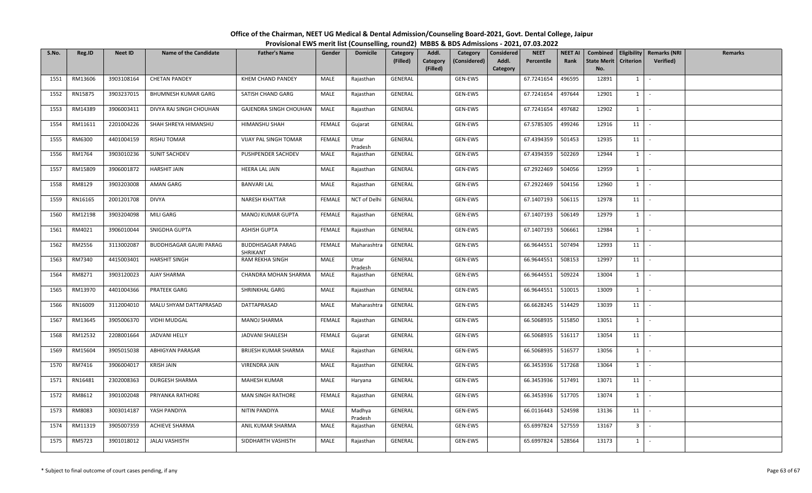| S.No. | Reg.ID  | <b>Neet ID</b> | <b>Name of the Candidate</b> | <b>Father's Name</b>                 | Gender        | <b>Domicile</b>   | <b>Category</b><br>(Filled) | Addl.<br>Category<br>(Filled) | Category<br>(Considered) | Considered<br>Addl.<br>Category | <b>NEET</b><br>Percentile | <b>NEET AI</b><br>Rank | <b>State Merit</b><br>No. | <b>Criterion</b> | Combined   Eligibility   Remarks (NRI<br>Verified) | Remarks |
|-------|---------|----------------|------------------------------|--------------------------------------|---------------|-------------------|-----------------------------|-------------------------------|--------------------------|---------------------------------|---------------------------|------------------------|---------------------------|------------------|----------------------------------------------------|---------|
| 1551  | RM13606 | 3903108164     | <b>CHETAN PANDEY</b>         | KHEM CHAND PANDEY                    | MALE          | Rajasthan         | GENERAL                     |                               | GEN-EWS                  |                                 | 67.7241654                | 496595                 | 12891                     | 1                | $\mathcal{L}_{\mathcal{A}}$                        |         |
| 1552  | RN15875 | 3903237015     | BHUMNESH KUMAR GARG          | SATISH CHAND GARG                    | MALE          | Rajasthan         | GENERAL                     |                               | GEN-EWS                  |                                 | 67.7241654                | 497644                 | 12901                     | $1 \vert$        | $\sim$                                             |         |
| 1553  | RM14389 | 3906003411     | DIVYA RAJ SINGH CHOUHAN      | GAJENDRA SINGH CHOUHAN               | MALE          | Rajasthan         | GENERAL                     |                               | GEN-EWS                  |                                 | 67.7241654                | 497682                 | 12902                     | $1 \vert$        | $\sim$                                             |         |
| 1554  | RM11611 | 2201004226     | SHAH SHREYA HIMANSHU         | HIMANSHU SHAH                        | <b>FEMALE</b> | Gujarat           | GENERAL                     |                               | GEN-EWS                  |                                 | 67.5785305                | 499246                 | 12916                     | 11               | $\sim$                                             |         |
| 1555  | RM6300  | 4401004159     | <b>RISHU TOMAR</b>           | VIJAY PAL SINGH TOMAR                | FEMALE        | Uttar<br>Pradesh  | GENERAL                     |                               | GEN-EWS                  |                                 | 67.4394359                | 501453                 | 12935                     | 11               | $\sim$                                             |         |
| 1556  | RM1764  | 3903010236     | SUNIT SACHDEV                | PUSHPENDER SACHDEV                   | MALE          | Rajasthan         | GENERAL                     |                               | GEN-EWS                  |                                 | 67.4394359                | 502269                 | 12944                     | $1 \vert$        | $\sim$                                             |         |
| 1557  | RM15809 | 3906001872     | <b>HARSHIT JAIN</b>          | <b>HEERA LAL JAIN</b>                | MALE          | Rajasthan         | GENERAL                     |                               | GEN-EWS                  |                                 | 67.2922469                | 504056                 | 12959                     | $1 \vert$        | $\sim$                                             |         |
| 1558  | RM8129  | 3903203008     | AMAN GARG                    | <b>BANVARI LAL</b>                   | MALE          | Rajasthan         | GENERAL                     |                               | GEN-EWS                  |                                 | 67.2922469                | 504156                 | 12960                     | $1 \vert$        | $\sim$                                             |         |
| 1559  | RN16165 | 2001201708     | <b>DIVYA</b>                 | <b>NARESH KHATTAR</b>                | <b>FEMALE</b> | NCT of Delhi      | GENERAL                     |                               | GEN-EWS                  |                                 | 67.1407193                | 506115                 | 12978                     | 11               | $\sim$                                             |         |
| 1560  | RM12198 | 3903204098     | MILI GARG                    | MANOJ KUMAR GUPTA                    | <b>FEMALE</b> | Rajasthan         | GENERAL                     |                               | GEN-EWS                  |                                 | 67.1407193                | 506149                 | 12979                     | 1                | $\sim$                                             |         |
| 1561  | RM4021  | 3906010044     | SNIGDHA GUPTA                | <b>ASHISH GUPTA</b>                  | FEMALE        | Rajasthan         | GENERAL                     |                               | GEN-EWS                  |                                 | 67.1407193                | 506661                 | 12984                     | $1$ $-$          |                                                    |         |
| 1562  | RM2556  | 3113002087     | BUDDHISAGAR GAURI PARAG      | <b>BUDDHISAGAR PARAG</b><br>SHRIKANT | <b>FEMALE</b> | Maharashtra       | GENERAL                     |                               | GEN-EWS                  |                                 | 66.9644551                | 507494                 | 12993                     | 11               | $\sim$                                             |         |
| 1563  | RM7340  | 4415003401     | <b>HARSHIT SINGH</b>         | RAM REKHA SINGH                      | MALE          | Uttar<br>Pradesh  | GENERAL                     |                               | GEN-EWS                  |                                 | 66.9644551                | 508153                 | 12997                     | 11               |                                                    |         |
| 1564  | RM8271  | 3903120023     | AJAY SHARMA                  | CHANDRA MOHAN SHARMA                 | MALE          | Rajasthan         | GENERAL                     |                               | GEN-EWS                  |                                 | 66.9644551                | 509224                 | 13004                     | $1 \vert$        | $\sim$                                             |         |
| 1565  | RM13970 | 4401004366     | <b>PRATEEK GARG</b>          | <b>SHRINKHAL GARG</b>                | MALE          | Rajasthan         | GENERAL                     |                               | GEN-EWS                  |                                 | 66.9644551                | 510015                 | 13009                     | 1                | $\overline{\phantom{a}}$                           |         |
| 1566  | RN16009 | 3112004010     | MALU SHYAM DATTAPRASAD       | DATTAPRASAD                          | MALE          | Maharashtra       | GENERAL                     |                               | GEN-EWS                  |                                 | 66.6628245                | 514429                 | 13039                     | 11               | $\sim$ $-$                                         |         |
| 1567  | RM13645 | 3905006370     | <b>VIDHI MUDGAL</b>          | MANOJ SHARMA                         | <b>FEMALE</b> | Rajasthan         | GENERAL                     |                               | GEN-EWS                  |                                 | 66.5068935                | 515850                 | 13051                     | $1 \vert$        | $\mathcal{L}_{\mathcal{A}}$                        |         |
| 1568  | RM12532 | 2208001664     | JADVANI HELLY                | <b>JADVANI SHAILESH</b>              | FEMALE        | Gujarat           | GENERAL                     |                               | GEN-EWS                  |                                 | 66.5068935                | 516117                 | 13054                     | 11               |                                                    |         |
| 1569  | RM15604 | 3905015038     | ABHIGYAN PARASAR             | BRIJESH KUMAR SHARMA                 | MALE          | Rajasthan         | GENERAL                     |                               | GEN-EWS                  |                                 | 66.5068935                | 516577                 | 13056                     | $1 \vert$        | $\sim$                                             |         |
| 1570  | RM7416  | 3906004017     | KRISH JAIN                   | VIRENDRA JAIN                        | MALE          | Rajasthan         | GENERAL                     |                               | GEN-EWS                  |                                 | 66.3453936                | 517268                 | 13064                     | $1 \vert$        | $\overline{\phantom{a}}$                           |         |
| 1571  | RN16481 | 2302008363     | DURGESH SHARMA               | MAHESH KUMAR                         | MALE          | Haryana           | GENERAL                     |                               | GEN-EWS                  |                                 | 66.3453936                | 517491                 | 13071                     | 11               | $\sim$                                             |         |
| 1572  | RM8612  | 3901002048     | PRIYANKA RATHORE             | MAN SINGH RATHORE                    | <b>FEMALE</b> | Rajasthan         | GENERAL                     |                               | GEN-EWS                  |                                 | 66.3453936                | 517705                 | 13074                     | $1 \vert$        | $\sim$                                             |         |
| 1573  | RM8083  | 3003014187     | YASH PANDIYA                 | NITIN PANDIYA                        | MALE          | Madhya<br>Pradesh | GENERAL                     |                               | GEN-EWS                  |                                 | 66.0116443                | 524598                 | 13136                     | 11               | $\sim$                                             |         |
| 1574  | RM11319 | 3905007359     | ACHIEVE SHARMA               | ANIL KUMAR SHARMA                    | MALE          | Rajasthan         | GENERAL                     |                               | GEN-EWS                  |                                 | 65.6997824                | 527559                 | 13167                     | 3 I              | $\sim$                                             |         |
| 1575  | RM5723  | 3901018012     | <b>JALAJ VASHISTH</b>        | SIDDHARTH VASHISTH                   | MALE          | Rajasthan         | GENERAL                     |                               | GEN-EWS                  |                                 | 65.6997824                | 528564                 | 13173                     | $1 \vert$        | $\sim$                                             |         |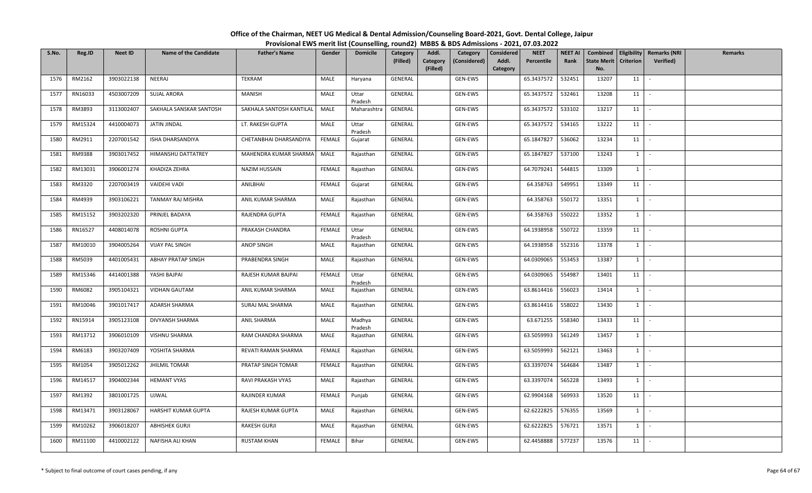| S.No. | Reg.ID  | <b>Neet ID</b> | <b>Name of the Candidate</b> | <b>Father's Name</b>     | Gender        | <b>Domicile</b>   | Category<br>(Filled) | Addl.<br>Category<br>(Filled) | Category<br>(Considered) | Considered<br>Addl.<br>Category | <b>NEET</b><br>Percentile | <b>NEET AI</b><br>Rank | <b>State Merit</b><br>No. | <b>Criterion</b> | Combined   Eligibility   Remarks (NRI<br>Verified) | Remarks |
|-------|---------|----------------|------------------------------|--------------------------|---------------|-------------------|----------------------|-------------------------------|--------------------------|---------------------------------|---------------------------|------------------------|---------------------------|------------------|----------------------------------------------------|---------|
| 1576  | RM2162  | 3903022138     | NEERAJ                       | TEKRAM                   | MALE          | Haryana           | GENERAL              |                               | GEN-EWS                  |                                 | 65.3437572                | 532451                 | 13207                     | 11               |                                                    |         |
| 1577  | RN16033 | 4503007209     | <b>SUJAL ARORA</b>           | <b>MANISH</b>            | MALE          | Uttar<br>Pradesh  | GENERAL              |                               | GEN-EWS                  |                                 | 65.3437572                | 532461                 | 13208                     | 11               | $\sim$                                             |         |
| 1578  | RM3893  | 3113002407     | SAKHALA SANSKAR SANTOSH      | SAKHALA SANTOSH KANTILAL | MALE          | Maharashtra       | GENERAL              |                               | GEN-EWS                  |                                 | 65.3437572                | 533102                 | 13217                     | 11               |                                                    |         |
| 1579  | RM15324 | 4410004073     | JATIN JINDAL                 | LT. RAKESH GUPTA         | MALE          | Uttar<br>Pradesh  | GENERAL              |                               | GEN-EWS                  |                                 | 65.3437572                | 534165                 | 13222                     | 11               | $\sim$                                             |         |
| 1580  | RM2911  | 2207001542     | ISHA DHARSANDIYA             | CHETANBHAI DHARSANDIYA   | FEMALE        | Gujarat           | GENERAL              |                               | GEN-EWS                  |                                 | 65.1847827                | 536062                 | 13234                     | 11               | $\sim$                                             |         |
| 1581  | RM9388  | 3903017452     | HIMANSHU DATTATREY           | MAHENDRA KUMAR SHARMA    | MALE          | Rajasthan         | GENERAL              |                               | GEN-EWS                  |                                 | 65.1847827                | 537100                 | 13243                     | $1 \vert$        | $\sim$                                             |         |
| 1582  | RM13031 | 3906001274     | KHADIZA ZEHRA                | <b>NAZIM HUSSAIN</b>     | FEMALE        | Rajasthan         | GENERAL              |                               | GEN-EWS                  |                                 | 64.7079241                | 544815                 | 13309                     | $1 \vert$        | $\sim$                                             |         |
| 1583  | RM3320  | 2207003419     | VAIDEHI VADI                 | ANILBHAI                 | <b>FEMALE</b> | Gujarat           | GENERAL              |                               | GEN-EWS                  |                                 | 64.358763                 | 549951                 | 13349                     | 11               | $\sim$                                             |         |
| 1584  | RM4939  | 3903106221     | TANMAY RAJ MISHRA            | ANIL KUMAR SHARMA        | MALE          | Rajasthan         | GENERAL              |                               | GEN-EWS                  |                                 | 64.358763                 | 550172                 | 13351                     | $1 \vert$        | $\sim$                                             |         |
| 1585  | RM15152 | 3903202320     | PRINJEL BADAYA               | RAJENDRA GUPTA           | <b>FEMALE</b> | Rajasthan         | GENERAL              |                               | GEN-EWS                  |                                 | 64.358763                 | 550222                 | 13352                     | 1                | $\sim$                                             |         |
| 1586  | RN16527 | 4408014078     | ROSHNI GUPTA                 | PRAKASH CHANDRA          | <b>FEMALE</b> | Uttar<br>Pradesh  | GENERAL              |                               | GEN-EWS                  |                                 | 64.1938958                | 550722                 | 13359                     | 11               | $\sim$                                             |         |
| 1587  | RM10010 | 3904005264     | <b>VIJAY PAL SINGH</b>       | ANOP SINGH               | MALE          | Rajasthan         | GENERAL              |                               | GEN-EWS                  |                                 | 64.1938958                | 552316                 | 13378                     | $1 \vert$        | $\sim$                                             |         |
| 1588  | RM5039  | 4401005431     | <b>ABHAY PRATAP SINGH</b>    | PRABENDRA SINGH          | MALE          | Rajasthan         | GENERAL              |                               | GEN-EWS                  |                                 | 64.0309065                | 553453                 | 13387                     | $1 \vert$        |                                                    |         |
| 1589  | RM15346 | 4414001388     | YASHI BAJPAI                 | RAJESH KUMAR BAJPAI      | FEMALE        | Uttar<br>Pradesh  | GENERAL              |                               | GEN-EWS                  |                                 | 64.0309065                | 554987                 | 13401                     | 11               | $\sim$                                             |         |
| 1590  | RM6082  | 3905104321     | <b>VIDHAN GAUTAM</b>         | ANIL KUMAR SHARMA        | MALE          | Rajasthan         | GENERAL              |                               | GEN-EWS                  |                                 | 63.8614416                | 556023                 | 13414                     | $1 \vert$        | $\overline{\phantom{a}}$                           |         |
| 1591  | RM10046 | 3901017417     | ADARSH SHARMA                | SURAJ MAL SHARMA         | MALE          | Rajasthan         | GENERAL              |                               | GEN-EWS                  |                                 | 63.8614416                | 558022                 | 13430                     | $1$ $-$          |                                                    |         |
| 1592  | RN15914 | 3905123108     | DIVYANSH SHARMA              | ANIL SHARMA              | MALE          | Madhya<br>Pradesh | GENERAL              |                               | GEN-EWS                  |                                 | 63.671255                 | 558340                 | 13433                     | 11               | $\sim$                                             |         |
| 1593  | RM13712 | 3906010109     | VISHNU SHARMA                | RAM CHANDRA SHARMA       | MALE          | Rajasthan         | GENERAL              |                               | GEN-EWS                  |                                 | 63.5059993                | 561249                 | 13457                     | 1                | $\sim$                                             |         |
| 1594  | RM6183  | 3903207409     | YOSHITA SHARMA               | REVATI RAMAN SHARMA      | FEMALE        | Rajasthan         | GENERAL              |                               | GEN-EWS                  |                                 | 63.5059993                | 562121                 | 13463                     | $1 \vert$        | $\sim$                                             |         |
| 1595  | RM1054  | 3905012262     | <b>JHILMIL TOMAR</b>         | PRATAP SINGH TOMAR       | <b>FEMALE</b> | Rajasthan         | GENERAL              |                               | GEN-EWS                  |                                 | 63.3397074                | 564684                 | 13487                     | $1 \vert$        | $\overline{\phantom{a}}$                           |         |
| 1596  | RM14517 | 3904002344     | <b>HEMANT VYAS</b>           | RAVI PRAKASH VYAS        | MALE          | Rajasthan         | GENERAL              |                               | GEN-EWS                  |                                 | 63.3397074                | 565228                 | 13493                     | $1 \vert$        | $\sim$                                             |         |
| 1597  | RM1392  | 3801001725     | <b>UJWAL</b>                 | RAJINDER KUMAR           | FEMALE        | Punjab            | GENERAL              |                               | GEN-EWS                  |                                 | 62.9904168                | 569933                 | 13520                     | 11               | $\sim$                                             |         |
| 1598  | RM13471 | 3903128067     | <b>HARSHIT KUMAR GUPTA</b>   | RAJESH KUMAR GUPTA       | MALE          | Rajasthan         | GENERAL              |                               | GEN-EWS                  |                                 | 62.6222825                | 576355                 | 13569                     | $1 \vert$        | $\sim$                                             |         |
| 1599  | RM10262 | 3906018207     | <b>ABHISHEK GURJI</b>        | RAKESH GURJI             | MALE          | Rajasthan         | GENERAL              |                               | GEN-EWS                  |                                 | 62.6222825                | 576721                 | 13571                     | $1 \vert$        | $\sim$                                             |         |
| 1600  | RM11100 | 4410002122     | NAFISHA ALI KHAN             | <b>RUSTAM KHAN</b>       | FEMALE        | Bihar             | GENERAL              |                               | GEN-EWS                  |                                 | 62.4458888                | 577237                 | 13576                     | 11               | $\sim$                                             |         |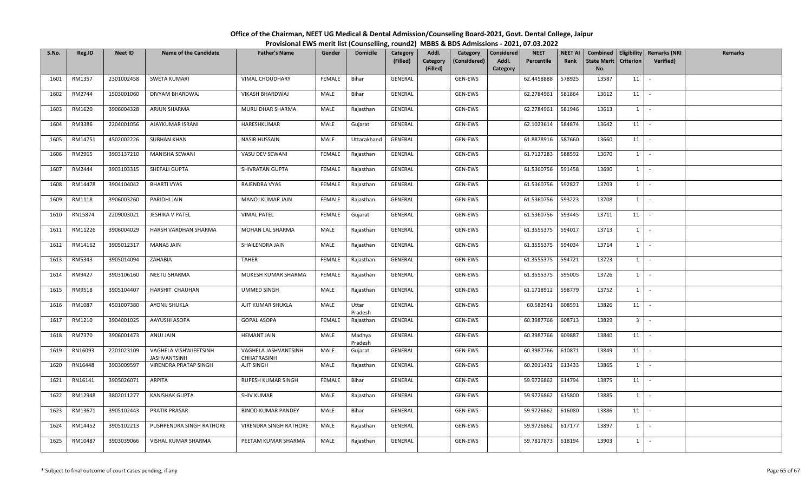| S.No. | Reg.ID  | <b>Neet ID</b> | <b>Name of the Candidate</b>                 | <b>Father's Name</b>                | Gender        | <b>Domicile</b>   | <b>Category</b><br>(Filled) | Addl.<br>Category<br>(Filled) | Category<br>(Considered) | Considered<br>Addl.<br>Category | <b>NEET</b><br>Percentile | <b>NEET AI</b><br>Rank | <b>State Merit</b><br>No. | <b>Criterion</b> | Combined   Eligibility   Remarks (NRI<br><b>Verified</b> ) | Remarks |
|-------|---------|----------------|----------------------------------------------|-------------------------------------|---------------|-------------------|-----------------------------|-------------------------------|--------------------------|---------------------------------|---------------------------|------------------------|---------------------------|------------------|------------------------------------------------------------|---------|
| 1601  | RM1357  | 2301002458     | SWETA KUMARI                                 | VIMAL CHOUDHARY                     | FEMALE        | Bihar             | GENERAL                     |                               | GEN-EWS                  |                                 | 62.4458888                | 578925                 | 13587                     | 11               | $\overline{\phantom{a}}$                                   |         |
| 1602  | RM2744  | 1503001060     | DIVYAM BHARDWAJ                              | VIKASH BHARDWAJ                     | MALE          | Bihar             | GENERAL                     |                               | GEN-EWS                  |                                 | 62.2784961                | 581864                 | 13612                     | 11               | $\sim$                                                     |         |
| 1603  | RM1620  | 3906004328     | ARJUN SHARMA                                 | MURLI DHAR SHARMA                   | MALE          | Rajasthan         | GENERAL                     |                               | GEN-EWS                  |                                 | 62.2784961                | 581946                 | 13613                     | $1 \vert$        | $\sim$                                                     |         |
| 1604  | RM3386  | 2204001056     | AJAYKUMAR ISRANI                             | HARESHKUMAR                         | MALE          | Gujarat           | GENERAL                     |                               | GEN-EWS                  |                                 | 62.1023614                | 584874                 | 13642                     | 11               | $\sim$                                                     |         |
| 1605  | RM14751 | 4502002226     | <b>SUBHAN KHAN</b>                           | <b>NASIR HUSSAIN</b>                | MALE          | Uttarakhand       | GENERAL                     |                               | GEN-EWS                  |                                 | 61.8878916                | 587660                 | 13660                     | 11               | $\sim$                                                     |         |
| 1606  | RM2965  | 3903137210     | MANISHA SEWANI                               | VASU DEV SEWANI                     | <b>FEMALE</b> | Rajasthan         | GENERAL                     |                               | GEN-EWS                  |                                 | 61.7127283                | 588592                 | 13670                     | $1 \vert$        | $\sim$                                                     |         |
| 1607  | RM2444  | 3903103315     | SHEFALI GUPTA                                | SHIVRATAN GUPTA                     | FEMALE        | Rajasthan         | GENERAL                     |                               | GEN-EWS                  |                                 | 61.5360756                | 591458                 | 13690                     | $1 \vert$        | $\sim$                                                     |         |
| 1608  | RM14478 | 3904104042     | <b>BHARTI VYAS</b>                           | RAJENDRA VYAS                       | <b>FEMALE</b> | Rajasthan         | GENERAL                     |                               | GEN-EWS                  |                                 | 61.5360756                | 592827                 | 13703                     | $1 \vert$        | $\sim$                                                     |         |
| 1609  | RM1118  | 3906003260     | PARIDHI JAIN                                 | MANOJ KUMAR JAIN                    | <b>FEMALE</b> | Rajasthan         | GENERAL                     |                               | GEN-EWS                  |                                 | 61.5360756                | 593223                 | 13708                     | $1 \vert$        | $\sim$                                                     |         |
| 1610  | RN15874 | 2209003021     | JESHIKA V PATEL                              | <b>VIMAL PATEL</b>                  | FEMALE        | Gujarat           | GENERAL                     |                               | GEN-EWS                  |                                 | 61.5360756                | 593445                 | 13711                     | 11               | $\sim$                                                     |         |
| 1611  | RM11226 | 3906004029     | HARSH VARDHAN SHARMA                         | MOHAN LAL SHARMA                    | MALE          | Rajasthan         | GENERAL                     |                               | GEN-EWS                  |                                 | 61.3555375                | 594017                 | 13713                     | $1 \vert$        | $\sim$ $-$                                                 |         |
| 1612  | RM14162 | 3905012317     | <b>MANAS JAIN</b>                            | SHAILENDRA JAIN                     | MALE          | Rajasthan         | GENERAL                     |                               | GEN-EWS                  |                                 | 61.3555375                | 594034                 | 13714                     | $1 \vert$        | $\sim$                                                     |         |
| 1613  | RM5343  | 3905014094     | ZAHABIA                                      | <b>TAHER</b>                        | FEMALE        | Rajasthan         | GENERAL                     |                               | GEN-EWS                  |                                 | 61.3555375                | 594721                 | 13723                     | $1 \mid$         | $\sim$                                                     |         |
| 1614  | RM9427  | 3903106160     | NEETU SHARMA                                 | MUKESH KUMAR SHARMA                 | FEMALE        | Rajasthan         | GENERAL                     |                               | GEN-EWS                  |                                 | 61.3555375                | 595005                 | 13726                     | $1 \vert$        | $\sim$                                                     |         |
| 1615  | RM9518  | 3905104407     | HARSHIT CHAUHAN                              | <b>UMMED SINGH</b>                  | MALE          | Rajasthan         | GENERAL                     |                               | GEN-EWS                  |                                 | 61.1718912                | 598779                 | 13752                     | 1                | $\sim$                                                     |         |
| 1616  | RM1087  | 4501007380     | <b>AYONIJ SHUKLA</b>                         | AJIT KUMAR SHUKLA                   | MALE          | Uttar<br>Pradesh  | GENERAL                     |                               | GEN-EWS                  |                                 | 60.582941                 | 608591                 | 13826                     | 11               | $\sim$                                                     |         |
| 1617  | RM1210  | 3904001025     | AAYUSHI ASOPA                                | <b>GOPAL ASOPA</b>                  | <b>FEMALE</b> | Rajasthan         | GENERAL                     |                               | GEN-EWS                  |                                 | 60.3987766                | 608713                 | 13829                     | 3 <sup>1</sup>   | $\sim$                                                     |         |
| 1618  | RM7370  | 3906001473     | ANUJ JAIN                                    | <b>HEMANT JAIN</b>                  | MALE          | Madhya<br>Pradesh | GENERAL                     |                               | GEN-EWS                  |                                 | 60.3987766                | 609887                 | 13840                     | 11               | $\sim$                                                     |         |
| 1619  | RN16093 | 2201023109     | VAGHELA VISHWJEETSINH<br><b>JASHVANTSINH</b> | VAGHELA JASHVANTSINH<br>CHHATRASINH | MALE          | Gujarat           | GENERAL                     |                               | GEN-EWS                  |                                 | 60.3987766                | 610871                 | 13849                     | 11 l             | $\sim$                                                     |         |
| 1620  | RN16448 | 3903009597     | VIRENDRA PRATAP SINGH                        | AJIT SINGH                          | MALE          | Rajasthan         | GENERAL                     |                               | GEN-EWS                  |                                 | 60.2011432                | 613433                 | 13865                     | $1 \vert$        | $\mathcal{L}_{\mathcal{A}}$                                |         |
| 1621  | RN16141 | 3905026071     | ARPITA                                       | RUPESH KUMAR SINGH                  | <b>FEMALE</b> | Bihar             | GENERAL                     |                               | GEN-EWS                  |                                 | 59.9726862                | 614794                 | 13875                     | 11               | $\sim$                                                     |         |
| 1622  | RM12948 | 3802011277     | <b>KANISHAK GUPTA</b>                        | <b>SHIV KUMAR</b>                   | MALE          | Rajasthan         | GENERAL                     |                               | GEN-EWS                  |                                 | 59.9726862                | 615800                 | 13885                     | $1 \mid$         | $\sim$                                                     |         |
| 1623  | RM13671 | 3905102443     | <b>PRATIK PRASAR</b>                         | <b>BINOD KUMAR PANDEY</b>           | MALE          | Bihar             | GENERAL                     |                               | GEN-EWS                  |                                 | 59.9726862                | 616080                 | 13886                     | 11               | $\sim$                                                     |         |
| 1624  | RM14452 | 3905102213     | PUSHPENDRA SINGH RATHORE                     | <b>VIRENDRA SINGH RATHORE</b>       | MALE          | Rajasthan         | GENERAL                     |                               | GEN-EWS                  |                                 | 59.9726862                | 617177                 | 13897                     | $1 \vert$        | $\sim$                                                     |         |
| 1625  | RM10487 | 3903039066     | VISHAL KUMAR SHARMA                          | PEETAM KUMAR SHARMA                 | MALE          | Rajasthan         | GENERAL                     |                               | GEN-EWS                  |                                 | 59.7817873                | 618194                 | 13903                     | $1 \vert$        | $\sim$                                                     |         |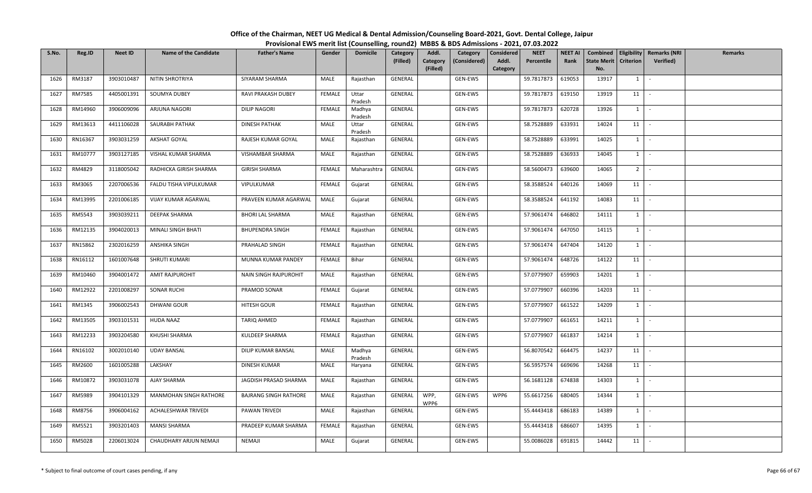| S.No. | Reg.ID  | <b>Neet ID</b> | <b>Name of the Candidate</b> | <b>Father's Name</b>         | Gender        | <b>Domicile</b>   | Category<br>(Filled) | Addl.<br>Category<br>(Filled) | Category<br>(Considered) | Considered<br>Addl.<br>Category | <b>NEET</b><br>Percentile | <b>NEET AI</b><br>Rank | Combined<br>State Merit<br>No. | <b>Criterion</b> | Eligibility   Remarks (NRI<br><b>Verified</b> ) | Remarks |
|-------|---------|----------------|------------------------------|------------------------------|---------------|-------------------|----------------------|-------------------------------|--------------------------|---------------------------------|---------------------------|------------------------|--------------------------------|------------------|-------------------------------------------------|---------|
| 1626  | RM3187  | 3903010487     | NITIN SHROTRIYA              | SIYARAM SHARMA               | MALE          | Rajasthan         | GENERAL              |                               | GEN-EWS                  |                                 | 59.7817873                | 619053                 | 13917                          | 1                | $\sim$                                          |         |
| 1627  | RM7585  | 4405001391     | SOUMYA DUBEY                 | RAVI PRAKASH DUBEY           | <b>FEMALE</b> | Uttar<br>Pradesh  | GENERAL              |                               | GEN-EWS                  |                                 | 59.7817873                | 619150                 | 13919                          | 11               | $\sim$                                          |         |
| 1628  | RM14960 | 3906009096     | ARJUNA NAGORI                | <b>DILIP NAGORI</b>          | FEMALE        | Madhya<br>Pradesh | GENERAL              |                               | GEN-EWS                  |                                 | 59.7817873                | 620728                 | 13926                          | $1 \vert$        | $\sim$                                          |         |
| 1629  | RM13613 | 4411106028     | SAURABH PATHAK               | <b>DINESH PATHAK</b>         | MALE          | Uttar<br>Pradesh  | GENERAL              |                               | GEN-EWS                  |                                 | 58.7528889                | 633931                 | 14024                          | 11               | $\sim$                                          |         |
| 1630  | RN16367 | 3903031259     | AKSHAT GOYAL                 | RAJESH KUMAR GOYAL           | MALE          | Rajasthan         | GENERAL              |                               | GEN-EWS                  |                                 | 58.7528889                | 633991                 | 14025                          | 1                | $\sim$                                          |         |
| 1631  | RM10777 | 3903127185     | VISHAL KUMAR SHARMA          | VISHAMBAR SHARMA             | MALE          | Rajasthan         | GENERAL              |                               | GEN-EWS                  |                                 | 58.7528889                | 636933                 | 14045                          | $1 \vert$        | $\sim$                                          |         |
| 1632  | RM4829  | 3118005042     | RADHICKA GIRISH SHARMA       | <b>GIRISH SHARMA</b>         | <b>FEMALE</b> | Maharashtra       | GENERAL              |                               | GEN-EWS                  |                                 | 58.5600473                | 639600                 | 14065                          | 2 <sup>1</sup>   | $\sim$                                          |         |
| 1633  | RM3065  | 2207006536     | FALDU TISHA VIPULKUMAR       | VIPULKUMAR                   | <b>FEMALE</b> | Gujarat           | GENERAL              |                               | GEN-EWS                  |                                 | 58.3588524                | 640126                 | 14069                          | 11               | $\sim$                                          |         |
| 1634  | RM13995 | 2201006185     | VIJAY KUMAR AGARWAL          | PRAVEEN KUMAR AGARWAL        | MALE          | Gujarat           | GENERAL              |                               | GEN-EWS                  |                                 | 58.3588524                | 641192                 | 14083                          | 11               | $\sim$                                          |         |
| 1635  | RM5543  | 3903039211     | DEEPAK SHARMA                | <b>BHORI LAL SHARMA</b>      | MALE          | Rajasthan         | GENERAL              |                               | GEN-EWS                  |                                 | 57.9061474                | 646802                 | 14111                          | $1 \vert$        | $\sim$                                          |         |
| 1636  | RM12135 | 3904020013     | MINALI SINGH BHATI           | <b>BHUPENDRA SINGH</b>       | <b>FEMALE</b> | Rajasthan         | GENERAL              |                               | GEN-EWS                  |                                 | 57.9061474                | 647050                 | 14115                          | $1 \vert$        | $\sim$                                          |         |
| 1637  | RN15862 | 2302016259     | ANSHIKA SINGH                | PRAHALAD SINGH               | FEMALE        | Rajasthan         | GENERAL              |                               | GEN-EWS                  |                                 | 57.9061474                | 647404                 | 14120                          | $1 \vert$        | 94.)                                            |         |
| 1638  | RN16112 | 1601007648     | SHRUTI KUMARI                | MUNNA KUMAR PANDEY           | FEMALE        | Bihar             | GENERAL              |                               | GEN-EWS                  |                                 | 57.9061474                | 648726                 | 14122                          | 11               | $\sim$                                          |         |
| 1639  | RM10460 | 3904001472     | AMIT RAJPUROHIT              | NAIN SINGH RAJPUROHIT        | MALE          | Rajasthan         | GENERAL              |                               | GEN-EWS                  |                                 | 57.0779907                | 659903                 | 14201                          | $1 \vert$        | $\sim$                                          |         |
| 1640  | RM12922 | 2201008297     | <b>SONAR RUCHI</b>           | PRAMOD SONAR                 | FEMALE        | Gujarat           | GENERAL              |                               | GEN-EWS                  |                                 | 57.0779907                | 660396                 | 14203                          | 11               | $\sim$                                          |         |
| 1641  | RM1345  | 3906002543     | DHWANI GOUR                  | HITESH GOUR                  | <b>FEMALE</b> | Rajasthan         | GENERAL              |                               | GEN-EWS                  |                                 | 57.0779907                | 661522                 | 14209                          | $1 \vert$        | $\sim$                                          |         |
| 1642  | RM13505 | 3903101531     | <b>HUDA NAAZ</b>             | TARIQ AHMED                  | FEMALE        | Rajasthan         | GENERAL              |                               | GEN-EWS                  |                                 | 57.0779907                | 661651                 | 14211                          | $1 \vert$        | $\sim$                                          |         |
| 1643  | RM12233 | 3903204580     | KHUSHI SHARMA                | KULDEEP SHARMA               | FEMALE        | Rajasthan         | GENERAL              |                               | GEN-EWS                  |                                 | 57.0779907                | 661837                 | 14214                          | $1 \vert$        | $\sim$                                          |         |
| 1644  | RN16102 | 3002010140     | <b>UDAY BANSAL</b>           | DILIP KUMAR BANSAL           | MALE          | Madhya<br>Pradesh | GENERAL              |                               | GEN-EWS                  |                                 | 56.8070542                | 664475                 | 14237                          | 11               | $\sim$                                          |         |
| 1645  | RM2600  | 1601005288     | LAKSHAY                      | DINESH KUMAR                 | MALE          | Haryana           | GENERAL              |                               | GEN-EWS                  |                                 | 56.5957574                | 669696                 | 14268                          | 11               |                                                 |         |
| 1646  | RM10872 | 3903031078     | AJAY SHARMA                  | JAGDISH PRASAD SHARMA        | MALE          | Rajasthan         | GENERAL              |                               | GEN-EWS                  |                                 | 56.1681128                | 674838                 | 14303                          | $1 \vert$        | $\sim$                                          |         |
| 1647  | RM5989  | 3904101329     | MANMOHAN SINGH RATHORE       | <b>BAJRANG SINGH RATHORE</b> | MALE          | Rajasthan         | GENERAL              | WPP,<br>WPP6                  | GEN-EWS                  | WPP6                            | 55.6617256                | 680405                 | 14344                          | $1 \mid$         | $\sim$ $\sim$                                   |         |
| 1648  | RM8756  | 3906004162     | <b>ACHALESHWAR TRIVEDI</b>   | PAWAN TRIVEDI                | MALE          | Rajasthan         | GENERAL              |                               | GEN-EWS                  |                                 | 55.4443418                | 686183                 | 14389                          | $1 \vert$        | $\sim$                                          |         |
| 1649  | RM5521  | 3903201403     | MANSI SHARMA                 | PRADEEP KUMAR SHARMA         | FEMALE        | Rajasthan         | GENERAL              |                               | GEN-EWS                  |                                 | 55.4443418                | 686607                 | 14395                          | $1 \vert$        | $\sim$                                          |         |
| 1650  | RM5028  | 2206013024     | CHAUDHARY ARJUN NEMAJI       | NEMAJI                       | MALE          | Gujarat           | GENERAL              |                               | GEN-EWS                  |                                 | 55.0086028                | 691815                 | 14442                          | 11               | $\sim$                                          |         |